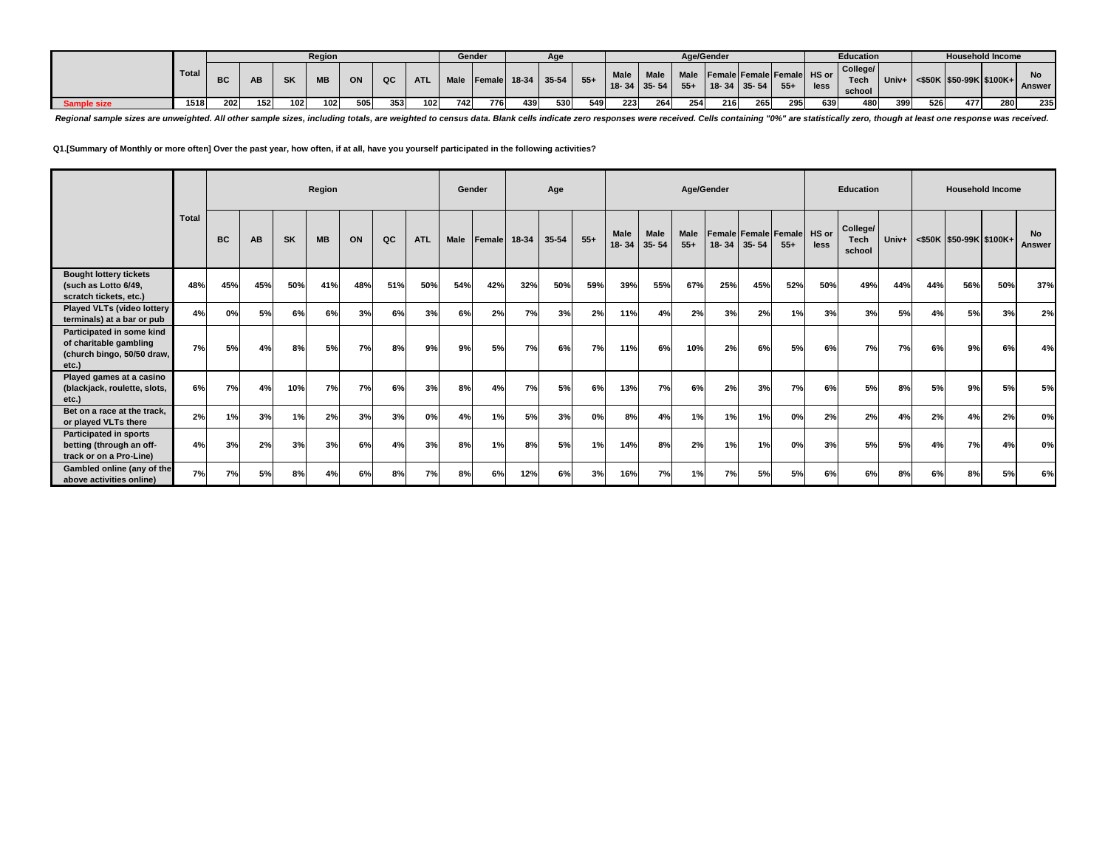|                    |       |           |     |           | Region    |     |      |                  |             | Gender         |         | Age   |       |                                  |             |               | Age/Gender |                                                 |        |      | Education                        |       |     |     | <b>Household Income</b>       |                     |
|--------------------|-------|-----------|-----|-----------|-----------|-----|------|------------------|-------------|----------------|---------|-------|-------|----------------------------------|-------------|---------------|------------|-------------------------------------------------|--------|------|----------------------------------|-------|-----|-----|-------------------------------|---------------------|
|                    | Total | <b>BC</b> | AB  | <b>SK</b> | <b>MB</b> | ON  | QC   | <b>ATL</b>       | <b>Male</b> | <b>IFemale</b> | $18-34$ | 35-54 | $55+$ | <b>Male</b><br>$18 - 34$ 35 - 54 | <b>Male</b> | Male<br>$55+$ |            | Female Female Female HS or<br>$18 - 34$ 35 - 54 | $55 +$ | less | College/<br><b>Tech</b><br>schoo | Univ. |     |     | $\leq$ \$50K \$50-99K \$100K+ | <b>No</b><br>Answer |
| <b>Sample size</b> | 1518  | 202       | 152 | 102       | 102       | 505 | 3531 | 102 <sub>1</sub> | 742         | 776            | 439     | 530   | 549   | 223                              | 264         | 254           | 216        | 265                                             | 295    | 639  | 480                              | 399   | 526 | 477 | 280                           | 235                 |

Regional sample sizes are unweighted. All other sample sizes, including totals, are weighted to census data. Blank cells indicate zero responses were received. Cells containing "0%" are statistically zero, though at least

**Q1.[Summary of Monthly or more often] Over the past year, how often, if at all, have you yourself participated in the following activities?**

|                                                                                            |              |           |     |           | Region    |     |     |            | Gender |        |       | Age       |       |               |                          |                      | Age/Gender                              |           |        |      | <b>Education</b>           |       |     | <b>Household Income</b> |     |                            |
|--------------------------------------------------------------------------------------------|--------------|-----------|-----|-----------|-----------|-----|-----|------------|--------|--------|-------|-----------|-------|---------------|--------------------------|----------------------|-----------------------------------------|-----------|--------|------|----------------------------|-------|-----|-------------------------|-----|----------------------------|
|                                                                                            | <b>Total</b> | <b>BC</b> | AB  | <b>SK</b> | <b>MB</b> | ON  | QC  | <b>ATL</b> | Male   | Female | 18-34 | $35 - 54$ | $55+$ | Male<br>18-34 | <b>Male</b><br>$35 - 54$ | <b>Male</b><br>$55+$ | Female Female Female HS or<br>$18 - 34$ | $35 - 54$ | $55 +$ | less | College/<br>Tech<br>school | Univ+ |     | <\$50K \$50-99K \$100K+ |     | <b>No</b><br><b>Answer</b> |
| <b>Bought lottery tickets</b><br>(such as Lotto 6/49,<br>scratch tickets, etc.)            | 48%          | 45%       | 45% | 50%       | 41%       | 48% | 51% | 50%        | 54%    | 42%    | 32%   | 50%       | 59%   | 39%           | 55%                      | 67%                  | 25%                                     | 45%       | 52%    | 50%  | 49%                        | 44%   | 44% | 56%                     | 50% | 37%                        |
| Played VLTs (video lottery<br>terminals) at a bar or pub                                   | 4%           | 0%        | 5%  | 6%        | 6%        | 3%  | 6%  | 3%         | 6%     | 2%     | 7%    | 3%        | 2%    | 11%           | 4%                       | 2%                   | 3%                                      | 2%        | 1%     | 3%   | 3%                         | 5%    | 4%  | 5%                      | 3%  | 2%                         |
| Participated in some kind<br>of charitable gambling<br>(church bingo, 50/50 draw,<br>etc.) | 7%           | 5%        | 4%  | 8%        | 5%        | 7%  | 8%  | 9%         | 9%     | 5%     | 7%    | 6%        | 7%    | 11%           | 6%                       | 10%                  | 2%                                      | 6%        | 5%     | 6%   | 7%                         | 7%    | 6%  | 9%                      | 6%  | 4%                         |
| Played games at a casino<br>(blackjack, roulette, slots,<br>etc.)                          | 6%           | 7%        | 4%  | 10%       | 7%        | 7%  | 6%  | 3%         | 8%     | 4%     | 7%    | 5%        | 6%    | 13%           | 7%                       | 6%                   | 2%                                      | 3%        | 7%     | 6%   | 5%                         | 8%    | 5%  | 9%                      | 5%  | 5%                         |
| Bet on a race at the track.<br>or played VLTs there                                        | 2%           | 1%        | 3%  | 1%        | 2%        | 3%  | 3%  | 0%         | 4%     | 1%     | 5%    | 3%        | 0%    | 8%            | 4%                       | 1%                   | 1%                                      | 1%        | 0%     | 2%   | 2%                         | 4%    | 2%  | 4%                      | 2%  | 0%                         |
| <b>Participated in sports</b><br>betting (through an off-<br>track or on a Pro-Line)       | 4%           | 3%        | 2%  | 3%        | 3%        | 6%  | 4%  | 3%         | 8%     | 1%     | 8%    | 5%        | 1%    | 14%           | 8%                       | 2%                   | 1%                                      | 1%        | 0%     | 3%   | 5%                         | 5%    | 4%  | 7%                      | 4%  | 0%                         |
| Gambled online (any of the<br>above activities online)                                     | 7%           | 7%        | 5%  | 8%        | 4%        | 6%  | 8%  | 7%         | 8%     | 6%     | 12%   | 6%        | 3%    | 16%           | 7%                       | 1%                   | 7%                                      | 5%        | 5%     | 6%   | 6%                         | 8%    | 6%  | 8%                      | 5%  | 6%                         |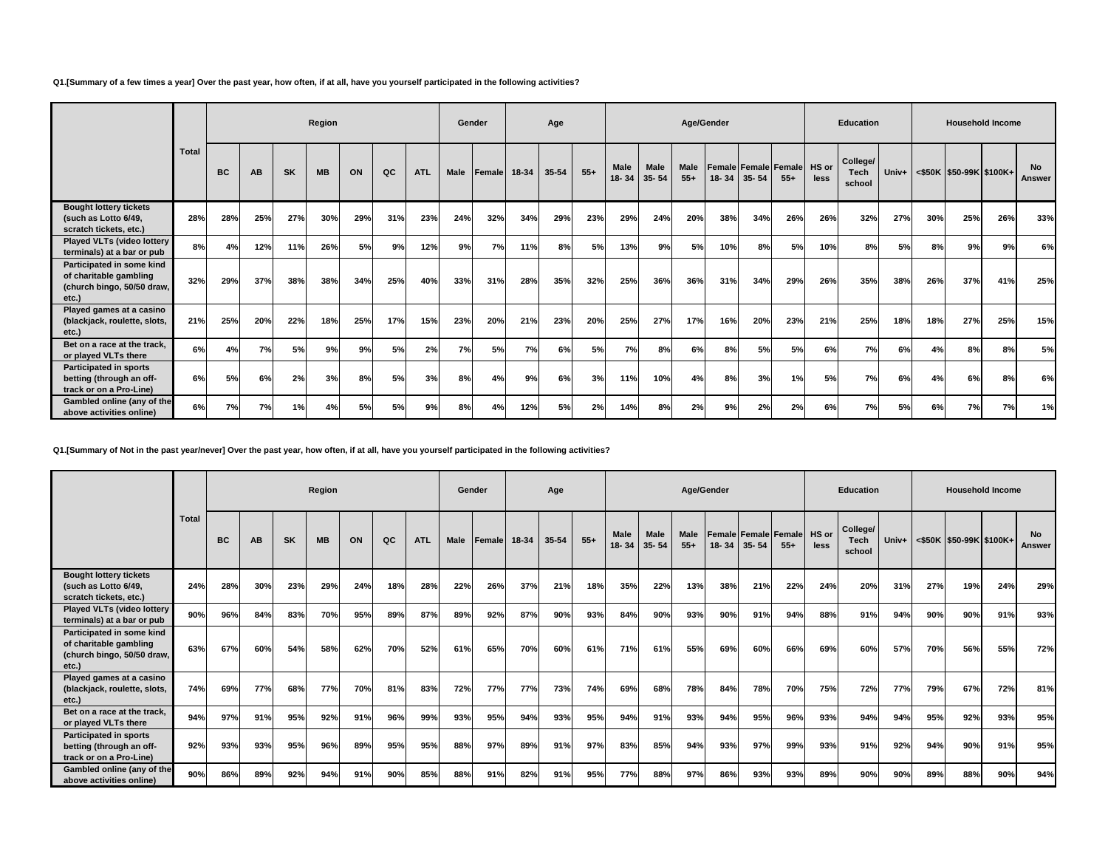**Q1.[Summary of a few times a year] Over the past year, how often, if at all, have you yourself participated in the following activities?**

|                                                                                            |              |           |     |           | Region    |     |     |            | Gender |               |       | Age       |       |                      |                   | Age/Gender           |           |           |                                            |      | <b>Education</b>                  |       |     | <b>Household Income</b> |     |                     |
|--------------------------------------------------------------------------------------------|--------------|-----------|-----|-----------|-----------|-----|-----|------------|--------|---------------|-------|-----------|-------|----------------------|-------------------|----------------------|-----------|-----------|--------------------------------------------|------|-----------------------------------|-------|-----|-------------------------|-----|---------------------|
|                                                                                            | <b>Total</b> | <b>BC</b> | AB  | <b>SK</b> | <b>MB</b> | ON  | QC  | <b>ATL</b> | Male   | <b>Female</b> | 18-34 | $35 - 54$ | $55+$ | <b>Male</b><br>18-34 | Male<br>$35 - 54$ | <b>Male</b><br>$55+$ | $18 - 34$ | $35 - 54$ | <b>Female Female Female HS or</b><br>$55+$ | less | College/<br><b>Tech</b><br>school | Univ+ |     | <\$50K \$50-99K \$100K+ |     | <b>No</b><br>Answer |
| <b>Bought lottery tickets</b><br>(such as Lotto 6/49,<br>scratch tickets, etc.)            | 28%          | 28%       | 25% | 27%       | 30%       | 29% | 31% | 23%        | 24%    | 32%           | 34%   | 29%       | 23%   | 29%                  | 24%               | 20%                  | 38%       | 34%       | 26%                                        | 26%  | 32%                               | 27%   | 30% | 25%                     | 26% | 33%                 |
| Played VLTs (video lottery<br>terminals) at a bar or pub                                   | 8%           | 4%        | 12% | 11%       | 26%       | 5%  | 9%  | 12%        | 9%     | 7%            | 11%   | 8%        | 5%    | 13%                  | 9%                | 5%                   | 10%       | 8%        | 5%                                         | 10%  | 8%                                | 5%    | 8%  | 9%                      | 9%  | 6%                  |
| Participated in some kind<br>of charitable gambling<br>(church bingo, 50/50 draw,<br>etc.) | 32%          | 29%       | 37% | 38%       | 38%       | 34% | 25% | 40%        | 33%    | 31%           | 28%   | 35%       | 32%   | 25%                  | 36%               | 36%                  | 31%       | 34%       | 29%                                        | 26%  | 35%                               | 38%   | 26% | 37%                     | 41% | 25%                 |
| Played games at a casino<br>(blackjack, roulette, slots,<br>etc.)                          | 21%          | 25%       | 20% | 22%       | 18%       | 25% | 17% | 15%        | 23%    | 20%           | 21%   | 23%       | 20%   | 25%                  | 27%               | 17%                  | 16%       | 20%       | 23%                                        | 21%  | 25%                               | 18%   | 18% | 27%                     | 25% | 15%                 |
| Bet on a race at the track.<br>or played VLTs there                                        | 6%           | 4%        | 7%  | 5%        | 9%        | 9%  | 5%  | 2%         | 7%     | 5%            | 7%    | 6%        | 5%    | 7%                   | 8%                | 6%                   | 8%        | 5%        | 5%                                         | 6%   | 7%                                | 6%    | 4%  | 8%                      | 8%  | 5%                  |
| <b>Participated in sports</b><br>betting (through an off-<br>track or on a Pro-Line)       | 6%           | 5%        | 6%  | 2%        | 3%        | 8%  | 5%  | 3%         | 8%     | 4%            | 9%    | 6%        | 3%    | 11%                  | 10%               | 4%                   | 8%        | 3%        | 1%                                         | 5%   | 7%                                | 6%    | 4%  | 6%                      | 8%  | 6%                  |
| Gambled online (any of the<br>above activities online)                                     | 6%           | 7%        | 7%  | 1%        | 4%        | 5%  | 5%  | 9%         | 8%     | 4%            | 12%   | 5%        | 2%    | 14%                  | 8%                | 2%                   | 9%        | 2%        | 2%                                         | 6%   | 7%                                | 5%    | 6%  | 7%                      | 7%  | 1%                  |

**Q1.[Summary of Not in the past year/never] Over the past year, how often, if at all, have you yourself participated in the following activities?**

|                                                                                            |              |           |           |           | Region    |     |     |            |      | Gender         |       | Age   |       |               |                          |                      | Age/Gender |           |                                     |      | <b>Education</b>                  |         |     | <b>Household Income</b> |     |                     |
|--------------------------------------------------------------------------------------------|--------------|-----------|-----------|-----------|-----------|-----|-----|------------|------|----------------|-------|-------|-------|---------------|--------------------------|----------------------|------------|-----------|-------------------------------------|------|-----------------------------------|---------|-----|-------------------------|-----|---------------------|
|                                                                                            | <b>Total</b> | <b>BC</b> | <b>AB</b> | <b>SK</b> | <b>MB</b> | ON  | QC  | <b>ATL</b> | Male | <b>IFemale</b> | 18-34 | 35-54 | $55+$ | Male<br>18-34 | <b>Male</b><br>$35 - 54$ | <b>Male</b><br>$55+$ | $18 - 34$  | $35 - 54$ | Female Female Female HS or<br>$55+$ | less | College/<br><b>Tech</b><br>school | $Univ+$ |     | <\$50K \$50-99K \$100K+ |     | <b>No</b><br>Answer |
| <b>Bought lottery tickets</b><br>(such as Lotto 6/49,<br>scratch tickets, etc.)            | 24%          | 28%       | 30%       | 23%       | 29%       | 24% | 18% | 28%        | 22%  | 26%            | 37%   | 21%   | 18%   | 35%           | 22%                      | 13%                  | 38%        | 21%       | 22%                                 | 24%  | 20%                               | 31%     | 27% | 19%                     | 24% | 29%                 |
| Played VLTs (video lottery<br>terminals) at a bar or pub                                   | 90%          | 96%       | 84%       | 83%       | 70%       | 95% | 89% | 87%        | 89%  | 92%            | 87%   | 90%   | 93%   | 84%           | 90%                      | 93%                  | 90%        | 91%       | 94%                                 | 88%  | 91%                               | 94%     | 90% | 90%                     | 91% | 93%                 |
| Participated in some kind<br>of charitable gambling<br>(church bingo, 50/50 draw,<br>etc.) | 63%          | 67%       | 60%       | 54%       | 58%       | 62% | 70% | 52%        | 61%  | 65%            | 70%   | 60%   | 61%   | 71%           | 61%                      | 55%                  | 69%        | 60%       | 66%                                 | 69%  | 60%                               | 57%     | 70% | 56%                     | 55% | 72%                 |
| Played games at a casino<br>(blackjack, roulette, slots,<br>etc.)                          | 74%          | 69%       | 77%       | 68%       | 77%       | 70% | 81% | 83%        | 72%  | 77%            | 77%   | 73%   | 74%   | 69%           | 68%                      | 78%                  | 84%        | 78%       | 70%                                 | 75%  | 72%                               | 77%     | 79% | 67%                     | 72% | 81%                 |
| Bet on a race at the track.<br>or played VLTs there                                        | 94%          | 97%       | 91%       | 95%       | 92%       | 91% | 96% | 99%        | 93%  | 95%            | 94%   | 93%   | 95%   | 94%           | 91%                      | 93%                  | 94%        | 95%       | 96%                                 | 93%  | 94%                               | 94%     | 95% | 92%                     | 93% | 95%                 |
| <b>Participated in sports</b><br>betting (through an off-<br>track or on a Pro-Line)       | 92%          | 93%       | 93%       | 95%       | 96%       | 89% | 95% | 95%        | 88%  | 97%            | 89%   | 91%   | 97%   | 83%           | 85%                      | 94%                  | 93%        | 97%       | 99%                                 | 93%  | 91%                               | 92%     | 94% | 90%                     | 91% | 95%                 |
| Gambled online (any of the<br>above activities online)                                     | 90%          | 86%       | 89%       | 92%       | 94%       | 91% | 90% | 85%        | 88%  | 91%            | 82%   | 91%   | 95%   | 77%           | 88%                      | 97%                  | 86%        | 93%       | 93%                                 | 89%  | 90%                               | 90%     | 89% | 88%                     | 90% | 94%                 |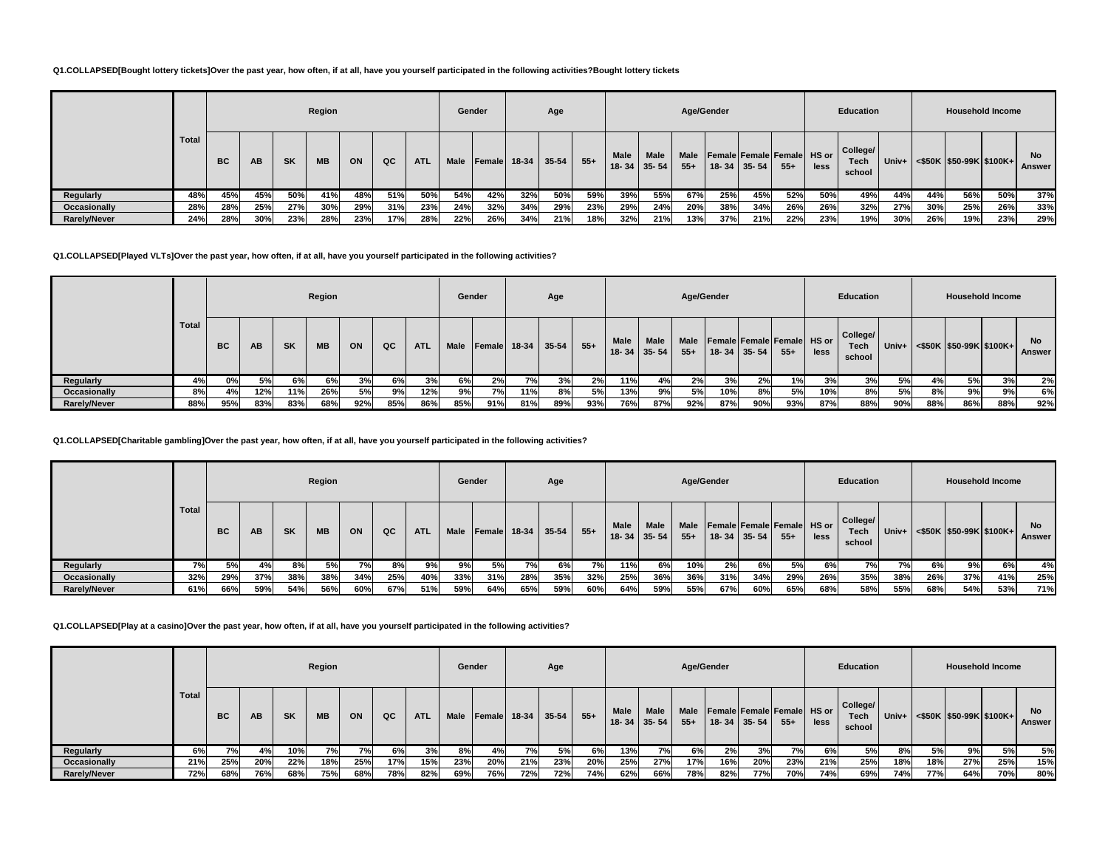### **Q1.COLLAPSED[Bought lottery tickets]Over the past year, how often, if at all, have you yourself participated in the following activities?Bought lottery tickets**

|                     |       |           |     |           | Region    |     |     |            | Gender      |     |                | Age   |       |             |                                  |               | Age/Gender |                                                 |        |      | Education                         |     |     | <b>Household Income</b>               |     |                     |
|---------------------|-------|-----------|-----|-----------|-----------|-----|-----|------------|-------------|-----|----------------|-------|-------|-------------|----------------------------------|---------------|------------|-------------------------------------------------|--------|------|-----------------------------------|-----|-----|---------------------------------------|-----|---------------------|
|                     | Total | <b>BC</b> | AB  | <b>SK</b> | <b>MB</b> | ON  | QC  | <b>ATL</b> | <b>Male</b> |     | $Female$ 18-34 | 35-54 | $55+$ | <b>Male</b> | <b>Male</b><br>$18 - 34$ 35 - 54 | Male<br>$55+$ |            | Female Female Female HS or<br>$18 - 34$ 35 - 54 | $55 +$ | less | College/<br><b>Tech</b><br>school |     |     | Univ+ $ $ <\$50K   \$50-99K   \$100K+ |     | <b>No</b><br>Answer |
| Regularly           | 48%   | 45%       | 45% | 50%       | 41%       | 48% | 51% | 50%        | 54%         | 42% | 32%            | 50%   | 59%   | 39%         | 55%                              | 67%           | 25%        | 45%                                             | 52%    | 50%  | 49%                               | 44% | 44% | 56%                                   | 50% | 37%                 |
| Occasionally        | 28%   | 28%       | 25% | 27%       | 30%       | 29% | 31% | 23%        | 24%         | 32% | 34%            | 29%   | 23%   | 29%         | 24%                              | 20%           | 38%        | 34%                                             | 26%    | 26%  | 32%                               | 27% | 30% | 25%                                   | 26% | 33%                 |
| <b>Rarely/Never</b> | 24%   | 28%       | 30% | 23%       | 28%       | 23% | 17% | 28%        | 22%         | 26% | 34%            | 21%   | 18%   | 32%         | 21%                              | 13%           | 37%        | 21%                                             | 22%    | 23%  | 19%                               | 30% | 26% | 19%                                   | 23% | 29%                 |

### **Q1.COLLAPSED[Played VLTs]Over the past year, how often, if at all, have you yourself participated in the following activities?**

|                     |       |           |           |           | Region    |     |     |            | Gender      |     |     | Age                |       |                          |                   |               | Age/Gender |                   |                                      |      | Education                  |       |     | <b>Household Income</b>         |     |              |
|---------------------|-------|-----------|-----------|-----------|-----------|-----|-----|------------|-------------|-----|-----|--------------------|-------|--------------------------|-------------------|---------------|------------|-------------------|--------------------------------------|------|----------------------------|-------|-----|---------------------------------|-----|--------------|
|                     | Total | <b>BC</b> | <b>AB</b> | <b>SK</b> | <b>MB</b> | ON  | QC  | <b>ATL</b> | <b>Male</b> |     |     | Female 18-34 35-54 | $55+$ | <b>Male</b><br>$18 - 34$ | Male<br>$35 - 54$ | Male<br>$55+$ |            | $18 - 34$ 35 - 54 | Female Female Female HS or<br>$55 +$ | less | College/<br>Tech<br>school | Univ+ |     | $\leq$ \$50K \\$50-99K\\$100K+\ |     | No<br>Answer |
| Regularly           | 4%    | 0%        | 5%        | 6%        | 6%        | 3%  | 6%  | 3%         | 6%          | 2%  |     | 3%                 | 2%    | 11%                      | 4%                | 2%            | 3%         | 2%                | 1%                                   | 3%   | 3%                         | 5%    | 4%  | 5%                              | 3%  | 2%           |
| Occasionally        | 8%    | 4%        | 12%       | 11%       | 26%       | 5%  | 9%  | 12%        | 9%          | 7%  | 11% | 8%                 | 5%    | 13%                      | 9%                | 5%            | 10%        | 8%                | 5%                                   | 10%  | 8%                         | 5%    | 8%  | 9%I                             | 9%  | 6%           |
| <b>Rarely/Never</b> | 88%   | 95%       | 83%       | 83%       | 68%       | 92% | 85% | 86%        | 85%         | 91% | 81% | 89%                | 93%   | 76%                      | 87%               | 92%           | 87%        | 90%               | 93%                                  | 87%  | 88%                        | 90%   | 88% | 86%                             | 88% | 92%          |

### **Q1.COLLAPSED[Charitable gambling]Over the past year, how often, if at all, have you yourself participated in the following activities?**

|                     |       |           |     |           | Region    |     |     |            | Gender      |                |       | Age       |       |                          |                          |                      | Age/Gender |                                           |       |      | <b>Education</b>           |     |     | <b>Household Income</b>              |     |                     |
|---------------------|-------|-----------|-----|-----------|-----------|-----|-----|------------|-------------|----------------|-------|-----------|-------|--------------------------|--------------------------|----------------------|------------|-------------------------------------------|-------|------|----------------------------|-----|-----|--------------------------------------|-----|---------------------|
|                     | Total | <b>BC</b> | AВ  | <b>SK</b> | <b>MB</b> | ON  | QC  | <b>ATL</b> | <b>Male</b> | <b>IFemale</b> | 18-34 | $35 - 54$ | $55+$ | <b>Male</b><br>$18 - 34$ | <b>Male</b><br>$35 - 54$ | <b>Male</b><br>$55+$ |            | Female Female Female HS or<br>18-34 35-54 | $55+$ | less | College/<br>Tech<br>school |     |     | Univ+ $ $ <\$50K  \$50-99K   \$100K+ |     | <b>No</b><br>Answer |
| Regularly           | 7% l  | 5%        |     | 8%        | 5%        | 70/ | 8%  | 9%l        | 9%          | 5%             | 7%    | 6%        | 7%    | 11%                      | 6%                       | 10%                  | 2%         | 6%                                        | 5%    | 6%   | 7%                         | 7%  | 6%  | 9%                                   | 6%  | 4%                  |
| Occasionally        | 32%   | 29%       | 37% | 38%       | 38%       | 34% | 25% | 40%        | 33%         | 31%            | 28%   | 35%       | 32%   | 25%                      | 36%                      | 36%                  | 31%        | 34%                                       | 29%   | 26%  | 35%                        | 38% | 26% | 37%                                  | 41% | 25%                 |
| <b>Rarely/Never</b> | 61%   | 66%       | 59% | 54%       | 56%       | 60% | 67% | 51%        | 59%         | 64%            | 65%   | 59%       | 60%   | 64%                      | 59%                      | 55%                  | 67%        | 60%                                       | 65%   | 68%  | 58%                        | 55% | 68% | 54%                                  | 53% | 71%                 |

**Q1.COLLAPSED[Play at a casino]Over the past year, how often, if at all, have you yourself participated in the following activities?**

|                     |       |     |           |           | Region    |      |     |            | Gender      |                     |     | Age       |       |                     |      |               | Age/Gender |                   |                                     |      | Education                         |       |     | <b>Household Income</b>       |     |                     |
|---------------------|-------|-----|-----------|-----------|-----------|------|-----|------------|-------------|---------------------|-----|-----------|-------|---------------------|------|---------------|------------|-------------------|-------------------------------------|------|-----------------------------------|-------|-----|-------------------------------|-----|---------------------|
|                     | Total | BC  | <b>AB</b> | <b>SK</b> | <b>MB</b> | ON   | QC  | <b>ATL</b> | <b>Male</b> | <b>Female</b> 18-34 |     | $35 - 54$ | $55+$ | Male<br>18-34 35-54 | Male | Male<br>$55+$ |            | $18 - 34$ 35 - 54 | Female Female Female HS or<br>$55+$ | less | College/<br><b>Tech</b><br>school | Univ+ |     | $\leq$ \$50K \$50-99K \$100K+ |     | <b>No</b><br>Answer |
| Regularly           | 6%    | 7%  | 4%        | 10%       | 7%        | 7% r | 6%  | 3%         | 8%          | 4%                  | 7%  | 5%        | 6%    | 13%                 | 7%   | 6%l           | 2%         | 3%                | 7%                                  | 6%   | 5%                                | 8%    | 5%  | 9%                            | 5%  | 5%                  |
| Occasionally        | 21%   | 25% | 20%       | 22%       | 18%       | 25%  | 17% | 15%        | 23%         | 20%                 | 21% | 23%       | 20%   | 25%                 | 27%  | 17%           | 16%        | 20%               | 23%                                 | 21%  | 25%                               | 18%   | 18% | 27%                           | 25% | 15%                 |
| <b>Rarely/Never</b> | 72%   | 68% | 76%       | 68%       | 75%       | 68%  | 78% | 82%        | 69%         | 76%                 | 72% | 72%       | 74%   | 62%                 | 66%  | 78%           | 82%        | 77%               | 70%                                 | 74%  | 69%                               | 74%   | 77% | 64%                           | 70% | 80%                 |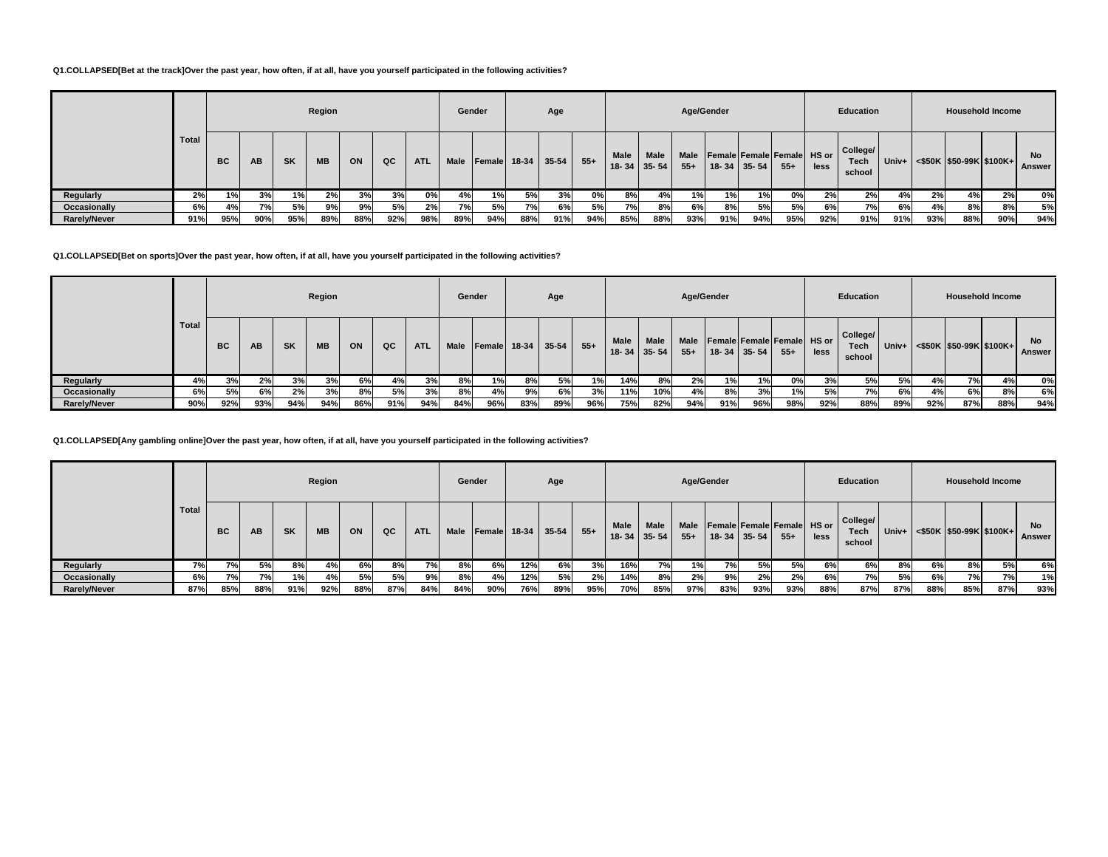### **Q1.COLLAPSED[Bet at the track]Over the past year, how often, if at all, have you yourself participated in the following activities?**

|                     |       |           |     |           | Region    |     |     |            | Gender      |           |              | Age       |        |      |                                  | Age/Gender           |     |                                                 |        |      | Education                         |     |     |     | <b>Household Income</b>              |                     |
|---------------------|-------|-----------|-----|-----------|-----------|-----|-----|------------|-------------|-----------|--------------|-----------|--------|------|----------------------------------|----------------------|-----|-------------------------------------------------|--------|------|-----------------------------------|-----|-----|-----|--------------------------------------|---------------------|
|                     | Total | <b>BC</b> | AB  | <b>SK</b> | <b>MB</b> | ON  | QC  | <b>ATL</b> | <b>Male</b> |           | Female 18-34 | $35 - 54$ | $55 +$ | Male | <b>Male</b><br>$18 - 34$ 35 - 54 | <b>Male</b><br>$55+$ |     | Female Female Female HS or<br>$18 - 34$ 35 - 54 | $55 +$ | less | College/<br><b>Tech</b><br>school |     |     |     | Univ+ $ $ <\$50K  \$50-99K   \$100K+ | <b>No</b><br>Answer |
| Regularly           | 2%    | 1%        | 3%  | $1\%$     | 2%        | 3%  | 3%  | 0%         | 4%          | 1%        | 5%           | 3%        | 0%     | 8%   | 4%                               | 1%                   | 1%  | 1%                                              | 0%     | 2%   | 2%                                | 4%  | 2%  | 4%  | 2%                                   | 0%                  |
| Occasionally        | 6%    | 4%        | 7%  | 5%        | 9%        | 9%  | 5%  | 2%         | 7%          | <b>5%</b> | 7%           | 6%        | 5%     | 7%   | 8%                               | 6%                   | 8%  | 5%                                              | 5%     | 6%   | 7%1                               | 6%  | 4%l | 8%  | 8%                                   | 5%                  |
| <b>Rarely/Never</b> | 91%   | 95%       | 90% | 95%       | 89%       | 88% | 92% | 98%        | 89%         | 94%       | 88%          | 91%       | 94%    | 85%  | 88%                              | 93%                  | 91% | 94%                                             | 95%    | 92%  | 91%                               | 91% | 93% | 88% | 90%                                  | 94%                 |

### **Q1.COLLAPSED[Bet on sports]Over the past year, how often, if at all, have you yourself participated in the following activities?**

|                     |              |           |           |           | Region    |     |     |            | Gender |        |       | Age       |       |             |                            | Age/Gender |     |                                                              |       |      | Education                         |       |     | <b>Household Income</b>       |     |              |
|---------------------|--------------|-----------|-----------|-----------|-----------|-----|-----|------------|--------|--------|-------|-----------|-------|-------------|----------------------------|------------|-----|--------------------------------------------------------------|-------|------|-----------------------------------|-------|-----|-------------------------------|-----|--------------|
|                     | <b>Total</b> | <b>BC</b> | <b>AB</b> | <b>SK</b> | <b>MB</b> | ON  | QC  | <b>ATL</b> | Male   | Female | 18-34 | $35 - 54$ | $55+$ | <b>Male</b> | <b>Male</b><br>18-34 35-54 | $55+$      |     | Male   Female   Female   Female   HS or<br>$18 - 34$ 35 - 54 | $55+$ | less | College/<br><b>Tech</b><br>school | Univ+ |     | $\leq$ \$50K \$50-99K \$100K+ |     | No<br>Answer |
| Regularly           | 4%           | 3%        | 2%        | 3%        | 3%        | 6%  | 4%  | 3%         | 8%     | 1%     | 8%    | 5%        | 1%    | 14%         | 8%                         | 2%         | 1%  | 1%                                                           | 0%    | 3%   | 5%                                | 5%    | 4%  | 7%                            | 4%  | 0%           |
| Occasionally        | 6%           | 5%        | 6%        | 2%        | 3%        | 8%  | 5%  | 3%         | 8%     | 4%     | 9%    | 6%        | 3%    | 11%         | 10%                        | 4%         | 8%  | 3%                                                           | 1%    | 5%   | 7%1                               | 6%    | 4%  | 6%                            | 8%  | 6%           |
| <b>Rarely/Never</b> | 90%          | 92%       | 93%       | 94%       | 94%       | 86% | 91% | 94%        | 84%    | 96%    | 83%   | 89%       | 96%   | 75%         | 82%                        | 94%        | 91% | 96%                                                          | 98%   | 92%  | 88%                               | 89%   | 92% | 87%                           | 88% | 94%          |

**Q1.COLLAPSED[Any gambling online]Over the past year, how often, if at all, have you yourself participated in the following activities?**

|                     |              |           |     |           | Region    |     |     |            |      | Gender |     | Age                |       |                   |                   |                      | Age/Gender                                      |     |        |      | Education                  |       |     | <b>Household Income</b>    |     |                     |
|---------------------|--------------|-----------|-----|-----------|-----------|-----|-----|------------|------|--------|-----|--------------------|-------|-------------------|-------------------|----------------------|-------------------------------------------------|-----|--------|------|----------------------------|-------|-----|----------------------------|-----|---------------------|
|                     | <b>Total</b> | <b>BC</b> | AB  | <b>SK</b> | <b>MB</b> | ON  | QC  | <b>ATL</b> | Male |        |     | Female 18-34 35-54 | $55+$ | Male<br>$18 - 34$ | Male<br>$35 - 54$ | <b>Male</b><br>$55+$ | Female Female Female HS or<br>$18 - 34$ 35 - 54 |     | $55 +$ | less | College/<br>Tech<br>school | Univ+ |     | $<$ \$50K \$50-99K \$100K+ |     | <b>No</b><br>Answer |
| Regularly           | 7%           | 7%        | 5%  | 8%        | 4%        | 6%  | 8%  | 7%         | 8%   | 6%     | 12% | 6%                 | 3%    | 16%               | 7%                | 1% I                 | 7% i                                            | 5%  | 5%     | 6%   | 6%                         | 8%    | 6%  | 8%                         | 5%  | 6%                  |
| Occasionally        | 6%           | 7%        | 7%  | 1%        | 4%        | 5%  | 5%  | 9%         | 8%   | 4%     | 12% | <b>5%</b>          | 2%    | 14%               | 8%                | 2%                   | 9%                                              | 2%  | 2%     | 6%   | 7%                         | 5%    | 6%  | 7%                         | 7%  | 1%                  |
| <b>Rarely/Never</b> | 87%          | 85%       | 88% | 91%       | 92%       | 88% | 87% | 84%        | 84%  | 90%    | 76% | 89%                | 95%   | 70%               | 85%               | 97%                  | 83%                                             | 93% | 93%    | 88%  | 87%                        | 87%   | 88% | 85%                        | 87% | 93%                 |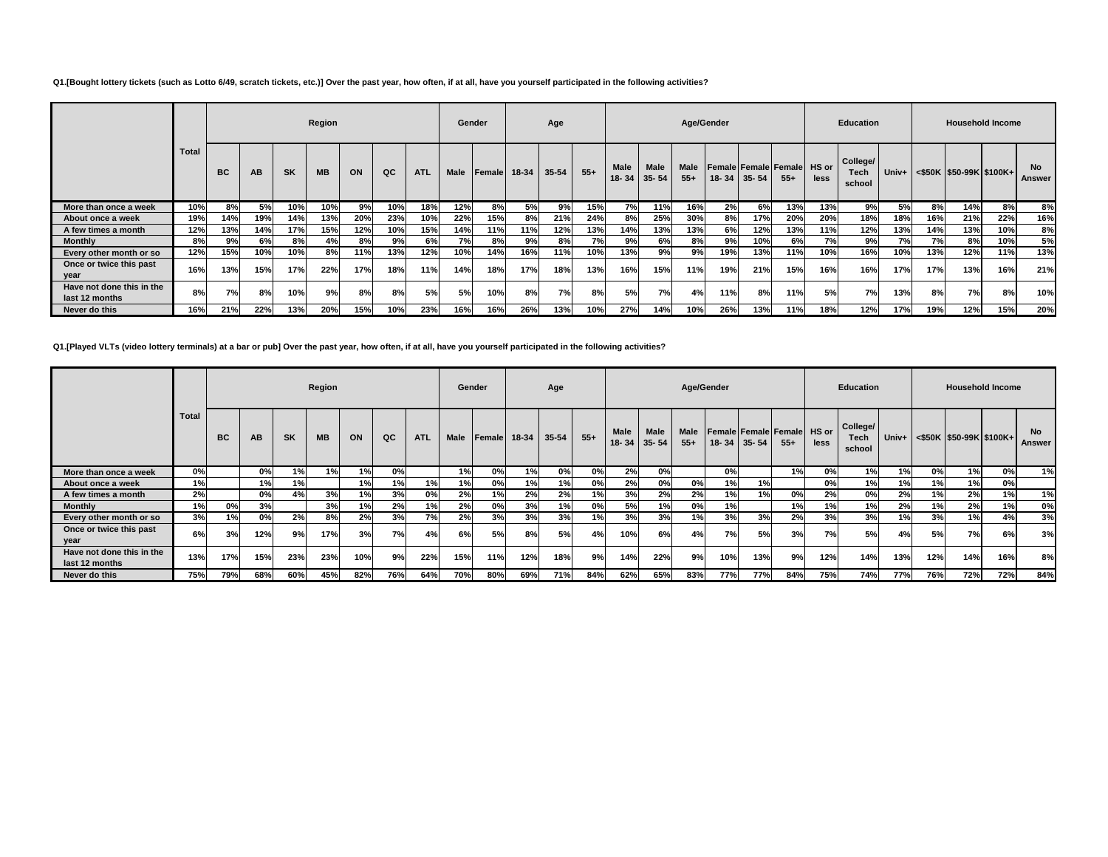### **Q1.[Bought lottery tickets (such as Lotto 6/49, scratch tickets, etc.)] Over the past year, how often, if at all, have you yourself participated in the following activities?**

|                                             |       |           |     |           | Region    |     |     |            |             | Gender        |       | Age   |       |                          |                   |                      | Age/Gender |                   |                                             |      | <b>Education</b>           |       |     |                         | <b>Household Income</b> |                     |
|---------------------------------------------|-------|-----------|-----|-----------|-----------|-----|-----|------------|-------------|---------------|-------|-------|-------|--------------------------|-------------------|----------------------|------------|-------------------|---------------------------------------------|------|----------------------------|-------|-----|-------------------------|-------------------------|---------------------|
|                                             | Total | <b>BC</b> | AB  | <b>SK</b> | <b>MB</b> | ON  | QC  | <b>ATL</b> | <b>Male</b> | <b>Female</b> | 18-34 | 35-54 | $55+$ | <b>Male</b><br>$18 - 34$ | Male<br>$35 - 54$ | <b>Male</b><br>$55+$ |            | $18 - 34$ 35 - 54 | <b>Female Female Female HS or</b><br>$55 +$ | less | College/<br>Tech<br>school | Univ+ |     | <\$50K \$50-99K \$100K+ |                         | <b>No</b><br>Answer |
| More than once a week                       | 10%   | 8%        | 5%  | 10%       | 10%       | 9%  | 10% | 18%        | 12%         | 8%            | 5%    | 9%    | 15%   | 7%I                      | 11%               | 16%                  | 2%         | 6%                | 13%                                         | 13%  | 9%                         | 5%    | 8%  | 14%                     | 8%                      | 8%                  |
| About once a week                           | 19%   | 14%       | 19% | 14%       | 13%       | 20% | 23% | 10%        | 22%         | 15%           | 8%    | 21%   | 24%   | 8%                       | 25%               | 30%                  | 8%         | 17%               | 20%                                         | 20%  | 18%                        | 18%   | 16% | 21%                     | 22%                     | 16%                 |
| A few times a month                         | 12%   | 13%       | 14% | 17%       | 15%       | 12% | 10% | 15%        | 14%         | 11%           | 11%   | 12%   | 13%   | 14%                      | 13%               | 13%                  | 6%         | 12%               | 13%                                         | 11%  | 12%                        | 13%   | 14% | 13%                     | 10%                     | 8%                  |
| <b>Monthly</b>                              | 8%    | 9%        | 6%  | 8%        | 4%        | 8%  | 9%  | 6%         | 7%1         | 8%            | 9%    | 8%    | 7%    | 9%                       | 6%                | 8%                   | 9%         | 10%               | 6%                                          | 7%   | 9%                         | 7%    | 7%1 | 8%                      | 10%                     | 5%                  |
| Every other month or so                     | 12%   | 15%       | 10% | 10%       | 8%        | 11% | 13% | 12%        | 10%         | 14%           | 16%   | 11%   | 10%   | 13%                      | 9%                | 9%                   | 19%        | 13%               | 11%                                         | 10%  | 16%                        | 10%   | 13% | 12%                     | 11%                     | 13%                 |
| Once or twice this past<br>year             | 16%   | 13%       | 15% | 17%       | 22%       | 17% | 18% | 11%        | 14%         | 18%           | 17%   | 18%   | 13%   | 16%                      | 15%               | 11%                  | 19%        | 21%               | 15%                                         | 16%  | 16%                        | 17%   | 17% | 13%                     | 16%                     | 21%                 |
| Have not done this in the<br>last 12 months | 8%    | 7%        | 8%  | 10%       | 9%        | 8%  | 8%  | 5%         | 5%          | 10%           | 8%    | 7%    | 8%    | 5%                       | 7%                | 4%                   | 11%        | 8%                | 11%                                         | 5%   | 7%                         | 13%   | 8%  | 7%                      | 8%                      | 10%                 |
| Never do this                               | 16%   | 21%       | 22% | 13%       | 20%       | 15% | 10% | 23%        | 16%         | 16%           | 26%   | 13%   | 10%   | 27%                      | 14%               | 10%                  | 26%        | 13%               | 11%                                         | 18%  | 12%                        | 17%   | 19% | 12%                     | 15%                     | 20%                 |

### **Q1.[Played VLTs (video lottery terminals) at a bar or pub] Over the past year, how often, if at all, have you yourself participated in the following activities?**

|                                             |              |           |     |           | Region    |     |     |            |             | Gender       |     | Age   |       |      |                     | Age/Gender           |     |                   |                                      |      | <b>Education</b>                  |       |     | <b>Household Income</b>          |     |                     |
|---------------------------------------------|--------------|-----------|-----|-----------|-----------|-----|-----|------------|-------------|--------------|-----|-------|-------|------|---------------------|----------------------|-----|-------------------|--------------------------------------|------|-----------------------------------|-------|-----|----------------------------------|-----|---------------------|
|                                             | <b>Total</b> | <b>BC</b> | AВ  | <b>SK</b> | <b>MB</b> | ON  | QC  | <b>ATL</b> | <b>Male</b> | Female 18-34 |     | 35-54 | $55+$ | Male | Male<br>18-34 35-54 | <b>Male</b><br>$55+$ |     | $18 - 34$ 35 - 54 | Female Female Female HS or<br>$55 +$ | less | College/<br><b>Tech</b><br>school | Univ+ |     | $\leq$ \$50K \\$50-99K \\$100K+\ |     | <b>No</b><br>Answer |
| More than once a week                       | 0%           |           | 0%  | 1%        | 1%        | 1%  | 0%  |            | 1%          | 0%           | 1%  | 0%    | 0%    | 2%   | 0%                  |                      | 0%  |                   | 1%                                   | 0%   | 1%                                | 1%    | 0%  | 1%l                              | 0%  | 1%                  |
| About once a week                           | 1%           |           | 1%  | 1%        |           | 1%  | 1%  | 1%         | 1%          | 0%           | 1%  | 1%    | 0%    | 2%   | 0%                  | 0%                   | 1%  | 1%                |                                      | 0%   | 1%                                | 1%    | 1%  | 1%                               | 0%  |                     |
| A few times a month                         | 2%           |           | 0%  | 4%        | 3%        | 1%  | 3%  | 0%         | 2%          | 1%           | 2%  | 2%    | 1%    | 3%   | 2%                  | 2%                   | 1%  | 1% i              | 0%                                   | 2%   | 0%                                | 2%    | 1%  | 2%                               | 1%  | 1%                  |
| <b>Monthly</b>                              | 1%           | 0%        | 3%  |           | 3%        | 1%  | 2%  | 1%         | 2%          | 0%           | 3%  | 1%    | 0%    | 5%   | 1%                  | 0%                   |     |                   | 1%                                   | 1%   | 1%                                | 2%    | 1%  | 2%                               | 1%  | 0%                  |
| Every other month or so                     | 3%           | 1%        | 0%  | 2%        | 8%        | 2%  | 3%  | 7%         | 2%          | 3%           | 3%  | 3%    | 1%    | 3%   | 3%                  | 1%                   | 3%  | 3%                | 2%                                   | 3%   | 3%                                | 1%    | 3%  | 1%                               | 4%  | 3%                  |
| Once or twice this past<br>year             | 6%           | 3%        | 12% | 9%        | 17%       | 3%  | 7%  | 4%         | 6%          | 5%           | 8%  | 5%    | 4%    | 10%  | 6%                  | 4%                   | 7%  | 5%                | 3%                                   | 7%   | 5%                                | 4%    | 5%  | 7%                               | 6%  | 3%                  |
| Have not done this in the<br>last 12 months | 13%          | 17%       | 15% | 23%       | 23%       | 10% | 9%  | 22%        | 15%         | 11%          | 12% | 18%   | 9%    | 14%  | 22%                 | 9%                   | 10% | 13%               | 9%                                   | 12%  | 14%                               | 13%   | 12% | 14%                              | 16% | 8%                  |
| Never do this                               | 75%          | 79%       | 68% | 60%       | 45%       | 82% | 76% | 64%        | 70%         | 80%          | 69% | 71%   | 84%   | 62%  | 65%                 | 83%                  | 77% | 77%               | 84%                                  | 75%  | 74%                               | 77%   | 76% | 72%                              | 72% | 84%                 |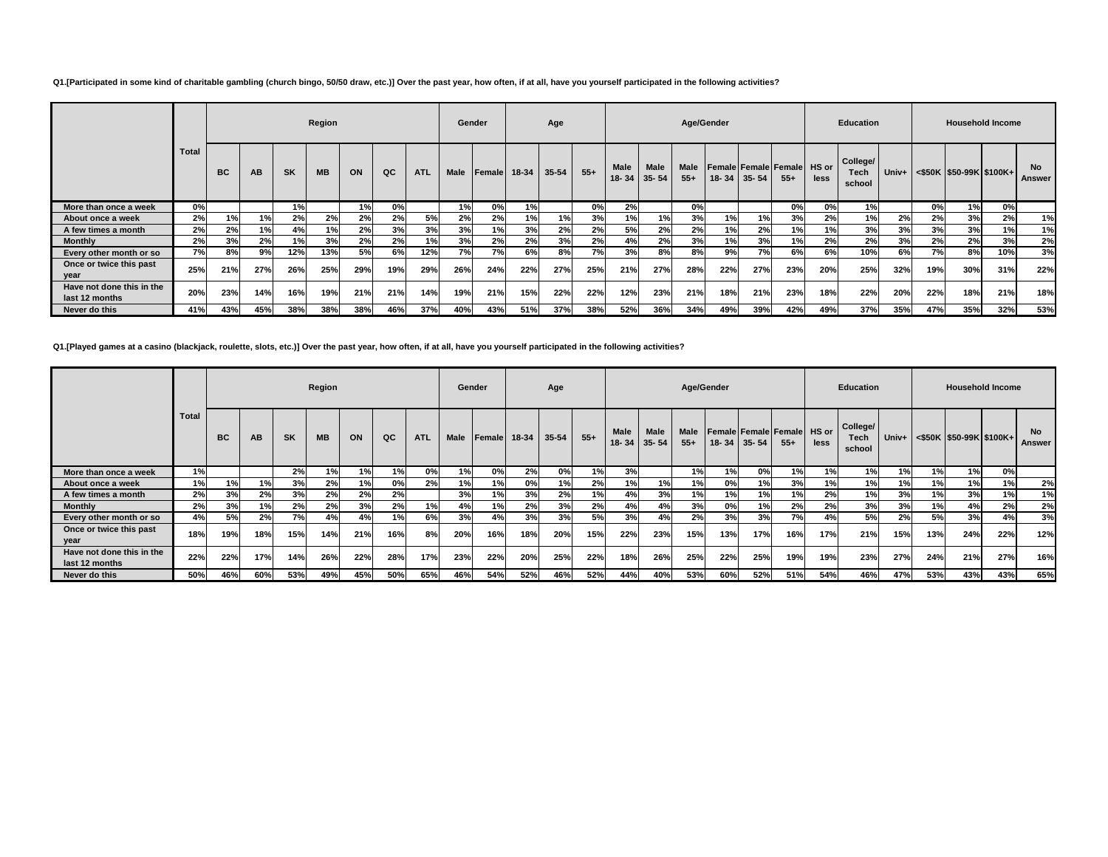### **Q1.[Participated in some kind of charitable gambling (church bingo, 50/50 draw, etc.)] Over the past year, how often, if at all, have you yourself participated in the following activities?**

|                                             |              |           |     |           | Region    |     |     |            | Gender      |        |       | Age       |       |                           |      |                      | Age/Gender |           |                                       |                      | <b>Education</b>           |     |     | <b>Household Income</b>          |     |                     |
|---------------------------------------------|--------------|-----------|-----|-----------|-----------|-----|-----|------------|-------------|--------|-------|-----------|-------|---------------------------|------|----------------------|------------|-----------|---------------------------------------|----------------------|----------------------------|-----|-----|----------------------------------|-----|---------------------|
|                                             | <b>Total</b> | <b>BC</b> | AB  | <b>SK</b> | <b>MB</b> | ON  | QC  | <b>ATL</b> | <b>Male</b> | Female | 18-34 | $35 - 54$ | $55+$ | Male<br>$18 - 34$ 35 - 54 | Male | <b>Male</b><br>$55+$ | 18-34      | $35 - 54$ | <b>Female Female Female</b><br>$55 +$ | <b>HS</b> or<br>less | College/<br>Tech<br>school |     |     | Univ+ <\$50K  \$50-99K   \$100K+ |     | <b>No</b><br>Answer |
| More than once a week                       | 0%           |           |     | 1%        |           | 1%  | 0%  |            | 1%          | 0%     | 1%    |           | 0%    | 2%                        |      | 0%                   |            |           | 0%                                    | 0%                   | 1%                         |     | 0%  | 1% <sub>1</sub>                  | 0%  |                     |
| About once a week                           | 2%           | 1%        | 1%  | 2%        | 2%        | 2%  | 2%  | 5%         | 2%          | 2%     | 1%    | 1%        | 3%    | 1%                        | 1%   | 3%                   | 1%         | 1%        | 3%                                    | 2%                   | 1%                         | 2%  | 2%  | 3%                               | 2%  | 1%                  |
| A few times a month                         | 2%           | 2%        | 1%  | 4%        | 1%        | 2%  | 3%  | 3%         | 3%          | 1%     | 3%    | 2%        | 2%    | 5%                        | 2%   | 2%                   | $1\%$      | 2%        | 1%                                    | 1%                   | 3%                         | 3%  | 3%  | 3%                               | 1%  | 1%                  |
| <b>Monthly</b>                              | 2%           | 3%        | 2%  | 1%        | 3%        | 2%  | 2%  | 1%         | 3%          | 2%     | 2%    | 3%        | 2%    | 4%                        | 2%   | 3%                   | 1%         | 3%        | 1%                                    | 2%                   | 2%                         | 3%  | 2%  | 2%                               | 3%  | 2%                  |
| Every other month or so                     | 7%           | 8%        | 9%  | 12%       | 13%       | 5%  | 6%  | 12%        | 7%          | 7%     | 6%    | 8%        | 7%    | 3%                        | 8%   | 8%                   | 9%         | 7%        | 6%                                    | 6%                   | 10%                        | 6%  | 7%  | 8%                               | 10% | 3%                  |
| Once or twice this past<br>year             | 25%          | 21%       | 27% | 26%       | 25%       | 29% | 19% | 29%        | 26%         | 24%    | 22%   | 27%       | 25%   | 21%                       | 27%  | 28%                  | 22%        | 27%       | 23%                                   | 20%                  | 25%                        | 32% | 19% | 30%                              | 31% | 22%                 |
| Have not done this in the<br>last 12 months | 20%          | 23%       | 14% | 16%       | 19%       | 21% | 21% | 14%        | 19%         | 21%    | 15%   | 22%       | 22%   | 12%                       | 23%  | 21%                  | 18%        | 21%       | 23%                                   | 18%                  | 22%                        | 20% | 22% | 18%                              | 21% | 18%                 |
| Never do this                               | 41%          | 43%       | 45% | 38%       | 38%       | 38% | 46% | 37%        | 40%         | 43%    | 51%   | 37%       | 38%   | 52%                       | 36%  | 34%                  | 49%        | 39%       | 42%                                   | 49%                  | 37%                        | 35% | 47% | 35%                              | 32% | 53%                 |

**Q1.[Played games at a casino (blackjack, roulette, slots, etc.)] Over the past year, how often, if at all, have you yourself participated in the following activities?**

|                                             |              |           |     |           | Region    |     |     |            |             | Gender |       | Age   |       |             |                     | Age/Gender    |     |                   |                                            |      | <b>Education</b>                  |       |     | <b>Household Income</b> |     |                     |
|---------------------------------------------|--------------|-----------|-----|-----------|-----------|-----|-----|------------|-------------|--------|-------|-------|-------|-------------|---------------------|---------------|-----|-------------------|--------------------------------------------|------|-----------------------------------|-------|-----|-------------------------|-----|---------------------|
|                                             | <b>Total</b> | <b>BC</b> | AB  | <b>SK</b> | <b>MB</b> | ON  | QC  | <b>ATL</b> | <b>Male</b> | Female | 18-34 | 35-54 | $55+$ | <b>Male</b> | Male<br>18-34 35-54 | Male<br>$55+$ |     | $18 - 34$ 35 - 54 | <b>Female Female Female HS or</b><br>$55+$ | less | College/<br><b>Tech</b><br>school | Univ+ |     | <\$50K \$50-99K \$100K+ |     | <b>No</b><br>Answer |
| More than once a week                       | 1%           |           |     | 2%        | 1%        | 1%  | 1%  | 0%         | 1%          | 0%     | 2%    | 0%    | 1%    | 3%          |                     | 1%            | 1%  | 0%                | 1%                                         | 1%   | 1%                                | 1%    | 1%  | 1%                      | 0%  |                     |
| About once a week                           | 1%           | 1%        | 1%  | 3%        | 2%        | 1%  | 0%  | 2%         | 1%          | 1%     | 0%    | 1%    | 2%    | 1%          | 1%                  | 1%            | 0%  | 1%                | 3%                                         | 1%   | 1%                                | 1%    | 1%  | 1%                      | 1%  | 2%                  |
| A few times a month                         | 2%           | 3%        | 2%  | 3%        | 2%        | 2%  | 2%  |            | 3%          | 1%     | 3%    | 2%    | 1%    | 4%          | 3%                  | 1%            | 1%  | 1%                | 1%                                         | 2%   | 1%                                | 3%    | 1%  | 3%                      | 1%  | 1%                  |
| <b>Monthly</b>                              | 2%           | 3%        | 1%  | 2%        | 2%        | 3%  | 2%  | 1%         | 4%          | 1%     | 2%    | 3%    | 2%    | 4%          | 4%                  | 3%            | 0%  | 1%                | 2%                                         | 2%   | 3%                                | 3%    | 1%  | 4%                      | 2%  | 2%                  |
| Every other month or so                     | 4%           | 5%        | 2%  | 7%        | 4%        | 4%  | 1%  | 6%         | 3%          | 4%     | 3%    | 3%    | 5%    | 3%          | 4%                  | 2%            | 3%  | 3%                | 7%                                         | 4%   | 5%                                | 2%    | 5%  | 3%                      | 4%  | 3%                  |
| Once or twice this past<br>year             | 18%          | 19%       | 18% | 15%       | 14%       | 21% | 16% | 8%         | 20%         | 16%    | 18%   | 20%   | 15%   | 22%         | 23%                 | 15%           | 13% | 17%               | 16%                                        | 17%  | 21%                               | 15%   | 13% | 24%                     | 22% | 12%                 |
| Have not done this in the<br>last 12 months | 22%          | 22%       | 17% | 14%       | 26%       | 22% | 28% | 17%        | 23%         | 22%    | 20%   | 25%   | 22%   | 18%         | 26%                 | 25%           | 22% | 25%               | 19%                                        | 19%  | 23%                               | 27%   | 24% | 21%                     | 27% | 16%                 |
| Never do this                               | 50%          | 46%       | 60% | 53%       | 49%       | 45% | 50% | 65%        | 46%         | 54%    | 52%   | 46%   | 52%   | 44%         | 40%                 | 53%           | 60% | 52%               | 51%                                        | 54%  | 46%                               | 47%   | 53% | 43%                     | 43% | 65%                 |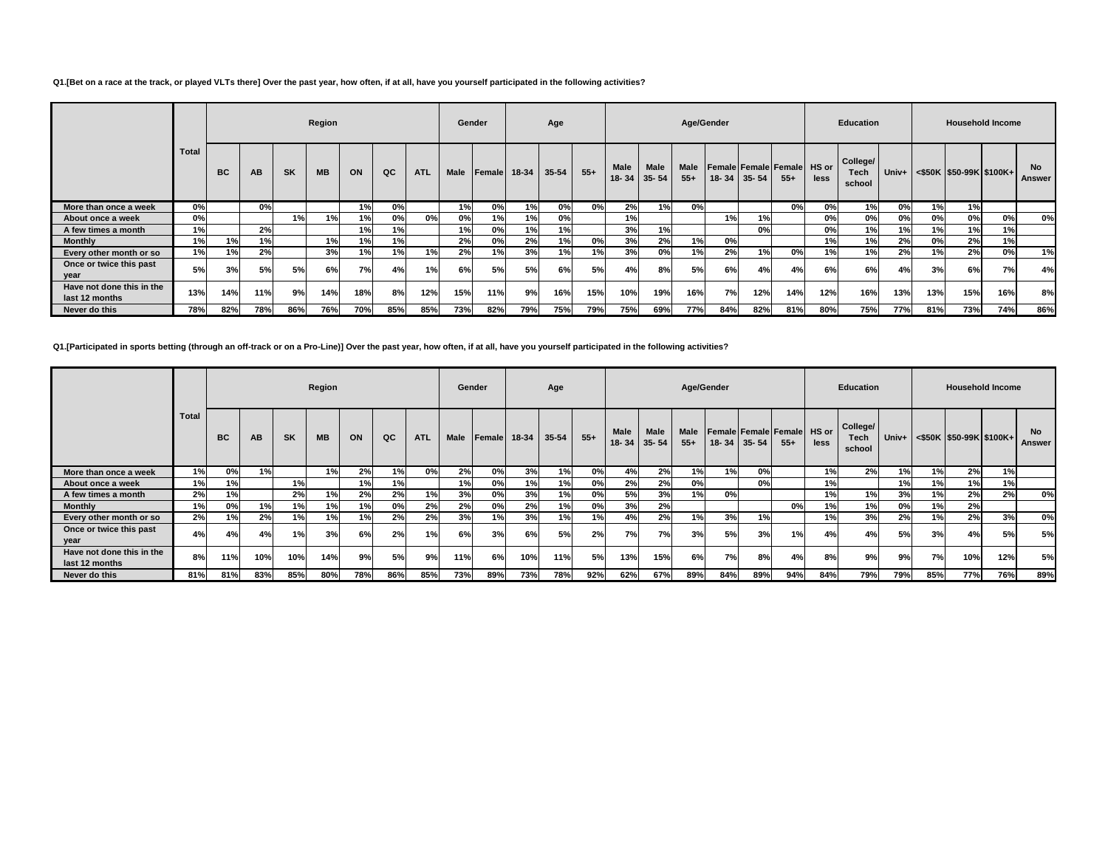### **Q1.[Bet on a race at the track, or played VLTs there] Over the past year, how often, if at all, have you yourself participated in the following activities?**

|                                             |       |           |     |           | Region    |     |     |            | Gender      |                    |     | Age |       |                            |      |                      | Age/Gender |                   |                                       |                      | <b>Education</b>                  |     |     | <b>Household Income</b>                 |     |                     |
|---------------------------------------------|-------|-----------|-----|-----------|-----------|-----|-----|------------|-------------|--------------------|-----|-----|-------|----------------------------|------|----------------------|------------|-------------------|---------------------------------------|----------------------|-----------------------------------|-----|-----|-----------------------------------------|-----|---------------------|
|                                             | Total | <b>BC</b> | AB  | <b>SK</b> | <b>MB</b> | ON  | QC  | <b>ATL</b> | <b>Male</b> | Female 18-34 35-54 |     |     | $55+$ | <b>Male</b><br>18-34 35-54 | Male | <b>Male</b><br>$55+$ |            | $18 - 34$ 35 - 54 | <b>Female Female Female</b><br>$55 +$ | <b>HS</b> or<br>less | College/<br><b>Tech</b><br>school |     |     | Univ+ $\leq$ \$50K   \$50-99K   \$100K+ |     | <b>No</b><br>Answer |
| More than once a week                       | 0%    |           | 0%l |           |           | 1%  | 0%  |            | 1%          | 0%                 | 1%  | 0%  | 0%    | 2%                         | 1%   | 0%                   |            |                   | 0%                                    | 0%                   | 1%                                | 0%  | 1%  | 1%                                      |     |                     |
| About once a week                           | 0%    |           |     | 1%        | 1%        | 1%  | 0%  | 0%         | 0%          | 1%                 | 1%  | 0%  |       | 1%                         |      |                      | 1%         | 1%                |                                       | 0%                   | 0%                                | 0%  | 0%  | 0%                                      | 0%  | 0%                  |
| A few times a month                         | 1%    |           | 2%  |           |           | 1%  | 1%  |            | 1%          | 0%                 | 1%  | 1%  |       | 3%                         | 1%   |                      |            | 0%                |                                       | 0%                   | 1%                                | 1%  | 1%  | 1%                                      | 1%  |                     |
| <b>Monthly</b>                              | 1%    | 1%        | 1%  |           | 1%        | 1%  | 1%  |            | 2%          | 0%                 | 2%  | 1%  | 0%    | 3%                         | 2%   | 1%                   | 0%         |                   |                                       | 1%                   | 1%                                | 2%  | 0%  | 2%                                      | 1%  |                     |
| Every other month or so                     | 1%    | 1%        | 2%  |           | 3%        | 1%  | 1%  | 1%         | 2%          | 1%                 | 3%  | 1%  | 1%    | 3%                         | 0%   | 1%                   | 2%         | 1%                | 0%                                    | 1%                   | 1%                                | 2%  | 1%  | 2%                                      | 0%  | 1%                  |
| Once or twice this past<br>year             | 5%    | 3%        | 5%  | 5%        | 6%        | 7%  | 4%  | 1%         | 6%          | 5%                 | 5%  | 6%  | 5%    | 4%                         | 8%   | 5%                   | 6%         | 4%                | 4%                                    | 6%                   | 6%                                | 4%  | 3%  | 6%                                      | 7%  | 4%                  |
| Have not done this in the<br>last 12 months | 13%   | 14%       | 11% | 9%        | 14%       | 18% | 8%  | 12%        | 15%         | 11%                | 9%  | 16% | 15%   | 10%                        | 19%  | 16%                  | 7%         | 12%               | 14%                                   | 12%                  | 16%                               | 13% | 13% | 15%                                     | 16% | 8%                  |
| Never do this                               | 78%   | 82%       | 78% | 86%       | 76%       | 70% | 85% | 85%        | 73%         | 82%                | 79% | 75% | 79%   | 75%                        | 69%  | 77%                  | 84%        | 82%               | 81%                                   | 80%                  | 75%                               | 77% | 81% | 73%                                     | 74% | 86%                 |

### **Q1.[Participated in sports betting (through an off-track or on a Pro-Line)] Over the past year, how often, if at all, have you yourself participated in the following activities?**

|                                             |              |           |           |           | Region    |     |     |            |             | Gender |       | Age       |       |      |                                  |                      | Age/Gender |           |                                |               | <b>Education</b>                  |       |     | <b>Household Income</b> |     |                     |
|---------------------------------------------|--------------|-----------|-----------|-----------|-----------|-----|-----|------------|-------------|--------|-------|-----------|-------|------|----------------------------------|----------------------|------------|-----------|--------------------------------|---------------|-----------------------------------|-------|-----|-------------------------|-----|---------------------|
|                                             | <b>Total</b> | <b>BC</b> | <b>AB</b> | <b>SK</b> | <b>MB</b> | ON  | QC  | <b>ATL</b> | <b>Male</b> | Female | 18-34 | $35 - 54$ | $55+$ | Male | <b>Male</b><br>$18 - 34$ 35 - 54 | <b>Male</b><br>$55+$ | 18-34      | $35 - 54$ | Female Female Female<br>$55 +$ | HS or<br>less | College/<br><b>Tech</b><br>school | Univ+ |     | <\$50K \$50-99K \$100K+ |     | <b>No</b><br>Answer |
| More than once a week                       | 1%           | 0%        | 1%        |           | 1%        | 2%  | 1%  | 0%         | 2%          | 0%     | 3%    | 1%        | 0%    | 4%   | 2%                               | 1%                   | 1%         | 0%        |                                | 1%            | 2%                                | 1%    | 1%  | 2%                      | 1%  |                     |
| About once a week                           | 1%           | 1%        |           | 1%        |           | 1%  | 1%  |            | 1%          | 0%     | 1%    | 1%        | 0%    | 2%   | 2%                               | 0%                   |            | 0%        |                                | 1%            |                                   | 1%    | 1%  | 1%                      | 1%  |                     |
| A few times a month                         | 2%           | 1%        |           | 2%        | 1%        | 2%  | 2%  | 1%         | 3%          | 0%     | 3%    | 1%        | 0%    | 5%   | 3%                               | 1%                   | 0%         |           |                                | 1%            | 1%                                | 3%    | 1%  | 2%                      | 2%  | 0%                  |
| <b>Monthly</b>                              | 1%           | 0%        | 1%        | 1%        | 1%        | 1%  | 0%  | 2%         | 2%          | 0%     | 2%    | 1%        | 0%    | 3%   | 2%                               |                      |            |           | 0%                             | 1%            | 1%                                | 0%    | 1%  | 2%                      |     |                     |
| Every other month or so                     | 2%           | 1%        | 2%        | 1%        | 1%        | 1%  | 2%  | 2%         | 3%          | 1%     | 3%    | 1%        | 1%    | 4%   | 2%                               | 1%                   | 3%         | 1%        |                                | 1%            | 3%                                | 2%    | 1%  | 2%                      | 3%  | 0%                  |
| Once or twice this past<br>year             | 4%           | 4%        | 4%        | 1%        | 3%        | 6%  | 2%  | 1%         | 6%          | 3%     | 6%    | 5%        | 2%    | 7%   | 7%                               | 3%                   | <b>5%</b>  | 3%        | 1%                             | 4%            | 4%                                | 5%    | 3%  | 4%                      | 5%  | 5%                  |
| Have not done this in the<br>last 12 months | 8%           | 11%       | 10%       | 10%       | 14%       | 9%  | 5%  | 9%         | 11%         | 6%     | 10%   | 11%       | 5%    | 13%  | 15%                              | 6%                   | 7%         | 8%        | 4%                             | 8%            | 9%                                | 9%    | 7%  | 10%                     | 12% | 5%                  |
| Never do this                               | 81%          | 81%       | 83%       | 85%       | 80%       | 78% | 86% | 85%        | 73%         | 89%    | 73%   | 78%       | 92%   | 62%  | 67%                              | 89%                  | 84%        | 89%       | 94%                            | 84%           | 79%                               | 79%   | 85% | 77%                     | 76% | 89%                 |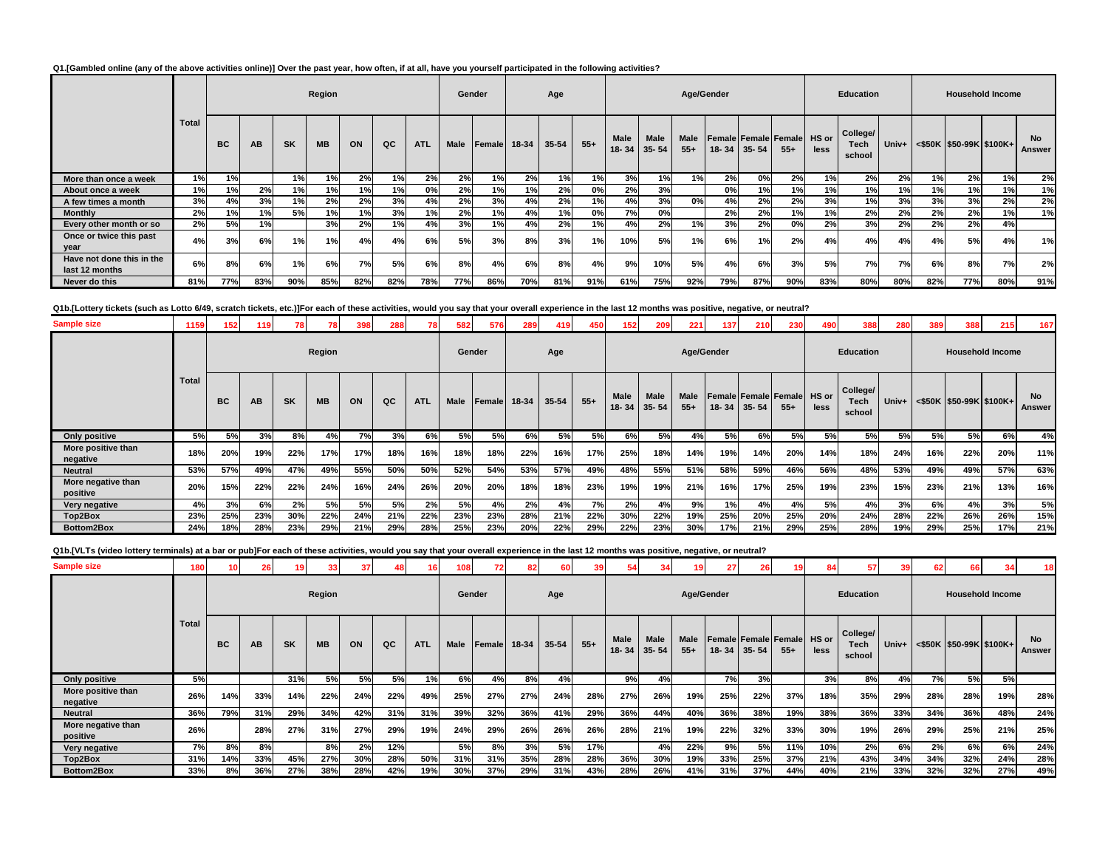# **Q1.[Gambled online (any of the above activities online)] Over the past year, how often, if at all, have you yourself participated in the following activities?**

|                                             |              |     |           |           | Region    |     |     |            |      | Gender       |     | Age       |       |                      |                   | Age/Gender           |                   |     |                                            |      | <b>Education</b>           |     |     |                                                                                         | <b>Household Income</b> |                     |
|---------------------------------------------|--------------|-----|-----------|-----------|-----------|-----|-----|------------|------|--------------|-----|-----------|-------|----------------------|-------------------|----------------------|-------------------|-----|--------------------------------------------|------|----------------------------|-----|-----|-----------------------------------------------------------------------------------------|-------------------------|---------------------|
|                                             | <b>Total</b> | BC  | <b>AB</b> | <b>SK</b> | <b>MB</b> | ON  | QC  | <b>ATL</b> | Male | Female 18-34 |     | $35 - 54$ | $55+$ | <b>Male</b><br>18-34 | Male<br>$35 - 54$ | <b>Male</b><br>$55+$ | $18 - 34$ 35 - 54 |     | <b>Female Female Female HS or</b><br>$55+$ | less | College/<br>Tech<br>school |     |     | Univ+ <s50k \$100k+<="" \$50-99k="" th=""><th></th><th><b>No</b><br/>Answer</th></s50k> |                         | <b>No</b><br>Answer |
| More than once a week                       | 1%           | 1%  |           | 1%        | 1%        | 2%  | 1%  | 2%         | 2%   | 1%l          | 2%  | 1%        | 1%    | 3%                   | 1%                | 1%                   | 2%                | 0%  | 2%                                         | 1%   | 2%                         | 2%  | 1%  | 2%                                                                                      | 1%                      | 2%                  |
| About once a week                           | 1%           | 1%  | 2%        | 1%        | 1%        | 1%  | 1%  | 0%         | 2%   | 1%           | 1%  | 2%        | 0%    | 2%                   | 3%                |                      | 0%                | 1%  | 1%                                         | 1%   | 1%                         | 1%  | 1%  | 1%                                                                                      | 1%                      | 1%                  |
| A few times a month                         | 3%           | 4%  | 3%        | 1%        | 2%        | 2%  | 3%  | 4%         | 2%   | 3%           | 4%  | 2%        | 1%    | 4%                   | 3%                | 0%l                  | 4%                | 2%  | 2%                                         | 3%   | 1%                         | 3%  | 3%  | 3%                                                                                      | 2%                      | 2%                  |
| <b>Monthly</b>                              | 2%           | 1%  | 1%        | 5%        | 1%        | 1%  | 3%  | 1%         | 2%   | 1%           | 4%  | 1%        | 0%    | 7%                   | 0%                |                      | 2%                | 2%  | 1%                                         | 1%   | 2%                         | 2%  | 2%  | 2%                                                                                      | 1%                      | 1%                  |
| Every other month or so                     | 2%           | 5%  | 1%        |           | 3%        | 2%  | 1%  | 4%         | 3%   | 1%l          | 4%  | 2%        |       | 4%                   | 2%                | 1%                   | 3%                | 2%  | 0%                                         | 2%   | 3%                         | 2%  | 2%  | 2%                                                                                      | 4%                      |                     |
| Once or twice this past<br>year             | 4%           | 3%  | 6%        | 1%        | 1%        | 4%  | 4%  | 6%         | 5%   | 3%           | 8%  | 3%        | 1%    | 10%                  | 5%                | 1%                   | 6%                | 1%  | 2%                                         | 4%   | 4%                         | 4%  | 4%  | 5%                                                                                      | 4%                      | 1%                  |
| Have not done this in the<br>last 12 months | 6%           | 8%  | 6%        | 1%        | 6%        | 7%  | 5%  | 6%         | 8%   | 4%           | 6%  | 8%        | 4%    | 9%                   | 10%               | 5%                   | 4%                | 6%  | 3%                                         | 5%   | 7%                         | 7%  | 6%  | 8%                                                                                      | 7%                      | 2%                  |
| Never do this                               | 81%          | 77% | 83%       | 90%       | 85%       | 82% | 82% | 78%        | 77%  | 86%          | 70% | 81%       | 91%   | 61%                  | 75%               | 92%                  | 79%               | 87% | 90%                                        | 83%  | 80%                        | 80% | 82% | 77%                                                                                     | 80%                     | 91%                 |

**Q1b.[Lottery tickets (such as Lotto 6/49, scratch tickets, etc.)]For each of these activities, would you say that your overall experience in the last 12 months was positive, negative, or neutral?**

| <b>Sample size</b>             | 1159         | 152       | 119 | 78        |           | 398 | 288 |            | 582  | 576    | 289   | 419   | 450   | 152  | 209                              | 221                  | 137 | 210               | 230                                        | 490       | 388                        | 280 | 389 | 388                              | 215                     | 167                 |
|--------------------------------|--------------|-----------|-----|-----------|-----------|-----|-----|------------|------|--------|-------|-------|-------|------|----------------------------------|----------------------|-----|-------------------|--------------------------------------------|-----------|----------------------------|-----|-----|----------------------------------|-------------------------|---------------------|
|                                |              |           |     |           | Region    |     |     |            |      | Gender |       | Age   |       |      |                                  | Age/Gender           |     |                   |                                            |           | <b>Education</b>           |     |     |                                  | <b>Household Income</b> |                     |
|                                | <b>Total</b> | <b>BC</b> | AВ  | <b>SK</b> | <b>MB</b> | ON  | QC  | <b>ATL</b> | Male | Female | 18-34 | 35-54 | $55+$ | Male | <b>Male</b><br>$18 - 34$ 35 - 54 | <b>Male</b><br>$55+$ |     | $18 - 34$ 35 - 54 | <b>Female Female Female HS or</b><br>$55+$ | less      | College/<br>Tech<br>school |     |     | Univ+ <\$50K  \$50-99K   \$100K+ |                         | <b>No</b><br>Answer |
| <b>Only positive</b>           | <b>5%</b>    | 5%        | 3%  | 8%        | 4%        | 7%  | 3%  | 6%         | 5%   | 5%     | 6%    | 5%    | 5%    | 6%   | 5%                               | 4%                   | 5%  | 6%                | 5%                                         | <b>5%</b> | 5%                         | 5%  | 5%  | 5%                               | 6%                      | 4%                  |
| More positive than<br>negative | 18%          | 20%       | 19% | 22%       | 17%       | 17% | 18% | 16%        | 18%  | 18%    | 22%   | 16%   | 17%   | 25%  | 18%                              | 14%                  | 19% | 14%               | 20%                                        | 14%       | 18%                        | 24% | 16% | 22%                              | 20%                     | 11%                 |
| <b>Neutral</b>                 | 53%          | 57%       | 49% | 47%       | 49%       | 55% | 50% | 50%        | 52%  | 54%    | 53%   | 57%   | 49%   | 48%  | 55%                              | 51%                  | 58% | 59%               | 46%                                        | 56%       | 48%                        | 53% | 49% | 49%                              | 57%                     | 63%                 |
| More negative than<br>positive | 20%          | 15%       | 22% | 22%       | 24%       | 16% | 24% | 26%        | 20%  | 20%    | 18%   | 18%   | 23%   | 19%  | 19%                              | 21%                  | 16% | 17%               | 25%                                        | 19%       | 23%                        | 15% | 23% | 21%                              | 13%                     | 16%                 |
| Very negative                  | 4%           | 3%        | 6%  | 2%        | 5%        | 5%  | 5%  | 2%         | 5%   | 4%     | 2%    | 4%    | 7%    | 2%   | 4%                               | 9%                   | 1%  | 4%                | 4%                                         | 5%        | 4%                         | 3%  | 6%  | 4%                               | 3%                      | 5%                  |
| Top2Box                        | 23%          | 25%       | 23% | 30%       | 22%       | 24% | 21% | 22%        | 23%  | 23%    | 28%   | 21%   | 22%   | 30%  | 22%                              | 19%                  | 25% | 20%               | 25%                                        | 20%       | 24%                        | 28% | 22% | 26%                              | 26%                     | 15%                 |
| Bottom2Box                     | 24%          | 18%       | 28% | 23%       | 29%       | 21% | 29% | 28%        | 25%  | 23%    | 20%   | 22%   | 29%   | 22%  | 23%                              | 30%                  | 17% | 21%               | 29%                                        | 25%       | 28%                        | 19% | 29% | 25%                              | 17%                     | 21%                 |

**Q1b.[VLTs (video lottery terminals) at a bar or pub]For each of these activities, would you say that your overall experience in the last 12 months was positive, negative, or neutral?**

| <b>Sample size</b>             | 180          | 10 <sup>1</sup> | 26  | 19 <sup>1</sup> | 33        | 37  |     | 16         | 108         | 721          | 82  | <b>60</b> | 39    |             | 34                        | 19            | 27        | 26        | 19                                         | 84   | 57                                | 39    | 62  | 66  | 34                            | 18 <sup>1</sup>     |
|--------------------------------|--------------|-----------------|-----|-----------------|-----------|-----|-----|------------|-------------|--------------|-----|-----------|-------|-------------|---------------------------|---------------|-----------|-----------|--------------------------------------------|------|-----------------------------------|-------|-----|-----|-------------------------------|---------------------|
|                                |              |                 |     |                 | Region    |     |     |            |             | Gender       |     | Age       |       |             |                           | Age/Gender    |           |           |                                            |      | <b>Education</b>                  |       |     |     | <b>Household Income</b>       |                     |
|                                | <b>Total</b> | <b>BC</b>       | AB  | <b>SK</b>       | <b>MB</b> | ON  | QC  | <b>ATL</b> | <b>Male</b> | Female 18-34 |     | 35-54     | $55+$ | <b>Male</b> | Male<br>$18 - 34$ 35 - 54 | Male<br>$55+$ | $18 - 34$ | $35 - 54$ | <b>Female Female Female</b> HS or<br>$55+$ | less | College/<br><b>Tech</b><br>school | Univ+ |     |     | $\leq$ \$50K \$50-99K \$100K+ | <b>No</b><br>Answer |
| Only positive                  | 5%           |                 |     | 31%             | 5%        | 5%  | 5%  | 1%         | 6%          | 4%           | 8%  | 4%        |       | 9%          | 4%                        |               | 7%        | 3%        |                                            | 3%   | 8%                                | 4%    | 7%  | 5%  | 5%                            |                     |
| More positive than<br>negative | 26%          | 14%             | 33% | 14%             | 22%       | 24% | 22% | 49%        | 25%         | 27%          | 27% | 24%       | 28%   | 27%         | 26%                       | 19%           | 25%       | 22%       | 37%                                        | 18%  | 35%                               | 29%   | 28% | 28% | 19%                           | 28%                 |
| <b>Neutral</b>                 | 36%          | 79%             | 31% | 29%             | 34%       | 42% | 31% | 31%        | 39%         | 32%          | 36% | 41%       | 29%   | 36%         | 44%                       | 40%           | 36%       | 38%       | 19%                                        | 38%  | 36%                               | 33%   | 34% | 36% | 48%                           | 24%                 |
| More negative than<br>positive | 26%          |                 | 28% | 27%             | 31%       | 27% | 29% | 19%        | 24%         | 29%          | 26% | 26%       | 26%   | 28%         | 21%                       | 19%           | 22%       | 32%       | 33%                                        | 30%  | 19%                               | 26%   | 29% | 25% | 21%                           | 25%                 |
| Very negative                  | 7%           | 8%              | 8%  |                 | 8%        | 2%  | 12% |            | 5%          | 8%           | 3%  | 5%        | 17%   |             | 4%                        | 22%           | 9%        | 5%        | 11%                                        | 10%  | 2%                                | 6%    | 2%  | 6%  | 6%                            | 24%                 |
| Top2Box                        | 31%          | 14%             | 33% | 45%             | 27%       | 30% | 28% | 50%        | 31%         | 31%          | 35% | 28%       | 28%   | 36%         | 30%                       | 19%           | 33%       | 25%       | 37%                                        | 21%  | 43%                               | 34%   | 34% | 32% | 24%                           | 28%                 |
| Bottom2Box                     | 33%          | 8%              | 36% | 27%             | 38%       | 28% | 42% | 19%        | 30%         | 37%          | 29% | 31%       | 43%   | 28%         | 26%                       | 41%           | 31%       | 37%       | 44%                                        | 40%  | 21%                               | 33%   | 32% | 32% | 27%                           | 49%                 |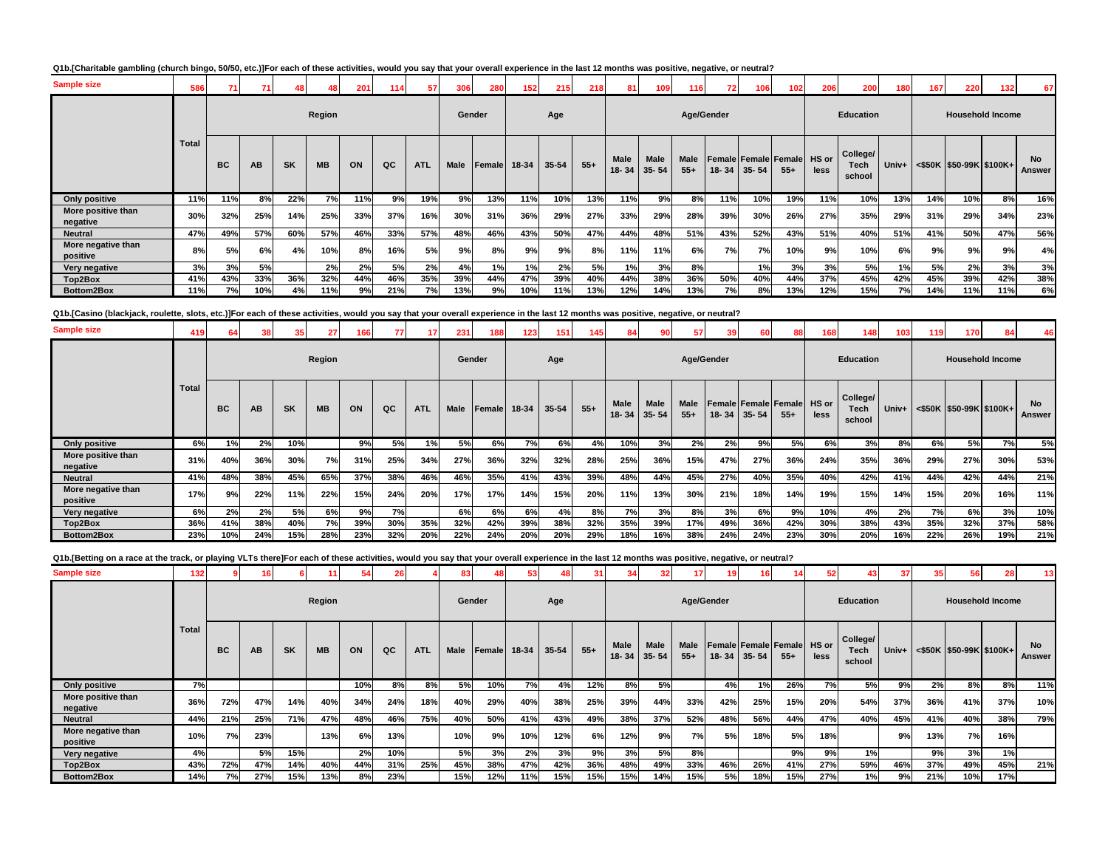### **Q1b.[Charitable gambling (church bingo, 50/50, etc.)]For each of these activities, would you say that your overall experience in the last 12 months was positive, negative, or neutral?**

| <b>Sample size</b>             | 586          |           |     |           |           | 201 | 114 | 57         | 306    | 280          | 152 <sub>1</sub> | 215       | 218   | 81                   | 109               | 116           |            | 106               | 102                                  | 206  | 200                        | 180 | 167 | 220                                                                                     | 132 | 67                  |
|--------------------------------|--------------|-----------|-----|-----------|-----------|-----|-----|------------|--------|--------------|------------------|-----------|-------|----------------------|-------------------|---------------|------------|-------------------|--------------------------------------|------|----------------------------|-----|-----|-----------------------------------------------------------------------------------------|-----|---------------------|
|                                |              |           |     |           | Region    |     |     |            | Gender |              |                  | Age       |       |                      |                   |               | Age/Gender |                   |                                      |      | <b>Education</b>           |     |     | <b>Household Income</b>                                                                 |     |                     |
|                                | <b>Total</b> | <b>BC</b> | AB  | <b>SK</b> | <b>MB</b> | ON  | QC  | <b>ATL</b> | Male   | Female 18-34 |                  | $35 - 54$ | $55+$ | <b>Male</b><br>18-34 | Male<br>$35 - 54$ | Male<br>$55+$ |            | $18 - 34$ 35 - 54 | Female Female Female HS or<br>$55 +$ | less | College/<br>Tech<br>school |     |     | Univ+ <s50k \$100k+<="" \$50-99k="" th=""><th></th><th><b>No</b><br/>Answer</th></s50k> |     | <b>No</b><br>Answer |
| Only positive                  | 11%          | 11%       | 8%  | 22%       | 7%        | 11% | 9%  | 19%        | 9%     | 13%          | 11%              | 10%       | 13%   | 11%                  | 9%                | 8%            | 11%        | 10%               | 19%                                  | 11%  | 10%                        | 13% | 14% | 10%                                                                                     | 8%  | 16%                 |
| More positive than<br>negative | 30%          | 32%       | 25% | 14%       | 25%       | 33% | 37% | 16%        | 30%    | 31%          | 36%              | 29%       | 27%   | 33%                  | 29%               | 28%           | 39%        | 30%               | 26%                                  | 27%  | 35%                        | 29% | 31% | 29%                                                                                     | 34% | 23%                 |
| <b>Neutral</b>                 | 47%          | 49%       | 57% | 60%       | 57%       | 46% | 33% | 57%        | 48%    | 46%          | 43%              | 50%       | 47%   | 44%                  | 48%               | 51%           | 43%        | 52%               | 43%                                  | 51%  | 40%                        | 51% | 41% | 50%                                                                                     | 47% | 56%                 |
| More negative than<br>positive | 8%           | 5%        | 6%  | 4%        | 10%       | 8%  | 16% | 5%         | 9%     | 8%           | 9%               | 9%        | 8%    | 11%                  | 11%               | 6%            | 7%         | 7%                | 10%                                  | 9%   | 10%                        | 6%  | 9%  | 9%                                                                                      | 9%  | 4%                  |
| Very negative                  | 3%           | 3%        | 5%  |           | 2%        | 2%  | 5%  | 2%         | 4%     | 1%           | 1%               | 2%        | 5%    | 1%                   | 3%                | 8%            |            | 1%                | 3%                                   | 3%   | 5%                         | 1%  | 5%  | 2%                                                                                      | 3%  | 3%                  |
| Top2Box                        | 41%          | 43%       | 33% | 36%       | 32%       | 44% | 46% | 35%        | 39%    | 44%          | 47%              | 39%       | 40%   | 44%                  | 38%               | 36%           | 50%        | 40%               | 44%                                  | 37%  | 45%                        | 42% | 45% | 39%                                                                                     | 42% | 38%                 |
| Bottom2Box                     | 11%          | 7%        | 10% | 4%        | 11%       | 9%  | 21% | 7%         | 13%    | 9%           | 10%              | 11%       | 13%   | 12%                  | 14%               | 13%           | 7%         | 8%                | 13%                                  | 12%  | 15%                        | 7%  | 14% | 11%                                                                                     | 11% | 6%                  |

**Q1b.[Casino (blackjack, roulette, slots, etc.)]For each of these activities, would you say that your overall experience in the last 12 months was positive, negative, or neutral?**

| <b>Sample size</b>             | 419          | 64        | 38  | 35        | 27        | 166 | 77  |            | 231    | 188    | 123   | 151   | 145   |                           | 90          | 57                   | 39    | 60        | 88                                                 | 168  | 148                        | 103 | 119 | 170                           | 84                      | 46                  |
|--------------------------------|--------------|-----------|-----|-----------|-----------|-----|-----|------------|--------|--------|-------|-------|-------|---------------------------|-------------|----------------------|-------|-----------|----------------------------------------------------|------|----------------------------|-----|-----|-------------------------------|-------------------------|---------------------|
|                                |              |           |     |           | Region    |     |     |            | Gender |        |       | Age   |       |                           |             | Age/Gender           |       |           |                                                    |      | <b>Education</b>           |     |     |                               | <b>Household Income</b> |                     |
|                                | <b>Total</b> | <b>BC</b> | AВ  | <b>SK</b> | <b>MB</b> | ON  | QC  | <b>ATL</b> | Male   | Female | 18-34 | 35-54 | $55+$ | Male<br>$18 - 34$   35-54 | <b>Male</b> | <b>Male</b><br>$55+$ | 18-34 | $35 - 54$ | <b>I Female   Female   Female   HS or</b><br>$55+$ | less | College/<br>Tech<br>school |     |     | Univ+ <\$50K \$50-99K \$100K+ |                         | <b>No</b><br>Answer |
| Only positive                  | 6%           | 1%        | 2%  | 10%       |           | 9%  | 5%  | 1%         | 5%     | 6%     | 7%    | 6%    | 4%    | 10%                       | 3%          | 2%                   | 2%    | 9%        | 5%                                                 | 6%   | 3%                         | 8%  | 6%  | 5%                            | 7%                      | 5%                  |
| More positive than<br>negative | 31%          | 40%       | 36% | 30%       | 7%        | 31% | 25% | 34%        | 27%    | 36%    | 32%   | 32%   | 28%   | 25%                       | 36%         | 15%                  | 47%   | 27%       | 36%                                                | 24%  | 35%                        | 36% | 29% | 27%                           | 30%                     | 53%                 |
| <b>Neutral</b>                 | 41%          | 48%       | 38% | 45%       | 65%       | 37% | 38% | 46%        | 46%    | 35%    | 41%   | 43%   | 39%   | 48%                       | 44%         | 45%                  | 27%   | 40%       | 35%                                                | 40%  | 42%                        | 41% | 44% | 42%                           | 44%                     | 21%                 |
| More negative than<br>positive | 17%          | 9%        | 22% | 11%       | 22%       | 15% | 24% | 20%        | 17%    | 17%    | 14%   | 15%   | 20%   | 11%                       | 13%         | 30%                  | 21%   | 18%       | 14%                                                | 19%  | 15%                        | 14% | 15% | 20%                           | 16%                     | 11%                 |
| Very negative                  | 6%           | 2%        | 2%  | 5%        | 6%        | 9%  | 7%  |            | 6%     | 6%     | 6%    | 4%    | 8%    | 7%                        | 3%          | 8%                   | 3%    | 6%        | 9%                                                 | 10%  | 4%                         | 2%  | 7%  | 6%                            | 3%                      | 10%                 |
| Top2Box                        | 36%          | 41%       | 38% | 40%       | 7%        | 39% | 30% | 35%        | 32%    | 42%    | 39%   | 38%   | 32%   | 35%                       | 39%         | 17%                  | 49%   | 36%       | 42%                                                | 30%  | 38%                        | 43% | 35% | 32%                           | 37%                     | 58%                 |
| Bottom2Box                     | 23%          | 10%       | 24% | 15%       | 28%       | 23% | 32% | 20%        | 22%    | 24%    | 20%   | 20%   | 29%   | 18%                       | 16%         | 38%                  | 24%   | 24%       | 23%                                                | 30%  | 20%                        | 16% | 22% | 26%                           | 19%                     | 21%                 |

**Q1b.[Betting on a race at the track, or playing VLTs there]For each of these activities, would you say that your overall experience in the last 12 months was positive, negative, or neutral?**

| <b>Sample size</b>             | 132          |           | 16  |           |           |     |     |            | 83   |              | 53. |           |       |                     |      |                      |            |             |                                     | 52.  |                                   | 37    | 35  | 56                                          |     | 13           |
|--------------------------------|--------------|-----------|-----|-----------|-----------|-----|-----|------------|------|--------------|-----|-----------|-------|---------------------|------|----------------------|------------|-------------|-------------------------------------|------|-----------------------------------|-------|-----|---------------------------------------------|-----|--------------|
|                                |              |           |     |           | Region    |     |     |            |      | Gender       |     | Age       |       |                     |      |                      | Age/Gender |             |                                     |      | <b>Education</b>                  |       |     | <b>Household Income</b>                     |     |              |
|                                | <b>Total</b> | <b>BC</b> | AB  | <b>SK</b> | <b>MB</b> | ON  | QC  | <b>ATL</b> | Male | Female 18-34 |     | $35 - 54$ | $55+$ | Male<br>18-34 35-54 | Male | <b>Male</b><br>$55+$ |            | 18-34 35-54 | Female Female Female HS or<br>$55+$ | less | College/<br><b>Tech</b><br>school | Univ+ |     | $\leq$ \$50K $\mid$ \$50-99K $\mid$ \$100K+ |     | No<br>Answer |
| Only positive                  | 7%           |           |     |           |           | 10% | 8%  | 8%         | 5%   | 10%          | 7%  | 4%        | 12%   | 8%                  | 5%   |                      | 4%         | 1%          | 26%                                 | 7%   | <b>5%</b>                         | 9%    | 2%  | 8%                                          | 8%  | 11%          |
| More positive than<br>negative | 36%          | 72%       | 47% | 14%       | 40%       | 34% | 24% | 18%        | 40%  | 29%          | 40% | 38%       | 25%   | 39%                 | 44%  | 33%                  | 42%        | 25%         | 15%                                 | 20%  | 54%                               | 37%   | 36% | 41%                                         | 37% | 10%          |
| <b>Neutral</b>                 | 44%          | 21%       | 25% | 71%       | 47%       | 48% | 46% | 75%        | 40%  | 50%          | 41% | 43%       | 49%   | 38%                 | 37%  | 52%                  | 48%        | 56%         | 44%                                 | 47%  | 40%                               | 45%   | 41% | 40%                                         | 38% | 79%          |
| More negative than<br>positive | 10%          | 7%        | 23% |           | 13%       | 6%  | 13% |            | 10%  | 9%           | 10% | 12%       | 6%    | 12%                 | 9%   | 7%                   | 5%         | 18%         | 5%                                  | 18%  |                                   | 9%    | 13% | 7%                                          | 16% |              |
| Very negative                  | 4%           |           | 5%  | 15%       |           | 2%  | 10% |            | 5%   | 3%           | 2%  | 3%        | 9%    | 3%                  | 5%   | 8%                   |            |             | 9%                                  | 9%   | 1%                                |       | 9%  | 3%                                          | 1%  |              |
| Top2Box                        | 43%          | 72%       | 47% | 14%       | 40%       | 44% | 31% | 25%        | 45%  | 38%          | 47% | 42%       | 36%   | 48%                 | 49%  | 33%                  | 46%        | 26%         | 41%                                 | 27%  | 59%                               | 46%   | 37% | 49%                                         | 45% | 21%          |
| Bottom2Box                     | 14%          | 7%        | 27% | 15%       | 13%       | 8%  | 23% |            | 15%  | 12%          | 11% | 15%       | 15%   | 15%                 | 14%  | 15%                  | 5%         | 18%         | 15%                                 | 27%  | 1%                                | 9%    | 21% | 10%                                         | 17% |              |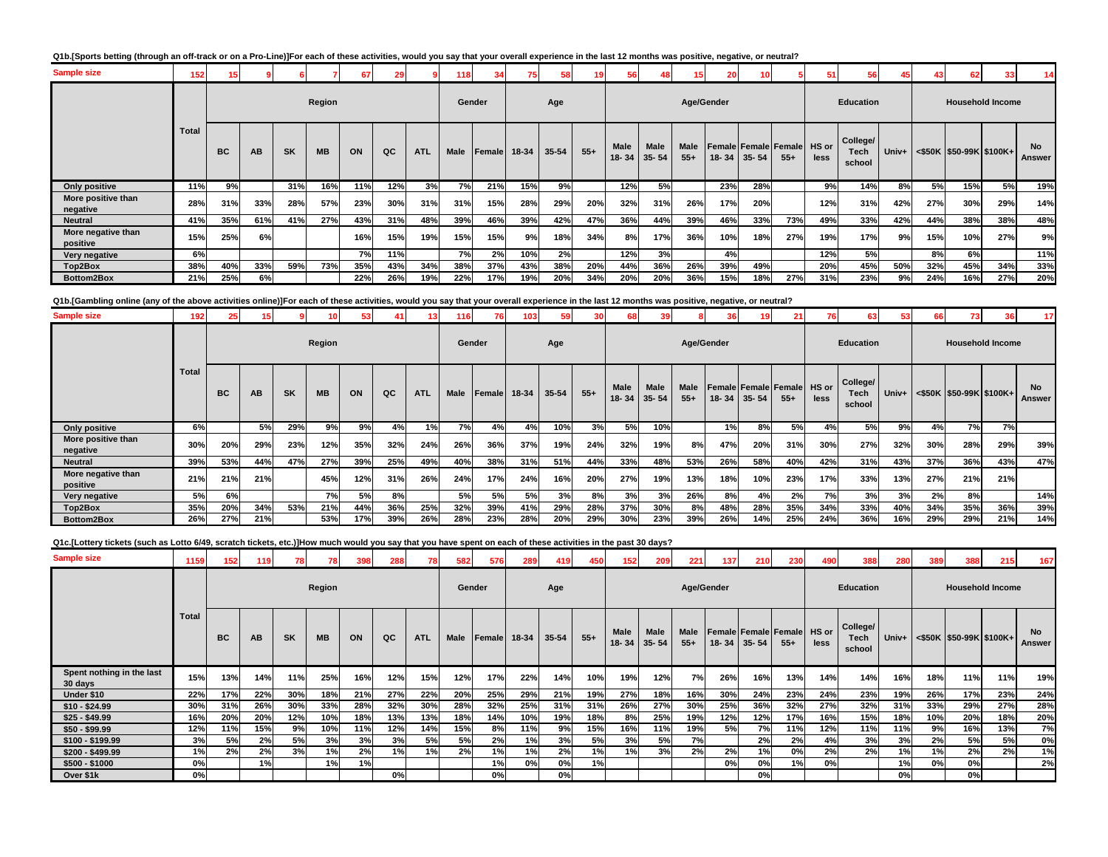### **Q1b.[Sports betting (through an off-track or on a Pro-Line)]For each of these activities, would you say that your overall experience in the last 12 months was positive, negative, or neutral?**

| <b>Sample size</b>             | 152          |           |     |           |           |     |     |            | 118    |              |     | 58    |       | 56                       |                          | 15                   | 20         |           |                                            |      | 56                         |     |     | 62                                      |                         |                     |
|--------------------------------|--------------|-----------|-----|-----------|-----------|-----|-----|------------|--------|--------------|-----|-------|-------|--------------------------|--------------------------|----------------------|------------|-----------|--------------------------------------------|------|----------------------------|-----|-----|-----------------------------------------|-------------------------|---------------------|
|                                |              |           |     |           | Region    |     |     |            | Gender |              |     | Age   |       |                          |                          |                      | Age/Gender |           |                                            |      | <b>Education</b>           |     |     |                                         | <b>Household Income</b> |                     |
|                                | <b>Total</b> | <b>BC</b> | AB  | <b>SK</b> | <b>MB</b> | ON  | QC  | <b>ATL</b> | Male   | Female 18-34 |     | 35-54 | $55+$ | <b>Male</b><br>$18 - 34$ | <b>Male</b><br>$35 - 54$ | <b>Male</b><br>$55+$ | $18 - 34$  | $35 - 54$ | <b>Female Female Female HS or</b><br>$55+$ | less | College/<br>Tech<br>school |     |     | Univ+ $\leq$ \$50K   \$50-99K   \$100K+ |                         | <b>No</b><br>Answer |
| Only positive                  | 11%          | 9%        |     | 31%       | 16%       | 11% | 12% | 3%         | 7%     | 21%          | 15% | 9%    |       | 12%                      | 5%                       |                      | 23%        | 28%       |                                            | 9%   | 14%                        | 8%  | 5%  | 15%                                     | 5%                      | 19%                 |
| More positive than<br>negative | 28%          | 31%       | 33% | 28%       | 57%       | 23% | 30% | 31%        | 31%    | 15%          | 28% | 29%   | 20%   | 32%                      | 31%                      | 26%                  | 17%        | 20%       |                                            | 12%  | 31%                        | 42% | 27% | 30%                                     | 29%                     | 14%                 |
| <b>Neutral</b>                 | 41%          | 35%       | 61% | 41%       | 27%       | 43% | 31% | 48%        | 39%    | 46%          | 39% | 42%   | 47%   | 36%                      | 44%                      | 39%                  | 46%        | 33%       | 73%                                        | 49%  | 33%                        | 42% | 44% | 38%                                     | 38%                     | 48%                 |
| More negative than<br>positive | 15%          | 25%       | 6%  |           |           | 16% | 15% | 19%        | 15%    | 15%          | 9%  | 18%   | 34%   | 8%                       | 17%                      | 36%                  | 10%        | 18%       | 27%                                        | 19%  | 17%                        | 9%  | 15% | 10%                                     | 27%                     | 9%                  |
| Very negative                  | 6%           |           |     |           |           | 7%  | 11% |            | 7%     | 2%           | 10% | 2%    |       | 12%                      | 3%                       |                      | 4%         |           |                                            | 12%  | 5%                         |     | 8%  | 6%                                      |                         | 11%                 |
| Top2Box                        | 38%          | 40%       | 33% | 59%       | 73%       | 35% | 43% | 34%        | 38%    | 37%          | 43% | 38%   | 20%   | 44%                      | 36%                      | 26%                  | 39%        | 49%       |                                            | 20%  | 45%                        | 50% | 32% | 45%                                     | 34%                     | 33%                 |
| Bottom2Box                     | 21%          | 25%       | 6%  |           |           | 22% | 26% | 19%        | 22%    | 17%          | 19% | 20%   | 34%   | 20%                      | 20%                      | 36%                  | 15%        | 18%       | 27%                                        | 31%  | 23%                        | 9%  | 24% | 16%                                     | 27%                     | 20%                 |

**Q1b.[Gambling online (any of the above activities online)]For each of these activities, would you say that your overall experience in the last 12 months was positive, negative, or neutral?**

| <b>Sample size</b>             | 192          | 25        |     |           |           |     |     | 13         | 116  | 761          | 103 | 591   |       |      |                                |               | 36        |           | 21 I                                       | 76   | 63                         | 53    | 66  | 731                     |     | 17                  |
|--------------------------------|--------------|-----------|-----|-----------|-----------|-----|-----|------------|------|--------------|-----|-------|-------|------|--------------------------------|---------------|-----------|-----------|--------------------------------------------|------|----------------------------|-------|-----|-------------------------|-----|---------------------|
|                                |              |           |     |           | Region    |     |     |            |      | Gender       |     | Age   |       |      |                                | Age/Gender    |           |           |                                            |      | <b>Education</b>           |       |     | <b>Household Income</b> |     |                     |
|                                | <b>Total</b> | <b>BC</b> | AB  | <b>SK</b> | <b>MB</b> | ON  | QC  | <b>ATL</b> | Male | Female 18-34 |     | 35-54 | $55+$ | Male | <b>Male</b><br>$18 - 34$ 35-54 | Male<br>$55+$ | $18 - 34$ | $35 - 54$ | <b>Female Female Female HS or</b><br>$55+$ | less | College/<br>Tech<br>school | Univ+ |     | <\$50K \$50-99K \$100K+ |     | <b>No</b><br>Answer |
| Only positive                  | 6%           |           | 5%  | 29%       | 9%        | 9%  | 4%  | 1%         | 7%   | 4%           | 4%  | 10%   | 3%    | 5%   | 10%                            |               | 1%        | 8%        | 5%                                         | 4%   | 5%                         | 9%    | 4%  | 7%                      | 7%  |                     |
| More positive than<br>negative | 30%          | 20%       | 29% | 23%       | 12%       | 35% | 32% | 24%        | 26%  | 36%          | 37% | 19%   | 24%   | 32%  | 19%                            | 8%            | 47%       | 20%       | 31%                                        | 30%  | 27%                        | 32%   | 30% | 28%                     | 29% | 39%                 |
| <b>Neutral</b>                 | 39%          | 53%       | 44% | 47%       | 27%       | 39% | 25% | 49%        | 40%  | 38%          | 31% | 51%   | 44%   | 33%  | 48%                            | 53%           | 26%       | 58%       | 40%                                        | 42%  | 31%                        | 43%   | 37% | 36%                     | 43% | 47%                 |
| More negative than<br>positive | 21%          | 21%       | 21% |           | 45%       | 12% | 31% | 26%        | 24%  | 17%          | 24% | 16%   | 20%   | 27%  | 19%                            | 13%           | 18%       | 10%       | 23%                                        | 17%  | 33%                        | 13%   | 27% | 21%                     | 21% |                     |
| Very negative                  | 5%           | 6%        |     |           | <b>7%</b> | 5%  | 8%  |            | 5%   | 5%           | 5%  | 3%    | 8%    | 3%   | 3%                             | 26%           | 8%        | 4%        | 2%                                         | 7%   | 3%                         | 3%    | 2%  | 8%                      |     | 14%                 |
| Top2Box                        | 35%          | 20%       | 34% | 53%       | 21%       | 44% | 36% | 25%        | 32%  | 39%          | 41% | 29%   | 28%   | 37%  | 30%                            | 8%            | 48%       | 28%       | 35%                                        | 34%  | 33%                        | 40%   | 34% | 35%                     | 36% | 39%                 |
| Bottom2Box                     | 26%          | 27%       | 21% |           | 53%       | 17% | 39% | 26%        | 28%  | 23%          | 28% | 20%   | 29%   | 30%  | 23%                            | 39%           | 26%       | 14%       | 25%                                        | 24%  | 36%                        | 16%   | 29% | 29%                     | 21% | 14%                 |

**Q1c.[Lottery tickets (such as Lotto 6/49, scratch tickets, etc.)]How much would you say that you have spent on each of these activities in the past 30 days?**

| <b>Sample size</b>                   | 1159         | 152 | 119       | 78        | 78        | 398 | 288 | 78         | 582    | 576    | 289   | 419       | 450   | 152               | 209               | 221           | 137   | 210       | 230                                   | 490           | 388                        | 280   | 389 | 388                     | 215                     | 167                 |
|--------------------------------------|--------------|-----|-----------|-----------|-----------|-----|-----|------------|--------|--------|-------|-----------|-------|-------------------|-------------------|---------------|-------|-----------|---------------------------------------|---------------|----------------------------|-------|-----|-------------------------|-------------------------|---------------------|
|                                      |              |     |           |           | Region    |     |     |            | Gender |        |       | Age       |       |                   |                   | Age/Gender    |       |           |                                       |               | Education                  |       |     |                         | <b>Household Income</b> |                     |
|                                      | <b>Total</b> | BC  | <b>AB</b> | <b>SK</b> | <b>MB</b> | ON  | QC  | <b>ATL</b> | Male   | Female | 18-34 | $35 - 54$ | $55+$ | Male<br>$18 - 34$ | Male<br>$35 - 54$ | Male<br>$55+$ | 18-34 | $35 - 54$ | l Female   Female   Female  <br>$55+$ | HS or<br>less | College/<br>Tech<br>school | Univ+ |     | <\$50K \$50-99K \$100K+ |                         | <b>No</b><br>Answer |
| Spent nothing in the last<br>30 days | 15%          | 13% | 14%       | 11%       | 25%       | 16% | 12% | 15%        | 12%    | 17%    | 22%   | 14%       | 10%   | 19%               | 12%               | 7%            | 26%   | 16%       | 13%                                   | 14%           | 14%                        | 16%   | 18% | 11%                     | 11%                     | 19%                 |
| Under \$10                           | 22%          | 17% | 22%       | 30%       | 18%       | 21% | 27% | 22%        | 20%    | 25%    | 29%   | 21%       | 19%   | 27%               | 18%               | 16%           | 30%   | 24%       | 23%                                   | 24%           | 23%                        | 19%   | 26% | 17%                     | 23%                     | 24%                 |
| $$10 - $24.99$                       | 30%          | 31% | 26%       | 30%       | 33%       | 28% | 32% | 30%        | 28%    | 32%    | 25%   | 31%       | 31%   | 26%               | 27%               | 30%           | 25%   | 36%       | 32%                                   | 27%           | 32%                        | 31%   | 33% | 29%                     | 27%                     | 28%                 |
| $$25 - $49.99$                       | 16%          | 20% | 20%       | 12%       | 10%       | 18% | 13% | 13%        | 18%    | 14%    | 10%   | 19%       | 18%   | 8%                | 25%               | 19%           | 12%   | 12%       | 17%                                   | 16%           | 15%                        | 18%   | 10% | 20%                     | 18%                     | 20%                 |
| $$50 - $99.99$                       | 12%          | 11% | 15%       | 9%        | 10%       | 11% | 12% | 14%        | 15%    | 8%     | 11%   | 9%        | 15%   | 16%               | 11%               | 19%           | 5%    | 7%        | 11%                                   | 12%           | 11%                        | 11%   | 9%  | 16%                     | 13%                     | 7%                  |
| \$100 - \$199.99                     | 3%           | 5%  | 2%        | 5%        | 3%        | 3%  | 3%  | 5%         | 5%     | 2%     | 1%    | 3%        | 5%    | 3%                | 5%                | 7%            |       | 2%        | 2%                                    | 4%            | 3%                         | 3%    | 2%  | 5%                      | 5%                      | 0%                  |
| \$200 - \$499.99                     | 1%           | 2%  | 2%        | 3%        | 1%        | 2%  | 1%  | 1%         | 2%     | 1%     | 1%    | 2%        | 1%    | 1%                | 3%                | 2%            | 2%    | 1%        | 0%                                    | 2%            | 2%                         | 1%    | 1%  | 2%                      | 2%                      | 1%                  |
| $$500 - $1000$                       | 0%           |     | 1%        |           | 1%        | 1%  |     |            |        | 1%     | 0%    | 0%        | 1%    |                   |                   |               | 0%    | 0%        | 1%                                    | 0%            |                            | 1%    | 0%  | 0%                      |                         | 2%                  |
| Over \$1k                            | 0%           |     |           |           |           |     | 0%  |            |        | 0%     |       | 0%        |       |                   |                   |               |       | 0%        |                                       |               |                            | 0%    |     | 0%                      |                         |                     |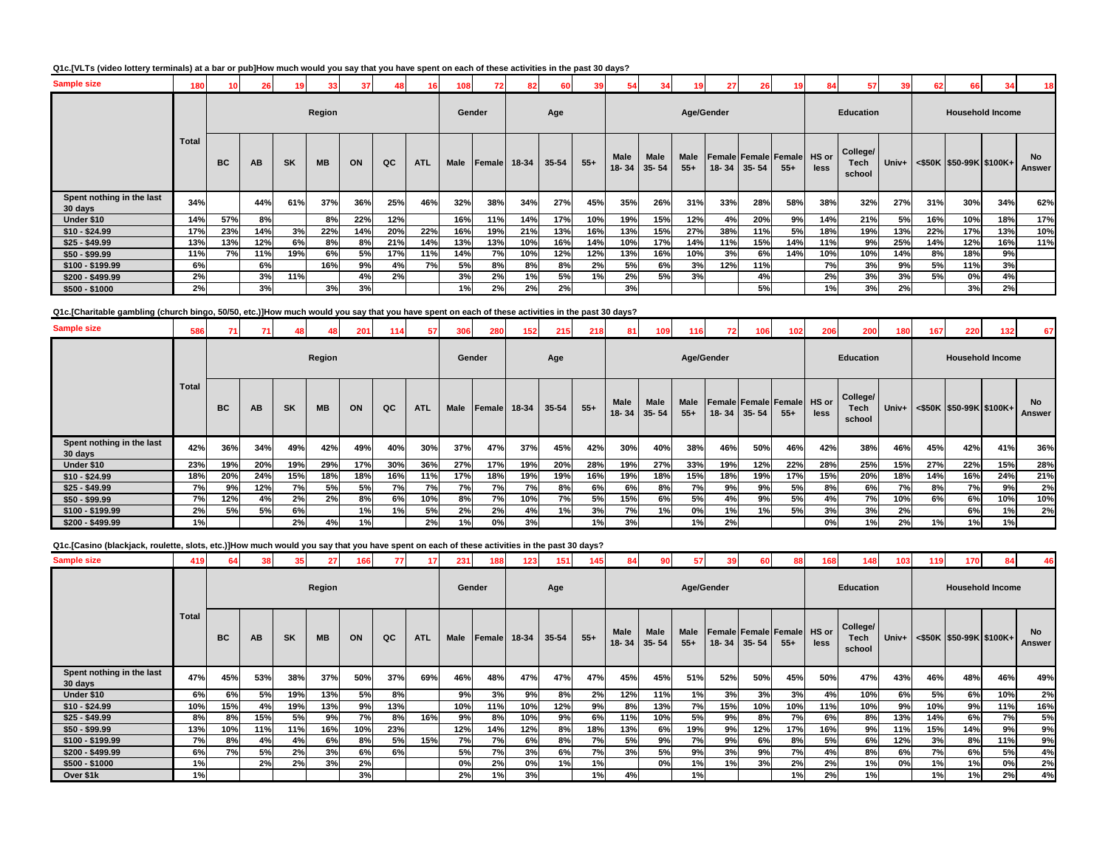### **Q1c.[VLTs (video lottery terminals) at a bar or pub]How much would you say that you have spent on each of these activities in the past 30 days?**

| <b>Sample size</b>                   | 180          | 10        | 26  |           | 33        | 37  | 48  |            |             |               | 82    | 60        |       |               | 34                |               | 27  | 26          | 19                                         | 84   | 57                         | 39  | 62  | 66                                       |                         | 18           |
|--------------------------------------|--------------|-----------|-----|-----------|-----------|-----|-----|------------|-------------|---------------|-------|-----------|-------|---------------|-------------------|---------------|-----|-------------|--------------------------------------------|------|----------------------------|-----|-----|------------------------------------------|-------------------------|--------------|
|                                      |              |           |     |           | Region    |     |     |            | Gender      |               |       | Age       |       |               |                   | Age/Gender    |     |             |                                            |      | <b>Education</b>           |     |     |                                          | <b>Household Income</b> |              |
|                                      | <b>Total</b> | <b>BC</b> | AB  | <b>SK</b> | <b>MB</b> | ON  | QC  | <b>ATL</b> | <b>Male</b> | <b>Female</b> | 18-34 | $35 - 54$ | $55+$ | Male<br>18-34 | Male<br>$35 - 54$ | Male<br>$55+$ |     | 18-34 35-54 | <b>Female Female Female HS or</b><br>$55+$ | less | College/<br>Tech<br>school |     |     | Univ+ $\vert$ <\$50K  \$50-99K   \$100K+ |                         | No<br>Answer |
| Spent nothing in the last<br>30 days | 34%          |           | 44% | 61%       | 37%       | 36% | 25% | 46%        | 32%         | 38%           | 34%   | 27%       | 45%   | 35%           | 26%               | 31%           | 33% | 28%         | 58%                                        | 38%  | 32%                        | 27% | 31% | 30%                                      | 34%                     | 62%          |
| Under \$10                           | 14%          | 57%       | 8%  |           | 8%        | 22% | 12% |            | 16%         | 11%           | 14%   | 17%       | 10%   | 19%           | 15%               | 12%           | 4%  | 20%         | 9%                                         | 14%  | 21%                        | 5%  | 16% | 10%                                      | 18%                     | 17%          |
| $$10 - $24.99$                       | 17%          | 23%       | 14% | 3%        | 22%       | 14% | 20% | 22%        | 16%         | 19%           | 21%   | 13%       | 16%   | 13%           | 15%               | 27%           | 38% | 11%         | 5%                                         | 18%  | 19%                        | 13% | 22% | 17%                                      | 13%                     | 10%          |
| $$25 - $49.99$                       | 13%          | 13%       | 12% | 6%        | 8%        | 8%  | 21% | 14%        | 13%         | 13%           | 10%   | 16%       | 14%   | 10%           | 17%               | 14%           | 11% | 15%         | 14%                                        | 11%  | 9%                         | 25% | 14% | 12%                                      | 16%                     | 11%          |
| $$50 - $99.99$                       | 11%          | 7%        | 11% | 19%       | 6%        | 5%  | 17% | 11%        | 14%         | 7%            | 10%   | 12%       | 12%   | 13%           | 16%               | 10%           | 3%  | 6%          | 14%                                        | 10%  | 10%                        | 14% | 8%  | 18%                                      | 9%                      |              |
| \$100 - \$199.99                     | 6%           |           | 6%  |           | 16%       | 9%  | 4%  | 7%         | 5%          | 8%            | 8%    | 8%        | 2%    | 5%            | 6%                | 3%            | 12% | 11%         |                                            | 7%   | 3%                         | 9%  | 5%  | 11%                                      | 3%                      |              |
| \$200 - \$499.99                     | 2%           |           | 3%  | 11%       |           | 4%  | 2%  |            | 3%          | 2%            | 1%    | 5%        | 1%    | 2%            | 5%                | 3%            |     | 4%          |                                            | 2%   | 3%                         | 3%  | 5%  | 0%                                       | 4%                      |              |
| $$500 - $1000$                       | 2%           |           | 3%  |           | 3%        | 3%  |     |            | 1%          | 2%            | 2%    | 2%        |       | 3%            |                   |               |     | 5%          |                                            | 1%   | 3%                         | 2%  |     | 3%                                       | 2%                      |              |

**Q1c.[Charitable gambling (church bingo, 50/50, etc.)]How much would you say that you have spent on each of these activities in the past 30 days?**

| <b>Sample size</b>                   | 586          |           | 71 I | 48        |           | 201 | 114 | 57         | 306         | 280    | 152 <sub>1</sub> | 215   | 218   | 81          | 109                       | 116           | 72 <sub>1</sub> | 106               | 102                                  | 206  | 200                               | 180   | 167 | 220                           | 132 <sub>1</sub> | 67                  |
|--------------------------------------|--------------|-----------|------|-----------|-----------|-----|-----|------------|-------------|--------|------------------|-------|-------|-------------|---------------------------|---------------|-----------------|-------------------|--------------------------------------|------|-----------------------------------|-------|-----|-------------------------------|------------------|---------------------|
|                                      |              |           |      |           | Region    |     |     |            |             | Gender |                  | Age   |       |             |                           | Age/Gender    |                 |                   |                                      |      | <b>Education</b>                  |       |     | <b>Household Income</b>       |                  |                     |
|                                      | <b>Total</b> | <b>BC</b> | AB   | <b>SK</b> | <b>MB</b> | ON  | QC  | <b>ATL</b> | <b>Male</b> | Female | 18-34            | 35-54 | $55+$ | <b>Male</b> | Male<br>$18 - 34$ 35 - 54 | Male<br>$55+$ |                 | $18 - 34$ 35 - 54 | Female Female Female HS or<br>$55 +$ | less | College/<br><b>Tech</b><br>school | Univ+ |     | $\leq$ \$50K \$50-99K \$100K+ |                  | <b>No</b><br>Answer |
| Spent nothing in the last<br>30 days | 42%          | 36%       | 34%  | 49%       | 42%       | 49% | 40% | 30%        | 37%         | 47%    | 37%              | 45%   | 42%   | 30%         | 40%                       | 38%           | 46%             | 50%               | 46%                                  | 42%  | 38%                               | 46%   | 45% | 42%                           | 41%              | 36%                 |
| Under \$10                           | 23%          | 19%       | 20%  | 19%       | 29%       | 17% | 30% | 36%        | 27%         | 17%    | 19%              | 20%   | 28%   | 19%         | 27%                       | 33%           | 19%             | 12%               | 22%                                  | 28%  | 25%                               | 15%   | 27% | 22%                           | 15%              | 28%                 |
| $$10 - $24.99$                       | 18%          | 20%       | 24%  | 15%       | 18%       | 18% | 16% | 11%        | 17%         | 18%    | 19%              | 19%   | 16%   | 19%         | 18%                       | 15%           | 18%             | 19%               | 17%                                  | 15%  | 20%                               | 18%   | 14% | 16%                           | 24%              | 21%                 |
| $$25 - $49.99$                       | 7%           | 9%        | 12%  | 7%        | 5%        | 5%  | 7%  | 7%         | 7%          | 7%     | 7%               | 8%    | 6%    | 6%          | 8%                        | 7%            | 9%              | 9%                | 5%                                   | 8%   | 6%                                | 7%    | 8%  | 7%                            | 9%               | 2%                  |
| $$50 - $99.99$                       | 7%           | 12%       | 4%   | 2%        | 2%        | 8%  | 6%  | 10%        | 8%          | 7%     | 10%              | 7%    | 5%    | 15%         | 6%                        | 5%            | 4%              | 9%                | 5%                                   | 4%   | 7%                                | 10%   | 6%  | 6%                            | 10%              | 10%                 |
| $$100 - $199.99$                     | 2%           | 5%        | 5%   | 6%        |           | 1%  | 1%  | 5%         | 2%          | 2%     | 4%               | 1%    | 3%    | 7%          | 1%                        | 0%            | 1%              | 1%                | 5%                                   | 3%   | 3%                                | 2%    |     | 6%                            | 1%               | 2%                  |
| $$200 - $499.99$                     | 1%           |           |      | 2%        | 4%        | 1%  |     | 2%         | 1%          | 0%     | 3%               |       | 1%    | 3%          |                           | 1%            | 2%              |                   |                                      | 0%   | 1%                                | 2%    | 1%  | 1%                            | 1%               |                     |

**Q1c.[Casino (blackjack, roulette, slots, etc.)]How much would you say that you have spent on each of these activities in the past 30 days?**

| <b>Sample size</b>                   | 419          | 64        |     |           | 27        | 166 | 77  |            | 231         | 188           | 123   | 151   |       |               |                          |                 |     | 60                | 88                                  | 168  | 148                               | 103   | 119 | 170                         |     |                     |
|--------------------------------------|--------------|-----------|-----|-----------|-----------|-----|-----|------------|-------------|---------------|-------|-------|-------|---------------|--------------------------|-----------------|-----|-------------------|-------------------------------------|------|-----------------------------------|-------|-----|-----------------------------|-----|---------------------|
|                                      |              |           |     |           | Region    |     |     |            | Gender      |               |       | Age   |       |               |                          | Age/Gender      |     |                   |                                     |      | Education                         |       |     | <b>Household Income</b>     |     |                     |
|                                      | <b>Total</b> | <b>BC</b> | AB  | <b>SK</b> | <b>MB</b> | ON  | QC  | <b>ATL</b> | <b>Male</b> | <b>Female</b> | 18-34 | 35-54 | $55+$ | Male<br>18-34 | <b>Male</b><br>$35 - 54$ | Male<br>$55+$   |     | $18 - 34$ 35 - 54 | Female Female Female HS or<br>$55+$ | less | College/<br><b>Tech</b><br>school | Univ+ |     | <\$50K   \$50-99K   \$100K+ |     | <b>No</b><br>Answer |
| Spent nothing in the last<br>30 days | 47%          | 45%       | 53% | 38%       | 37%       | 50% | 37% | 69%        | 46%         | 48%           | 47%   | 47%   | 47%   | 45%           | 45%                      | 51%             | 52% | 50%               | 45%                                 | 50%  | 47%                               | 43%   | 46% | 48%                         | 46% | 49%                 |
| Under \$10                           | 6%           | 6%        | 5%  | 19%       | 13%       | 5%  | 8%  |            | 9%          | 3%            | 9%    | 8%    | 2%    | 12%           | 11%                      | 1% <sub>l</sub> | 3%  | 3%                | 3%                                  | 4%   | 10%                               | 6%    | 5%  | 6%                          | 10% | 2%                  |
| $$10 - $24.99$                       | 10%          | 15%       | 4%  | 19%       | 13%       | 9%  | 13% |            | 10%         | 11%           | 10%   | 12%   | 9%    | 8%            | 13%                      | 7%              | 15% | 10%               | 10%                                 | 11%  | 10%                               | 9%    | 10% | 9%                          | 11% | 16%                 |
| $$25 - $49.99$                       | 8%           | 8%        | 15% | 5%        | 9%        | 7%  | 8%  | 16%        | 9%          | 8%            | 10%   | 9%    | 6%    | 11%           | 10%                      | 5%              | 9%  | 8%                | 7%                                  | 6%   | 8%                                | 13%   | 14% | 6%                          | 7%  | 5%                  |
| $$50 - $99.99$                       | 13%          | 10%       | 11% | 11%       | 16%       | 10% | 23% |            | 12%         | 14%           | 12%   | 8%    | 18%   | 13%           | 6%                       | 19%             | 9%  | 12%               | 17%                                 | 16%  | 9%                                | 11%   | 15% | 14%                         | 9%  | 9%                  |
| \$100 - \$199.99                     | 7%           | 8%        | 4%  | 4%        | 6%        | 8%  | 5%  | 15%        | 7%          | 7%            | 6%    | 8%    | 7%    | 5%            | 9%                       | 7%              | 9%  | 6%                | 8%                                  | 5%   | 6%                                | 12%   | 3%  | 8%                          | 11% | 9%                  |
| \$200 - \$499.99                     | 6%           | 7%        | 5%  | 2%        | 3%        | 6%  | 6%  |            | 5%          | 7%            | 3%    | 6%    | 7%    | 3%            | 5%                       | 9%              | 3%  | 9%                | 7%                                  | 4%   | 8%                                | 6%    | 7%  | 6%                          | 5%  | 4%                  |
| $$500 - $1000$                       | 1%           |           | 2%  | 2%        | 3%        | 2%  |     |            | 0%          | 2%            | 0%    | 1%    | 1%    |               | 0%                       | 1%              | 1%  | 3%                | 2%                                  | 2%   | 1%                                | 0%    | 1%  | 1%                          | 0%  | 2%                  |
| Over \$1k                            | 1%           |           |     |           |           | 3%  |     |            | 2%          | 1%            | 3%    |       | 1%    | 4%            |                          | 1%              |     |                   | 1%                                  | 2%   | 1%                                |       | 1%  | 1%                          | 2%  | 4%                  |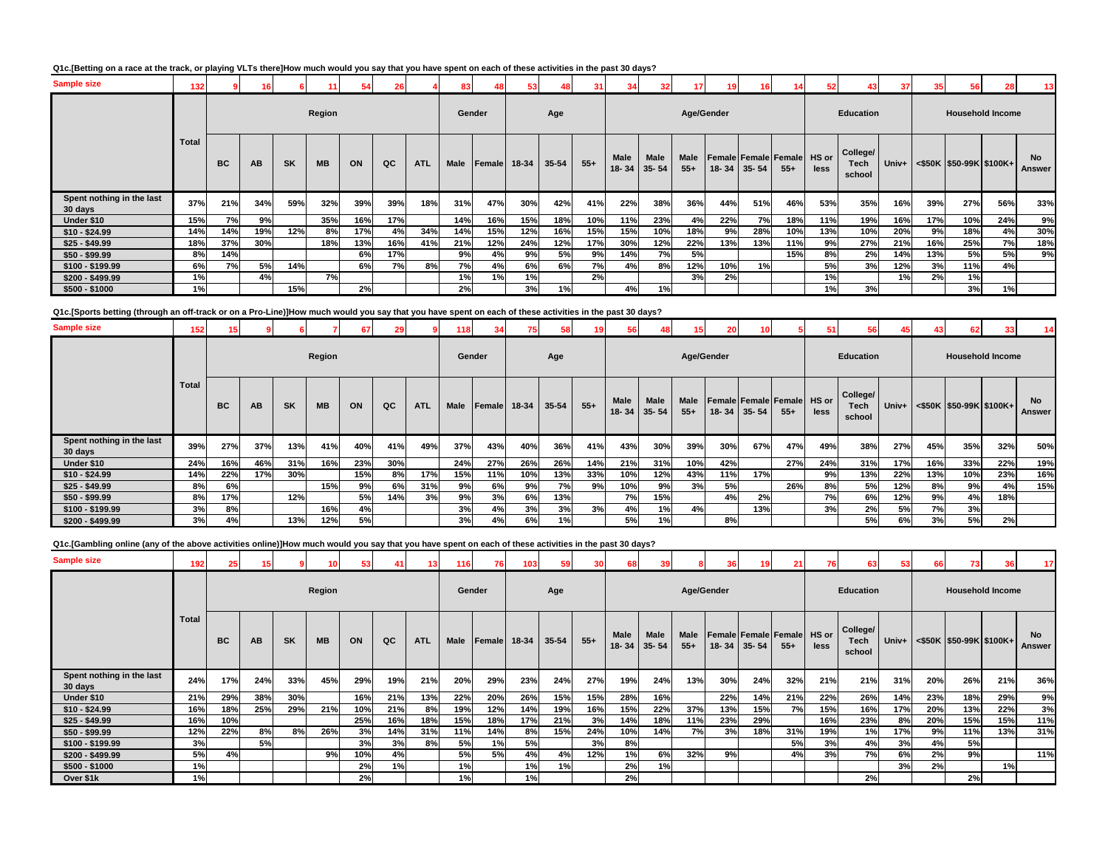### **Q1c.[Betting on a race at the track, or playing VLTs there]How much would you say that you have spent on each of these activities in the past 30 days?**

| <b>Sample size</b>                   | 132   |           |     |           |           |     |     |            | 83          |              |     |           |           | $\mathbf{A}$  | 32                |               | 19         | 16          |                                      | 52   |                                   | 37    |     | 56                         |                         | 13 <sup>1</sup>            |
|--------------------------------------|-------|-----------|-----|-----------|-----------|-----|-----|------------|-------------|--------------|-----|-----------|-----------|---------------|-------------------|---------------|------------|-------------|--------------------------------------|------|-----------------------------------|-------|-----|----------------------------|-------------------------|----------------------------|
|                                      |       |           |     |           | Region    |     |     |            | Gender      |              |     | Age       |           |               |                   |               | Age/Gender |             |                                      |      | <b>Education</b>                  |       |     |                            | <b>Household Income</b> |                            |
|                                      | Total | <b>BC</b> | AB  | <b>SK</b> | <b>MB</b> | ON  | QC  | <b>ATL</b> | <b>Male</b> | Female 18-34 |     | $35 - 54$ | $55+$     | Male<br>18-34 | Male<br>$35 - 54$ | Male<br>$55+$ |            | 18-34 35-54 | Female Female Female HS or<br>$55 +$ | less | College/<br><b>Tech</b><br>school | Univ+ |     | $<$ \$50K \$50-99K \$100K+ |                         | <b>No</b><br><b>Answer</b> |
| Spent nothing in the last<br>30 days | 37%   | 21%       | 34% | 59%       | 32%       | 39% | 39% | 18%        | 31%         | 47%          | 30% | 42%       | 41%       | 22%           | 38%               | 36%           | 44%        | 51%         | 46%                                  | 53%  | 35%                               | 16%   | 39% | 27%                        | 56%                     | 33%                        |
| Under \$10                           | 15%   | 7%        | 9%  |           | 35%       | 16% | 17% |            | 14%         | 16%          | 15% | 18%       | 10%       | 11%           | 23%               | 4%            | 22%        | 7%          | 18%                                  | 11%  | 19%                               | 16%   | 17% | 10%                        | 24%                     | 9%                         |
| $$10 - $24.99$                       | 14%   | 14%       | 19% | 12%       | 8%        | 17% | 4%  | 34%        | 14%         | 15%          | 12% | 16%       | 15%       | 15%           | 10%               | 18%           | 9%         | 28%         | 10%                                  | 13%  | 10%                               | 20%   | 9%  | 18%                        | 4%                      | 30%                        |
| $$25 - $49.99$                       | 18%   | 37%       | 30% |           | 18%       | 13% | 16% | 41%        | 21%         | 12%          | 24% | 12%       | 17%       | 30%           | 12%               | 22%           | 13%        | 13%         | 11%                                  | 9%   | 27%                               | 21%   | 16% | 25%                        | 7%                      | 18%                        |
| $$50 - $99.99$                       | 8%    | 14%       |     |           |           | 6%  | 17% |            | 9%          | 4%           | 9%  | 5%        | 9%        | 14%           | 7%                | 5%            |            |             | 15%                                  | 8%   | 2%                                | 14%   | 13% | 5%                         | 5%                      | 9%                         |
| \$100 - \$199.99                     | 6%    | 7%        | 5%  | 14%       |           | 6%  | 7%  | 8%         | 7%          | 4%           | 6%  | 6%        | <b>7%</b> | 4%            | 8%                | 12%           | 10%        | 1%          |                                      | 5%   | 3%                                | 12%   | 3%  | 11%                        | 4%                      |                            |
| \$200 - \$499.99                     | 1%    |           | 4%  |           | 7%        |     |     |            | 1%          | 1%           | 1%  |           | 2%        |               |                   | 3%            | 2%         |             |                                      | 1%   |                                   | 1%    | 2%  | 1%                         |                         |                            |
| $$500 - $1000$                       | 1%    |           |     | 15%       |           | 2%  |     |            | 2%          |              | 3%  | 1%        |           | 4%            | 1%                |               |            |             |                                      | 1%   | 3%                                |       |     | 3%                         | 1%                      |                            |

### **Q1c.[Sports betting (through an off-track or on a Pro-Line)]How much would you say that you have spent on each of these activities in the past 30 days?**

| <b>Sample size</b>                   | 152 <sub>1</sub> |           |           |           |           | 67  |     |            | 118    |        |       |       |       |               |                   |               | 20         |           |                                     |      |                            |       |     |     |                               |              |
|--------------------------------------|------------------|-----------|-----------|-----------|-----------|-----|-----|------------|--------|--------|-------|-------|-------|---------------|-------------------|---------------|------------|-----------|-------------------------------------|------|----------------------------|-------|-----|-----|-------------------------------|--------------|
|                                      |                  |           |           |           | Region    |     |     |            | Gender |        |       | Age   |       |               |                   |               | Age/Gender |           |                                     |      | <b>Education</b>           |       |     |     | <b>Household Income</b>       |              |
|                                      | <b>Total</b>     | <b>BC</b> | <b>AB</b> | <b>SK</b> | <b>MB</b> | ON  | QC  | <b>ATL</b> | Male   | Female | 18-34 | 35-54 | $55+$ | Male<br>18-34 | Male<br>$35 - 54$ | Male<br>$55+$ | $18 - 34$  | $35 - 54$ | Female Female Female HS or<br>$55+$ | less | College/<br>Tech<br>school | Univ+ |     |     | $\leq$ \$50K \$50-99K \$100K+ | No<br>Answer |
| Spent nothing in the last<br>30 days | 39%              | 27%       | 37%       | 13%       | 41%       | 40% | 41% | 49%        | 37%    | 43%    | 40%   | 36%   | 41%   | 43%           | 30%               | 39%           | 30%        | 67%       | 47%                                 | 49%  | 38%                        | 27%   | 45% | 35% | 32%                           | 50%          |
| Under \$10                           | 24%              | 16%       | 46%       | 31%       | 16%       | 23% | 30% |            | 24%    | 27%    | 26%   | 26%   | 14%   | 21%           | 31%               | 10%           | 42%        |           | 27%                                 | 24%  | 31%                        | 17%   | 16% | 33% | 22%                           | 19%          |
| $$10 - $24.99$                       | 14%              | 22%       | 17%       | 30%       |           | 15% | 8%  | 17%        | 15%    | 11%    | 10%   | 13%   | 33%   | 10%           | 12%               | 43%           | 11%        | 17%       |                                     | 9%   | 13%                        | 22%   | 13% | 10% | 23%                           | 16%          |
| $$25 - $49.99$                       | 8%               | 6%        |           |           | 15%       | 9%  | 6%  | 31%        | 9%     | 6%     | 9%    | 7%    | 9%    | 10%           | 9%                | 3%            | 5%         |           | 26%                                 | 8%   | 5%                         | 12%   | 8%  | 9%  | 4%                            | 15%          |
| $$50 - $99.99$                       | 8%               | 17%       |           | 12%       |           | 5%  | 14% | 3%         | 9%     | 3%     | 6%    | 13%   |       | 7%            | 15%               |               | 4%         | 2%        |                                     | 7%   | 6%                         | 12%   | 9%  | 4%  | 18%                           |              |
| $$100 - $199.99$                     | 3%               | 8%        |           |           | 16%       | 4%  |     |            | 3%     | 4%     | 3%    | 3%    | 3%    | 4%            | 1%                | 4%            |            | 13%       |                                     | 3%   | 2%                         | 5%    | 7%  | 3%  |                               |              |
| \$200 - \$499.99                     | 3%               | 4%        |           | 13%       | 12%       | 5%  |     |            | 3%     | 4%     | 6%    | 1%    |       | 5%            | 1%                |               | 8%         |           |                                     |      | 5%                         | 6%    | 3%  | 5%  | 2%                            |              |

**Q1c.[Gambling online (any of the above activities online)]How much would you say that you have spent on each of these activities in the past 30 days?**

| <b>Sample size</b>                   | 192          | 25        | 15  |           |           |     |     | 13         | 116         | 76           | 103 | 59    |       |                          |                   |               | 36    | 19                                       | 21    | 76            | 63                                | 53    | 66  |                         |     | 17                  |
|--------------------------------------|--------------|-----------|-----|-----------|-----------|-----|-----|------------|-------------|--------------|-----|-------|-------|--------------------------|-------------------|---------------|-------|------------------------------------------|-------|---------------|-----------------------------------|-------|-----|-------------------------|-----|---------------------|
|                                      |              |           |     |           | Region    |     |     |            |             | Gender       |     | Age   |       |                          |                   | Age/Gender    |       |                                          |       |               | Education                         |       |     | <b>Household Income</b> |     |                     |
|                                      | <b>Total</b> | <b>BC</b> | AB  | <b>SK</b> | <b>MB</b> | ON  | QC  | <b>ATL</b> | <b>Male</b> | Female 18-34 |     | 35-54 | $55+$ | <b>Male</b><br>$18 - 34$ | Male<br>$35 - 54$ | Male<br>$55+$ | 18-34 | <b>Female Female Female</b><br>$35 - 54$ | $55+$ | HS or<br>less | College/<br><b>Tech</b><br>school | Univ+ |     | <\$50K \$50-99K \$100K+ |     | <b>No</b><br>Answer |
| Spent nothing in the last<br>30 days | 24%          | 17%       | 24% | 33%       | 45%       | 29% | 19% | 21%        | 20%         | 29%          | 23% | 24%   | 27%   | 19%                      | 24%               | 13%           | 30%   | 24%                                      | 32%   | 21%           | 21%                               | 31%   | 20% | 26%                     | 21% | 36%                 |
| Under \$10                           | 21%          | 29%       | 38% | 30%       |           | 16% | 21% | 13%        | 22%         | 20%          | 26% | 15%   | 15%   | 28%                      | 16%               |               | 22%   | 14%                                      | 21%   | 22%           | 26%                               | 14%   | 23% | 18%                     | 29% | 9%                  |
| $$10 - $24.99$                       | 16%          | 18%       | 25% | 29%       | 21%       | 10% | 21% | 8%         | 19%         | 12%          | 14% | 19%   | 16%   | 15%                      | 22%               | 37%           | 13%   | 15%                                      | 7%    | 15%           | 16%                               | 17%   | 20% | 13%                     | 22% | 3%                  |
| $$25 - $49.99$                       | 16%          | 10%       |     |           |           | 25% | 16% | 18%        | 15%         | 18%          | 17% | 21%   | 3%    | 14%                      | 18%               | 11%           | 23%   | 29%                                      |       | 16%           | 23%                               | 8%    | 20% | 15%                     | 15% | 11%                 |
| $$50 - $99.99$                       | 12%          | 22%       | 8%  | 8%        | 26%       | 3%  | 14% | 31%        | 11%         | 14%          | 8%  | 15%   | 24%   | 10%                      | 14%               | 7%            | 3%    | 18%                                      | 31%   | 19%           | 1%                                | 17%   | 9%  | 11%                     | 13% | 31%                 |
| $$100 - $199.99$                     | 3%           |           | 5%  |           |           | 3%  | 3%  | 8%         | 5%          | 1%           | 5%  |       | 3%    | 8%                       |                   |               |       |                                          | 5%    | 3%            | 4%                                | 3%    | 4%  | 5%                      |     |                     |
| $$200 - $499.99$                     | 5%           | 4%        |     |           | 9%        | 10% | 4%  |            | 5%          | 5%           | 4%  | 4%    | 12%   | 1%                       | 6%                | 32%           | 9%    |                                          | 4%    | 3%            | 7%                                | 6%    | 2%  | 9%                      |     | 11%                 |
| $$500 - $1000$                       | 1%           |           |     |           |           | 2%  | 1%  |            | 1%          |              | 1%  | 1%    |       | 2%                       | 1%                |               |       |                                          |       |               |                                   | 3%    | 2%  |                         | 1%  |                     |
| Over \$1k                            | 1%           |           |     |           |           | 2%  |     |            | 1%          |              | 1%  |       |       | 2%                       |                   |               |       |                                          |       |               | 2%                                |       |     | 2%                      |     |                     |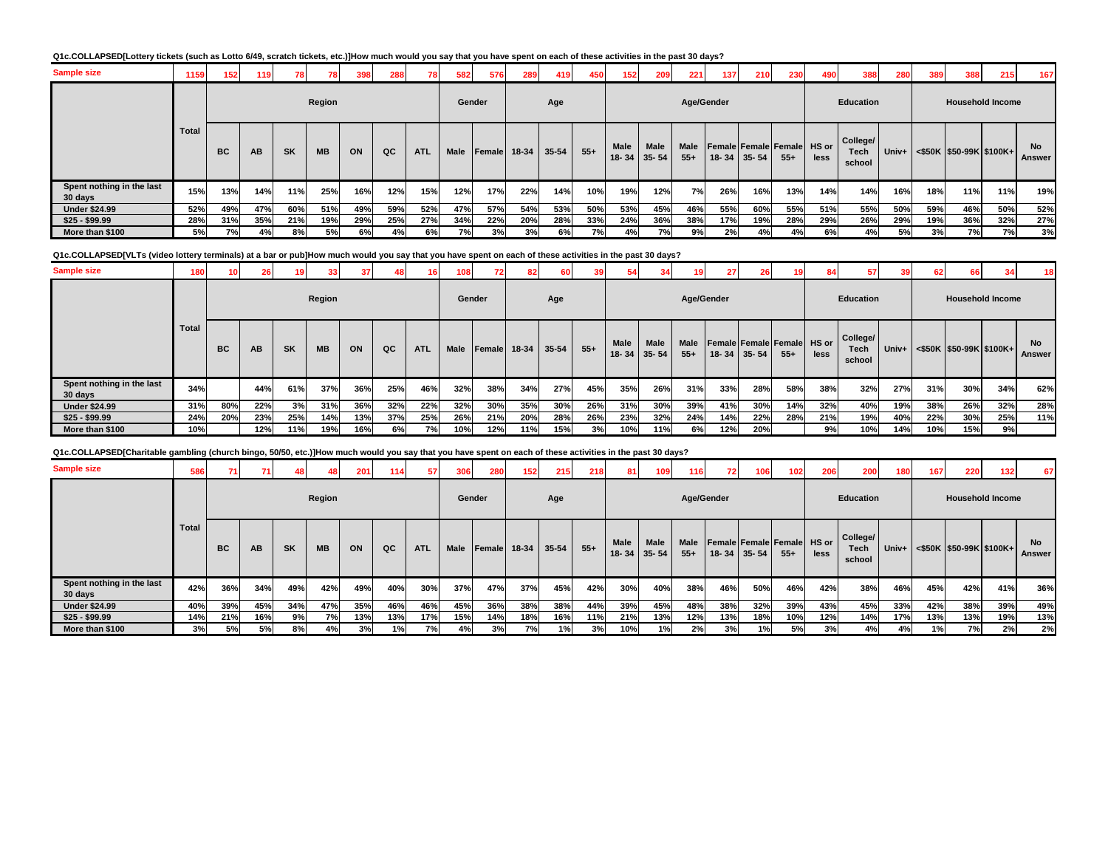### **Q1c.COLLAPSED[Lottery tickets (such as Lotto 6/49, scratch tickets, etc.)]How much would you say that you have spent on each of these activities in the past 30 days?**

| <b>Sample size</b>                   | 1159  | 152       |     |           | 781       | 398 | 288 |            | 582    | 576            | 289   | 419   | 450   | 152 <sub>1</sub> | 209                 | 221                  | 137                        | 210               | 230   | 490  | 388                        | 280        | 389 | 388                           | 215 | 167                 |
|--------------------------------------|-------|-----------|-----|-----------|-----------|-----|-----|------------|--------|----------------|-------|-------|-------|------------------|---------------------|----------------------|----------------------------|-------------------|-------|------|----------------------------|------------|-----|-------------------------------|-----|---------------------|
|                                      |       |           |     |           | Region    |     |     |            | Gender |                |       | Age   |       |                  |                     |                      | Age/Gender                 |                   |       |      | Education                  |            |     | <b>Household Income</b>       |     |                     |
|                                      | Total | <b>BC</b> | AB  | <b>SK</b> | <b>MB</b> | ON  | QC  | <b>ATL</b> | Male   | <b>IFemale</b> | 18-34 | 35-54 | $55+$ | <b>Male</b>      | Male<br>18-34 35-54 | <b>Male</b><br>$55+$ | Female Female Female HS or | $18 - 34$ 35 - 54 | $55+$ | less | College/<br>Tech<br>school | Univ+ $\ $ |     | $\leq$ \$50K \$50-99K \$100K+ |     | <b>No</b><br>Answer |
| Spent nothing in the last<br>30 days | 15%   | 13%       | 14% | 11%       | 25%       | 16% | 12% | 15%        | 12%    | 17%            | 22%   | 14%   | 10%   | 19%              | 12%                 | 7%                   | 26%                        | 16%               | 13%   | 14%  | 14%                        | 16%        | 18% | 11%                           | 11% | 19%                 |
| <b>Under \$24.99</b>                 | 52%   | 49%       | 47% | 60%       | 51%       | 49% | 59% | 52%        | 47%    | 57%            | 54%   | 53%   | 50%   | 53%              | 45%                 | 46%                  | 55%                        | 60%               | 55%   | 51%  | 55%                        | 50%        | 59% | 46%                           | 50% | 52%                 |
| $$25 - $99.99$                       | 28%   | 31%       | 35% | 21%       | 19%       | 29% | 25% | 27%        | 34%    | 22%            | 20%   | 28%   | 33%   | 24%              | 36%                 | 38%                  | 17%                        | 19%               | 28%   | 29%  | 26%                        | 29%        | 19% | 36%                           | 32% | 27%                 |
| More than \$100                      | 5%    | 7%        | 4%  | 8%        | 5%        | 6%  | 4%  | 6%         | 7%     | 3%             | 3%    | 6%    | 7%    | 4%               | 7%                  | 9%                   | 2%                         | 4%                | 4%    | 6%   | 4%                         | 5%         | 3%  | 7%                            | 7%  | 3%                  |

#### **Q1c.COLLAPSED[VLTs (video lottery terminals) at a bar or pub]How much would you say that you have spent on each of these activities in the past 30 days?**

| <b>Sample size</b>                   | 180   |           |           |           |           | 37  | 48  |            | 108 <sub>1</sub> |        | 82    | 60        |       |             |                            | 19                   | 27  | 26                                               | 19     | 84            | 57                         | 39    | 62  | 66                               |     | -18          |
|--------------------------------------|-------|-----------|-----------|-----------|-----------|-----|-----|------------|------------------|--------|-------|-----------|-------|-------------|----------------------------|----------------------|-----|--------------------------------------------------|--------|---------------|----------------------------|-------|-----|----------------------------------|-----|--------------|
|                                      |       |           |           |           | Region    |     |     |            |                  | Gender |       | Age       |       |             |                            | Age/Gender           |     |                                                  |        |               | Education                  |       |     | <b>Household Income</b>          |     |              |
|                                      | Total | <b>BC</b> | <b>AB</b> | <b>SK</b> | <b>MB</b> | ON  | QC  | <b>ATL</b> | <b>Male</b>      | Female | 18-34 | $35 - 54$ | $55+$ | <b>Male</b> | <b>Male</b><br>18-34 35-54 | <b>Male</b><br>$55+$ |     | <b>Female Female Female</b><br>$18 - 34$ 35 - 54 | $55 +$ | HS or<br>less | College/<br>Tech<br>school | Univ+ |     | $\leq$ \$50K \\$50-99K \\$100K+\ |     | No<br>Answer |
| Spent nothing in the last<br>30 days | 34%   |           | 44%       | 61%       | 37%       | 36% | 25% | 46%        | 32%              | 38%    | 34%   | 27%       | 45%   | 35%         | 26%                        | 31%                  | 33% | 28%                                              | 58%    | 38%           | 32%                        | 27%   | 31% | 30%                              | 34% | 62%          |
| <b>Under \$24.99</b>                 | 31%   | 80%       | 22%       | 3%        | 31%       | 36% | 32% | 22%        | 32%              | 30%    | 35%   | 30%       | 26%   | 31%         | 30%                        | 39%                  | 41% | 30%                                              | 14%    | 32%           | 40%                        | 19%   | 38% | 26%                              | 32% | 28%          |
| $$25 - $99.99$                       | 24%   | 20%       | 23%       | 25%       | 14%       | 13% | 37% | 25%        | 26%              | 21%    | 20%   | 28%       | 26%   | 23%         | 32%                        | 24%                  | 14% | 22%                                              | 28%    | 21%           | 19%                        | 40%   | 22% | 30%                              | 25% | 11%          |
| More than \$100                      | 10%   |           | 12%       | 11%       | 19%       | 16% | 6%  | <b>7%</b>  | 10%              | 12%    | 11%   | 15%       | 3%    | 10%         | 11%                        | 6%                   | 12% | 20%                                              |        | 9%            | 10%                        | 14%   | 10% | 15%                              | 9%  |              |

**Q1c.COLLAPSED[Charitable gambling (church bingo, 50/50, etc.)]How much would you say that you have spent on each of these activities in the past 30 days?**

| <b>Sample size</b>                   | 586          | 71        |           |           |           | 201 | $114$ | 57         | 306         | 280          | $152$ | 215   | 218   |                           | 109         | 116                  | 72         | 106 <sub>1</sub>  | 102                                  | 206  | 200                               | 180   | 167 | 220 | 132                        | 67           |
|--------------------------------------|--------------|-----------|-----------|-----------|-----------|-----|-------|------------|-------------|--------------|-------|-------|-------|---------------------------|-------------|----------------------|------------|-------------------|--------------------------------------|------|-----------------------------------|-------|-----|-----|----------------------------|--------------|
|                                      |              |           |           |           | Region    |     |       |            | Gender      |              |       | Age   |       |                           |             |                      | Age/Gender |                   |                                      |      | Education                         |       |     |     | <b>Household Income</b>    |              |
|                                      | <b>Total</b> | <b>BC</b> | <b>AB</b> | <b>SK</b> | <b>MB</b> | ON  | QC    | <b>ATL</b> | <b>Male</b> | Female 18-34 |       | 35-54 | $55+$ | Male<br>$18 - 34$ 35 - 54 | <b>Male</b> | <b>Male</b><br>$55+$ |            | $18 - 34$ 35 - 54 | Female Female Female HS or<br>$55 +$ | less | College/<br><b>Tech</b><br>school | Univ+ |     |     | $<$ \$50K \$50-99K \$100K+ | No<br>Answer |
| Spent nothing in the last<br>30 days | 42%          | 36%       | 34%       | 49%       | 42%       | 49% | 40%   | 30%        | 37%         | 47%          | 37%   | 45%   | 42%   | 30%                       | 40%         | 38%                  | 46%        | 50%               | 46%                                  | 42%  | 38%                               | 46%   | 45% | 42% | 41%                        | 36%          |
| <b>Under \$24.99</b>                 | 40%          | 39%       | 45%       | 34%       | 47%       | 35% | 46%   | 46%        | 45%         | 36%          | 38%   | 38%   | 44%   | 39%                       | 45%         | 48%                  | 38%        | 32%               | 39%                                  | 43%  | 45%                               | 33%   | 42% | 38% | 39%                        | 49%          |
| $$25 - $99.99$                       | 14%          | 21%       | 16%       | 9%        | 7%        | 13% | 13%   | 17%        | 15%         | 14%          | 18%   | 16%   | 11%   | 21%                       | 13%         | 12%                  | 13%        | 18%               | 10%                                  | 12%  | 14%                               | 17%   | 13% | 13% | 19%                        | 13%          |
| More than \$100                      | 3%           | 5%        | 5%        | 8%        | 4%        | 3%  | 1%    | 7%         | 4%          | 3%           | 7%    | 1%    | 3%    | 10%                       | 1%          | 2%                   | 3%         | 1%                | 5%                                   | 3%   | 4%                                | 4%    | 1%  | 7%  | 2%                         | 2%           |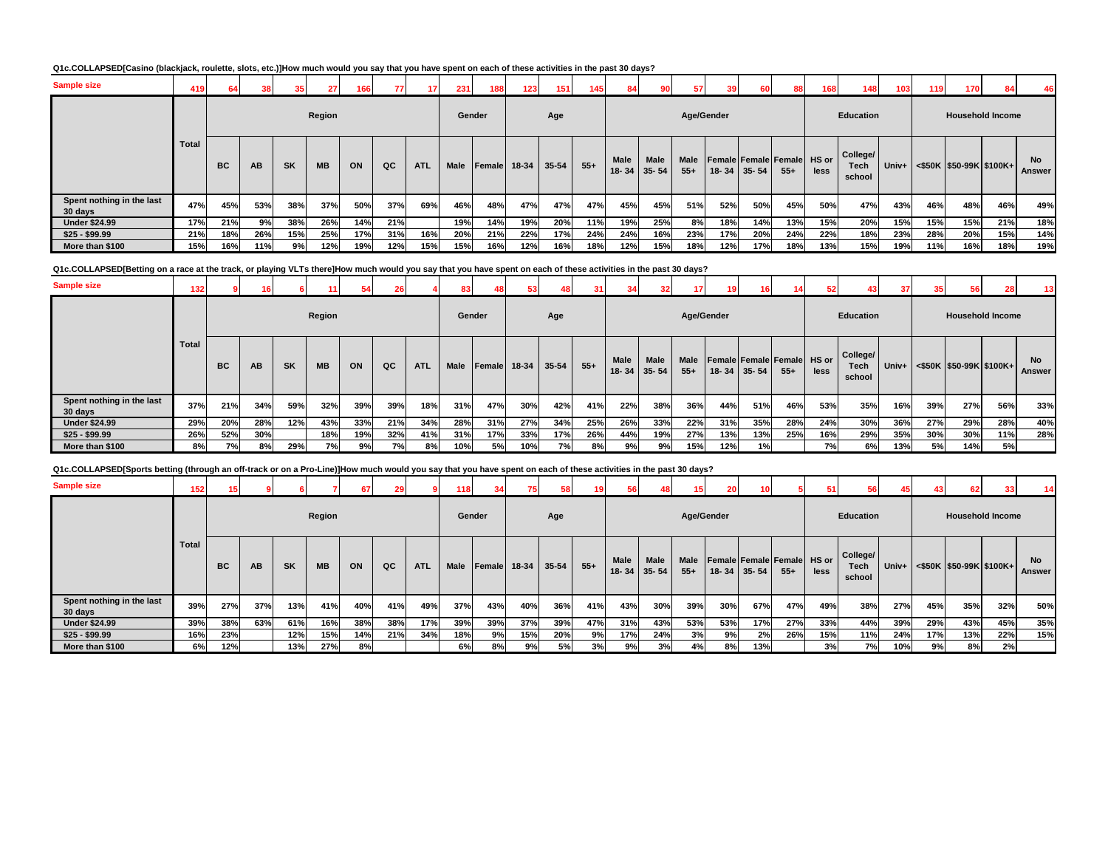# **Q1c.COLLAPSED[Casino (blackjack, roulette, slots, etc.)]How much would you say that you have spent on each of these activities in the past 30 days?**

| <b>Sample size</b>                   | 419          | 64  |     | 35        | 27        | 166 | 771 | 17         | 231    | 188    | 123   | 151   | 145   | 84                       | 90                | 57            | 39         | 60        | 88                                  | 168  | 148                               | 103 | 119 | 170                                               |     | 46                  |
|--------------------------------------|--------------|-----|-----|-----------|-----------|-----|-----|------------|--------|--------|-------|-------|-------|--------------------------|-------------------|---------------|------------|-----------|-------------------------------------|------|-----------------------------------|-----|-----|---------------------------------------------------|-----|---------------------|
|                                      |              |     |     |           | Region    |     |     |            | Gender |        |       | Age   |       |                          |                   |               | Age/Gender |           |                                     |      | <b>Education</b>                  |     |     | <b>Household Income</b>                           |     |                     |
|                                      | <b>Total</b> | BC  | AB  | <b>SK</b> | <b>MB</b> | ON  | QC  | <b>ATL</b> | Male   | Female | 18-34 | 35-54 | $55+$ | <b>Male</b><br>$18 - 34$ | Male<br>$35 - 54$ | Male<br>$55+$ | $18 - 34$  | $35 - 54$ | Female Female Female HS or<br>$55+$ | less | College/<br><b>Tech</b><br>school |     |     | Univ+ $\leq$ \$50K $\mid$ \$50-99K $\mid$ \$100K+ |     | <b>No</b><br>Answer |
| Spent nothing in the last<br>30 days | 47%          | 45% | 53% | 38%       | 37%       | 50% | 37% | 69%        | 46%    | 48%    | 47%   | 47%   | 47%   | 45%                      | 45%               | 51%           | 52%        | 50%       | 45%                                 | 50%  | 47%                               | 43% | 46% | 48%                                               | 46% | 49%                 |
| <b>Under \$24.99</b>                 | 17%          | 21% | 9%  | 38%       | 26%       | 14% | 21% |            | 19%    | 14%    | 19%   | 20%   | 11%   | 19%                      | 25%               | 8%            | 18%        | 14%       | 13%                                 | 15%  | 20%                               | 15% | 15% | 15%                                               | 21% | 18%                 |
| $$25 - $99.99$                       | 21%          | 18% | 26% | 15%       | 25%       | 17% | 31% | 16%        | 20%    | 21%    | 22%   | 17%   | 24%   | 24%                      | 16%               | 23%           | 17%        | 20%       | 24%                                 | 22%  | 18%                               | 23% | 28% | 20%                                               | 15% | 14%                 |
| More than \$100                      | 15%          | 16% | 11% | 9%        | 12%       | 19% | 12% | 15%        | 15%    | 16%    | 12%   | 16%   | 18%   | 12%                      | 15%               | 18%           | 12%        | 17%       | 18%                                 | 13%  | 15%                               | 19% | 11% | 16%                                               | 18% | 19%                 |

**Q1c.COLLAPSED[Betting on a race at the track, or playing VLTs there]How much would you say that you have spent on each of these activities in the past 30 days?**

| <b>Sample size</b>                                                                                                                                                    | 132   |           |     |           |           | 54  |     |            |        |              |     |       |       |      |                     |               |            |                   |                                      | 52   | 43                         | 37    | 35        | 56                            |     | 13                  |
|-----------------------------------------------------------------------------------------------------------------------------------------------------------------------|-------|-----------|-----|-----------|-----------|-----|-----|------------|--------|--------------|-----|-------|-------|------|---------------------|---------------|------------|-------------------|--------------------------------------|------|----------------------------|-------|-----------|-------------------------------|-----|---------------------|
|                                                                                                                                                                       |       |           |     |           | Region    |     |     |            | Gender |              |     | Age   |       |      |                     |               | Age/Gender |                   |                                      |      | <b>Education</b>           |       |           | <b>Household Income</b>       |     |                     |
|                                                                                                                                                                       | Total | <b>BC</b> | AB  | <b>SK</b> | <b>MB</b> | ON  | QC  | <b>ATL</b> | Male   | Female 18-34 |     | 35-54 | $55+$ | Male | Male<br>18-34 35-54 | Male<br>$55+$ |            | $18 - 34$ 35 - 54 | Female Female Female HS or<br>$55 +$ | less | College/<br>Tech<br>school | Univ+ |           | $\leq$ \$50K \$50-99K \$100K+ |     | <b>No</b><br>Answer |
| Spent nothing in the last<br>30 days                                                                                                                                  | 37%   | 21%       | 34% | 59%       | 32%       | 39% | 39% | 18%        | 31%    | 47%          | 30% | 42%   | 41%   | 22%  | 38%                 | 36%           | 44%        | 51%               | 46%                                  | 53%  | 35%                        | 16%   | 39%       | 27%                           | 56% | 33%                 |
| <b>Under \$24.99</b>                                                                                                                                                  | 29%   | 20%       | 28% | 12%       | 43%       | 33% | 21% | 34%        | 28%    | 31%          | 27% | 34%   | 25%   | 26%  | 33%                 | 22%           | 31%        | 35%               | 28%                                  | 24%  | 30%                        | 36%   | 27%       | 29%                           | 28% | 40%                 |
| $$25 - $99.99$                                                                                                                                                        | 26%   | 52%       | 30% |           | 18%       | 19% | 32% | 41%        | 31%    | 17%          | 33% | 17%   | 26%   | 44%  | 19%                 | 27%           | 13%        | 13%               | 25%                                  | 16%  | 29%                        | 35%   | 30%       | 30%                           | 11% | 28%                 |
| More than \$100                                                                                                                                                       | 8%    | 7%        | 8%  | 29%       | 7%        | 9%  | 7%  | 8%         | 10%    | 5%           | 10% | 7%    | 8%    | 9%   | 9%                  | 15%           | 12%        | 1%                |                                      | 7%   | 6%                         | 13%   | <b>5%</b> | 14%                           | 5%  |                     |
| Q1c.COLLAPSED[Sports betting (through an off-track or on a Pro-Line)]How much would you say that you have spent on each of these activities in the past 30 days?<br>. |       |           |     |           |           |     |     |            |        |              |     |       |       |      |                     |               |            |                   |                                      |      |                            |       |           |                               |     |                     |

| <b>Sample size</b>                   | 152          |           |           |           |           | 67  | 29  |            | 118         |               |       |           | 19    | 56   | 481                              | 15                   | 20         |                                           |       |      |                                   |       | 43  | 62                         | 33  | 14                  |
|--------------------------------------|--------------|-----------|-----------|-----------|-----------|-----|-----|------------|-------------|---------------|-------|-----------|-------|------|----------------------------------|----------------------|------------|-------------------------------------------|-------|------|-----------------------------------|-------|-----|----------------------------|-----|---------------------|
|                                      |              |           |           |           | Region    |     |     |            | Gender      |               |       | Age       |       |      |                                  |                      | Age/Gender |                                           |       |      | Education                         |       |     | <b>Household Income</b>    |     |                     |
|                                      | <b>Total</b> | <b>BC</b> | <b>AB</b> | <b>SK</b> | <b>MB</b> | ON  | QC  | <b>ATL</b> | <b>Male</b> | <b>Female</b> | 18-34 | $35 - 54$ | $55+$ | Male | <b>Male</b><br>$18 - 34$ 35 - 54 | <b>Male</b><br>$55+$ |            | Female Female Female HS or<br>18-34 35-54 | $55+$ | less | College/<br><b>Tech</b><br>school | Univ+ |     | $<$ \$50K \$50-99K \$100K+ |     | <b>No</b><br>Answer |
| Spent nothing in the last<br>30 days | 39%          | 27%       | 37%       | 13%       | 41%       | 40% | 41% | 49%        | 37%         | 43%           | 40%   | 36%       | 41%   | 43%  | 30%                              | 39%                  | 30%        | 67%                                       | 47%   | 49%  | 38%                               | 27%   | 45% | 35%                        | 32% | 50%                 |
| <b>Under \$24.99</b>                 | 39%          | 38%       | 63%       | 61%       | 16%       | 38% | 38% | 17%        | 39%         | 39%           | 37%   | 39%       | 47%   | 31%  | 43%                              | 53%                  | 53%        | 17%                                       | 27%   | 33%  | 44%                               | 39%   | 29% | 43%                        | 45% | 35%                 |
| $$25 - $99.99$                       | 16%          | 23%       |           | 12%       | 15%       | 14% | 21% | 34%        | 18%         | 9%            | 15%   | 20%       | 9%    | 17%  | 24%                              | 3%                   | 9%         | 2%                                        | 26%   | 15%  | 11%                               | 24%   | 17% | 13%                        | 22% | 15%                 |
| More than \$100                      | 6%           | 12%       |           | 13%       | 27%       | 8%  |     |            | 6%          | 8%            | 9%    | 5%        | 3%    | 9%   | 3%                               | 4%                   | 8%         | 13%                                       |       | 3%   | 7%                                | 10%   | 9%  | 8%                         | 2%  |                     |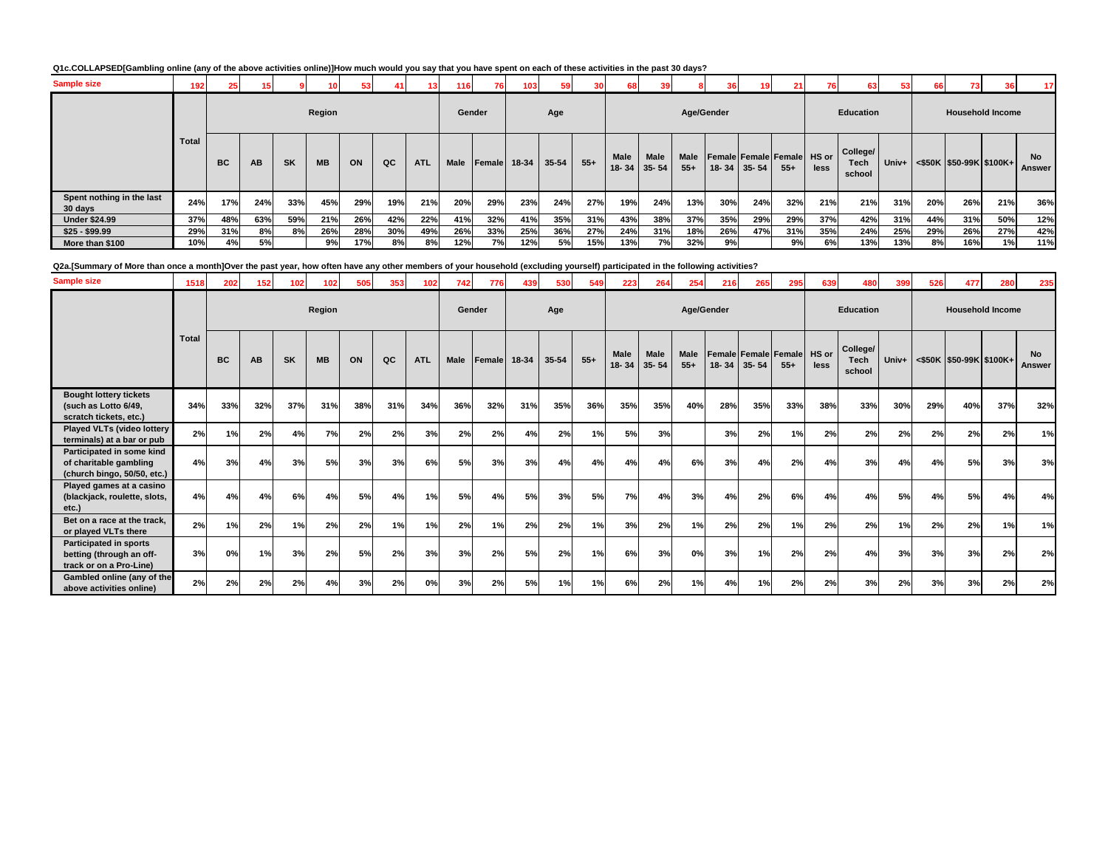# **Q1c.COLLAPSED[Gambling online (any of the above activities online)]How much would you say that you have spent on each of these activities in the past 30 days?**

| <b>Sample size</b>                   | 192          | 25        |           |           |           | 53. | 41  | 13.        | 116    | 76           | 103 | 59 <sub>1</sub> |       |                          | 39                       |                      | 36 <sub>1</sub> |                   | 21                                  | 76   | 63                         | 53  | 66  | 73                                   |     | 17 <sup>1</sup>     |
|--------------------------------------|--------------|-----------|-----------|-----------|-----------|-----|-----|------------|--------|--------------|-----|-----------------|-------|--------------------------|--------------------------|----------------------|-----------------|-------------------|-------------------------------------|------|----------------------------|-----|-----|--------------------------------------|-----|---------------------|
|                                      |              |           |           |           | Region    |     |     |            | Gender |              |     | Age             |       |                          |                          |                      | Age/Gender      |                   |                                     |      | <b>Education</b>           |     |     | <b>Household Income</b>              |     |                     |
|                                      | <b>Total</b> | <b>BC</b> | <b>AB</b> | <b>SK</b> | <b>MB</b> | ON  | QC  | <b>ATL</b> | Male   | Female 18-34 |     | $35 - 54$       | $55+$ | <b>Male</b><br>$18 - 34$ | <b>Male</b><br>$35 - 54$ | <b>Male</b><br>$55+$ |                 | $18 - 34$ 35 - 54 | Female Female Female HS or<br>$55+$ | less | College/<br>Tech<br>school |     |     | Univ+ $ $ <\$50K  \$50-99K   \$100K+ |     | <b>No</b><br>Answer |
| Spent nothing in the last<br>30 days | 24%          | 17%       | 24%       | 33%       | 45%       | 29% | 19% | 21%        | 20%    | 29%          | 23% | 24%             | 27%   | 19%                      | 24%                      | 13%                  | 30%             | 24%               | 32%                                 | 21%  | 21%                        | 31% | 20% | 26%                                  | 21% | 36%                 |
| <b>Under \$24.99</b>                 | 37%          | 48%       | 63%       | 59%       | 21%       | 26% | 42% | 22%        | 41%    | 32%          | 41% | 35%             | 31%   | 43%                      | 38%                      | 37%                  | 35%             | 29%               | 29%                                 | 37%  | 42%                        | 31% | 44% | 31%                                  | 50% | 12%                 |
| $$25 - $99.99$                       | 29%          | 31%       | 8%        | 8%        | 26%       | 28% | 30% | 49%        | 26%    | 33%          | 25% | 36%             | 27%   | 24%                      | 31%                      | 18%                  | 26%             | 47%               | 31%                                 | 35%  | 24%                        | 25% | 29% | 26%                                  | 27% | 42%                 |
| More than \$100                      | 10%          | 4%        | 5%        |           | 9%        | 17% | 8%  | 8%         | 12%    | 7%           | 12% | 5%              | 15%   | 13%                      | 7%                       | 32%                  | 9%              |                   | 9%                                  | 6%   | 13%                        | 13% | 8%  | 16%                                  | 1%  | 11%                 |

**Q2a.[Summary of More than once a month]Over the past year, how often have any other members of your household (excluding yourself) participated in the following activities?**

| <b>Sample size</b>                                                                   | 1518         | 202       | 152 | 102       | 102       | 505 | 353 | 102        | 742  | 776    | 439   | 530       | 549   | 223               | 264           | 254                  | 216        | 265       | 295                                  | 639  | 480                        | 399   | 526 | 477                     | 280 | 235                        |
|--------------------------------------------------------------------------------------|--------------|-----------|-----|-----------|-----------|-----|-----|------------|------|--------|-------|-----------|-------|-------------------|---------------|----------------------|------------|-----------|--------------------------------------|------|----------------------------|-------|-----|-------------------------|-----|----------------------------|
|                                                                                      |              |           |     |           | Region    |     |     |            |      | Gender |       | Age       |       |                   |               |                      | Age/Gender |           |                                      |      | <b>Education</b>           |       |     | <b>Household Income</b> |     |                            |
|                                                                                      | <b>Total</b> | <b>BC</b> | AB  | <b>SK</b> | <b>MB</b> | ON  | QC  | <b>ATL</b> | Male | Female | 18-34 | $35 - 54$ | $55+$ | Male<br>$18 - 34$ | Male<br>35-54 | <b>Male</b><br>$55+$ | $18 - 34$  | $35 - 54$ | Female Female Female HS or<br>$55 +$ | less | College/<br>Tech<br>school | Univ+ |     | <\$50K \$50-99K \$100K+ |     | <b>No</b><br><b>Answer</b> |
| <b>Bought lottery tickets</b><br>(such as Lotto 6/49,<br>scratch tickets, etc.)      | 34%          | 33%       | 32% | 37%       | 31%       | 38% | 31% | 34%        | 36%  | 32%    | 31%   | 35%       | 36%   | 35%               | 35%           | 40%                  | 28%        | 35%       | 33%                                  | 38%  | 33%                        | 30%   | 29% | 40%                     | 37% | 32%                        |
| <b>Played VLTs (video lottery</b><br>terminals) at a bar or pub                      | 2%           | 1%        | 2%  | 4%        | 7%        | 2%  | 2%  | 3%         | 2%   | 2%     | 4%    | 2%        | 1%    | 5%                | 3%            |                      | 3%         | 2%        | 1%                                   | 2%   | 2%                         | 2%    | 2%  | 2%                      | 2%  | 1%                         |
| Participated in some kind<br>of charitable gambling<br>(church bingo, 50/50, etc.)   | 4%           | 3%        | 4%  | 3%        | 5%        | 3%  | 3%  | 6%         | 5%   | 3%     | 3%    | 4%        | 4%    | 4%                | 4%            | 6%                   | 3%         | 4%        | 2%                                   | 4%   | 3%                         | 4%    | 4%  | 5%                      | 3%  | 3%                         |
| Played games at a casino<br>(blackjack, roulette, slots,<br>etc.)                    | 4%           | 4%        | 4%  | 6%        | 4%        | 5%  | 4%  | 1%         | 5%   | 4%     | 5%    | 3%        | 5%    | 7%                | 4%            | 3%                   | 4%         | 2%        | 6%                                   | 4%   | 4%                         | 5%    | 4%  | 5%                      | 4%  | 4%                         |
| Bet on a race at the track.<br>or played VLTs there                                  | 2%           | 1%        | 2%  | 1%        | 2%        | 2%  | 1%  | 1%         | 2%   | 1%     | 2%    | 2%        | 1%    | 3%                | 2%            | 1%                   | 2%         | 2%        | 1%                                   | 2%   | 2%                         | 1%    | 2%  | 2%                      | 1%  | 1%                         |
| <b>Participated in sports</b><br>betting (through an off-<br>track or on a Pro-Line) | 3%           | 0%        | 1%  | 3%        | 2%        | 5%  | 2%  | 3%         | 3%   | 2%     | 5%    | 2%        | 1%    | 6%                | 3%            | 0%                   | 3%         | 1%        | 2%                                   | 2%   | 4%                         | 3%    | 3%  | 3%                      | 2%  | 2%                         |
| Gambled online (any of the<br>above activities online)                               | 2%           | 2%        | 2%  | 2%        | 4%        | 3%  | 2%  | 0%         | 3%   | 2%     | 5%    | 1%        | 1%    | 6%                | 2%            | 1%                   | 4%         | 1%        | 2%                                   | 2%   | 3%                         | 2%    | 3%  | 3%                      | 2%  | 2%                         |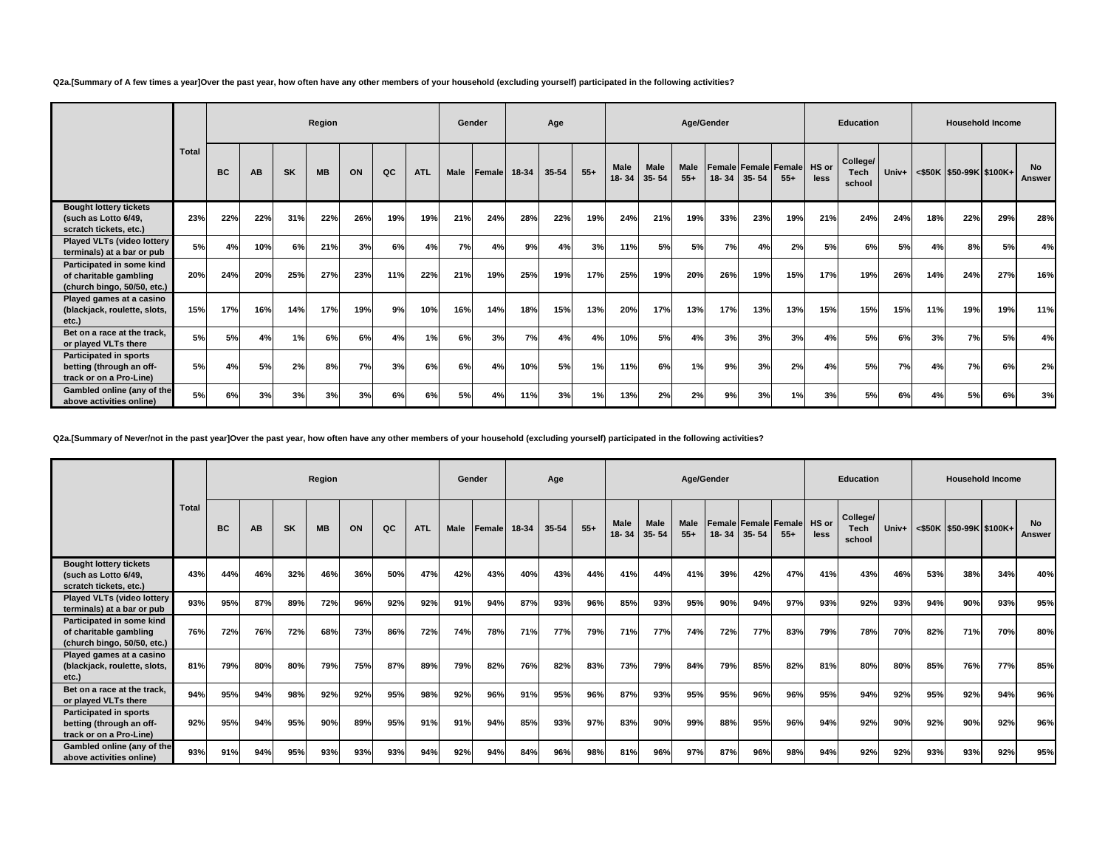**Q2a.[Summary of A few times a year]Over the past year, how often have any other members of your household (excluding yourself) participated in the following activities?**

|                                                                                      |              |           |     |           | Region    |     |     |            | Gender |                |       | Age   |       |                   |                   |                      | Age/Gender |                   |                               |               | <b>Education</b>                  |       |     | <b>Household Income</b>                     |     |                            |
|--------------------------------------------------------------------------------------|--------------|-----------|-----|-----------|-----------|-----|-----|------------|--------|----------------|-------|-------|-------|-------------------|-------------------|----------------------|------------|-------------------|-------------------------------|---------------|-----------------------------------|-------|-----|---------------------------------------------|-----|----------------------------|
|                                                                                      | <b>Total</b> | <b>BC</b> | AB  | <b>SK</b> | <b>MB</b> | ON  | QC  | <b>ATL</b> | Male   | <b>IFemale</b> | 18-34 | 35-54 | $55+$ | Male<br>$18 - 34$ | Male<br>$35 - 54$ | <b>Male</b><br>$55+$ |            | $18 - 34$ 35 - 54 | Female Female Female<br>$55+$ | HS or<br>less | College/<br><b>Tech</b><br>school | Univ+ |     | $\leq$ \$50K $\mid$ \$50-99K $\mid$ \$100K+ |     | <b>No</b><br><b>Answer</b> |
| <b>Bought lottery tickets</b><br>(such as Lotto 6/49,<br>scratch tickets, etc.)      | 23%          | 22%       | 22% | 31%       | 22%       | 26% | 19% | 19%        | 21%    | 24%            | 28%   | 22%   | 19%   | 24%               | 21%               | 19%                  | 33%        | 23%               | 19%                           | 21%           | 24%                               | 24%   | 18% | 22%                                         | 29% | 28%                        |
| Played VLTs (video lottery<br>terminals) at a bar or pub                             | 5%           | 4%        | 10% | 6%        | 21%       | 3%  | 6%  | 4%         | 7%     | 4%             | 9%    | 4%    | 3%    | 11%               | 5%                | 5%                   | 7%         | 4%                | 2%                            | 5%            | 6%                                | 5%    | 4%  | 8%                                          | 5%  | 4%                         |
| Participated in some kind<br>of charitable gambling<br>(church bingo, 50/50, etc.)   | 20%          | 24%       | 20% | 25%       | 27%       | 23% | 11% | 22%        | 21%    | 19%            | 25%   | 19%   | 17%   | 25%               | 19%               | 20%                  | 26%        | 19%               | 15%                           | 17%           | 19%                               | 26%   | 14% | 24%                                         | 27% | 16%                        |
| Played games at a casino<br>(blackjack, roulette, slots,<br>etc.)                    | 15%          | 17%       | 16% | 14%       | 17%       | 19% | 9%  | 10%        | 16%    | 14%            | 18%   | 15%   | 13%   | 20%               | 17%               | 13%                  | 17%        | 13%               | 13%                           | 15%           | 15%                               | 15%   | 11% | 19%                                         | 19% | 11%                        |
| Bet on a race at the track.<br>or played VLTs there                                  | 5%           | 5%        | 4%  | 1%        | 6%        | 6%  | 4%  | 1%         | 6%     | 3%             | 7%    | 4%    | 4%    | 10%               | 5%                | 4%                   | 3%         | 3%                | 3%                            | 4%            | 5%                                | 6%    | 3%  | 7%                                          | 5%  | 4%                         |
| <b>Participated in sports</b><br>betting (through an off-<br>track or on a Pro-Line) | 5%           | 4%        | 5%  | 2%        | 8%        | 7%  | 3%  | 6%         | 6%     | 4%             | 10%   | 5%    | 1%    | 11%               | 6%                | 1%                   | 9%         | 3%                | 2%                            | 4%            | 5%                                | 7%    | 4%  | 7%                                          | 6%  | 2%                         |
| Gambled online (any of the<br>above activities online)                               | 5%           | 6%        | 3%  | 3%        | 3%        | 3%  | 6%  | 6%         | 5%     | 4%             | 11%   | 3%    | 1%    | 13%               | 2%                | 2%                   | 9%         | 3%                | 1%                            | 3%            | 5%                                | 6%    | 4%  | 5%                                          | 6%  | 3%                         |

**Q2a.[Summary of Never/not in the past year]Over the past year, how often have any other members of your household (excluding yourself) participated in the following activities?**

|                                                                                      |              |           |           |           | Region    |     |     |            | Gender |        |       | Age   |       |               |                          | Age/Gender           |     |                   |                                      |               | <b>Education</b>           |       |     | <b>Household Income</b>    |     |                            |
|--------------------------------------------------------------------------------------|--------------|-----------|-----------|-----------|-----------|-----|-----|------------|--------|--------|-------|-------|-------|---------------|--------------------------|----------------------|-----|-------------------|--------------------------------------|---------------|----------------------------|-------|-----|----------------------------|-----|----------------------------|
|                                                                                      | <b>Total</b> | <b>BC</b> | <b>AB</b> | <b>SK</b> | <b>MB</b> | ON  | QC  | <b>ATL</b> | Male   | Female | 18-34 | 35-54 | $55+$ | Male<br>18-34 | <b>Male</b><br>$35 - 54$ | <b>Male</b><br>$55+$ |     | $18 - 34$ 35 - 54 | <b>Female Female Female</b><br>$55+$ | HS or<br>less | College/<br>Tech<br>school | Univ+ |     | $<$ \$50K \$50-99K \$100K+ |     | <b>No</b><br><b>Answer</b> |
| <b>Bought lottery tickets</b><br>(such as Lotto 6/49,<br>scratch tickets, etc.)      | 43%          | 44%       | 46%       | 32%       | 46%       | 36% | 50% | 47%        | 42%    | 43%    | 40%   | 43%   | 44%   | 41%           | 44%                      | 41%                  | 39% | 42%               | 47%                                  | 41%           | 43%                        | 46%   | 53% | 38%                        | 34% | 40%                        |
| <b>Played VLTs (video lottery</b><br>terminals) at a bar or pub                      | 93%          | 95%       | 87%       | 89%       | 72%       | 96% | 92% | 92%        | 91%    | 94%    | 87%   | 93%   | 96%   | 85%           | 93%                      | 95%                  | 90% | 94%               | 97%                                  | 93%           | 92%                        | 93%   | 94% | 90%                        | 93% | 95%                        |
| Participated in some kind<br>of charitable gambling<br>(church bingo, 50/50, etc.)   | 76%          | 72%       | 76%       | 72%       | 68%       | 73% | 86% | 72%        | 74%    | 78%    | 71%   | 77%   | 79%   | 71%           | 77%                      | 74%                  | 72% | 77%               | 83%                                  | 79%           | 78%                        | 70%   | 82% | 71%                        | 70% | 80%                        |
| Played games at a casino<br>(blackjack, roulette, slots,<br>etc.)                    | 81%          | 79%       | 80%       | 80%       | 79%       | 75% | 87% | 89%        | 79%    | 82%    | 76%   | 82%   | 83%   | 73%           | 79%                      | 84%                  | 79% | 85%               | 82%                                  | 81%           | 80%                        | 80%   | 85% | 76%                        | 77% | 85%                        |
| Bet on a race at the track.<br>or played VLTs there                                  | 94%          | 95%       | 94%       | 98%       | 92%       | 92% | 95% | 98%        | 92%    | 96%    | 91%   | 95%   | 96%   | 87%           | 93%                      | 95%                  | 95% | 96%               | 96%                                  | 95%           | 94%                        | 92%   | 95% | 92%                        | 94% | 96%                        |
| <b>Participated in sports</b><br>betting (through an off-<br>track or on a Pro-Line) | 92%          | 95%       | 94%       | 95%       | 90%       | 89% | 95% | 91%        | 91%    | 94%    | 85%   | 93%   | 97%   | 83%           | 90%                      | 99%                  | 88% | 95%               | 96%                                  | 94%           | 92%                        | 90%   | 92% | 90%                        | 92% | 96%                        |
| Gambled online (any of the<br>above activities online)                               | 93%          | 91%       | 94%       | 95%       | 93%       | 93% | 93% | 94%        | 92%    | 94%    | 84%   | 96%   | 98%   | 81%           | 96%                      | 97%                  | 87% | 96%               | 98%                                  | 94%           | 92%                        | 92%   | 93% | 93%                        | 92% | 95%                        |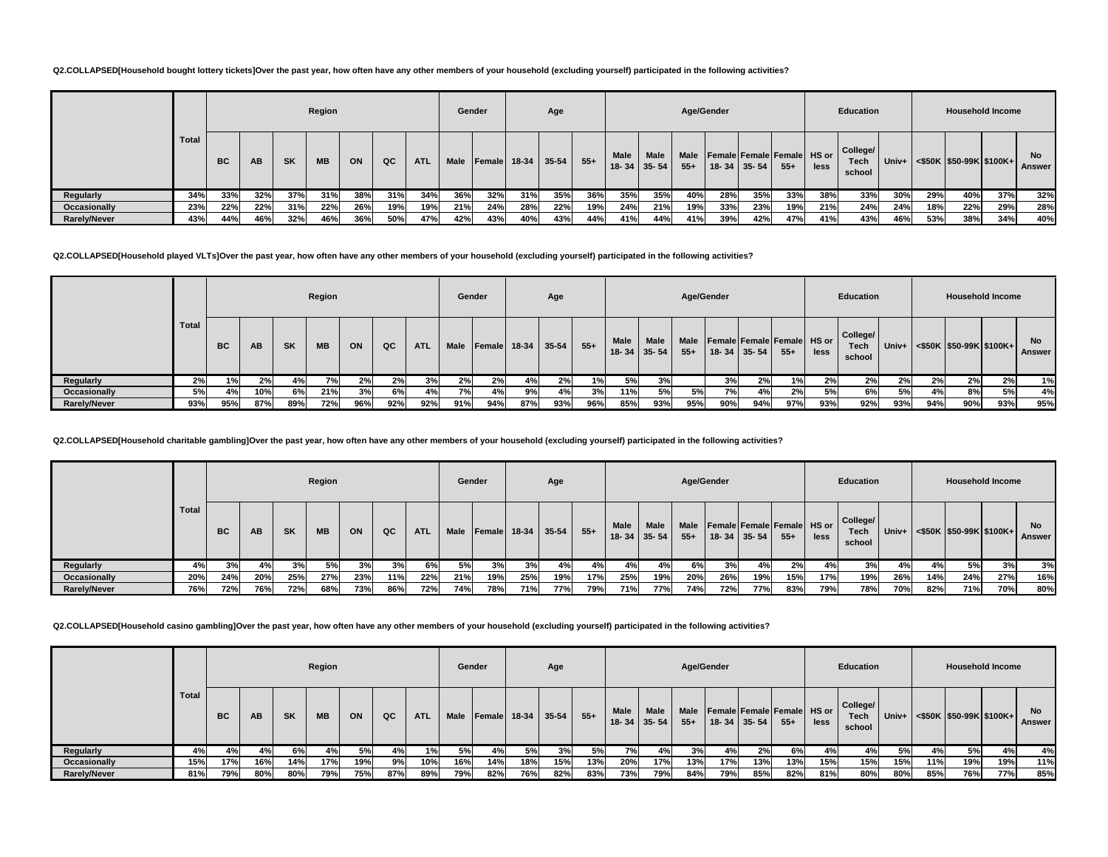### **Q2.COLLAPSED[Household bought lottery tickets]Over the past year, how often have any other members of your household (excluding yourself) participated in the following activities?**

|                     |       |           |     |           | Region    |     |     |            | Gender |                |       | Age   |       |                          |                   | Age/Gender    |     |                   |                                     |      | <b>Education</b>           |         |     | <b>Household Income</b>       |     |                     |
|---------------------|-------|-----------|-----|-----------|-----------|-----|-----|------------|--------|----------------|-------|-------|-------|--------------------------|-------------------|---------------|-----|-------------------|-------------------------------------|------|----------------------------|---------|-----|-------------------------------|-----|---------------------|
|                     | Total | <b>BC</b> | AB  | <b>SK</b> | <b>MB</b> | ON  | QC  | <b>ATL</b> | Male   | <b>IFemale</b> | 18-34 | 35-54 | $55+$ | <b>Male</b><br>$18 - 34$ | Male<br>$35 - 54$ | Male<br>$55+$ |     | $18 - 34$ 35 - 54 | Female Female Female HS or<br>$55+$ | less | College/<br>Tech<br>school | Univ+ I |     | $\leq$ \$50K \$50-99K \$100K+ |     | <b>No</b><br>Answer |
| Regularly           | 34%   | 33%       | 32% | 37%       | 31%       | 38% | 31% | 34%        | 36%    | 32%            | 31%   | 35%   | 36%   | 35%                      | 35%               | 40%           | 28% | 35%               | 33%                                 | 38%  | 33%                        | 30%     | 29% | 40%                           | 37% | 32%                 |
| Occasionally        | 23%   | 22%       | 22% | 31%       | 22%       | 26% | 19% | 19%        | 21%    | 24%            | 28%   | 22%   | 19%   | 24%                      | 21%               | 19%           | 33% | 23%               | 19%                                 | 21%  | 24%                        | 24%     | 18% | 22%                           | 29% | 28%                 |
| <b>Rarely/Never</b> | 43%   | 44%       | 46% | 32%       | 46%       | 36% | 50% | 47%        | 42%    | 43%            | 40%   | 43%   | 44%   | 41%                      | 44%               | 41%           | 39% | 42%               | 47%                                 | 41%  | 43%                        | 46%     | 53% | 38%                           | 34% | 40%                 |

### **Q2.COLLAPSED[Household played VLTs]Over the past year, how often have any other members of your household (excluding yourself) participated in the following activities?**

|                     |       |           |     |           | Region    |     |     |     | Gender      |        |       | Age       |       |                   |                          | Age/Gender           |     |                   |                                      |      | <b>Education</b>           |       |     |     | <b>Household Income</b>    |                     |
|---------------------|-------|-----------|-----|-----------|-----------|-----|-----|-----|-------------|--------|-------|-----------|-------|-------------------|--------------------------|----------------------|-----|-------------------|--------------------------------------|------|----------------------------|-------|-----|-----|----------------------------|---------------------|
|                     | Total | <b>BC</b> | AВ  | <b>SK</b> | <b>MB</b> | ON  | QC  | ATL | <b>Male</b> | Female | 18-34 | $35 - 54$ | $55+$ | Male<br>$18 - 34$ | <b>Male</b><br>$35 - 54$ | <b>Male</b><br>$55+$ |     | $18 - 34$ 35 - 54 | Female Female Female HS or<br>$55 +$ | less | College/<br>Tech<br>school | Univ+ |     |     | $<$ \$50K \$50-99K \$100K+ | No<br><b>Answer</b> |
| Regularly           | 2%    | 1%        | 2%  | 4%        | 7% l      | 2%  | 2%  | 3%  | 2%          | 2%     |       | 2%        | 1%    | 5%                | 3%                       |                      | 3%  | 2%                | 1%                                   | 2%   | 2%                         | 2%    | 2%  | 2%  | 2%                         | 1%                  |
| Occasionally        | 5%    | 4%        | 10% | 6%        | 21%       | 3%  | 6%  | 4%  | 7%          | 4%     | 9%    | 4%        | 3%    | 11%               | 5%                       | 5%                   | 7%  | 4%                | 2%                                   | 5%   | 6%                         | 5%    | 4%  | 8%  | 5%                         | 4%                  |
| <b>Rarely/Never</b> | 93%   | 95%       | 87% | 89%       | 72%       | 96% | 92% | 92% | 91%         | 94%    | 87%   | 93%       | 96%   | 85%               | 93%                      | 95%                  | 90% | 94%               | 97%                                  | 93%  | 92%                        | 93%   | 94% | 90% | 93%                        | 95%                 |

### **Q2.COLLAPSED[Household charitable gambling]Over the past year, how often have any other members of your household (excluding yourself) participated in the following activities?**

|              |       |           |     |           | Region    |     |     |            | Gender      |               |         | Age       |        |      |                                  | Age/Gender |                                                              |     |       |      | Education                  |       |     |     | <b>Household Income</b>       |              |
|--------------|-------|-----------|-----|-----------|-----------|-----|-----|------------|-------------|---------------|---------|-----------|--------|------|----------------------------------|------------|--------------------------------------------------------------|-----|-------|------|----------------------------|-------|-----|-----|-------------------------------|--------------|
|              | Total | <b>BC</b> | AB  | <b>SK</b> | <b>MB</b> | ON  | QC  | <b>ATL</b> | <b>Male</b> | <b>Female</b> | $18-34$ | $35 - 54$ | $55 +$ | Male | <b>Male</b><br>$18 - 34$ 35 - 54 | $55+$      | Male   Female   Female   Female   HS or<br>$18 - 34$ 35 - 54 |     | $55+$ | less | College/<br>Tech<br>school | Univ+ |     |     | $\leq$ \$50K \$50-99K \$100K+ | No<br>Answer |
| Regularly    | 4%    | 3%        | 4%  | 3%        | 5%        | 3%  | 3%  | 6%         | 5%          | 3%            | 3%      | 4%        | 4%     | 4%   | 4%                               | 6%         | 3%                                                           | 4%  | 2%    | 4%   | 3%                         | 4%    | 4%  | 5%  | 3%                            | 3%           |
| Occasionally | 20%   | 24%       | 20% | 25%       | 27%       | 23% | 11% | 22%        | 21%         | 19%           | 25%     | 19%       | 17%    | 25%  | 19%                              | 20%        | 26%                                                          | 19% | 15%   | 17%  | 19%                        | 26%   | 14% | 24% | 27%                           | 16%          |
| Rarely/Never | 76%   | 72%       | 76% | 72%       | 68%       | 73% | 86% | 72%        | 74%         | 78%           | 71%     | 77%       | 79%    | 71%  | 77%                              | 74%        | 72%                                                          | 77% | 83%   | 79%  | 78%                        | 70%   | 82% | 71% | 70%                           | 80%          |

**Q2.COLLAPSED[Household casino gambling]Over the past year, how often have any other members of your household (excluding yourself) participated in the following activities?**

|                     |              |           |     |           | Region    |     |     |            |             | Gender |       | Age       |       |             |                                  |                      | Age/Gender |                                           |        |      | Education                         |       |     | <b>Household Income</b>                     |     |                     |
|---------------------|--------------|-----------|-----|-----------|-----------|-----|-----|------------|-------------|--------|-------|-----------|-------|-------------|----------------------------------|----------------------|------------|-------------------------------------------|--------|------|-----------------------------------|-------|-----|---------------------------------------------|-----|---------------------|
|                     | <b>Total</b> | <b>BC</b> | AB  | <b>SK</b> | <b>MB</b> | ON  | QC  | <b>ATL</b> | <b>Male</b> | Female | 18-34 | $35 - 54$ | $55+$ | <b>Male</b> | <b>Male</b><br>$18 - 34$ 35 - 54 | <b>Male</b><br>$55+$ |            | Female Female Female HS or<br>18-34 35-54 | $55 +$ | less | College/<br><b>Tech</b><br>school | Univ+ |     | $\leq$ \$50K $\mid$ \$50-99K $\mid$ \$100K+ |     | <b>No</b><br>Answer |
| Regularly           | 4%           | 4%        | 4%  | 6%        | 4%        | 5%  | 4%  | 1%         | 5%          | 4%     | 5%    | 3%        | 5%    | 7%          | 4%                               | 3%                   | 4%         | 2%                                        | 6%     | 4%   | 4%                                | 5%    | 4%  | 5%                                          | 4%  | 4%                  |
| Occasionally        | 15%          | 17%       | 16% | 14%       | 17%       | 19% | 9%  | 10%        | 16%         | 14%    | 18%   | 15%       | 13%   | 20%         | 17%                              | 13%                  | 17%        | 13%                                       | 13%    | 15%  | 15%                               | 15%   | 11% | 19%                                         | 19% | 11%                 |
| <b>Rarely/Never</b> | 81%          | 79%       | 80% | 80%       | 79%       | 75% | 87% | 89%        | 79%         | 82%    | 76%   | 82%       | 83%   | 73%         | 79%                              | 84%                  | 79%        | 85%                                       | 82%    | 81%  | 80%                               | 80%   | 85% | 76%                                         | 77% | 85%                 |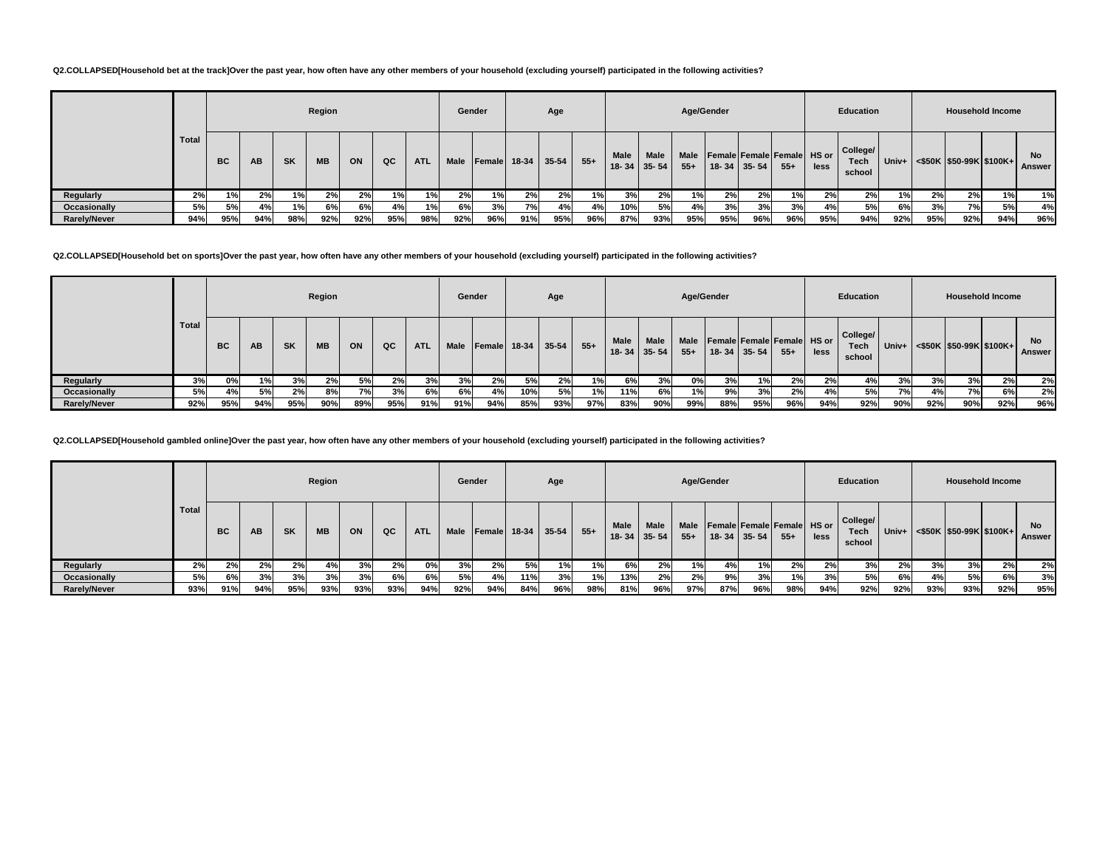### **Q2.COLLAPSED[Household bet at the track]Over the past year, how often have any other members of your household (excluding yourself) participated in the following activities?**

|                     |       |           |     |           | Region    |     |     |            | Gender |                     |     | Age       |       |                          |                          | Age/Gender    |     |                   |                                     |      | <b>Education</b>           |         |     |     | <b>Household Income</b>                     |                     |
|---------------------|-------|-----------|-----|-----------|-----------|-----|-----|------------|--------|---------------------|-----|-----------|-------|--------------------------|--------------------------|---------------|-----|-------------------|-------------------------------------|------|----------------------------|---------|-----|-----|---------------------------------------------|---------------------|
|                     | Total | <b>BC</b> | AВ  | <b>SK</b> | <b>MB</b> | ON  | QC  | <b>ATL</b> | Male   | <b>Female</b> 18-34 |     | $35 - 54$ | $55+$ | <b>Male</b><br>$18 - 34$ | <b>Male</b><br>$35 - 54$ | Male<br>$55+$ |     | $18 - 34$ 35 - 54 | Female Female Female HS or<br>$55+$ | less | College/<br>Tech<br>school | Univ+ I |     |     | $\leq$ \$50K $\mid$ \$50-99K $\mid$ \$100K+ | <b>No</b><br>Answer |
| Regularly           | 2%    | 1%        | 2%  | 1%        | 2%        | 2%  | 1%I | 1%         | 2%     | 1%                  | 2%  | 2%        | 1%    | 3%                       | 2%                       | 1%            | 2%  | 2%                | 1%                                  | 2%   | 2%                         | 1%      | 2%  | 2%  | 1%                                          | 1%                  |
| Occasionally        | 5%    | 5%        | 4%  | 1%        | 6%        | 6%  | 4%  | 1%         | 6%     | 3%                  | 7%l | 4%        | 4%    | 10%                      | 5%                       | 4%            | 3%  | 3%                | 3%                                  | 4%   | 5%                         | 6%      | 3%  | 7%  | 5%                                          | 4%                  |
| <b>Rarely/Never</b> | 94%   | 95%       | 94% | 98%       | 92%       | 92% | 95% | 98%        | 92%    | 96%                 | 91% | 95%       | 96%   | 87%                      | 93%                      | 95%           | 95% | 96%               | 96%                                 | 95%  | 94%                        | 92%     | 95% | 92% | 94%                                         | 96%                 |

**Q2.COLLAPSED[Household bet on sports]Over the past year, how often have any other members of your household (excluding yourself) participated in the following activities?**

|                     |       |           |           |           | Region    |     |     |            | Gender      |                     |     | Age     |       |      |                            |               | Age/Gender |                   |                                             |      | <b>Education</b>                  |       |     | <b>Household Income</b>                     |     |              |
|---------------------|-------|-----------|-----------|-----------|-----------|-----|-----|------------|-------------|---------------------|-----|---------|-------|------|----------------------------|---------------|------------|-------------------|---------------------------------------------|------|-----------------------------------|-------|-----|---------------------------------------------|-----|--------------|
|                     | Total | <b>BC</b> | <b>AB</b> | <b>SK</b> | <b>MB</b> | ON  | QC  | <b>ATL</b> | <b>Male</b> | <b>Female</b> 18-34 |     | $35-54$ | $55+$ | Male | <b>Male</b><br>18-34 35-54 | Male<br>$55+$ |            | $18 - 34$ 35 - 54 | <b>Female Female Female HS or</b><br>$55 +$ | less | College/<br><b>Tech</b><br>school | Univ+ |     | $\leq$ \$50K $\mid$ \$50-99K $\mid$ \$100K+ |     | No<br>Answer |
| Regularly           | 3%    | 0%        | 1%        | 3%        | 2%        | 5%  | 2%  | 3%         | 3%          | 2%                  | 5%  | 2%      | 1%    | 6%   | 3%                         | 0%            | 3%         | 1%I               | 2%                                          | 2%   | 4%                                | 3%    | 3%  | 3%                                          | 2%  | 2%           |
| Occasionally        | 5%    | 4%        | 5%        | 2%        | 8%        | 7%  | 3%  | 6%         | 6%          | 4%                  | 10% | 5%      | 1%    | 11%  | 6%                         | 1%            | 9%         | 3%                | 2%                                          | 4%   | 5%                                | 7%    | 4%  | 7%                                          | 6%  | 2%           |
| <b>Rarely/Never</b> | 92%   | 95%       | 94%       | 95%       | 90%       | 89% | 95% | 91%        | 91%         | 94%                 | 85% | 93%     | 97%   | 83%  | 90%                        | 99%           | 88%        | 95%               | 96%                                         | 94%  | 92%                               | 90%   | 92% | 90%                                         | 92% | 96%          |

**Q2.COLLAPSED[Household gambled online]Over the past year, how often have any other members of your household (excluding yourself) participated in the following activities?**

|                     |              |           |     |           | Region    |     |     |            |      | Gender |     | Age                       |       |             |                           |                      | Age/Gender |                   |                                      |      | Education                         |         |     | <b>Household Income</b>                     |     |                     |
|---------------------|--------------|-----------|-----|-----------|-----------|-----|-----|------------|------|--------|-----|---------------------------|-------|-------------|---------------------------|----------------------|------------|-------------------|--------------------------------------|------|-----------------------------------|---------|-----|---------------------------------------------|-----|---------------------|
|                     | <b>Total</b> | <b>BC</b> | AB  | <b>SK</b> | <b>MB</b> | ON  | QC  | <b>ATL</b> | Male |        |     | <b>Female</b> 18-34 35-54 | $55+$ | <b>Male</b> | Male<br>$18 - 34$ 35 - 54 | <b>Male</b><br>$55+$ |            | $18 - 34$ 35 - 54 | Female Female Female HS or<br>$55 +$ | less | College/<br><b>Tech</b><br>school | $Univ+$ |     | $\leq$ \$50K $\mid$ \$50-99K $\mid$ \$100K+ |     | <b>No</b><br>Answer |
| Regularly           | 2%           | 2%        | 2%  | 2%        | 4%        | 3%  | 2%  | 0%         | 3%   | 2%     | 5%  |                           |       | 6%          | 2%                        | 1%                   | 4%         | 1%                | 2%                                   | 2%   | 3%                                | 2%      | 3%  | 3%                                          | 2%  | 2%                  |
| Occasionally        | 5%           | 6%        | 3%  | 3%        | 3%        | 3%  | 6%  | 6%         | 5% l | 4%     | 11% | 3%                        | 1%    | 13%         | 2%                        | 2%                   | 9%         | 3%                | 1%                                   | 3%   | 5%                                | 6%      | 4%  | 5%                                          | 6%  | 3%                  |
| <b>Rarely/Never</b> | 93%          | 91%       | 94% | 95%       | 93%       | 93% | 93% | 94%        | 92%  | 94%    | 84% | 96%                       | 98%   | 81%         | 96%                       | 97%                  | 87%        | 96%               | 98%                                  | 94%  | 92%                               | 92%     | 93% | 93%                                         | 92% | 95%                 |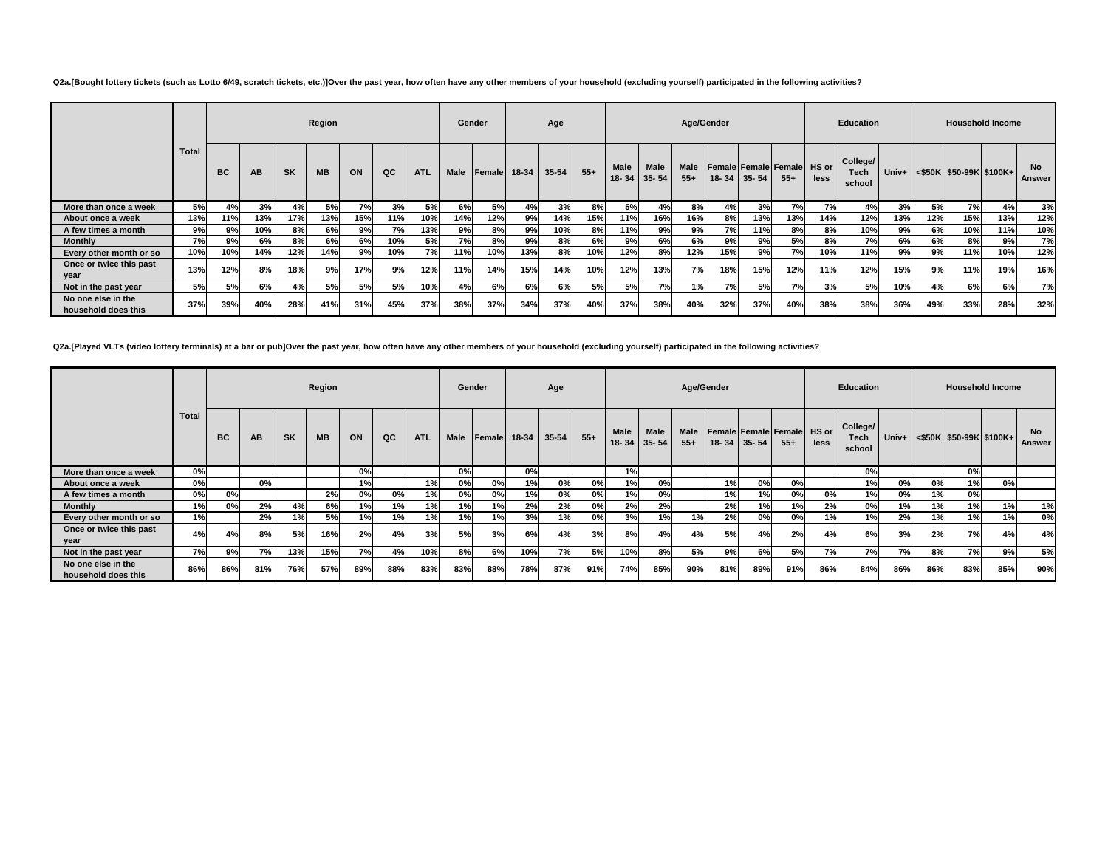**Q2a.[Bought lottery tickets (such as Lotto 6/49, scratch tickets, etc.)]Over the past year, how often have any other members of your household (excluding yourself) participated in the following activities?**

|                                           |              |           |     |           | Region    |     |     |            |             | Gender       |     | Age   |       |      |                                  | Age/Gender           |     |             |                                             |      | <b>Education</b>           |     |     | <b>Household Income</b>                           |     |                     |
|-------------------------------------------|--------------|-----------|-----|-----------|-----------|-----|-----|------------|-------------|--------------|-----|-------|-------|------|----------------------------------|----------------------|-----|-------------|---------------------------------------------|------|----------------------------|-----|-----|---------------------------------------------------|-----|---------------------|
|                                           | <b>Total</b> | <b>BC</b> | AB  | <b>SK</b> | <b>MB</b> | ON  | QC  | <b>ATL</b> | <b>Male</b> | Female 18-34 |     | 35-54 | $55+$ | Male | <b>Male</b><br>$18 - 34$ 35 - 54 | <b>Male</b><br>$55+$ |     | 18-34 35-54 | <b>Female Female Female HS or</b><br>$55 +$ | less | College/<br>Tech<br>school |     |     | Univ+ $\leq$ \$50K $\mid$ \$50-99K $\mid$ \$100K+ |     | <b>No</b><br>Answer |
| More than once a week                     | 5%           | 4%        | 3%  | 4%        | 5%        | 7%  | 3%  | 5%         | 6%          | 5%           | 4%  | 3%    | 8%    | 5%   | 4%                               | 8%                   | 4%  | 3%          | 7%                                          | 7%   | 4%                         | 3%  | 5%  | 7%                                                | 4%  | 3%                  |
| About once a week                         | 13%          | 11%       | 13% | 17%       | 13%       | 15% | 11% | 10%        | 14%         | 12%          | 9%  | 14%   | 15%   | 11%  | 16%                              | 16%                  | 8%  | 13%         | 13%                                         | 14%  | 12%                        | 13% | 12% | 15%                                               | 13% | 12%                 |
| A few times a month                       | 9%           | 9%        | 10% | 8%        | 6%        | 9%  | 7%  | 13%        | 9%          | 8%           | 9%  | 10%   | 8%    | 11%  | 9%                               | 9%                   | 7%  | 11%         | 8%                                          | 8%   | 10%                        | 9%  | 6%  | 10%                                               | 11% | 10%                 |
| <b>Monthly</b>                            | 7%           | 9%        | 6%  | 8%        | 6%        | 6%  | 10% | 5%         | 7%          | 8%           | 9%  | 8%    | 6%    | 9%   | 6%                               | 6%                   | 9%  | 9%          | 5%                                          | 8%   | 7%                         | 6%  | 6%  | 8%                                                | 9%  | 7%                  |
| Every other month or so                   | 10%          | 10%       | 14% | 12%       | 14%       | 9%  | 10% | 7%         | 11%         | 10%          | 13% | 8%    | 10%   | 12%  | 8%                               | 12%                  | 15% | 9%          | 7%                                          | 10%  | 11%                        | 9%  | 9%  | 11%                                               | 10% | 12%                 |
| Once or twice this past<br>year           | 13%          | 12%       | 8%  | 18%       | 9%        | 17% | 9%  | 12%        | 11%         | 14%          | 15% | 14%   | 10%   | 12%  | 13%                              | 7%                   | 18% | 15%         | 12%                                         | 11%  | 12%                        | 15% | 9%  | 11%                                               | 19% | 16%                 |
| Not in the past year                      | 5%           | 5%        | 6%  | 4%        | 5%        | 5%  | 5%  | 10%        | 4%          | 6%           | 6%  | 6%    | 5%    | 5%   | 7%                               | 1%                   | 7%  | 5%          | 7%                                          | 3%   | 5%                         | 10% | 4%  | 6%                                                | 6%  | 7%                  |
| No one else in the<br>household does this | 37%          | 39%       | 40% | 28%       | 41%       | 31% | 45% | 37%        | 38%         | 37%          | 34% | 37%   | 40%   | 37%  | 38%                              | 40%                  | 32% | 37%         | 40%                                         | 38%  | 38%                        | 36% | 49% | 33%                                               | 28% | 32%                 |

**Q2a.[Played VLTs (video lottery terminals) at a bar or pub]Over the past year, how often have any other members of your household (excluding yourself) participated in the following activities?**

|                                           |              |           |           |           | Region    |     |     |            | Gender      |        |                | Age   |       |             |                     | Age/Gender    |     |             |                                            |      | <b>Education</b>                  |       |     |     | <b>Household Income</b>           |                     |
|-------------------------------------------|--------------|-----------|-----------|-----------|-----------|-----|-----|------------|-------------|--------|----------------|-------|-------|-------------|---------------------|---------------|-----|-------------|--------------------------------------------|------|-----------------------------------|-------|-----|-----|-----------------------------------|---------------------|
|                                           | <b>Total</b> | <b>BC</b> | <b>AB</b> | <b>SK</b> | <b>MB</b> | ON  | QC  | <b>ATL</b> | <b>Male</b> | Female | 18-34          | 35-54 | $55+$ | <b>Male</b> | Male<br>18-34 35-54 | Male<br>$55+$ |     | 18-34 35-54 | <b>Female Female Female HS or</b><br>$55+$ | less | College/<br><b>Tech</b><br>school | Univ+ |     |     | $\leq$ \$50K   \$50-99K   \$100K+ | <b>No</b><br>Answer |
| More than once a week                     | 0%           |           |           |           |           | 0%  |     |            | 0%          |        | 0 <sup>9</sup> |       |       | 1%          |                     |               |     |             |                                            |      | 0%                                |       |     | 0%  |                                   |                     |
| About once a week                         | 0%           |           | 0%        |           |           |     |     | 1%         | 0%          | 0%     | 1%             | 0%    | 0%    | 1%          | 0%                  |               | 1%  | 0%          | 0%                                         |      | 1%                                | 0%    | 0%  | 1%  | 0%                                |                     |
| A few times a month                       | 0%           | 0%        |           |           | 2%        | 0%  | 0%  | 1%         | 0%          | 0%     | 1%             | 0%    | 0%    | 1%          | 0%                  |               | 1%  | 1%          | 0%                                         | 0%   | 1%                                | 0%    | 1%  | 0%  |                                   |                     |
| <b>Monthly</b>                            | 1%           | 0%        | 2%        | 4%        | 6%        | 1%  | 1%  | 1%         | 1%          | 1%     | 2%             | 2%    | 0%    | 2%          | 2%                  |               | 2%  | 1%          | 1%                                         | 2%   | 0%                                | 1%    | 1%  | 1%  | 1%                                | 1%                  |
| Every other month or so                   | 1%           |           | 2%        | 1%        | 5%        | 1%  | 1%  | 1%         | 1%          | 1%     | 3%             | 1%    | 0%    | 3%          | 1%                  | 1%            | 2%  | 0%          | 0%                                         | 1%   | 1%                                | 2%    | 1%  | 1%  | 1%                                | 0%                  |
| Once or twice this past<br>year           | 4%           | 4%        | 8%        | 5%        | 16%       | 2%  | 4%  | 3%         | 5%          | 3%     | 6%             | 4%    | 3%    | 8%          | 4%                  | 4%            | 5%  | 4%          | 2%                                         | 4%   | 6%                                | 3%    | 2%  | 7%  | 4%                                | 4%                  |
| Not in the past year                      | 7%           | 9%        | 7%        | 13%       | 15%       | 7%  | 4%  | 10%        | 8%          | 6%     | 10%            | 7%    | 5%    | 10%         | 8%                  | 5%            | 9%  | 6%          | 5%                                         | 7%   | 7%                                | 7%    | 8%  | 7%  | 9%                                | 5%                  |
| No one else in the<br>household does this | 86%          | 86%       | 81%       | 76%       | 57%       | 89% | 88% | 83%        | 83%         | 88%    | 78%            | 87%   | 91%   | 74%         | 85%                 | 90%           | 81% | 89%         | 91%                                        | 86%  | 84%                               | 86%   | 86% | 83% | 85%                               | 90%                 |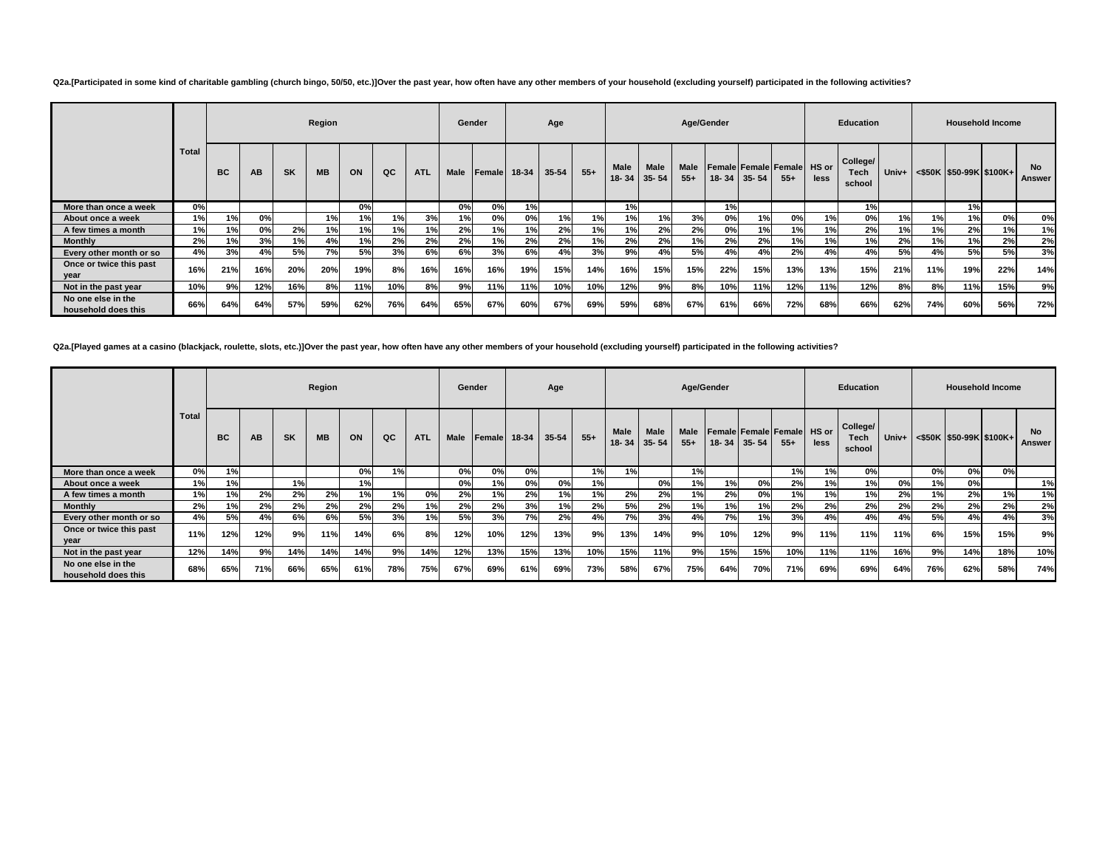**Q2a.[Participated in some kind of charitable gambling (church bingo, 50/50, etc.)]Over the past year, how often have any other members of your household (excluding yourself) participated in the following activities?**

|                                           |              |           |     |           | Region    |     |     |            |             | Gender       |     | Age   |       |      |                                  | Age/Gender    |     |             |                                             |      | <b>Education</b>           |     |     |                                                   | <b>Household Income</b> |                     |
|-------------------------------------------|--------------|-----------|-----|-----------|-----------|-----|-----|------------|-------------|--------------|-----|-------|-------|------|----------------------------------|---------------|-----|-------------|---------------------------------------------|------|----------------------------|-----|-----|---------------------------------------------------|-------------------------|---------------------|
|                                           | <b>Total</b> | <b>BC</b> | AB  | <b>SK</b> | <b>MB</b> | ON  | QC  | <b>ATL</b> | <b>Male</b> | Female 18-34 |     | 35-54 | $55+$ | Male | <b>Male</b><br>$18 - 34$ 35 - 54 | Male<br>$55+$ |     | 18-34 35-54 | <b>Female Female Female HS or</b><br>$55 +$ | less | College/<br>Tech<br>school |     |     | Univ+ $\leq$ \$50K $\mid$ \$50-99K $\mid$ \$100K+ |                         | <b>No</b><br>Answer |
| More than once a week                     | 0%           |           |     |           |           | 0%  |     |            | 0%          | 0%           | 1%  |       |       | 1%   |                                  |               | 1%  |             |                                             |      | 1%                         |     |     | 1%                                                |                         |                     |
| About once a week                         | 1%           | 1%        | 0%  |           | 1%        | 1%  | 1%  | 3%         | 1%          | 0%           | 0%  | 1%    | 1%    | 1%   | 1%                               | 3%            | 0%  | 1%          | 0%                                          | 1%   | 0%                         | 1%  | 1%  | 1%                                                | 0%                      | 0%                  |
| A few times a month                       | 1%           | 1%        | 0%  | 2%        | 1%        | 1%  | 1%  | 1%         | 2%          | 1%           | 1%  | 2%    | 1%    | 1%   | 2%                               | 2%            | 0%  | 1%          | 1%                                          | 1%   | 2%                         | 1%  | 1%  | 2%                                                | 1%                      | 1%                  |
| <b>Monthly</b>                            | 2%           | 1%        | 3%  | 1%        | 4%        | 1%  | 2%  | 2%         | 2%          | 1%           | 2%  | 2%    | 1%    | 2%   | 2%                               | 1%            | 2%  | 2%          | 1%                                          | 1%   | 1%                         | 2%  | 1%  | 1%                                                | 2%                      | 2%                  |
| Every other month or so                   | 4%           | 3%        | 4%  | 5%        | 7%        | 5%  | 3%  | 6%         | 6%          | 3%           | 6%  | 4%    | 3%    | 9%   | 4%                               | 5%            | 4%  | 4%          | 2%                                          | 4%   | 4%                         | 5%  | 4%  | 5%                                                | 5%                      | 3%                  |
| Once or twice this past<br>year           | 16%          | 21%       | 16% | 20%       | 20%       | 19% | 8%  | 16%        | 16%         | 16%          | 19% | 15%   | 14%   | 16%  | 15%                              | 15%           | 22% | 15%         | 13%                                         | 13%  | 15%                        | 21% | 11% | 19%                                               | 22%                     | 14%                 |
| Not in the past year                      | 10%          | 9%        | 12% | 16%       | 8%        | 11% | 10% | 8%         | 9%          | 11%          | 11% | 10%   | 10%   | 12%  | 9%                               | 8%            | 10% | 11%         | 12%                                         | 11%  | 12%                        | 8%  | 8%  | 11%                                               | 15%                     | 9%                  |
| No one else in the<br>household does this | 66%          | 64%       | 64% | 57%       | 59%       | 62% | 76% | 64%        | 65%         | 67%          | 60% | 67%   | 69%   | 59%  | 68%                              | 67%           | 61% | 66%         | 72%                                         | 68%  | 66%                        | 62% | 74% | 60%                                               | 56%                     | 72%                 |

**Q2a.[Played games at a casino (blackjack, roulette, slots, etc.)]Over the past year, how often have any other members of your household (excluding yourself) participated in the following activities?**

|                                           |              |           |     |           | Region    |     |     |            | Gender      |        |       | Age       |       |             |                     | Age/Gender    |           |             |                                            |      | <b>Education</b>           |       |     |     | <b>Household Income</b> |                     |
|-------------------------------------------|--------------|-----------|-----|-----------|-----------|-----|-----|------------|-------------|--------|-------|-----------|-------|-------------|---------------------|---------------|-----------|-------------|--------------------------------------------|------|----------------------------|-------|-----|-----|-------------------------|---------------------|
|                                           | <b>Total</b> | <b>BC</b> | AB  | <b>SK</b> | <b>MB</b> | ON  | QC  | <b>ATL</b> | <b>Male</b> | Female | 18-34 | $35 - 54$ | $55+$ | <b>Male</b> | Male<br>18-34 35-54 | Male<br>$55+$ |           | 18-34 35-54 | <b>Female Female Female HS or</b><br>$55+$ | less | College/<br>Tech<br>school | Univ+ |     |     | <\$50K \$50-99K \$100K+ | <b>No</b><br>Answer |
| More than once a week                     | 0%           | 1%        |     |           |           | 0%  | 1%  |            | 0%          | 0%     | 0%    |           | 1%    | 1%          |                     | 1%            |           |             | 1%                                         | 1%   | 0%                         |       | 0%  | 0%  | 0%                      |                     |
| About once a week                         | 1%           | 1%        |     | 1%        |           | 1%  |     |            | 0%          | 1%     | 0%    | 0%        | 1%    |             | 0%                  | 1%            | 1%        | 0%          | 2%                                         | 1%   | 1%                         | 0%    | 1%  | 0%  |                         | 1%                  |
| A few times a month                       | 1%           | 1%        | 2%  | 2%        | 2%        | 1%  | 1%  | 0%         | 2%          | 1%     | 2%    | 1%        | 1%    | 2%          | 2%                  | 1%            | 2%        | 0%          | 1%                                         | 1%   | 1%                         | 2%    | 1%  | 2%  | 1%                      | 1%                  |
| <b>Monthly</b>                            | 2%           | 1%        | 2%  | 2%        | 2%        | 2%  | 2%  | 1%         | 2%          | 2%     | 3%    | 1%        | 2%    | 5%          | 2%                  | 1%            | 1%        | 1%          | 2%                                         | 2%   | 2%                         | 2%    | 2%  | 2%  | 2%                      | 2%                  |
| Every other month or so                   | 4%           | 5%        | 4%  | 6%        | 6%        | 5%  | 3%  | 1%         | 5%          | 3%     | 7%    | 2%        | 4%    | 7%          | 3%                  | 4%            | <b>7%</b> | 1%          | 3%                                         | 4%   | 4%                         | 4%    | 5%  | 4%  | 4%                      | 3%                  |
| Once or twice this past<br>year           | 11%          | 12%       | 12% | 9%        | 11%       | 14% | 6%  | 8%         | 12%         | 10%    | 12%   | 13%       | 9%    | 13%         | 14%                 | 9%            | 10%       | 12%         | 9%                                         | 11%  | 11%                        | 11%   | 6%  | 15% | 15%                     | 9%                  |
| Not in the past year                      | 12%          | 14%       | 9%  | 14%       | 14%       | 14% | 9%  | 14%        | 12%         | 13%    | 15%   | 13%       | 10%   | 15%         | 11%                 | 9%            | 15%       | 15%         | 10%                                        | 11%  | 11%                        | 16%   | 9%  | 14% | 18%                     | 10%                 |
| No one else in the<br>household does this | 68%          | 65%       | 71% | 66%       | 65%       | 61% | 78% | 75%        | 67%         | 69%    | 61%   | 69%       | 73%   | 58%         | 67%                 | 75%           | 64%       | 70%         | 71%                                        | 69%  | 69%                        | 64%   | 76% | 62% | 58%                     | 74%                 |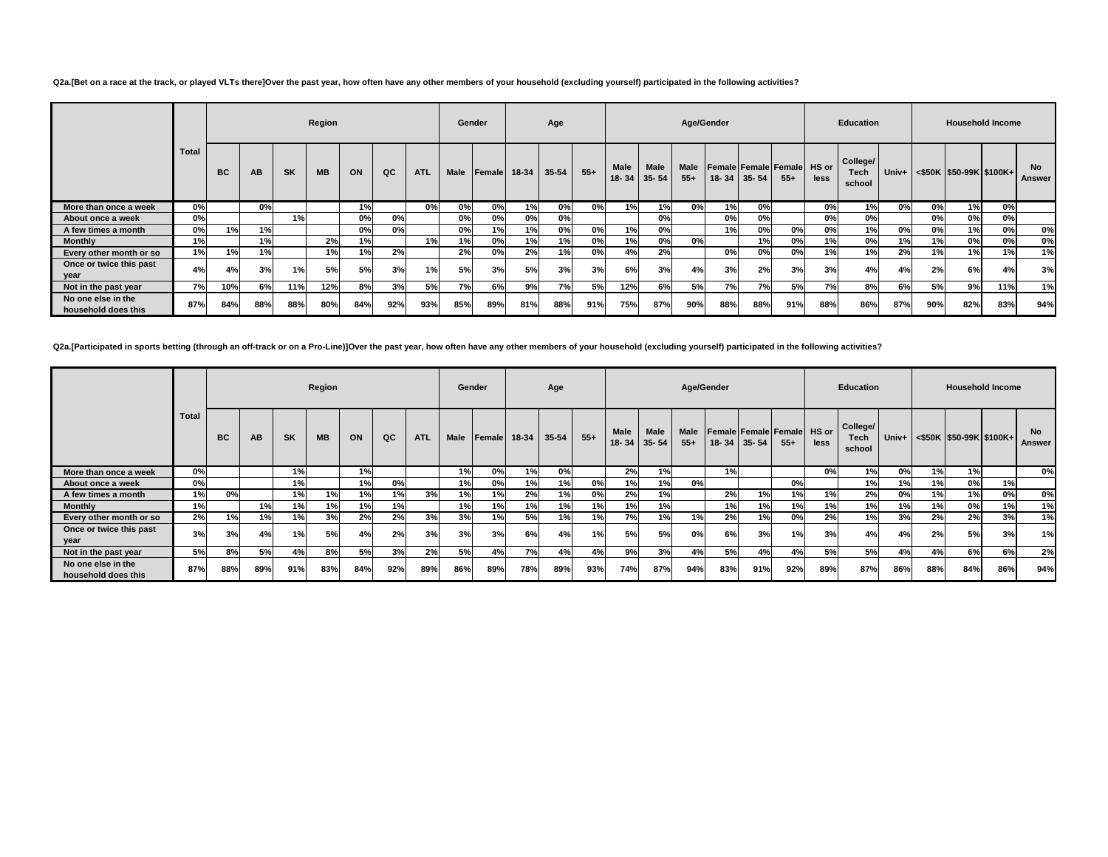### **Q2a.[Bet on a race at the track, or played VLTs there]Over the past year, how often have any other members of your household (excluding yourself) participated in the following activities?**

|                                           |       |           |     |           | Region    |     |     |            | Gender      |              |     | Age   |       |                          |                          | Age/Gender    |           |           |                                      |      | <b>Education</b>           |       |     |     | <b>Household Income</b>       |                     |
|-------------------------------------------|-------|-----------|-----|-----------|-----------|-----|-----|------------|-------------|--------------|-----|-------|-------|--------------------------|--------------------------|---------------|-----------|-----------|--------------------------------------|------|----------------------------|-------|-----|-----|-------------------------------|---------------------|
|                                           | Total | <b>BC</b> | AB  | <b>SK</b> | <b>MB</b> | ON  | QC  | <b>ATL</b> | <b>Male</b> | Female 18-34 |     | 35-54 | $55+$ | <b>Male</b><br>$18 - 34$ | <b>Male</b><br>$35 - 54$ | Male<br>$55+$ | $18 - 34$ | $35 - 54$ | Female Female Female HS or<br>$55 +$ | less | College/<br>Tech<br>school | Univ+ |     |     | $\leq$ \$50K \$50-99K \$100K+ | <b>No</b><br>Answer |
| More than once a week                     | 0%    |           | 0%  |           |           | 1%  |     | 0%         | 0%          | 0%           | 1%  | 0%    | 0%    | 1%                       | 1%                       | 0%            | 1%        | 0%        |                                      | 0%   | 1%I                        | 0%    | 0%  | 1%  | 0%                            |                     |
| About once a week                         | 0%    |           |     | 1%        |           | 0%  | 0%  |            | 0%          | 0%           | 0%  | 0%    |       |                          | 0%                       |               | 0%        | 0%        |                                      | 0%   | 0%                         |       | 0%  | 0%  | О%                            |                     |
| A few times a month                       | 0%    | 1%        | 1%  |           |           | 0%  | 0%  |            | 0%          | 1%           | 1%  | 0%    | 0%    | 1%                       | 0%                       |               | 1%        | 0%        | 0%                                   | 0%   | 1%                         | 0%    | 0%  | 1%  | 0%                            | 0%                  |
| <b>Monthly</b>                            | 1%    |           | 1%  |           | 2%        | 1%  |     | 1%         | 1%          | 0%           | 1%  | 1%    | 0%    | 1%                       | 0%                       | 0%            |           | 1%I       | 0%                                   | 1%   | 0%                         | 1%    | 1%  | 0%  | 0%                            | 0%                  |
| Every other month or so                   | 1%    | 1%        | 1%  |           | 1%        | 1%  | 2%  |            | 2%          | 0%           | 2%  | 1%    | 0%    | 4%                       | 2%                       |               | 0%        | 0%        | 0%                                   | 1%   | 1%                         | 2%    | 1%  | 1%  | 1%l                           | 1%                  |
| Once or twice this past<br>year           | 4%    | 4%        | 3%  | 1%        | 5%        | 5%  | 3%  | 1%         | 5%          | 3%           | 5%  | 3%    | 3%    | 6%                       | 3%                       | 4%            | 3%        | 2%        | 3%                                   | 3%   | 4%                         | 4%    | 2%  | 6%  | 4%                            | 3%                  |
| Not in the past year                      | 7%    | 10%       | 6%  | 11%       | 12%       | 8%  | 3%  | 5%         | 7%          | 6%           | 9%  | 7%    | 5%    | 12%                      | 6%                       | 5%            | 7%        | 7%        | 5%                                   | 7%   | 8%                         | 6%    | 5%  | 9%  | 11%                           | 1%                  |
| No one else in the<br>household does this | 87%   | 84%       | 88% | 88%       | 80%       | 84% | 92% | 93%        | 85%         | 89%          | 81% | 88%   | 91%   | 75%                      | 87%                      | 90%           | 88%       | 88%       | 91%                                  | 88%  | 86%                        | 87%   | 90% | 82% | 83%                           | 94%                 |

### **Q2a.[Participated in sports betting (through an off-track or on a Pro-Line)]Over the past year, how often have any other members of your household (excluding yourself) participated in the following activities?**

|                                           |              |           |     |           | Region    |     |     |            |             | Gender       |     | Age   |       |      |                           |               | Age/Gender |                   |                                             |      | <b>Education</b>           |       |     | <b>Household Income</b>           |     |                     |
|-------------------------------------------|--------------|-----------|-----|-----------|-----------|-----|-----|------------|-------------|--------------|-----|-------|-------|------|---------------------------|---------------|------------|-------------------|---------------------------------------------|------|----------------------------|-------|-----|-----------------------------------|-----|---------------------|
|                                           | <b>Total</b> | <b>BC</b> | AВ  | <b>SK</b> | <b>MB</b> | ON  | QC  | <b>ATL</b> | <b>Male</b> | Female 18-34 |     | 35-54 | $55+$ | Male | Male<br>$18 - 34$ 35 - 54 | Male<br>$55+$ |            | $18 - 34$ 35 - 54 | <b>Female Female Female HS or</b><br>$55 +$ | less | College/<br>Tech<br>school | Univ+ |     | $\leq$ \$50K   \$50-99K   \$100K+ |     | <b>No</b><br>Answer |
| More than once a week                     | 0%           |           |     | 1%        |           | 1%  |     |            | 1%          | 0%           | 1%  | 0%    |       | 2%   | 1%                        |               | 1%         |                   |                                             | 0%   | 1%                         | 0%    | 1%  | 1%                                |     | 0%                  |
| About once a week                         | 0%           |           |     | 1%        |           | 1%  | 0%  |            | 1%          | 0%           | 1%  | 1%    | 0%    | 1%   | 1%                        | 0%            |            |                   | 0%                                          |      | 1%                         | 1%    | 1%  | 0%                                | 1%  |                     |
| A few times a month                       | 1%           | 0%        |     | 1%        | 1%        | 1%  | 1%  | 3%         | 1%          | 1%           | 2%  | 1%    | 0%    | 2%   | 1%                        |               | 2%         | 1%                | 1%                                          | 1%   | 2%                         | 0%    | 1%  | 1%                                | 0%  | 0%                  |
| <b>Monthly</b>                            | 1%           |           | 1%  | 1%        | 1%        | 1%  | 1%  |            | 1%          | 1%           | 1%  | 1%    | 1%    | 1%   | 1%                        |               | 1%         | 1%                | 1%                                          | 1%   | 1%                         | 1%    | 1%  | 0%                                | 1%  | 1%                  |
| Every other month or so                   | 2%           | 1%        | 1%  | 1%        | 3%        | 2%  | 2%  | 3%         | 3%          | 1%           | 5%  | 1%    | 1%    | 7%   | 1%                        | 1%            | 2%         | 1%                | 0%                                          | 2%   | 1%                         | 3%    | 2%  | 2%                                | 3%  | 1%                  |
| Once or twice this past<br>year           | 3%           | 3%        | 4%  | 1%        | 5%        | 4%  | 2%  | 3%         | 3%          | 3%           | 6%  | 4%    | 1%    | 5%   | 5%                        | 0%            | 6%         | 3%                | 1%                                          | 3%   | 4%                         | 4%    | 2%  | 5%                                | 3%  | 1%                  |
| Not in the past year                      | 5%           | 8%        | 5%  | 4%        | 8%        | 5%  | 3%  | 2%         | 5%          | 4%           | 7%  | 4%    | 4%    | 9%   | 3%                        | 4%            | 5%         | 4%                | 4%                                          | 5%   | 5%                         | 4%    | 4%  | 6%                                | 6%  | 2%                  |
| No one else in the<br>household does this | 87%          | 88%       | 89% | 91%       | 83%       | 84% | 92% | 89%        | 86%         | 89%          | 78% | 89%   | 93%   | 74%  | 87%                       | 94%           | 83%        | 91%               | 92%                                         | 89%  | 87%                        | 86%   | 88% | 84%                               | 86% | 94%                 |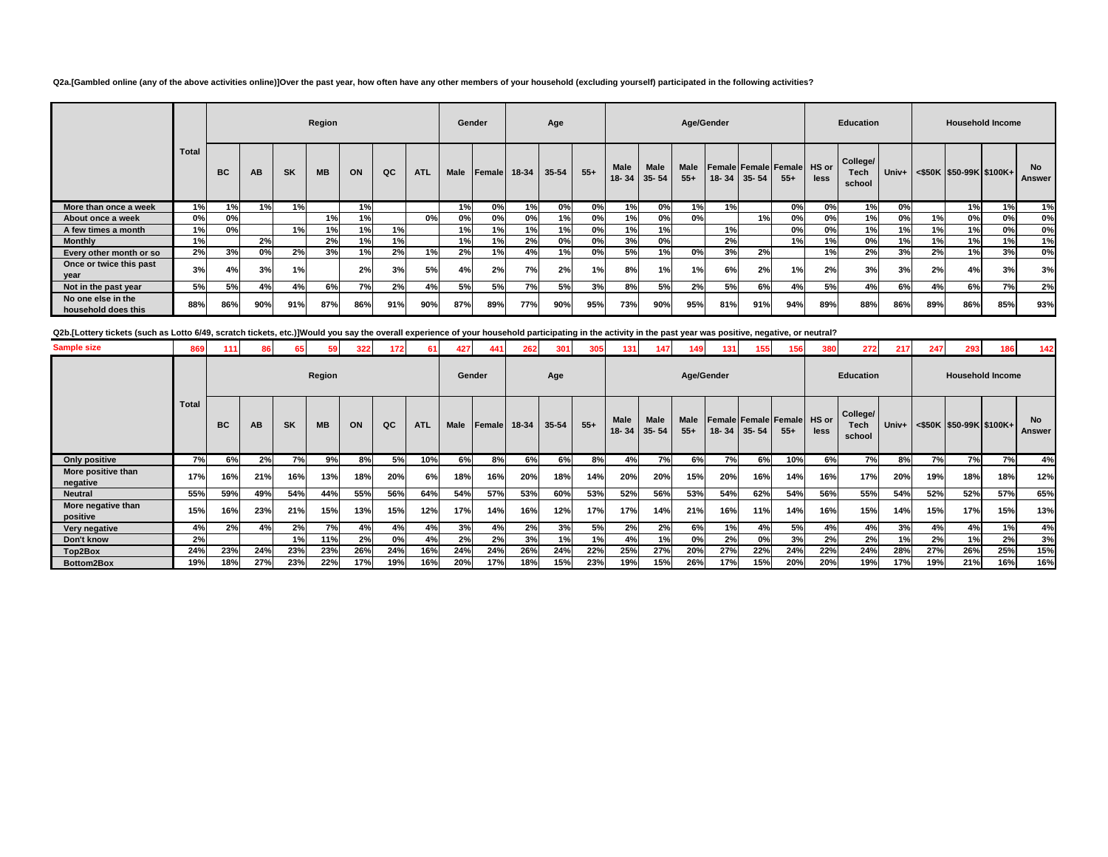**Q2a.[Gambled online (any of the above activities online)]Over the past year, how often have any other members of your household (excluding yourself) participated in the following activities?**

|                                           |       |           |     |           | Region    |     |     |            | Gender |              |     | Age   |       |                                  |             |                      | Age/Gender |           |                                     |      | <b>Education</b>           |       |     |     | <b>Household Income</b>    |                     |
|-------------------------------------------|-------|-----------|-----|-----------|-----------|-----|-----|------------|--------|--------------|-----|-------|-------|----------------------------------|-------------|----------------------|------------|-----------|-------------------------------------|------|----------------------------|-------|-----|-----|----------------------------|---------------------|
|                                           | Total | <b>BC</b> | AB  | <b>SK</b> | <b>MB</b> | ON  | QC  | <b>ATL</b> | Male   | Female 18-34 |     | 35-54 | $55+$ | <b>Male</b><br>$18 - 34$ 35 - 54 | <b>Male</b> | <b>Male</b><br>$55+$ | $18 - 34$  | $35 - 54$ | Female Female Female HS or<br>$55+$ | less | College/<br>Tech<br>school | Univ+ |     |     | $<$ \$50K \$50-99K \$100K+ | <b>No</b><br>Answer |
| More than once a week                     | 1%    | 1%        | 1%  | 1%        |           | 1%  |     |            | 1%     | 0%           | 1%  | 0%    | 0%    | 1%                               | 0%          | 1%                   | 1%         |           | 0%                                  | 0%   | 1%                         | 0%    |     | 1%  | 1%                         | 1%                  |
| About once a week                         | 0%    | 0%        |     |           | 1%        | 1%  |     | 0%         | 0%     | 0%           | 0%  | 1%    | 0%    | 1%                               | 0%          | 0%                   |            | 1%        | 0%                                  | 0%   | 1%                         | 0%    | 1%  | 0%  | 0%                         | 0%                  |
| A few times a month                       | 1%    | 0%        |     | 1%        | 1%        | 1%  | 1%  |            | 1%     | 1%           | 1%  | 1%    | 0%    | 1%                               | 1%          |                      | 1%         |           | 0%                                  | 0%   | 1%                         | 1%    | 1%  | 1%  | 0%                         | 0%                  |
| <b>Monthly</b>                            | 1%    |           | 2%  |           | 2%        | 1%  | 1%  |            | 1%     | 1%           | 2%  | 0%    | 0%    | 3%                               | 0%          |                      | 2%         |           | 1%                                  | 1%   | 0%                         | 1%    | 1%  | 1%  | 1%                         | 1%                  |
| Every other month or so                   | 2%    | 3%        | 0%  | 2%        | 3%        | 1%  | 2%  | 1%         | 2%     | 1%           | 4%  | 1%    | 0%    | 5%                               | 1%          | 0%                   | 3%         | 2%        |                                     | 1%   | 2%                         | 3%    | 2%  | 1%  | 3%                         | 0%                  |
| Once or twice this past<br>year           | 3%    | 4%        | 3%  | 1%        |           | 2%  | 3%  | 5%         | 4%     | 2%           | 7%  | 2%    | 1%    | 8%                               | 1%          | 1%                   | 6%         | 2%        | 1%                                  | 2%   | 3%                         | 3%    | 2%  | 4%  | 3%                         | 3%                  |
| Not in the past year                      | 5%    | 5%        | 4%  | 4%        | 6%        | 7%  | 2%  | 4%         | 5%     | 5%           | 7%  | 5%    | 3%    | 8%                               | 5%          | 2%                   | 5%         | 6%        | 4%                                  | 5%   | 4%                         | 6%    | 4%  | 6%  | 7%                         | 2%                  |
| No one else in the<br>household does this | 88%   | 86%       | 90% | 91%       | 87%       | 86% | 91% | 90%        | 87%    | 89%          | 77% | 90%   | 95%   | 73%                              | 90%         | 95%                  | 81%        | 91%       | 94%                                 | 89%  | 88%                        | 86%   | 89% | 86% | 85%                        | 93%                 |

**Q2b.[Lottery tickets (such as Lotto 6/49, scratch tickets, etc.)]Would you say the overall experience of your household participating in the activity in the past year was positive, negative, or neutral?**

| <b>Sample size</b>             | 869          | 111       | 86        | 65        | 59        | 322 | 172 | 61         | 427         | 441          | 262 | 301   | 305   | 131                  | 147                      | 149                  | 1311 | 155         | 156                                 | 380  | 272                        | 217        | 247 | 293                     | 186                     | 142                 |
|--------------------------------|--------------|-----------|-----------|-----------|-----------|-----|-----|------------|-------------|--------------|-----|-------|-------|----------------------|--------------------------|----------------------|------|-------------|-------------------------------------|------|----------------------------|------------|-----|-------------------------|-------------------------|---------------------|
|                                |              |           |           |           | Region    |     |     |            | Gender      |              |     | Age   |       |                      |                          | Age/Gender           |      |             |                                     |      | <b>Education</b>           |            |     |                         | <b>Household Income</b> |                     |
|                                | <b>Total</b> | <b>BC</b> | <b>AB</b> | <b>SK</b> | <b>MB</b> | ON  | QC  | <b>ATL</b> | <b>Male</b> | Female 18-34 |     | 35-54 | $55+$ | <b>Male</b><br>18-34 | <b>Male</b><br>$35 - 54$ | <b>Male</b><br>$55+$ |      | 18-34 35-54 | Female Female Female HS or<br>$55+$ | less | College/<br>Tech<br>school | Univ+ $\ $ |     | <\$50K \$50-99K \$100K+ |                         | <b>No</b><br>Answer |
| Only positive                  | 7%           | 6%        | 2%        | 7%        | 9%        | 8%  | 5%  | 10%        | 6%          | 8%           | 6%  | 6%    | 8%    | 4%                   | 7%                       | 6%                   | 7%   | 6%          | 10%                                 | 6%   | 7%                         | 8%         | 7%  | 7%                      | 7%                      | 4%                  |
| More positive than<br>negative | 17%          | 16%       | 21%       | 16%       | 13%       | 18% | 20% | 6%         | 18%         | 16%          | 20% | 18%   | 14%   | 20%                  | 20%                      | 15%                  | 20%  | 16%         | 14%                                 | 16%  | 17%                        | 20%        | 19% | 18%                     | 18%                     | 12%                 |
| <b>Neutral</b>                 | 55%          | 59%       | 49%       | 54%       | 44%       | 55% | 56% | 64%        | 54%         | 57%          | 53% | 60%   | 53%   | 52%                  | 56%                      | 53%                  | 54%  | 62%         | 54%                                 | 56%  | 55%                        | 54%        | 52% | 52%                     | 57%                     | 65%                 |
| More negative than<br>positive | 15%          | 16%       | 23%       | 21%       | 15%       | 13% | 15% | 12%        | 17%         | 14%          | 16% | 12%   | 17%   | 17%                  | 14%                      | 21%                  | 16%  | 11%         | 14%                                 | 16%  | 15%                        | 14%        | 15% | 17%                     | 15%                     | 13%                 |
| Very negative                  | 4%           | 2%        | 4%        | 2%        | <b>7%</b> | 4%  | 4%  | 4%         | 3%          | 4%           | 2%  | 3%    | 5%    | 2%                   | 2%                       | 6%                   | 1%   | 4%          | 5%                                  | 4%   | 4%                         | 3%         | 4%  | 4%                      | 1%                      | 4%                  |
| Don't know                     | 2%           |           |           | 1%        | 11%       | 2%  | 0%  | 4%         | 2%          | 2%           | 3%  | 1%    | 1%    | 4%                   | 1%                       | 0%                   | 2%   | 0%          | 3%                                  | 2%   | 2%                         | 1%         | 2%  | 1%                      | 2%                      | 3%                  |
| Top2Box                        | 24%          | 23%       | 24%       | 23%       | 23%       | 26% | 24% | 16%        | 24%         | 24%          | 26% | 24%   | 22%   | 25%                  | 27%                      | 20%                  | 27%  | 22%         | 24%                                 | 22%  | 24%                        | 28%        | 27% | 26%                     | 25%                     | 15%                 |
| Bottom2Box                     | 19%          | 18%       | 27%       | 23%       | 22%       | 17% | 19% | 16%        | 20%         | 17%          | 18% | 15%   | 23%   | 19%                  | 15%                      | 26%                  | 17%  | 15%         | 20%                                 | 20%  | 19%                        | 17%        | 19% | 21%                     | 16%                     | 16%                 |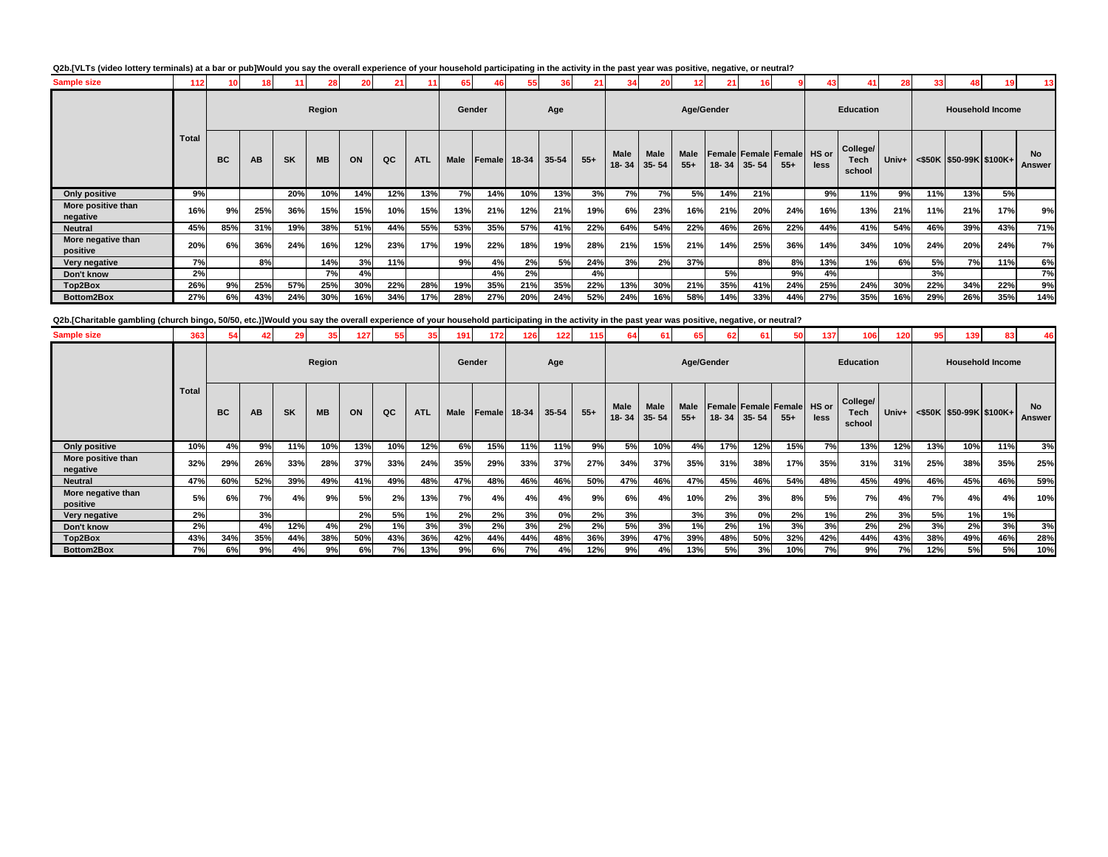### **Q2b.[VLTs (video lottery terminals) at a bar or pub]Would you say the overall experience of your household participating in the activity in the past year was positive, negative, or neutral?**

| <b>Sample size</b>             | 112          | 10        | 18  | 11        | 281       |     |     |            | 65          |              |     |       | 21    |                          | 20                       | 12            | $21 \n$ |                   |                                            |      |                            | 28    | 331 | 48 I |                               | 13 <sup>1</sup>     |
|--------------------------------|--------------|-----------|-----|-----------|-----------|-----|-----|------------|-------------|--------------|-----|-------|-------|--------------------------|--------------------------|---------------|---------|-------------------|--------------------------------------------|------|----------------------------|-------|-----|------|-------------------------------|---------------------|
|                                |              |           |     |           | Region    |     |     |            | Gender      |              |     | Age   |       |                          |                          | Age/Gender    |         |                   |                                            |      | <b>Education</b>           |       |     |      | <b>Household Income</b>       |                     |
|                                | <b>Total</b> | <b>BC</b> | AB  | <b>SK</b> | <b>MB</b> | ON  | QC  | <b>ATL</b> | <b>Male</b> | Female 18-34 |     | 35-54 | $55+$ | <b>Male</b><br>$18 - 34$ | <b>Male</b><br>$35 - 54$ | Male<br>$55+$ |         | $18 - 34$ 35 - 54 | <b>Female Female Female HS or</b><br>$55+$ | less | College/<br>Tech<br>school | Univ+ |     |      | $\leq$ \$50K \$50-99K \$100K+ | <b>No</b><br>Answer |
| Only positive                  | 9%           |           |     | 20%       | 10%       | 14% | 12% | 13%        | 7%          | 14%          | 10% | 13%   | 3%    | 7%                       | 7%                       | 5%            | 14%     | 21%               |                                            | 9%   | 11%                        | 9%    | 11% | 13%  | 5%                            |                     |
| More positive than<br>negative | 16%          | 9%        | 25% | 36%       | 15%       | 15% | 10% | 15%        | 13%         | 21%          | 12% | 21%   | 19%   | 6%                       | 23%                      | 16%           | 21%     | 20%               | 24%                                        | 16%  | 13%                        | 21%   | 11% | 21%  | 17%                           | 9%                  |
| <b>Neutral</b>                 | 45%          | 85%       | 31% | 19%       | 38%       | 51% | 44% | 55%        | 53%         | 35%          | 57% | 41%   | 22%   | 64%                      | 54%                      | 22%           | 46%     | 26%               | 22%                                        | 44%  | 41%                        | 54%   | 46% | 39%  | 43%                           | 71%                 |
| More negative than<br>positive | 20%          | 6%        | 36% | 24%       | 16%       | 12% | 23% | 17%        | 19%         | 22%          | 18% | 19%   | 28%   | 21%                      | 15%                      | 21%           | 14%     | 25%               | 36%                                        | 14%  | 34%                        | 10%   | 24% | 20%  | 24%                           | 7%                  |
| Very negative                  | 7%           |           | 8%  |           | 14%       | 3%  | 11% |            | 9%          | 4%           | 2%  | 5%    | 24%   | 3%                       | 2%                       | 37%           |         | 8%                | 8%                                         | 13%  | 1%                         | 6%    | 5%  | 7%   | 11%                           | 6%                  |
| Don't know                     | 2%           |           |     |           | 7%        | 4%  |     |            |             | 4%           | 2%  |       | 4%    |                          |                          |               | 5%      |                   | 9%                                         | 4%   |                            |       | 3%  |      |                               | 7%                  |
| Top2Box                        | 26%          | 9%        | 25% | 57%       | 25%       | 30% | 22% | 28%        | 19%         | 35%          | 21% | 35%   | 22%   | 13%                      | 30%                      | 21%           | 35%     | 41%               | 24%                                        | 25%  | 24%                        | 30%   | 22% | 34%  | 22%                           | 9%                  |
| <b>Bottom2Box</b>              | 27%          | 6%        | 43% | 24%       | 30%       | 16% | 34% | 17%        | 28%         | 27%          | 20% | 24%   | 52%   | 24%                      | 16%                      | 58%           | 14%     | 33%               | 44%                                        | 27%  | 35%                        | 16%   | 29% | 26%  | 35%                           | 14%                 |

**Q2b.[Charitable gambling (church bingo, 50/50, etc.)]Would you say the overall experience of your household participating in the activity in the past year was positive, negative, or neutral?**

| <b>Sample size</b>             | 363          |           |     | 29        |           | 127. | 55        |            | 191         | 172    | 126   | 122       |       |                     |             |               | 62    | 61        | 50                                         | 137  | 106                        | 120   | 95  | 139                           | 83  | 46                  |
|--------------------------------|--------------|-----------|-----|-----------|-----------|------|-----------|------------|-------------|--------|-------|-----------|-------|---------------------|-------------|---------------|-------|-----------|--------------------------------------------|------|----------------------------|-------|-----|-------------------------------|-----|---------------------|
|                                |              |           |     |           | Region    |      |           |            | Gender      |        |       | Age       |       |                     |             | Age/Gender    |       |           |                                            |      | <b>Education</b>           |       |     | <b>Household Income</b>       |     |                     |
|                                | <b>Total</b> | <b>BC</b> | AВ  | <b>SK</b> | <b>MB</b> | ON   | QC        | <b>ATL</b> | <b>Male</b> | Female | 18-34 | $35 - 54$ | $55+$ | Male<br>18-34 35-54 | <b>Male</b> | Male<br>$55+$ | 18-34 | $35 - 54$ | <b>Female Female Female HS or</b><br>$55+$ | less | College/<br>Tech<br>school | Univ+ |     | $\leq$ \$50K \$50-99K \$100K+ |     | <b>No</b><br>Answer |
| <b>Only positive</b>           | 10%          | 4%        | 9%  | 11%       | 10%       | 13%  | 10%       | 12%        | 6%          | 15%    | 11%   | 11%       | 9%    | 5%                  | 10%         | 4%            | 17%   | 12%       | 15%                                        | 7%   | 13%                        | 12%   | 13% | 10%                           | 11% | 3%                  |
| More positive than<br>negative | 32%          | 29%       | 26% | 33%       | 28%       | 37%  | 33%       | 24%        | 35%         | 29%    | 33%   | 37%       | 27%   | 34%                 | 37%         | 35%           | 31%   | 38%       | 17%                                        | 35%  | 31%                        | 31%   | 25% | 38%                           | 35% | 25%                 |
| <b>Neutral</b>                 | 47%          | 60%       | 52% | 39%       | 49%       | 41%  | 49%       | 48%        | 47%         | 48%    | 46%   | 46%       | 50%   | 47%                 | 46%         | 47%           | 45%   | 46%       | 54%                                        | 48%  | 45%                        | 49%   | 46% | 45%                           | 46% | 59%                 |
| More negative than<br>positive | 5%           | 6%        | 7%  | 4%        | 9%        | 5%   | 2%        | 13%        | <b>7%</b>   | 4%     | 4%    | 4%        | 9%    | 6%                  | 4%          | 10%           | 2%    | 3%        | 8%                                         | 5%   | 7%                         | 4%    | 7%  | 4%                            | 4%  | 10%                 |
| Very negative                  | 2%           |           | 3%  |           |           | 2%   | <b>5%</b> | 1%         | 2%          | 2%     | 3%    | 0%        | 2%    | 3%                  |             | 3%            | 3%    | 0%        | 2%                                         | 1%   | 2%                         | 3%    | 5%  | 1%                            | 1%  |                     |
| Don't know                     | 2%           |           | 4%  | 12%       | 4%        | 2%   | 1%        | 3%         | 3%          | 2%     | 3%    | 2%        | 2%    | 5%                  | 3%          | 1%            | 2%    | 1%        | 3%                                         | 3%   | 2%                         | 2%    | 3%  | 2%                            | 3%  | 3%                  |
| Top2Box                        | 43%          | 34%       | 35% | 44%       | 38%       | 50%  | 43%       | 36%        | 42%         | 44%    | 44%   | 48%       | 36%   | 39%                 | 47%         | 39%           | 48%   | 50%       | 32%                                        | 42%  | 44%                        | 43%   | 38% | 49%                           | 46% | 28%                 |
| Bottom2Box                     | 7%           | 6%        | 9%  | 4%        | 9%        | 6%   | 7%        | 13%        | 9%          | 6%     | 7%I   | 4%        | 12%   | 9%                  | 4%          | 13%           | 5%    | 3%        | 10%                                        | 7%   | 9%                         | 7%    | 12% | 5%                            | 5%  | 10%                 |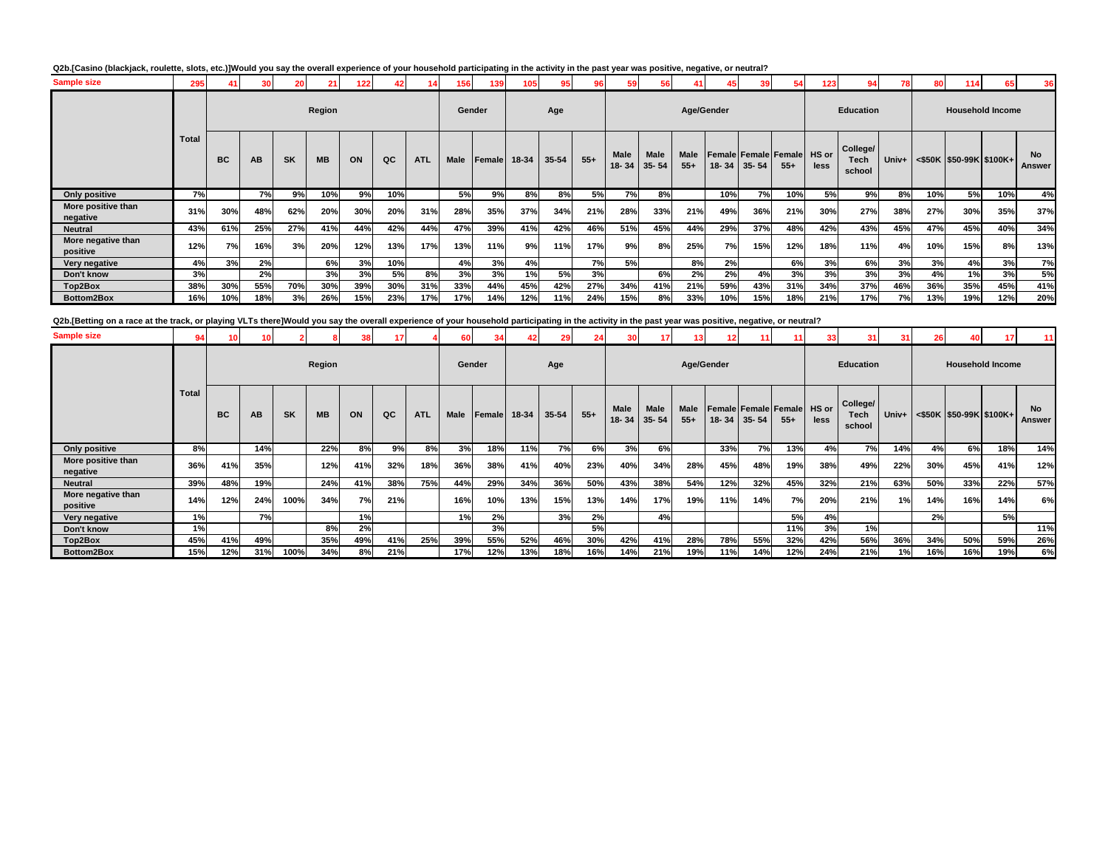### **Q2b.[Casino (blackjack, roulette, slots, etc.)]Would you say the overall experience of your household participating in the activity in the past year was positive, negative, or neutral?**

| <b>Sample size</b>             | 295          | 41  | 30 <sup>1</sup> | 20        | 21        | 122 | 42  |            | 156         | 139          | 105 | 95 <sub>1</sub> | 96        | 59            | 56                       | 41                   | 45        | 39        |                                     | 123  | 0.A                        | 78    | 80  | 114 | 65                                | 36                  |
|--------------------------------|--------------|-----|-----------------|-----------|-----------|-----|-----|------------|-------------|--------------|-----|-----------------|-----------|---------------|--------------------------|----------------------|-----------|-----------|-------------------------------------|------|----------------------------|-------|-----|-----|-----------------------------------|---------------------|
|                                |              |     |                 |           | Region    |     |     |            | Gender      |              |     | Age             |           |               |                          | Age/Gender           |           |           |                                     |      | <b>Education</b>           |       |     |     | <b>Household Income</b>           |                     |
|                                | <b>Total</b> | BC  | AB              | <b>SK</b> | <b>MB</b> | ON  | QC  | <b>ATL</b> | <b>Male</b> | Female 18-34 |     | 35-54           | $55+$     | Male<br>18-34 | <b>Male</b><br>$35 - 54$ | <b>Male</b><br>$55+$ | $18 - 34$ | $35 - 54$ | Female Female Female HS or<br>$55+$ | less | College/<br>Tech<br>school | Univ+ |     |     | $\leq$ \$50K   \$50-99K   \$100K+ | <b>No</b><br>Answer |
| Only positive                  | 7%           |     | 7%              | 9%        | 10%       | 9%  | 10% |            | 5%          | 9%           | 8%  | 8%              | 5%        | 7%            | 8%                       |                      | 10%       | 7%        | 10%                                 | 5%   | 9%                         | 8%    | 10% | 5%  | 10%                               | 4%                  |
| More positive than<br>negative | 31%          | 30% | 48%             | 62%       | 20%       | 30% | 20% | 31%        | 28%         | 35%          | 37% | 34%             | 21%       | 28%           | 33%                      | 21%                  | 49%       | 36%       | 21%                                 | 30%  | 27%                        | 38%   | 27% | 30% | 35%                               | 37%                 |
| <b>Neutral</b>                 | 43%          | 61% | 25%             | 27%       | 41%       | 44% | 42% | 44%        | 47%         | 39%          | 41% | 42%             | 46%       | 51%           | 45%                      | 44%                  | 29%       | 37%       | 48%                                 | 42%  | 43%                        | 45%   | 47% | 45% | 40%                               | 34%                 |
| More negative than<br>positive | 12%          | 7%  | 16%             | 3%        | 20%       | 12% | 13% | 17%        | 13%         | 11%          | 9%  | 11%             | 17%       | 9%            | 8%                       | 25%                  | 7%        | 15%       | 12%                                 | 18%  | 11%                        | 4%    | 10% | 15% | 8%                                | 13%                 |
| Very negative                  | 4%           | 3%  | 2%              |           | 6%        | 3%  | 10% |            | 4%          | 3%           | 4%  |                 | <b>7%</b> | 5%            |                          | 8%                   | 2%        |           | 6%                                  | 3%   | 6%                         | 3%    | 3%  | 4%  | 3%                                | 7%                  |
| Don't know                     | 3%           |     | 2%              |           | 3%        | 3%  | 5%  | 8%         | 3%          | 3%           | 1%  | <b>5%</b>       | 3%        |               | 6%                       | 2%                   | 2%        | 4%        | 3%                                  | 3%   | 3%                         | 3%    | 4%  | 1%  | 3%                                | 5%                  |
| Top2Box                        | 38%          | 30% | 55%             | 70%       | 30%       | 39% | 30% | 31%        | 33%         | 44%          | 45% | 42%             | 27%       | 34%           | 41%                      | 21%                  | 59%       | 43%       | 31%                                 | 34%  | 37%                        | 46%   | 36% | 35% | 45%                               | 41%                 |
| Bottom2Box                     | 16%          | 10% | 18%             | 3%        | 26%       | 15% | 23% | 17%        | 17%         | 14%          | 12% | 11%             | 24%       | 15%           | 8%                       | 33%                  | 10%       | 15%       | 18%                                 | 21%  | 17%                        | 7%    | 13% | 19% | 12%                               | 20%                 |

Q2b.[Betting on a race at the track, or playing VLTs there]Would you say the overall experience of your household participating in the activity in the past year was positive, negative, or neutral?

| <b>Sample size</b>             | 94 <sub>1</sub> |           |     |           |           |     |     |            | 60 I        |        |       |           |       |             |                     |                      |           |           |                                            | 33   | 31 I                       | 31      | 26  |                               |                         | 11                  |
|--------------------------------|-----------------|-----------|-----|-----------|-----------|-----|-----|------------|-------------|--------|-------|-----------|-------|-------------|---------------------|----------------------|-----------|-----------|--------------------------------------------|------|----------------------------|---------|-----|-------------------------------|-------------------------|---------------------|
|                                |                 |           |     |           | Region    |     |     |            | Gender      |        |       | Age       |       |             |                     | Age/Gender           |           |           |                                            |      | <b>Education</b>           |         |     |                               | <b>Household Income</b> |                     |
|                                | <b>Total</b>    | <b>BC</b> | AВ  | <b>SK</b> | <b>MB</b> | ON  | QC  | <b>ATL</b> | <b>Male</b> | Female | 18-34 | $35 - 54$ | $55+$ | <b>Male</b> | Male<br>18-34 35-54 | <b>Male</b><br>$55+$ | $18 - 34$ | $35 - 54$ | <b>Female Female Female HS or</b><br>$55+$ | less | College/<br>Tech<br>school | $Univ+$ |     | $\leq$ \$50K \$50-99K \$100K+ |                         | <b>No</b><br>Answer |
| Only positive                  | 8%              |           | 14% |           | 22%       | 8%  | 9%  | 8%         | 3%          | 18%    | 11%   | 7%        | 6%    | 3%          | 6%                  |                      | 33%       | 7%        | 13%                                        | 4%   | 7%                         | 14%     | 4%  | 6%                            | 18%                     | 14%                 |
| More positive than<br>negative | 36%             | 41%       | 35% |           | 12%       | 41% | 32% | 18%        | 36%         | 38%    | 41%   | 40%       | 23%   | 40%         | 34%                 | 28%                  | 45%       | 48%       | 19%                                        | 38%  | 49%                        | 22%     | 30% | 45%                           | 41%                     | 12%                 |
| <b>Neutral</b>                 | 39%             | 48%       | 19% |           | 24%       | 41% | 38% | 75%        | 44%         | 29%    | 34%   | 36%       | 50%   | 43%         | 38%                 | 54%                  | 12%       | 32%       | 45%                                        | 32%  | 21%                        | 63%     | 50% | 33%                           | 22%                     | 57%                 |
| More negative than<br>positive | 14%             | 12%       | 24% | 100%      | 34%       | 7%  | 21% |            | 16%         | 10%    | 13%   | 15%       | 13%   | 14%         | 17%                 | 19%                  | 11%       | 14%       | 7%                                         | 20%  | 21%                        | 1%      | 14% | 16%                           | 14%                     | 6%                  |
| Very negative                  | 1%              |           | 7%  |           |           | 1%  |     |            | 1%          | 2%     |       | 3%        | 2%    |             | 4%                  |                      |           |           | 5%                                         | 4%   |                            |         | 2%  |                               | 5%                      |                     |
| Don't know                     | 1%              |           |     |           | 8%        | 2%  |     |            |             | 3%     |       |           | 5%    |             |                     |                      |           |           | 11%                                        | 3%   | 1%                         |         |     |                               |                         | 11%                 |
| Top2Box                        | 45%             | 41%       | 49% |           | 35%       | 49% | 41% | 25%        | 39%         | 55%    | 52%   | 46%       | 30%   | 42%         | 41%                 | 28%                  | 78%       | 55%       | 32%                                        | 42%  | 56%                        | 36%     | 34% | 50%                           | 59%                     | 26%                 |
| Bottom2Box                     | 15%             | 12%       | 31% | 100%      | 34%       | 8%  | 21% |            | 17%         | 12%    | 13%   | 18%       | 16%   | 14%         | 21%                 | 19%                  | 11%       | 14%       | 12%                                        | 24%  | 21%                        | 1%      | 16% | 16%                           | 19%                     | 6%                  |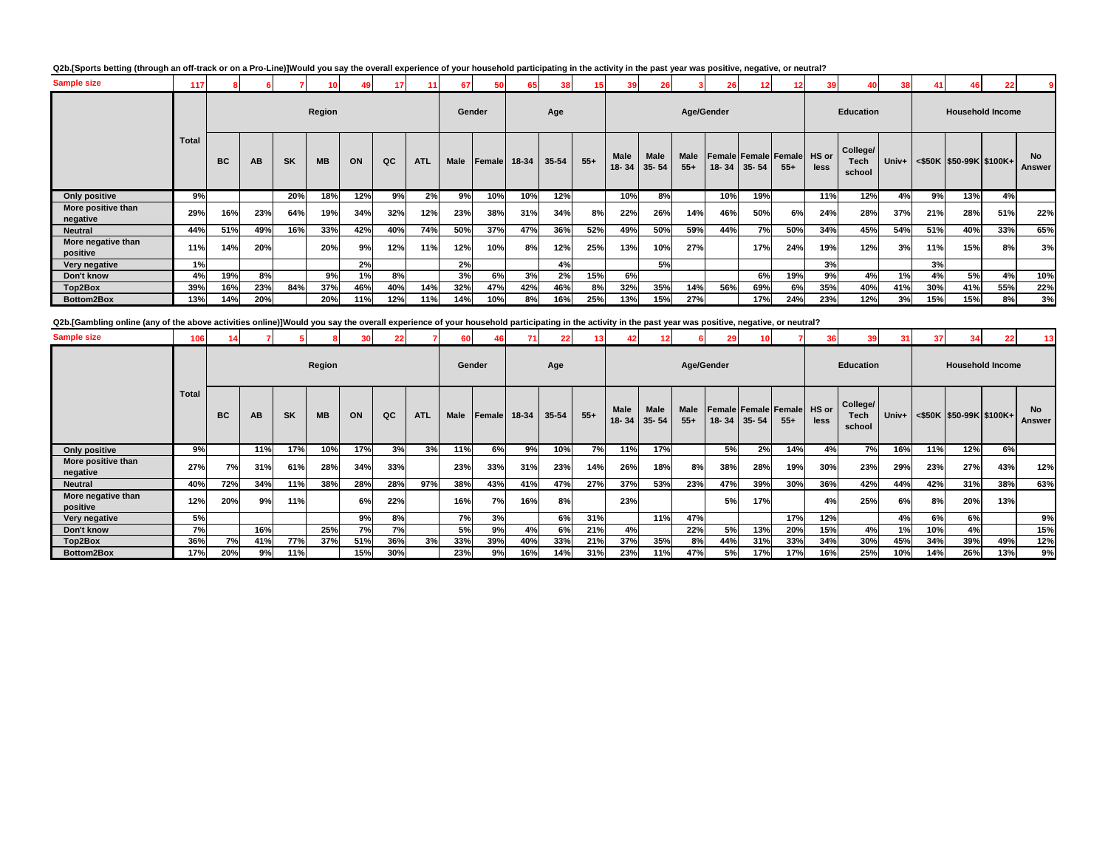### **Q2b.[Sports betting (through an off-track or on a Pro-Line)]Would you say the overall experience of your household participating in the activity in the past year was positive, negative, or neutral?**

| <b>Sample size</b>             |              |           |     |           | 10        |     | 17 <sup>1</sup> |            | 67     | 50     | 65    | 38    | 15    | 39            | 26                       |               | 26  |                   |                                      | 39            |                            | 38    | 41  | 461 | 22                         |                     |
|--------------------------------|--------------|-----------|-----|-----------|-----------|-----|-----------------|------------|--------|--------|-------|-------|-------|---------------|--------------------------|---------------|-----|-------------------|--------------------------------------|---------------|----------------------------|-------|-----|-----|----------------------------|---------------------|
|                                |              |           |     |           | Region    |     |                 |            | Gender |        |       | Age   |       |               |                          | Age/Gender    |     |                   |                                      |               | <b>Education</b>           |       |     |     | <b>Household Income</b>    |                     |
|                                | <b>Total</b> | <b>BC</b> | AB  | <b>SK</b> | <b>MB</b> | ON  | QC              | <b>ATL</b> | Male   | Female | 18-34 | 35-54 | $55+$ | Male<br>18-34 | <b>Male</b><br>$35 - 54$ | Male<br>$55+$ |     | $18 - 34$ 35 - 54 | <b>Female Female Female</b><br>$55+$ | HS or<br>less | College/<br>Tech<br>school | Univ+ |     |     | $<$ \$50K \$50-99K \$100K+ | <b>No</b><br>Answer |
| Only positive                  | 9%           |           |     | 20%       | 18%       | 12% | 9%              | 2%         | 9%     | 10%    | 10%   | 12%   |       | 10%           | 8%                       |               | 10% | 19%               |                                      | 11%           | 12%                        | 4%    | 9%  | 13% | 4%                         |                     |
| More positive than<br>negative | 29%          | 16%       | 23% | 64%       | 19%       | 34% | 32%             | 12%        | 23%    | 38%    | 31%   | 34%   | 8%    | 22%           | 26%                      | 14%           | 46% | 50%               | 6%                                   | 24%           | 28%                        | 37%   | 21% | 28% | 51%                        | 22%                 |
| <b>Neutral</b>                 | 44%          | 51%       | 49% | 16%       | 33%       | 42% | 40%             | 74%        | 50%    | 37%    | 47%   | 36%   | 52%   | 49%           | 50%                      | 59%           | 44% | 7%                | 50%                                  | 34%           | 45%                        | 54%   | 51% | 40% | 33%                        | 65%                 |
| More negative than<br>positive | 11%          | 14%       | 20% |           | 20%       | 9%  | 12%             | 11%        | 12%    | 10%    | 8%    | 12%   | 25%   | 13%           | 10%                      | 27%           |     | 17%               | 24%                                  | 19%           | 12%                        | 3%    | 11% | 15% | 8%                         | 3%                  |
| Very negative                  | 1%           |           |     |           |           | 2%  |                 |            | 2%     |        |       | 4%    |       |               | 5%                       |               |     |                   |                                      | 3%            |                            |       | 3%  |     |                            |                     |
| Don't know                     | 4%           | 19%       | 8%  |           | 9%        | 1%  | 8%              |            | 3%     | 6%     | 3%    | 2%    | 15%   | 6%            |                          |               |     | 6%                | 19%                                  | 9%            | 4%                         | 1%    | 4%  | 5%  | 4%                         | 10%                 |
| Top2Box                        | 39%          | 16%       | 23% | 84%       | 37%       | 46% | 40%             | 14%        | 32%    | 47%    | 42%   | 46%   | 8%    | 32%           | 35%                      | 14%           | 56% | 69%               | 6%                                   | 35%           | 40%                        | 41%   | 30% | 41% | 55%                        | 22%                 |
| Bottom2Box                     | 13%          | 14%       | 20% |           | 20%       | 11% | 12%             | 11%        | 14%    | 10%    | 8%    | 16%   | 25%   | 13%           | 15%                      | 27%           |     | 17%               | 24%                                  | 23%           | 12%                        | 3%    | 15% | 15% | 8%                         | 3%                  |

**Q2b.[Gambling online (any of the above activities online)]Would you say the overall experience of your household participating in the activity in the past year was positive, negative, or neutral?**

| <b>Sample size</b>             | 106          |           |     |           |           |     |     |            | 60   |              |     |       |       |             |                                  |                      | 29        |                                          |       |               | 39                                | 31    | 37  |                         |                         | 13                         |
|--------------------------------|--------------|-----------|-----|-----------|-----------|-----|-----|------------|------|--------------|-----|-------|-------|-------------|----------------------------------|----------------------|-----------|------------------------------------------|-------|---------------|-----------------------------------|-------|-----|-------------------------|-------------------------|----------------------------|
|                                |              |           |     |           | Region    |     |     |            |      | Gender       |     | Age   |       |             |                                  | Age/Gender           |           |                                          |       |               | <b>Education</b>                  |       |     |                         | <b>Household Income</b> |                            |
|                                | <b>Total</b> | <b>BC</b> | AB  | <b>SK</b> | <b>MB</b> | ON  | QC  | <b>ATL</b> | Male | Female 18-34 |     | 35-54 | $55+$ | <b>Male</b> | <b>Male</b><br>$18 - 34$ 35 - 54 | <b>Male</b><br>$55+$ | $18 - 34$ | <b>Female Female Female</b><br>$35 - 54$ | $55+$ | HS or<br>less | College/<br><b>Tech</b><br>school | Univ+ |     | <\$50K \$50-99K \$100K+ |                         | <b>No</b><br><b>Answer</b> |
| <b>Only positive</b>           | 9%           |           | 11% | 17%       | 10%       | 17% | 3%  | 3%         | 11%  | 6%           | 9%  | 10%   | 7%    | 11%         | 17%                              |                      | 5%        | 2%                                       | 14%   | 4%            | 7%                                | 16%   | 11% | 12%                     | 6%                      |                            |
| More positive than<br>negative | 27%          | 7%        | 31% | 61%       | 28%       | 34% | 33% |            | 23%  | 33%          | 31% | 23%   | 14%   | 26%         | 18%                              | 8%                   | 38%       | 28%                                      | 19%   | 30%           | 23%                               | 29%   | 23% | 27%                     | 43%                     | 12%                        |
| <b>Neutral</b>                 | 40%          | 72%       | 34% | 11%       | 38%       | 28% | 28% | 97%        | 38%  | 43%          | 41% | 47%   | 27%   | 37%         | 53%                              | 23%                  | 47%       | 39%                                      | 30%   | 36%           | 42%                               | 44%   | 42% | 31%                     | 38%                     | 63%                        |
| More negative than<br>positive | 12%          | 20%       | 9%  | 11%       |           | 6%  | 22% |            | 16%  | 7%           | 16% | 8%    |       | 23%         |                                  |                      | 5%        | 17%                                      |       | 4%            | 25%                               | 6%    | 8%  | 20%                     | 13%                     |                            |
| Very negative                  | 5%           |           |     |           |           | 9%  | 8%  |            | 7%   | 3%           |     | 6%    | 31%   |             | 11%                              | 47%                  |           |                                          | 17%   | 12%           |                                   | 4%    | 6%  | 6%                      |                         | 9%                         |
| Don't know                     | 7%           |           | 16% |           | 25%       | 7%  | 7%  |            | 5%   | 9%           | 4%  | 6%    | 21%   | 4%          |                                  | 22%                  | 5%        | 13%                                      | 20%   | 15%           | 4%                                | 1%    | 10% | 4%                      |                         | 15%                        |
| Top2Box                        | 36%          | 7%        | 41% | 77%       | 37%       | 51% | 36% | 3%         | 33%  | 39%          | 40% | 33%   | 21%   | 37%         | 35%                              | 8%                   | 44%       | 31%                                      | 33%   | 34%           | 30%                               | 45%   | 34% | 39%                     | 49%                     | 12%                        |
| Bottom2Box                     | 17%          | 20%       | 9%  | 11%       |           | 15% | 30% |            | 23%  | 9%           | 16% | 14%   | 31%   | 23%         | 11%                              | 47%                  | 5%        | 17%                                      | 17%   | 16%           | 25%                               | 10%   | 14% | 26%                     | 13%                     | 9%                         |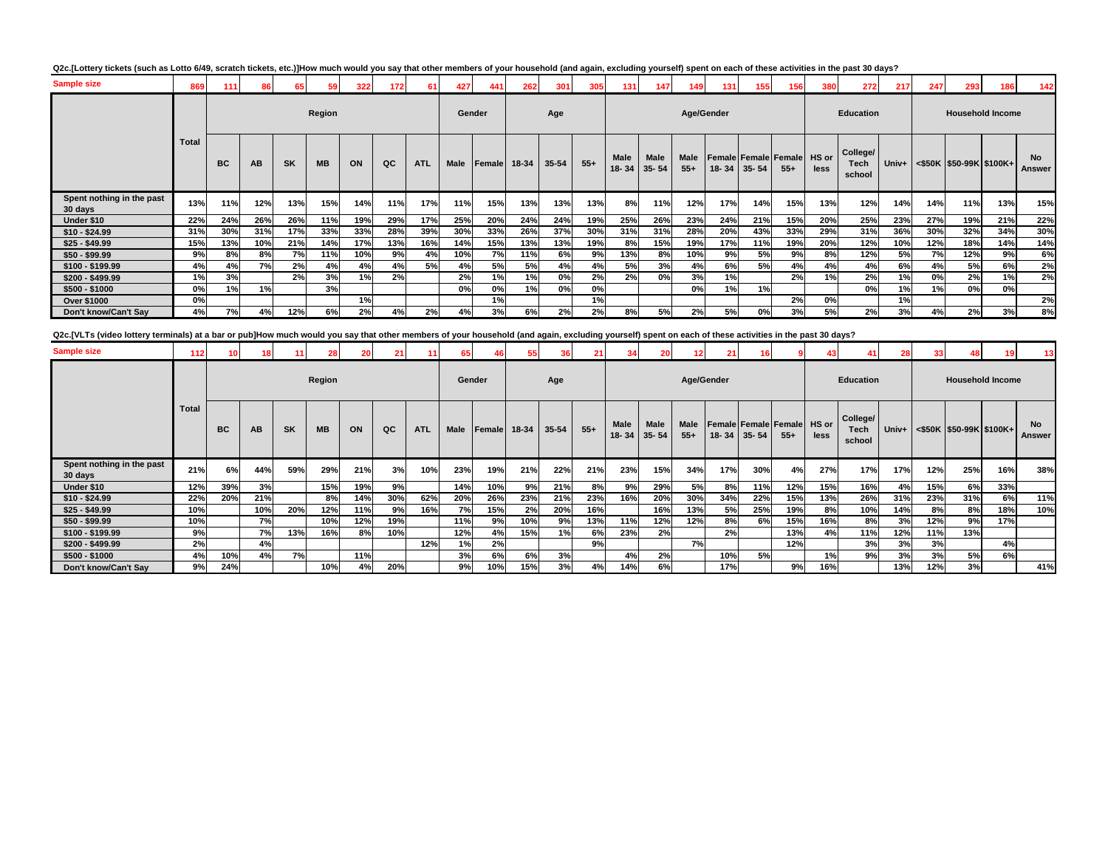| <b>Sample size</b>                   | 869          | 111       | 86        | 65        |           | 322 | 172 | 61         | 427    | 441    | 262   | 301   | 305   | 131                  | 147                      | 149           | 131       | 155       | 156                                  | 380  | 272                        | 217   | 247 | 293                     | 186 | 142                 |
|--------------------------------------|--------------|-----------|-----------|-----------|-----------|-----|-----|------------|--------|--------|-------|-------|-------|----------------------|--------------------------|---------------|-----------|-----------|--------------------------------------|------|----------------------------|-------|-----|-------------------------|-----|---------------------|
|                                      |              |           |           |           | Region    |     |     |            | Gender |        |       | Age   |       |                      |                          | Age/Gender    |           |           |                                      |      | Education                  |       |     | <b>Household Income</b> |     |                     |
|                                      | <b>Total</b> | <b>BC</b> | <b>AB</b> | <b>SK</b> | <b>MB</b> | ON  | QC  | <b>ATL</b> | Male   | Female | 18-34 | 35-54 | $55+$ | <b>Male</b><br>18-34 | <b>Male</b><br>$35 - 54$ | Male<br>$55+$ | $18 - 34$ | $35 - 54$ | Female Female Female HS or<br>$55 +$ | less | College/<br>Tech<br>school | Univ+ |     | <\$50K \$50-99K \$100K+ |     | <b>No</b><br>Answer |
| Spent nothing in the past<br>30 days | 13%          | 11%       | 12%       | 13%       | 15%       | 14% | 11% | 17%        | 11%    | 15%    | 13%   | 13%   | 13%   | 8%                   | 11%                      | 12%           | 17%       | 14%       | 15%                                  | 13%  | 12%                        | 14%   | 14% | 11%                     | 13% | 15%                 |
| Under \$10                           | 22%          | 24%       | 26%       | 26%       | 11%       | 19% | 29% | 17%        | 25%    | 20%    | 24%   | 24%   | 19%   | 25%                  | 26%                      | 23%           | 24%       | 21%       | 15%                                  | 20%  | 25%                        | 23%   | 27% | 19%                     | 21% | 22%                 |
| $$10 - $24.99$                       | 31%          | 30%       | 31%       | 17%       | 33%       | 33% | 28% | 39%        | 30%    | 33%    | 26%   | 37%   | 30%   | 31%                  | 31%                      | 28%           | 20%       | 43%       | 33%                                  | 29%  | 31%                        | 36%   | 30% | 32%                     | 34% | 30%                 |
| $$25 - $49.99$                       | 15%          | 13%       | 10%       | 21%       | 14%       | 17% | 13% | 16%        | 14%    | 15%    | 13%   | 13%   | 19%   | 8%                   | 15%                      | 19%           | 17%       | 11%       | 19%                                  | 20%  | 12%                        | 10%   | 12% | 18%                     | 14% | 14%                 |
| $$50 - $99.99$                       | 9%           | 8%        | 8%        | 7%        | 11%       | 10% | 9%  | 4%         | 10%    | 7%     | 11%   | 6%    | 9%    | 13%                  | 8%                       | 10%           | 9%        | 5%        | 9%                                   | 8%   | 12%                        | 5%    | 7%  | 12%                     | 9%  | 6%                  |
| $$100 - $199.99$                     | 4%           | 4%        | 7%        | 2%        | 4%        | 4%  | 4%  | 5%         | 4%     | 5%     | 5%    | 4%    | 4%    | 5%                   | 3%                       | 4%            | 6%        | 5%        | 4%                                   | 4%   | 4%                         | 6%    | 4%  | 5%                      | 6%  | 2%                  |
| \$200 - \$499.99                     | 1%           | 3%        |           | 2%        | 3%        | 1%  | 2%  |            | 2%     | 1%     | 1%    | 0%    | 2%    | 2%                   | 0%                       | 3%            | 1%        |           | 2%                                   | 1%   | 2%                         | 1%    | 0%  | 2%                      | 1%  | 2%                  |
| $$500 - $1000$                       | 0%           | 1%        | 1%        |           | 3%        |     |     |            | 0%     | 0%     | 1%    | 0%    | 0%    |                      |                          | 0%            | 1%        | 1%        |                                      |      | 0%                         | 1%    | 1%  | 0%                      | 0%  |                     |
| Over \$1000                          | 0%           |           |           |           |           | 1%  |     |            |        | 1%     |       |       | 1%    |                      |                          |               |           |           | 2%                                   | 0%   |                            | 1%    |     |                         |     | 2%                  |
| Don't know/Can't Say                 | 4%           | 7%        | 4%        | 12%       | 6%        | 2%  | 4%  | 2%         | 4%     | 3%     | 6%    | 2%    | 2%    | 8%                   | 5%                       | 2%            | 5%        | 0%        | 3%                                   | 5%   | 2%                         | 3%    | 4%  | 2%                      | 3%  | 8%                  |

Q2c.[VLTs (video lottery terminals) at a bar or pub]How much would you say that other members of your household (and again, excluding yourself) spent on each of these activities in the past 30 days?

| <b>Sample size</b>                   | 112          | 10        |           |           |           |     | 211 |            | 65          |               | 55    | 36        |       |               | 20 <sup>1</sup>   |               | 21  |             |                                     |      |                            | 28    | 33  |                               |                         | 13                  |
|--------------------------------------|--------------|-----------|-----------|-----------|-----------|-----|-----|------------|-------------|---------------|-------|-----------|-------|---------------|-------------------|---------------|-----|-------------|-------------------------------------|------|----------------------------|-------|-----|-------------------------------|-------------------------|---------------------|
|                                      |              |           |           |           | Region    |     |     |            |             | Gender        |       | Age       |       |               |                   | Age/Gender    |     |             |                                     |      | <b>Education</b>           |       |     |                               | <b>Household Income</b> |                     |
|                                      | <b>Total</b> | <b>BC</b> | <b>AB</b> | <b>SK</b> | <b>MB</b> | ON  | QC  | <b>ATL</b> | <b>Male</b> | <b>Female</b> | 18-34 | $35 - 54$ | $55+$ | Male<br>18-34 | Male<br>$35 - 54$ | Male<br>$55+$ |     | 18-34 35-54 | Female Female Female HS or<br>$55+$ | less | College/<br>Tech<br>school | Univ+ |     | $\leq$ \$50K \$50-99K \$100K+ |                         | <b>No</b><br>Answer |
| Spent nothing in the past<br>30 days | 21%          | 6%        | 44%       | 59%       | 29%       | 21% | 3%  | 10%        | 23%         | 19%           | 21%   | 22%       | 21%   | 23%           | 15%               | 34%           | 17% | 30%         | 4%                                  | 27%  | 17%                        | 17%   | 12% | 25%                           | 16%                     | 38%                 |
| Under \$10                           | 12%          | 39%       | 3%        |           | 15%       | 19% | 9%  |            | 14%         | 10%           | 9%    | 21%       | 8%    | 9%            | 29%               | 5%            | 8%  | 11%         | 12%                                 | 15%  | 16%                        | 4%    | 15% | 6%                            | 33%                     |                     |
| $$10 - $24.99$                       | 22%          | 20%       | 21%       |           | 8%        | 14% | 30% | 62%        | 20%         | 26%           | 23%   | 21%       | 23%   | 16%           | 20%               | 30%           | 34% | 22%         | 15%                                 | 13%  | 26%                        | 31%   | 23% | 31%                           | 6%                      | 11%                 |
| $$25 - $49.99$                       | 10%          |           | 10%       | 20%       | 12%       | 11% | 9%  | 16%        | 7%          | 15%           | 2%    | 20%       | 16%   |               | 16%               | 13%           | 5%  | 25%         | 19%                                 | 8%   | 10%                        | 14%   | 8%  | 8%                            | 18%                     | 10%                 |
| $$50 - $99.99$                       | 10%          |           | 7%l       |           | 10%       | 12% | 19% |            | 11%         | 9%            | 10%   | 9%        | 13%   | 11%           | 12%               | 12%           | 8%  | 6%          | 15%                                 | 16%  | 8%                         | 3%    | 12% | 9%                            | 17%                     |                     |
| $$100 - $199.99$                     | 9%           |           | 7%l       | 13%       | 16%       | 8%  | 10% |            | 12%         | 4%            | 15%   | 1%        | 6%    | 23%           | 2%                |               | 2%  |             | 13%                                 | 4%   | 11%                        | 12%   | 11% | 13%                           |                         |                     |
| \$200 - \$499.99                     | 2%           |           | 4%        |           |           |     |     | 12%        | 1%          | 2%            |       |           | 9%    |               |                   | 7%            |     |             | 12%                                 |      | 3%                         | 3%    | 3%  |                               | 4%                      |                     |
| $$500 - $1000$                       | 4%           | 10%       | 4%        | 7%        |           | 11% |     |            | 3%          | 6%            | 6%    | 3%        |       | 4%            | 2%                |               | 10% | 5%          |                                     | 1%   | 9%                         | 3%    | 3%  | 5%                            | 6%                      |                     |
| Don't know/Can't Say                 | 9%           | 24%       |           |           | 10%       | 4%  | 20% |            | 9%          | 10%           | 15%   | 3%        | 4%    | 14%           | 6%                |               | 17% |             | 9%                                  | 16%  |                            | 13%   | 12% | 3%                            |                         | 41%                 |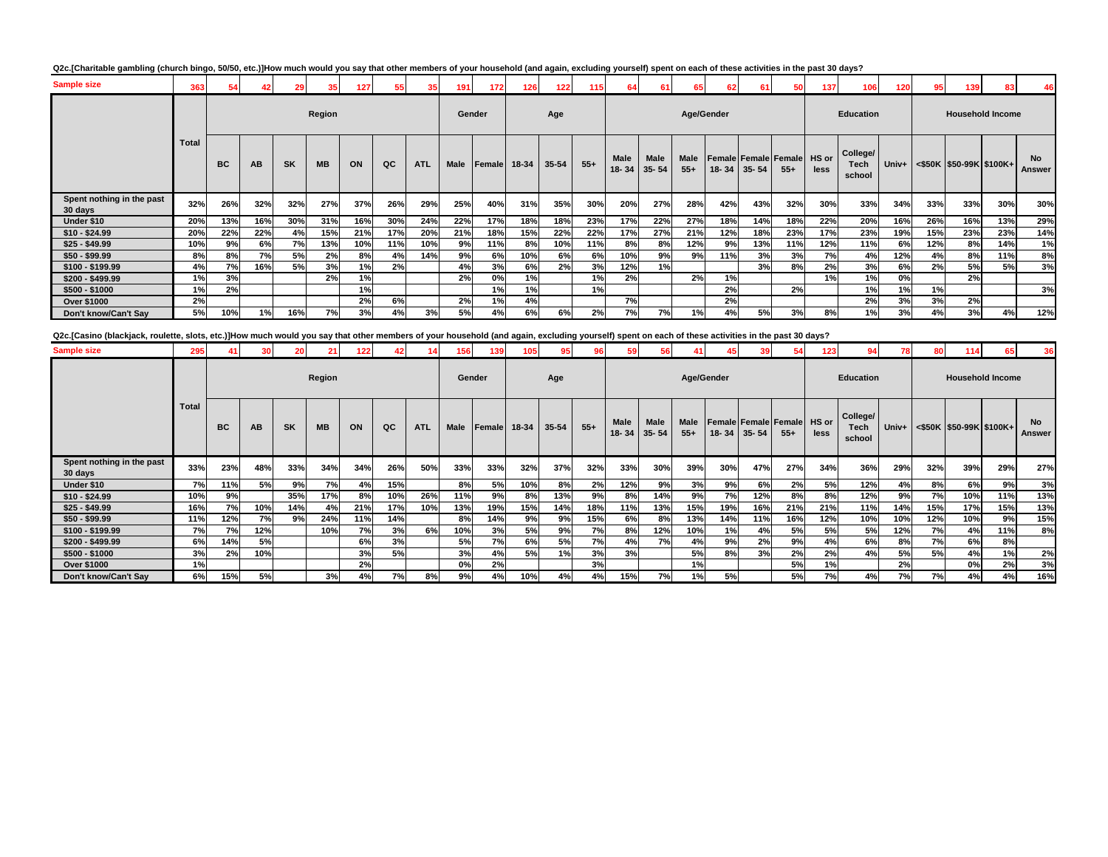| Q2c.[Charitable gambling (church bingo, 50/50, etc.)]How much would you say that other members of your household (and again, excluding yourself) spent on each of these activities in the past 30 days? |  |
|---------------------------------------------------------------------------------------------------------------------------------------------------------------------------------------------------------|--|
|---------------------------------------------------------------------------------------------------------------------------------------------------------------------------------------------------------|--|

| <b>Sample size</b>                   | 363   |           |     |           | 35        | 127 |     |            | 191         | 172    | 126   | 122   | 115   | 64            | 61                |               | 62  | 61                | 50                                   | 137  | 106                               | 120   |     | 139                     |                         |                     |
|--------------------------------------|-------|-----------|-----|-----------|-----------|-----|-----|------------|-------------|--------|-------|-------|-------|---------------|-------------------|---------------|-----|-------------------|--------------------------------------|------|-----------------------------------|-------|-----|-------------------------|-------------------------|---------------------|
|                                      |       |           |     |           | Region    |     |     |            | Gender      |        |       | Age   |       |               |                   | Age/Gender    |     |                   |                                      |      | <b>Education</b>                  |       |     |                         | <b>Household Income</b> |                     |
|                                      | Total | <b>BC</b> | AB  | <b>SK</b> | <b>MB</b> | ON  | QC  | <b>ATL</b> | <b>Male</b> | Female | 18-34 | 35-54 | $55+$ | Male<br>18-34 | Male<br>$35 - 54$ | Male<br>$55+$ |     | $18 - 34$ 35 - 54 | Female Female Female HS or<br>$55 +$ | less | College/<br><b>Tech</b><br>school | Univ+ |     | <\$50K \$50-99K \$100K+ |                         | <b>No</b><br>Answer |
| Spent nothing in the past<br>30 days | 32%   | 26%       | 32% | 32%       | 27%       | 37% | 26% | 29%        | 25%         | 40%    | 31%   | 35%   | 30%   | 20%           | 27%               | 28%           | 42% | 43%               | 32%                                  | 30%  | 33%                               | 34%   | 33% | 33%                     | 30%                     | 30%                 |
| Under \$10                           | 20%   | 13%       | 16% | 30%       | 31%       | 16% | 30% | 24%        | 22%         | 17%    | 18%   | 18%   | 23%   | 17%           | 22%               | 27%           | 18% | 14%               | 18%                                  | 22%  | 20%                               | 16%   | 26% | 16%                     | 13%                     | 29%                 |
| $$10 - $24.99$                       | 20%   | 22%       | 22% | 4%        | 15%       | 21% | 17% | 20%        | 21%         | 18%    | 15%   | 22%   | 22%   | 17%           | 27%               | 21%           | 12% | 18%               | 23%                                  | 17%  | 23%                               | 19%   | 15% | 23%                     | 23%                     | 14%                 |
| $$25 - $49.99$                       | 10%   | 9%        | 6%  | 7%        | 13%       | 10% | 11% | 10%        | 9%          | 11%    | 8%    | 10%   | 11%   | 8%            | 8%                | 12%           | 9%  | 13%               | 11%                                  | 12%  | 11%                               | 6%    | 12% | 8%                      | 14%                     | 1%                  |
| $$50 - $99.99$                       | 8%    | 8%        | 7%  | 5%        | 2%        | 8%  | 4%  | 14%        | 9%          | 6%     | 10%   | 6%    | 6%    | 10%           | 9%                | 9%            | 11% | 3%                | 3%                                   | 7%   | 4%                                | 12%   | 4%  | 8%                      | 11%                     | 8%                  |
| \$100 - \$199.99                     | 4%    | 7%        | 16% | 5%        | 3%        | 1%  | 2%  |            | 4%          | 3%     | 6%    | 2%    | 3%    | 12%           | 1%                |               |     | 3%                | 8%                                   | 2%   | 3%                                | 6%    | 2%  | 5%                      | 5%                      | 3%                  |
| \$200 - \$499.99                     | 1%    | 3%        |     |           | 2%        | 1%  |     |            | 2%          | 0%     | 1%    |       | 1%    | 2%            |                   | 2%            | 1%  |                   |                                      | 1%   | 1%                                | 0%    |     | 2%                      |                         |                     |
| $$500 - $1000$                       | 1%    | 2%        |     |           |           | 1%  |     |            |             | 1%     | 1%    |       | 1%    |               |                   |               | 2%  |                   | 2%                                   |      | 1%                                | 1%    | 1%  |                         |                         | 3%                  |
| Over \$1000                          | 2%    |           |     |           |           | 2%  | 6%  |            | 2%          | 1%     | 4%    |       |       | 7%            |                   |               | 2%  |                   |                                      |      | 2%                                | 3%    | 3%  | 2%                      |                         |                     |
| Don't know/Can't Say                 | 5%    | 10%       | 1%  | 16%       | 7%        | 3%  | 4%  | 3%         | 5%          | 4%     | 6%    | 6%    | 2%    | 7%            | 7%                | 1%            | 4%  | 5%                | 3%                                   | 8%   | 1%                                | 3%    | 4%  | 3%                      | 4%                      | 12%                 |

**Q2c.[Casino (blackjack, roulette, slots, etc.)]How much would you say that other members of your household (and again, excluding yourself) spent on each of these activities in the past 30 days?**

| <b>Sample size</b>                   | 295          | 41        | 30  | 20        |           | 122 |     |            | 156         | 139    |       |       |       |               | 56                       |                      | 45         | 39        | 54                                          | 123  |                                   |       |     | 114                     |                         | 36                  |
|--------------------------------------|--------------|-----------|-----|-----------|-----------|-----|-----|------------|-------------|--------|-------|-------|-------|---------------|--------------------------|----------------------|------------|-----------|---------------------------------------------|------|-----------------------------------|-------|-----|-------------------------|-------------------------|---------------------|
|                                      |              |           |     |           | Region    |     |     |            |             | Gender |       | Age   |       |               |                          |                      | Age/Gender |           |                                             |      | <b>Education</b>                  |       |     |                         | <b>Household Income</b> |                     |
|                                      | <b>Total</b> | <b>BC</b> | AB  | <b>SK</b> | <b>MB</b> | ON  | QC  | <b>ATL</b> | <b>Male</b> | Female | 18-34 | 35-54 | $55+$ | Male<br>18-34 | <b>Male</b><br>$35 - 54$ | <b>Male</b><br>$55+$ | $18 - 34$  | $35 - 54$ | <b>Female Female Female HS or</b><br>$55 +$ | less | College/<br><b>Tech</b><br>school | Univ+ |     | <\$50K \$50-99K \$100K+ |                         | <b>No</b><br>Answer |
| Spent nothing in the past<br>30 days | 33%          | 23%       | 48% | 33%       | 34%       | 34% | 26% | 50%        | 33%         | 33%    | 32%   | 37%   | 32%   | 33%           | 30%                      | 39%                  | 30%        | 47%       | 27%                                         | 34%  | 36%                               | 29%   | 32% | 39%                     | 29%                     | 27%                 |
| Under \$10                           | 7%           | 11%       | 5%  | 9%        | 7%        | 4%  | 15% |            | 8%          | 5%     | 10%   | 8%    | 2%    | 12%           | 9%                       | 3%                   | 9%         | 6%        | 2%                                          | 5%   | 12%                               | 4%    | 8%  | 6%                      | 9%                      | 3%                  |
| $$10 - $24.99$                       | 10%          | 9%        |     | 35%       | 17%       | 8%  | 10% | 26%        | 11%         | 9%     | 8%    | 13%   | 9%    | 8%            | 14%                      | 9%                   | 7%         | 12%       | 8%                                          | 8%   | 12%                               | 9%    | 7%  | 10%                     | 11%                     | 13%                 |
| $$25 - $49.99$                       | 16%          | 7%        | 10% | 14%       | 4%        | 21% | 17% | 10%        | 13%         | 19%    | 15%   | 14%   | 18%   | 11%           | 13%                      | 15%                  | 19%        | 16%       | 21%                                         | 21%  | 11%                               | 14%   | 15% | 17%                     | 15%                     | 13%                 |
| $$50 - $99.99$                       | 11%          | 12%       | 7%  | 9%        | 24%       | 11% | 14% |            | 8%          | 14%    | 9%    | 9%    | 15%   | 6%            | 8%                       | 13%                  | 14%        | 11%       | 16%                                         | 12%  | 10%                               | 10%   | 12% | 10%                     | 9%                      | 15%                 |
| $$100 - $199.99$                     | 7%           | 7%        | 12% |           | 10%       | 7%  | 3%  | 6%         | 10%         | 3%     | 5%    | 9%    | 7%    | 8%            | 12%                      | 10%                  | 1%         | 4%        | 5%                                          | 5%   | 5%                                | 12%   | 7%  | 4%                      | 11%                     | 8%                  |
| $$200 - $499.99$                     | 6%           | 14%       | 5%  |           |           | 6%  | 3%  |            | 5%          | 7%     | 6%    | 5%    | 7%    | 4%            | 7%                       | 4%                   | 9%         | 2%        | 9%                                          | 4%   | 6%                                | 8%    | 7%  | 6%                      | 8%                      |                     |
| $$500 - $1000$                       | 3%           | 2%        | 10% |           |           | 3%  | 5%  |            | 3%          | 4%     | 5%    | 1%    | 3%    | 3%            |                          | 5%                   | 8%         | 3%        | 2%                                          | 2%   | 4%                                | 5%    | 5%  | 4%                      | 1%                      | 2%                  |
| <b>Over \$1000</b>                   | 1%           |           |     |           |           | 2%  |     |            | 0%          | 2%     |       |       | 3%    |               |                          | 1%                   |            |           | 5%                                          | 1%   |                                   | 2%    |     | 0%                      | 2%                      | 3%                  |
| Don't know/Can't Say                 | 6%           | 15%       | 5%  |           | 3%        | 4%  | 7%  | 8%         | 9%          | 4%     | 10%   | 4%    | 4%    | 15%           | 7%                       | 1%                   | 5%         |           | 5%                                          | 7%l  | 4%                                | 7%    | 7%  | 4%                      | 4%                      | 16%                 |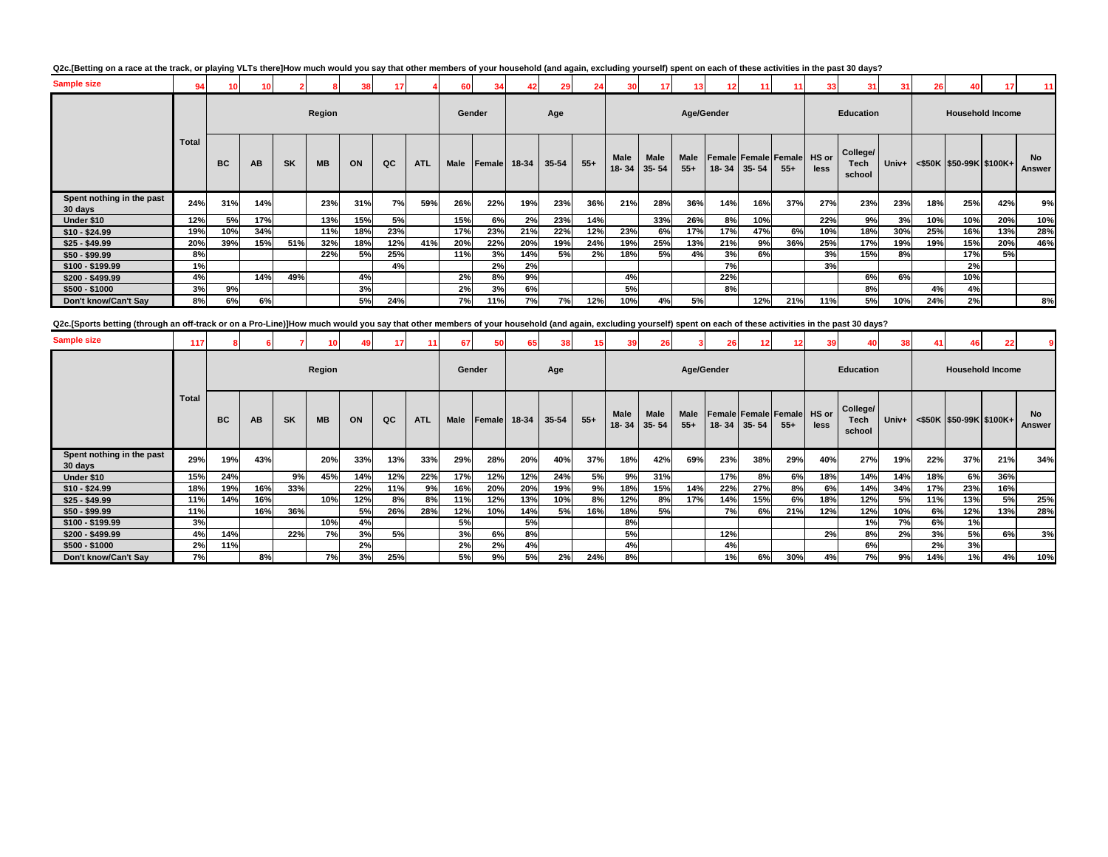| <b>Sample size</b>                   | 94           | 10 <sup>1</sup> |     |           |           | 38  | 17        |            | 60     |              |     | 29    | 24    |               |                          | 13            | 12                                      | 11        |        | 33   | 31                         | 31      | 26  | 40                      |     | 11                  |
|--------------------------------------|--------------|-----------------|-----|-----------|-----------|-----|-----------|------------|--------|--------------|-----|-------|-------|---------------|--------------------------|---------------|-----------------------------------------|-----------|--------|------|----------------------------|---------|-----|-------------------------|-----|---------------------|
|                                      |              |                 |     |           | Region    |     |           |            | Gender |              |     | Age   |       |               |                          | Age/Gender    |                                         |           |        |      | <b>Education</b>           |         |     | <b>Household Income</b> |     |                     |
|                                      | <b>Total</b> | <b>BC</b>       | AB  | <b>SK</b> | <b>MB</b> | ON  | QC        | <b>ATL</b> | Male   | Female 18-34 |     | 35-54 | $55+$ | Male<br>18-34 | <b>Male</b><br>$35 - 54$ | Male<br>$55+$ | Female Female Female HS or<br>$18 - 34$ | $35 - 54$ | $55 +$ | less | College/<br>Tech<br>school | Univ+ I |     | <\$50K \$50-99K \$100K+ |     | <b>No</b><br>Answer |
| Spent nothing in the past<br>30 days | 24%          | 31%             | 14% |           | 23%       | 31% | <b>7%</b> | 59%        | 26%    | 22%          | 19% | 23%   | 36%   | 21%           | 28%                      | 36%           | 14%                                     | 16%       | 37%    | 27%  | 23%                        | 23%     | 18% | 25%                     | 42% | 9%                  |
| Under \$10                           | 12%          | 5%              | 17% |           | 13%       | 15% | 5%        |            | 15%    | 6%           | 2%  | 23%   | 14%   |               | 33%                      | 26%           | 8%                                      | 10%       |        | 22%  | 9%                         | 3%      | 10% | 10%                     | 20% | 10%                 |
| $$10 - $24.99$                       | 19%          | 10%             | 34% |           | 11%       | 18% | 23%       |            | 17%    | 23%          | 21% | 22%   | 12%   | 23%           | 6%                       | 17%           | 17%                                     | 47%       | 6%     | 10%  | 18%                        | 30%     | 25% | 16%                     | 13% | 28%                 |
| $$25 - $49.99$                       | 20%          | 39%             | 15% | 51%       | 32%       | 18% | 12%       | 41%        | 20%    | 22%          | 20% | 19%   | 24%   | 19%           | 25%                      | 13%           | 21%                                     | 9%        | 36%    | 25%  | 17%                        | 19%     | 19% | 15%                     | 20% | 46%                 |
| $$50 - $99.99$                       | 8%           |                 |     |           | 22%       | 5%  | 25%       |            | 11%    | 3%           | 14% | 5%    | 2%    | 18%           | 5%                       | 4%            | 3%                                      | 6%        |        | 3%   | 15%                        | 8%      |     | 17%                     | 5%  |                     |
| $$100 - $199.99$                     | 1%           |                 |     |           |           |     | 4%        |            |        | 2%           | 2%  |       |       |               |                          |               | 7%                                      |           |        | 3%   |                            |         |     | 2%                      |     |                     |
| \$200 - \$499.99                     | 4%           |                 | 14% | 49%       |           | 4%  |           |            | 2%     | 8%           | 9%  |       |       | 4%            |                          |               | 22%                                     |           |        |      | 6%                         | 6%      |     | 10%                     |     |                     |
| $$500 - $1000$                       | 3%           | 9%              |     |           |           | 3%  |           |            | 2%     | 3%           | 6%  |       |       | 5%            |                          |               | 8%                                      |           |        |      | 8%                         |         | 4%  | 4%                      |     |                     |
| Don't know/Can't Say                 | 8%           | 6%              | 6%  |           |           | 5%  | 24%       |            | 7%     | 11%          | 7%  | 7%    | 12%   | 10%           | 4%                       | 5%            |                                         | 12%       | 21%    | 11%  | 5%                         | 10%     | 24% | 2%                      |     | 8%                  |

**Q2c.[Sports betting (through an off-track or on a Pro-Line)]How much would you say that other members of your household (and again, excluding yourself) spent on each of these activities in the past 30 days?**

| <b>Sample size</b>                   | 117          |           |     |           |           |     |     | 11         | 67          | 50           | 65  | 381   | 15 <sup>1</sup> | 39                | 26                |               | 26         | 12 <sub>1</sub>   | 12                                          | 39   | 40                         | 38        | 41  | 46                                                                               |     |              |
|--------------------------------------|--------------|-----------|-----|-----------|-----------|-----|-----|------------|-------------|--------------|-----|-------|-----------------|-------------------|-------------------|---------------|------------|-------------------|---------------------------------------------|------|----------------------------|-----------|-----|----------------------------------------------------------------------------------|-----|--------------|
|                                      |              |           |     |           | Region    |     |     |            |             | Gender       |     | Age   |                 |                   |                   |               | Age/Gender |                   |                                             |      | <b>Education</b>           |           |     | <b>Household Income</b>                                                          |     |              |
|                                      | <b>Total</b> | <b>BC</b> | AB  | <b>SK</b> | <b>MB</b> | ON  | QC  | <b>ATL</b> | <b>Male</b> | Female 18-34 |     | 35-54 | $55+$           | Male<br>$18 - 34$ | Male<br>$35 - 54$ | Male<br>$55+$ |            | $18 - 34$ 35 - 54 | <b>Female Female Female</b> HS or<br>$55 +$ | less | College/<br>Tech<br>school |           |     | Univ+ <s50k \$100k+<="" \$50-99k="" th=""><th></th><th>No<br/>Answer</th></s50k> |     | No<br>Answer |
| Spent nothing in the past<br>30 days | 29%          | 19%       | 43% |           | 20%       | 33% | 13% | 33%        | 29%         | 28%          | 20% | 40%   | 37%             | 18%               | 42%               | 69%           | 23%        | 38%               | 29%                                         | 40%  | 27%                        | 19%       | 22% | 37%                                                                              | 21% | 34%          |
| Under \$10                           | 15%          | 24%       |     | 9%        | 45%       | 14% | 12% | 22%        | 17%         | 12%          | 12% | 24%   | <b>5%</b>       | 9%                | 31%               |               | 17%        | 8%                | 6%                                          | 18%  | 14%                        | 14%       | 18% | 6%                                                                               | 36% |              |
| $$10 - $24.99$                       | 18%          | 19%       | 16% | 33%       |           | 22% | 11% | 9%         | 16%         | 20%          | 20% | 19%   | 9%              | 18%               | 15%               | 14%           | 22%        | 27%               | 8%                                          | 6%   | 14%                        | 34%       | 17% | 23%                                                                              | 16% |              |
| $$25 - $49.99$                       | 11%          | 14%       | 16% |           | 10%       | 12% | 8%  | 8%         | 11%         | 12%          | 13% | 10%   | 8%              | 12%               | 8%                | 17%           | 14%        | 15%               | 6%                                          | 18%  | 12%                        | <b>5%</b> | 11% | 13%                                                                              | 5%  | 25%          |
| $$50 - $99.99$                       | 11%          |           | 16% | 36%       |           | 5%  | 26% | 28%        | 12%         | 10%          | 14% | 5%    | 16%             | 18%               | 5%                |               | 7%         | 6%                | 21%                                         | 12%  | 12%                        | 10%       | 6%  | 12%                                                                              | 13% | 28%          |
| $$100 - $199.99$                     | 3%           |           |     |           | 10%       | 4%  |     |            | 5%          |              | 5%  |       |                 | 8%                |                   |               |            |                   |                                             |      | 1%                         | 7%        | 6%  | 1%                                                                               |     |              |
| $$200 - $499.99$                     | 4%           | 14%       |     | 22%       | 7%        | 3%  | 5%  |            | 3%          | 6%           | 8%  |       |                 | 5%                |                   |               | 12%        |                   |                                             | 2%   | 8%                         | 2%        | 3%  | 5%                                                                               | 6%  | 3%           |
| $$500 - $1000$                       | 2%           | 11%       |     |           |           | 2%  |     |            | 2%          | 2%           | 4%  |       |                 | 4%                |                   |               | 4%         |                   |                                             |      | 6%                         |           | 2%  | 3%                                                                               |     |              |
| Don't know/Can't Say                 | 7%           |           | 8%  |           | 7%        | 3%  | 25% |            | 5%          | 9%           | 5%  | 2%    | 24%             | 8%                |                   |               | 1%         | 6%                | 30%                                         | 4%   | 7%                         | 9%        | 14% | 1%                                                                               | 4%  | 10%          |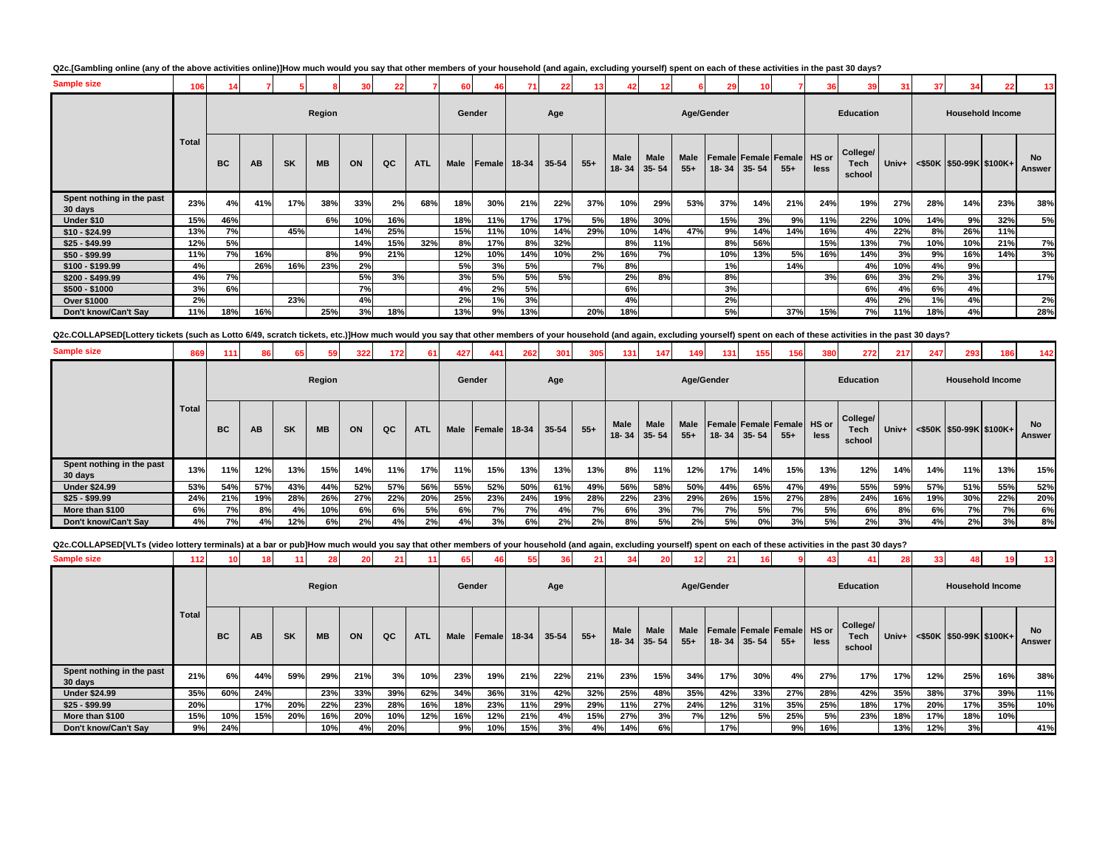| Q2c.[Gambling online (any of the above activities online)]How much would you say that other members of your household (and again, excluding yourself) spent on each of these activities in the past 30 days? |  |
|--------------------------------------------------------------------------------------------------------------------------------------------------------------------------------------------------------------|--|
|--------------------------------------------------------------------------------------------------------------------------------------------------------------------------------------------------------------|--|

| <b>Sample size</b>                   | 106          | 14        |     |           |           |     | 22  |            | 60     |        | 711   | 22 <sub>1</sub> | 13    | 42                       | 12 <sup>1</sup>          |                      | 29         |           |                                             | 36   | 39                         | 31    | 37  | 34                      | 22  | 13                  |
|--------------------------------------|--------------|-----------|-----|-----------|-----------|-----|-----|------------|--------|--------|-------|-----------------|-------|--------------------------|--------------------------|----------------------|------------|-----------|---------------------------------------------|------|----------------------------|-------|-----|-------------------------|-----|---------------------|
|                                      |              |           |     |           | Region    |     |     |            | Gender |        |       | Age             |       |                          |                          |                      | Age/Gender |           |                                             |      | Education                  |       |     | <b>Household Income</b> |     |                     |
|                                      | <b>Total</b> | <b>BC</b> | AB  | <b>SK</b> | <b>MB</b> | ON  | QC  | <b>ATL</b> | Male   | Female | 18-34 | 35-54           | $55+$ | <b>Male</b><br>$18 - 34$ | <b>Male</b><br>$35 - 54$ | <b>Male</b><br>$55+$ | $18 - 34$  | $35 - 54$ | <b>Female Female Female HS or</b><br>$55 +$ | less | College/<br>Tech<br>school | Univ+ |     | <\$50K \$50-99K \$100K+ |     | <b>No</b><br>Answer |
| Spent nothing in the past<br>30 days | 23%          | 4%        | 41% | 17%       | 38%       | 33% | 2%  | 68%        | 18%    | 30%    | 21%   | 22%             | 37%   | 10%                      | 29%                      | 53%                  | 37%        | 14%       | 21%                                         | 24%  | 19%                        | 27%   | 28% | 14%                     | 23% | 38%                 |
| Under \$10                           | 15%          | 46%       |     |           | 6%        | 10% | 16% |            | 18%    | 11%    | 17%   | 17%             | 5%    | 18%                      | 30%                      |                      | 15%        | 3%        | 9%                                          | 11%  | 22%                        | 10%   | 14% | 9%                      | 32% | 5%                  |
| $$10 - $24.99$                       | 13%          | 7%        |     | 45%       |           | 14% | 25% |            | 15%    | 11%    | 10%   | 14%             | 29%   | 10%                      | 14%                      | 47%                  | 9%         | 14%       | 14%                                         | 16%  | 4%                         | 22%   | 8%  | 26%                     | 11% |                     |
| $$25 - $49.99$                       | 12%          | 5%        |     |           |           | 14% | 15% | 32%        | 8%     | 17%    | 8%    | 32%             |       | 8%                       | 11%                      |                      | 8%         | 56%       |                                             | 15%  | 13%                        | 7%    | 10% | 10%                     | 21% | 7%                  |
| $$50 - $99.99$                       | 11%          | 7%        | 16% |           | 8%        | 9%  | 21% |            | 12%    | 10%    | 14%   | 10%             | 2%    | 16%                      | 7%                       |                      | 10%        | 13%       | 5%                                          | 16%  | 14%                        | 3%    | 9%  | 16%                     | 14% | 3%                  |
| $$100 - $199.99$                     | 4%           |           | 26% | 16%       | 23%       | 2%  |     |            | 5%     | 3%     | 5%    |                 | 7%    | 8%                       |                          |                      | 1%         |           | 14%                                         |      | 4%                         | 10%   | 4%  | 9%                      |     |                     |
| \$200 - \$499.99                     | 4%           | 7%        |     |           |           | 5%  | 3%  |            | 3%     | 5%     | 5%    | 5%              |       | 2%                       | 8%                       |                      | 8%         |           |                                             | 3%   | 6%                         | 3%    | 2%  | 3%                      |     | 17%                 |
| $$500 - $1000$                       | 3%           | 6%        |     |           |           | 7%  |     |            | 4%     | 2%     | 5%    |                 |       | 6%                       |                          |                      | 3%         |           |                                             |      | 6%                         | 4%    | 6%  | 4%                      |     |                     |
| Over \$1000                          | 2%           |           |     | 23%       |           | 4%  |     |            | 2%     | 1%     | 3%    |                 |       | 4%                       |                          |                      | 2%         |           |                                             |      | 4%                         | 2%    | 1%  | 4%                      |     | 2%                  |
| Don't know/Can't Say                 | 11%          | 18%       | 16% |           | 25%       | 3%  | 18% |            | 13%    | 9%     | 13%   |                 | 20%   | 18%                      |                          |                      | 5%         |           | 37%                                         | 15%  | 7%                         | 11%   | 18% | 4%                      |     | 28%                 |
|                                      |              |           |     |           |           |     |     |            |        |        |       |                 |       |                          |                          |                      |            |           |                                             |      |                            |       |     |                         |     |                     |

Q2c.COLLAPSED[Lottery tickets (such as Lotto 6/49, scratch tickets, etc.)]How much would you say that other members of your household (and again, excluding yourself) spent on each of these activities in the past 30 days?

| <b>Sample size</b>                   | 869          | 111       | 86  | 65        | 59        | 322 | 172 | 61         | 427         | 441          | 262 | 301   | 305   | 131 <sub>1</sub> | 147                              | 149           | 131 | 155                                             | 156   | 380  | 272                               | 217   | 247 | 293                     | 186 | 142          |
|--------------------------------------|--------------|-----------|-----|-----------|-----------|-----|-----|------------|-------------|--------------|-----|-------|-------|------------------|----------------------------------|---------------|-----|-------------------------------------------------|-------|------|-----------------------------------|-------|-----|-------------------------|-----|--------------|
|                                      |              |           |     |           | Region    |     |     |            |             | Gender       |     | Age   |       |                  |                                  | Age/Gender    |     |                                                 |       |      | Education                         |       |     | <b>Household Income</b> |     |              |
|                                      | <b>Total</b> | <b>BC</b> | AB  | <b>SK</b> | <b>MB</b> | ON  | QC  | <b>ATL</b> | <b>Male</b> | Female 18-34 |     | 35-54 | $55+$ | Male             | <b>Male</b><br>$18 - 34$ 35 - 54 | Male<br>$55+$ |     | Female Female Female HS or<br>$18 - 34$ 35 - 54 | $55+$ | less | College/<br><b>Tech</b><br>school | Univ+ |     | <\$50K \$50-99K \$100K+ |     | No<br>Answer |
| Spent nothing in the past<br>30 days | 13%          | 11%       | 12% | 13%       | 15%       | 14% | 11% | 17%        | 11%         | 15%          | 13% | 13%   | 13%   | 8%               | 11%                              | 12%           | 17% | 14%                                             | 15%   | 13%  | 12%                               | 14%   | 14% | 11%                     | 13% | 15%          |
| <b>Under \$24.99</b>                 | 53%          | 54%       | 57% | 43%       | 44%       | 52% | 57% | 56%        | 55%         | 52%          | 50% | 61%   | 49%   | 56%              | 58%                              | 50%           | 44% | 65%                                             | 47%   | 49%  | 55%                               | 59%   | 57% | 51%                     | 55% | 52%          |
| $$25 - $99.99$                       | 24%          | 21%       | 19% | 28%       | 26%       | 27% | 22% | 20%        | 25%         | 23%          | 24% | 19%   | 28%   | 22%              | 23%                              | 29%           | 26% | 15%                                             | 27%   | 28%  | 24%                               | 16%   | 19% | 30%                     | 22% | 20%          |
| More than \$100                      | 6%           | 7%        | 8%  | 4%        | 10%       | 6%  | 6%  | 5%         | 6%          | 7%           | 7%  | 4%    | 7%I   | 6%               | 3%                               | 7%            | 7%  | 5%                                              | 7%    | 5%   | 6%                                | 8%    | 6%  | 7%                      | 7%  | 6%           |
| Don't know/Can't Say                 | 4%           | 7%        | 4%  | 12%       | 6%        | 2%  | 4%  | 2%         | 4%          | 3%           | 6%  | 2%    | 2%    | 8%               | 5%                               | 2%            | 5%  | 0%                                              | 3%    | 5%   | 2%                                | 3%    | 4%  | 2%                      | 3%  | 8%           |

Q2c.COLLAPSED[VLTs (video lottery terminals) at a bar or pub]How much would you say that other members of your household (and again, excluding yourself) spent on each of these activities in the past 30 days?

| <b>Sample size</b>                   | 112          | 10        |           |           | 28        | 20  | 21  |            | 65          |        | -55   |       |       |                   |                          |               | 21  |             |                                            | 43   | 41                         | 28    | 33  |                                 |     | 13 <sup>1</sup>     |
|--------------------------------------|--------------|-----------|-----------|-----------|-----------|-----|-----|------------|-------------|--------|-------|-------|-------|-------------------|--------------------------|---------------|-----|-------------|--------------------------------------------|------|----------------------------|-------|-----|---------------------------------|-----|---------------------|
|                                      |              |           |           |           | Region    |     |     |            | Gender      |        |       | Age   |       |                   |                          | Age/Gender    |     |             |                                            |      | <b>Education</b>           |       |     | <b>Household Income</b>         |     |                     |
|                                      | <b>Total</b> | <b>BC</b> | <b>AB</b> | <b>SK</b> | <b>MB</b> | ON  | QC  | <b>ATL</b> | <b>Male</b> | Female | 18-34 | 35-54 | $55+$ | Male<br>$18 - 34$ | <b>Male</b><br>$35 - 54$ | Male<br>$55+$ |     | 18-34 35-54 | <b>Female Female Female HS or</b><br>$55+$ | less | College/<br>Tech<br>school | Univ+ |     | $\leq$ \$50K \\$50-99K \\$100K+ |     | No<br><b>Answer</b> |
| Spent nothing in the past<br>30 days | 21%          | 6%        | 44%       | 59%       | 29%       | 21% | 3%  | 10%        | 23%         | 19%    | 21%   | 22%   | 21%   | 23%               | 15%                      | 34%           | 17% | 30%         | 4%                                         | 27%  | 17%                        | 17%   | 12% | 25%                             | 16% | 38%                 |
| <b>Under \$24.99</b>                 | 35%          | 60%       | 24%       |           | 23%       | 33% | 39% | 62%        | 34%         | 36%    | 31%   | 42%   | 32%   | 25%               | 48%                      | 35%           | 42% | 33%         | 27%                                        | 28%  | 42%                        | 35%   | 38% | 37%                             | 39% | 11%                 |
| $$25 - $99.99$                       | 20%          |           | 17%       | 20%       | 22%       | 23% | 28% | 16%        | 18%         | 23%    | 11%   | 29%   | 29%   | 11%               | 27%                      | 24%           | 12% | 31%         | 35%                                        | 25%  | 18%                        | 17%   | 20% | 17%                             | 35% | 10%                 |
| More than \$100                      | 15%          | 10%       | 15%       | 20%       | 16%       | 20% | 10% | 12%        | 16%         | 12%    | 21%   | 4%    | 15%   | 27%               | 3%                       | 7%            | 12% | 5%          | 25%                                        | 5%   | 23%                        | 18%   | 17% | 18%                             | 10% |                     |
| Don't know/Can't Sav                 | 9%           | 24%       |           |           | 10%       | 4%  | 20% |            | 9% I        | 10%    | 15%   | 3%    | 4%    | 14%               | 6%                       |               | 17% |             | 9%                                         | 16%  |                            | 13%   | 12% | 3%                              |     | 41%                 |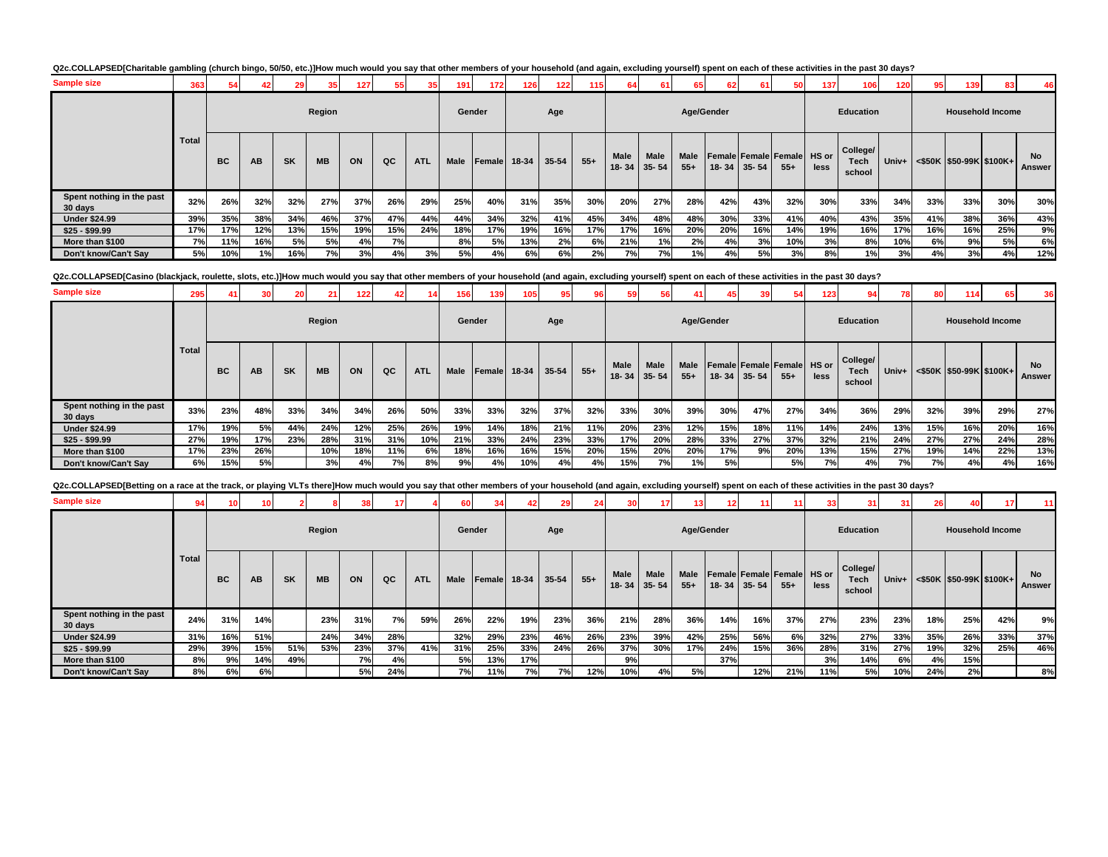### Q2c.COLLAPSED[Charitable gambling (church bingo, 50/50, etc.)]How much would you say that other members of your household (and again, excluding yourself) spent on each of these activities in the past 30 days?

| <b>Sample size</b>                   | 363          | 54        |           |           | 35 <sub>1</sub> | 127 | 55 <sub>1</sub> | 35         | 191         | 172    | 126   | 122       | 115   |                          | 61                       |               | 62 <sub>1</sub> | 61                | 50                                   | 137  | 106                               | 120        | 95  | 139                                         |     | 46                  |
|--------------------------------------|--------------|-----------|-----------|-----------|-----------------|-----|-----------------|------------|-------------|--------|-------|-----------|-------|--------------------------|--------------------------|---------------|-----------------|-------------------|--------------------------------------|------|-----------------------------------|------------|-----|---------------------------------------------|-----|---------------------|
|                                      |              |           |           |           | Region          |     |                 |            | Gender      |        |       | Age       |       |                          |                          | Age/Gender    |                 |                   |                                      |      | <b>Education</b>                  |            |     | <b>Household Income</b>                     |     |                     |
|                                      | <b>Total</b> | <b>BC</b> | <b>AB</b> | <b>SK</b> | <b>MB</b>       | ON  | QC              | <b>ATL</b> | <b>Male</b> | Female | 18-34 | $35 - 54$ | $55+$ | <b>Male</b><br>$18 - 34$ | <b>Male</b><br>$35 - 54$ | Male<br>$55+$ |                 | $18 - 34$ 35 - 54 | Female Female Female HS or<br>$55 +$ | less | College/<br><b>Tech</b><br>school | Univ+ $\ $ |     | $\leq$ \$50K $\mid$ \$50-99K $\mid$ \$100K+ |     | <b>No</b><br>Answer |
| Spent nothing in the past<br>30 days | 32%          | 26%       | 32%       | 32%       | 27%             | 37% | 26%             | 29%        | 25%         | 40%    | 31%   | 35%       | 30%   | 20%                      | 27%                      | 28%           | 42%             | 43%               | 32%                                  | 30%  | 33%                               | 34%        | 33% | 33%                                         | 30% | 30%                 |
| <b>Under \$24.99</b>                 | 39%          | 35%       | 38%       | 34%       | 46%             | 37% | 47%             | 44%        | 44%         | 34%    | 32%   | 41%       | 45%   | 34%                      | 48%                      | 48%           | 30%             | 33%               | 41%                                  | 40%  | 43%                               | 35%        | 41% | 38%                                         | 36% | 43%                 |
| $$25 - $99.99$                       | 17%          | 17%       | 12%       | 13%       | 15%             | 19% | 15%             | 24%        | 18%         | 17%    | 19%   | 16%       | 17%   | 17%                      | 16%                      | 20%           | 20%             | 16%               | 14%                                  | 19%  | 16%                               | 17%        | 16% | 16%                                         | 25% | 9%                  |
| More than \$100                      | 7%           | 11%       | 16%       | 5%        | 5%              | 4%  | <b>7%</b>       |            | 8%          | 5%     | 13%   | 2%        | 6%    | 21%                      | 1%                       | 2%            | 4%              | 3%                | 10%                                  | 3%   | 8%                                | 10%        | 6%  | 9%                                          | 5%  | 6%                  |
| Don't know/Can't Sav                 | 5%           | 10%       | 1%        | 16%       | 7%              | 3%  | 4%              | 3%         | 5%          | 4%     | 6%    | 6%        | 2%    | 7%                       | 7%                       | 1%            | 4%              | 5%                | 3%                                   | 8%   | 1%)                               | 3%         | 4%  | 3%                                          | 4%  | 12%                 |

Q2c.COLLAPSED[Casino (blackjack, roulette, slots, etc.)]How much would you say that other members of your household (and again, excluding yourself) spent on each of these activities in the past 30 days?

| <b>Sample size</b>                   | 295   |           |     | 20 <sup>1</sup> | 21        | 122 | 42  |            | 156         | 139    | 105   | 95 <sub>1</sub> |       |               | 56                |               |            |                   | 54                                   | 123  | 94                                | 78    | 80  | 114                               | 65  | 36                         |
|--------------------------------------|-------|-----------|-----|-----------------|-----------|-----|-----|------------|-------------|--------|-------|-----------------|-------|---------------|-------------------|---------------|------------|-------------------|--------------------------------------|------|-----------------------------------|-------|-----|-----------------------------------|-----|----------------------------|
|                                      |       |           |     |                 | Region    |     |     |            | Gender      |        |       | Age             |       |               |                   |               | Age/Gender |                   |                                      |      | <b>Education</b>                  |       |     | <b>Household Income</b>           |     |                            |
|                                      | Total | <b>BC</b> | AB  | <b>SK</b>       | <b>MB</b> | ON  | QC  | <b>ATL</b> | <b>Male</b> | Female | 18-34 | $35 - 54$       | $55+$ | Male<br>18-34 | Male<br>$35 - 54$ | Male<br>$55+$ |            | $18 - 34$ 35 - 54 | Female Female Female HS or<br>$55 +$ | less | College/<br><b>Tech</b><br>school | Univ+ |     | $\leq$ \$50K   \$50-99K   \$100K+ |     | <b>No</b><br><b>Answer</b> |
| Spent nothing in the past<br>30 days | 33%   | 23%       | 48% | 33%             | 34%       | 34% | 26% | 50%        | 33%         | 33%    | 32%   | 37%             | 32%   | 33%           | 30%               | 39%           | 30%        | 47%               | 27%                                  | 34%  | 36%                               | 29%   | 32% | 39%                               | 29% | 27%                        |
| <b>Under \$24.99</b>                 | 17%   | 19%       | 5%  | 44%             | 24%       | 12% | 25% | 26%        | 19%         | 14%    | 18%   | 21%             | 11%   | 20%           | 23%               | 12%           | 15%        | 18%               | 11%                                  | 14%  | 24%                               | 13%   | 15% | 16%                               | 20% | 16%                        |
| $$25 - $99.99$                       | 27%   | 19%       | 17% | 23%             | 28%       | 31% | 31% | 10%        | 21%         | 33%    | 24%   | 23%             | 33%   | 17%           | 20%               | 28%           | 33%        | 27%               | 37%                                  | 32%  | 21%                               | 24%   | 27% | 27%                               | 24% | 28%                        |
| More than \$100                      | 17%   | 23%       | 26% |                 | 10%       | 18% | 11% | 6%         | 18%         | 16%    | 16%   | 15%             | 20%   | 15%           | 20%               | 20%           | 17%        | 9%                | 20%                                  | 13%  | 15%                               | 27%   | 19% | 14%                               | 22% | 13%                        |
| Don't know/Can't Sav                 | 6%    | 15%       | 5%  |                 | 3%        | 4%  | 7%  | 8%         | 9%          | 4%     | 10%   | 4%              | 4%    | 15%           | 7%                | 1%            | 5%         |                   | 5%                                   | 7%   | 4%                                | 7%    | 7%  | 4%                                | 4%  | 16%                        |

| Q2c.COLLAPSED[Betting on a race at the track, or playing VLTs there]How much would you say that other members of your household (and again, excluding yourself) spent on each of these activities in the past 30 days? |  |  |  |  |  |  |  |  |  |  |  |  |  |  |  |  |  |  |  |  |  |  |  |  |  |  |  |  |  |  |  |  |  |  |  |  |  |  |  |  |  |  |  |  |  |  |  |  |  |  |  |  |  |  |  |  |  |  |  |  |  |  |  |  |  |  |  |  |  |  |  |  |  |  |  |  |  |  |  |  |  |  |  |  |  |  |  |  |  |  |  |  |  |  |  |  |  |  |  |  |  |  |  |  |  |  |  |  |  |  |  |  |  |  |  |  |  |  |  |  |  |  |  |  |  |  |  |  |  |  |  |  |  |  |  |  |  |  |  |  |  |  |  |  |  |  |
|------------------------------------------------------------------------------------------------------------------------------------------------------------------------------------------------------------------------|--|--|--|--|--|--|--|--|--|--|--|--|--|--|--|--|--|--|--|--|--|--|--|--|--|--|--|--|--|--|--|--|--|--|--|--|--|--|--|--|--|--|--|--|--|--|--|--|--|--|--|--|--|--|--|--|--|--|--|--|--|--|--|--|--|--|--|--|--|--|--|--|--|--|--|--|--|--|--|--|--|--|--|--|--|--|--|--|--|--|--|--|--|--|--|--|--|--|--|--|--|--|--|--|--|--|--|--|--|--|--|--|--|--|--|--|--|--|--|--|--|--|--|--|--|--|--|--|--|--|--|--|--|--|--|--|--|--|--|--|--|--|--|--|--|--|
|------------------------------------------------------------------------------------------------------------------------------------------------------------------------------------------------------------------------|--|--|--|--|--|--|--|--|--|--|--|--|--|--|--|--|--|--|--|--|--|--|--|--|--|--|--|--|--|--|--|--|--|--|--|--|--|--|--|--|--|--|--|--|--|--|--|--|--|--|--|--|--|--|--|--|--|--|--|--|--|--|--|--|--|--|--|--|--|--|--|--|--|--|--|--|--|--|--|--|--|--|--|--|--|--|--|--|--|--|--|--|--|--|--|--|--|--|--|--|--|--|--|--|--|--|--|--|--|--|--|--|--|--|--|--|--|--|--|--|--|--|--|--|--|--|--|--|--|--|--|--|--|--|--|--|--|--|--|--|--|--|--|--|--|--|

| <b>Sample size</b>                   | 94    |     |           |           |           |     |     |            | 60     | 34       |       |       | 24    |               | 17 <sup>1</sup>   |                      |     |             |                                     | 33   | 31                         | 31  | 26  |                                                                                                |     | 11                         |
|--------------------------------------|-------|-----|-----------|-----------|-----------|-----|-----|------------|--------|----------|-------|-------|-------|---------------|-------------------|----------------------|-----|-------------|-------------------------------------|------|----------------------------|-----|-----|------------------------------------------------------------------------------------------------|-----|----------------------------|
|                                      |       |     |           |           | Region    |     |     |            | Gender |          |       | Age   |       |               |                   | Age/Gender           |     |             |                                     |      | <b>Education</b>           |     |     | <b>Household Income</b>                                                                        |     |                            |
|                                      | Total | BC  | <b>AB</b> | <b>SK</b> | <b>MB</b> | ON  | QC  | <b>ATL</b> | Male   | Female I | 18-34 | 35-54 | $55+$ | Male<br>18-34 | Male<br>$35 - 54$ | <b>Male</b><br>$55+$ |     | 18-34 35-54 | Female Female Female HS or<br>$55+$ | less | College/<br>Tech<br>school |     |     | Univ+ <s50k \$100k+<="" \$50-99k="" th=""><th></th><th><b>No</b><br/><b>Answer</b></th></s50k> |     | <b>No</b><br><b>Answer</b> |
| Spent nothing in the past<br>30 days | 24%   | 31% | 14%       |           | 23%       | 31% | 7%  | 59%        | 26%    | 22%      | 19%   | 23%   | 36%   | 21%           | 28%               | 36%                  | 14% | 16%         | 37%                                 | 27%  | 23%                        | 23% | 18% | 25%                                                                                            | 42% | 9%                         |
| <b>Under \$24.99</b>                 | 31%   | 16% | 51%       |           | 24%       | 34% | 28% |            | 32%    | 29%      | 23%   | 46%   | 26%   | 23%           | 39%               | 42%                  | 25% | 56%         | 6%                                  | 32%  | 27%                        | 33% | 35% | 26%                                                                                            | 33% | 37%                        |
| $$25 - $99.99$                       | 29%   | 39% | 15%       | 51%       | 53%       | 23% | 37% | 41%        | 31%    | 25%      | 33%   | 24%   | 26%   | 37%           | 30%               | 17%                  | 24% | 15%         | 36%                                 | 28%  | 31%                        | 27% | 19% | 32%                                                                                            | 25% | 46%                        |
| More than \$100                      | 8%    | 9%  | 14%       | 49%       |           | 7%  | 4%  |            | 5%     | 13%      | 17%   |       |       | 9%            |                   |                      | 37% |             |                                     | 3%   | 14%                        | 6%  | 4%  | 15%                                                                                            |     |                            |
| Don't know/Can't Say                 | 8%    | 6%  | 6%        |           |           | 5%  | 24% |            | 7%     | 11%      | 7%    | 7%    | 12%   | 10%           | 4%                | 5%                   |     | 12%         | 21%                                 | 11%  | 5%                         | 10% | 24% | 2%                                                                                             |     | 8%                         |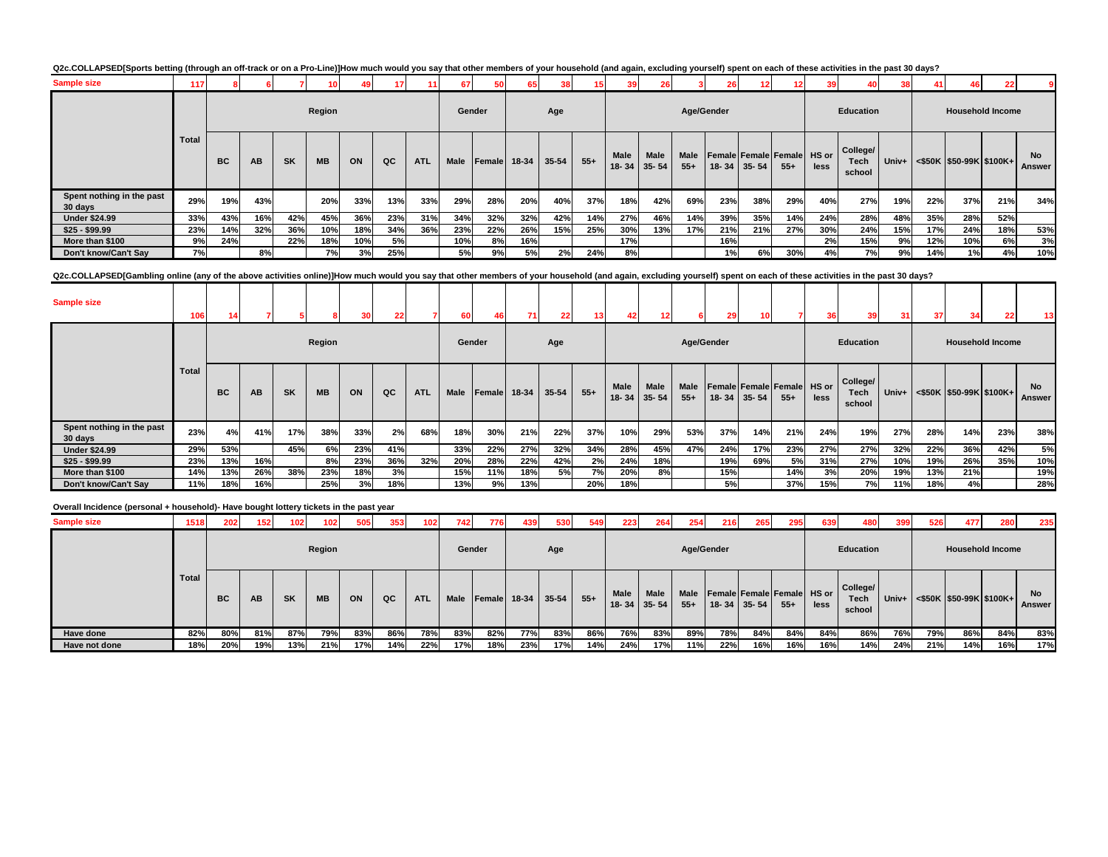| Q2c.COLLAPSED[Sports betting (through an off-track or on a Pro-Line)]How much would you say that other members of your household (and again, excluding yourself) spent on each of these activities in the past 30 days? |  |
|-------------------------------------------------------------------------------------------------------------------------------------------------------------------------------------------------------------------------|--|
|-------------------------------------------------------------------------------------------------------------------------------------------------------------------------------------------------------------------------|--|

| <b>Sample size</b>                   | 117   |           |           |           |           |     |     |            | 67          |              |     |       | 15    | 39                   | 26                       |                      | 26  |                   | 12 <sub>1</sub>                     | 39   | 40                                | 38    |     | 46                         |     |                     |
|--------------------------------------|-------|-----------|-----------|-----------|-----------|-----|-----|------------|-------------|--------------|-----|-------|-------|----------------------|--------------------------|----------------------|-----|-------------------|-------------------------------------|------|-----------------------------------|-------|-----|----------------------------|-----|---------------------|
|                                      |       |           |           |           | Region    |     |     |            | Gender      |              |     | Age   |       |                      |                          | Age/Gender           |     |                   |                                     |      | Education                         |       |     | <b>Household Income</b>    |     |                     |
|                                      | Total | <b>BC</b> | <b>AB</b> | <b>SK</b> | <b>MB</b> | ON  | QC  | <b>ATL</b> | <b>Male</b> | Female 18-34 |     | 35-54 | $55+$ | <b>Male</b><br>18-34 | <b>Male</b><br>$35 - 54$ | <b>Male</b><br>$55+$ |     | $18 - 34$ 35 - 54 | Female Female Female HS or<br>$55+$ | less | College/<br><b>Tech</b><br>school | Univ+ |     | $<$ \$50K \$50-99K \$100K+ |     | <b>No</b><br>Answer |
| Spent nothing in the past<br>30 days | 29%   | 19%       | 43%       |           | 20%       | 33% | 13% | 33%        | 29%         | 28%          | 20% | 40%   | 37%   | 18%                  | 42%                      | 69%                  | 23% | 38%               | 29%                                 | 40%  | 27%                               | 19%   | 22% | 37%                        | 21% | 34%                 |
| <b>Under \$24.99</b>                 | 33%   | 43%       | 16%       | 42%       | 45%       | 36% | 23% | 31%        | 34%         | 32%          | 32% | 42%   | 14%   | 27%                  | 46%                      | 14%                  | 39% | 35%               | 14%                                 | 24%  | 28%                               | 48%   | 35% | 28%                        | 52% |                     |
| $$25 - $99.99$                       | 23%   | 14%       | 32%       | 36%       | 10%       | 18% | 34% | 36%        | 23%         | 22%          | 26% | 15%   | 25%   | 30%                  | 13%                      | 17%                  | 21% | 21%               | 27%                                 | 30%  | 24%                               | 15%   | 17% | 24%                        | 18% | 53%                 |
| More than \$100                      | 9%    | 24%       |           | 22%       | 18%       | 10% | 5%  |            | 10%         | 8%           | 16% |       |       | 17%                  |                          |                      | 16% |                   |                                     | 2%   | 15%                               | 9%    | 12% | 10%                        | 6%  | 3%                  |
| Don't know/Can't Sav                 | 7%    |           | 8%        |           | 7%        | 3%  | 25% |            | 5%          | 9%           | 5%  | 2%    | 24%   | 8%                   |                          |                      | 1%  | 6%                | 30%                                 | 4%   | <b>7%</b>                         | 9%    | 14% | 1%                         | 4%  | 10%                 |

**Q2c.COLLAPSED[Gambling online (any of the above activities online)]How much would you say that other members of your household (and again, excluding yourself) spent on each of these activities in the past 30 days?<br>
<br>
<br>
<br>** 

| <b>Sample size</b>                   | 106   |           |     |           |           |     | 22  |            |        |              |     |           |       |                   |                   |               |            |                   |                                     |      |                            | 31    | 37  |                                 |     | 13           |
|--------------------------------------|-------|-----------|-----|-----------|-----------|-----|-----|------------|--------|--------------|-----|-----------|-------|-------------------|-------------------|---------------|------------|-------------------|-------------------------------------|------|----------------------------|-------|-----|---------------------------------|-----|--------------|
|                                      |       |           |     |           | Region    |     |     |            | Gender |              |     | Age       |       |                   |                   |               | Age/Gender |                   |                                     |      | Education                  |       |     | <b>Household Income</b>         |     |              |
|                                      | Total | <b>BC</b> | AB  | <b>SK</b> | <b>MB</b> | ON  | QC  | <b>ATL</b> | Male   | Female 18-34 |     | $35 - 54$ | $55+$ | Male<br>$18 - 34$ | Male<br>$35 - 54$ | Male<br>$55+$ |            | $18 - 34$ 35 - 54 | Female Female Female HS or<br>$55+$ | less | College/<br>Tech<br>school | Univ+ |     | $\leq$ \$50K \\$50-99K\\$100K+\ |     | No<br>Answer |
| Spent nothing in the past<br>30 days | 23%   | 4%        | 41% | 17%       | 38%       | 33% | 2%  | 68%        | 18%    | 30%          | 21% | 22%       | 37%   | 10%               | 29%               | 53%           | 37%        | 14%               | 21%                                 | 24%  | 19%                        | 27%   | 28% | 14%                             | 23% | 38%          |
| <b>Under \$24.99</b>                 | 29%   | 53%       |     | 45%       | 6%        | 23% | 41% |            | 33%    | 22%          | 27% | 32%       | 34%   | 28%               | 45%               | 47%           | 24%        | 17%               | 23%                                 | 27%  | 27%                        | 32%   | 22% | 36%                             | 42% | 5%           |
| $$25 - $99.99$                       | 23%   | 13%       | 16% |           | 8%        | 23% | 36% | 32%        | 20%    | 28%          | 22% | 42%       | 2%    | 24%               | 18%               |               | 19%        | 69%               | 5%                                  | 31%  | 27%                        | 10%   | 19% | 26%                             | 35% | 10%          |
| More than \$100                      | 14%   | 13%       | 26% | 38%       | 23%       | 18% | 3%  |            | 15%    | 11%          | 18% | <b>5%</b> | 7%    | 20%               | 8%                |               | 15%        |                   | 14%                                 | 3%   | 20%                        | 19%   | 13% | 21%                             |     | 19%          |
| Don't know/Can't Sav                 | 11%   | 18%       | 16% |           | 25%       | 3%  | 18% |            | 13%    | 9%           | 13% |           | 20%   | 18%               |                   |               | 5%         |                   | 37%                                 | 15%  | 7%                         | 11%   | 18% | 4%                              |     | 28%          |

#### **Overall Incidence (personal + household)- Have bought lottery tickets in the past year**

| <b>Sample size</b> | 1518  | 202       | 152       | 102       | 102       | 505 | 353 | 102        | 742         | 776    | 439     | 530       | 549   | 223  | 264                              | 254                  | 216        | 265                                             | 295   | 639  | 480                               | 399   | 526 | 477                           | 280 | 235          |
|--------------------|-------|-----------|-----------|-----------|-----------|-----|-----|------------|-------------|--------|---------|-----------|-------|------|----------------------------------|----------------------|------------|-------------------------------------------------|-------|------|-----------------------------------|-------|-----|-------------------------------|-----|--------------|
|                    |       |           |           |           | Region    |     |     |            | Gender      |        |         | Age       |       |      |                                  |                      | Age/Gender |                                                 |       |      | Education                         |       |     | <b>Household Income</b>       |     |              |
|                    | Total | <b>BC</b> | <b>AB</b> | <b>SK</b> | <b>MB</b> | ON  | QC  | <b>ATL</b> | <b>Male</b> | Female | $18-34$ | $35 - 54$ | $55+$ | Male | <b>Male</b><br>$18 - 34$ 35 - 54 | <b>Male</b><br>$55+$ |            | Female Female Female HS or<br>$18 - 34$ 35 - 54 | $55+$ | less | College/<br><b>Tech</b><br>school | Univ+ |     | $\leq$ \$50K \$50-99K \$100K+ |     | No<br>Answer |
| Have done          | 82%   | 80%       | 81%       | 87%       | 79%       | 83% | 86% | 78%        | 83%         | 82%    | 77%     | 83%       | 86%   | 76%  | 83%                              | 89%                  | 78%        | 84%                                             | 84%   | 84%  | 86%                               | 76%   | 79% | 86%                           | 84% | 83%          |
| Have not done      | 18%   | 20%       | 19%       | 13%       | 21%       | 17% | 14% | 22%        | 17%         | 18%    | 23%     | 17%       | 14%   | 24%  | 17%                              | 11%                  | 22%        | 16%                                             | 16%   | 16%  | 14%                               | 24%   | 21% | 14%                           | 16% | 17%          |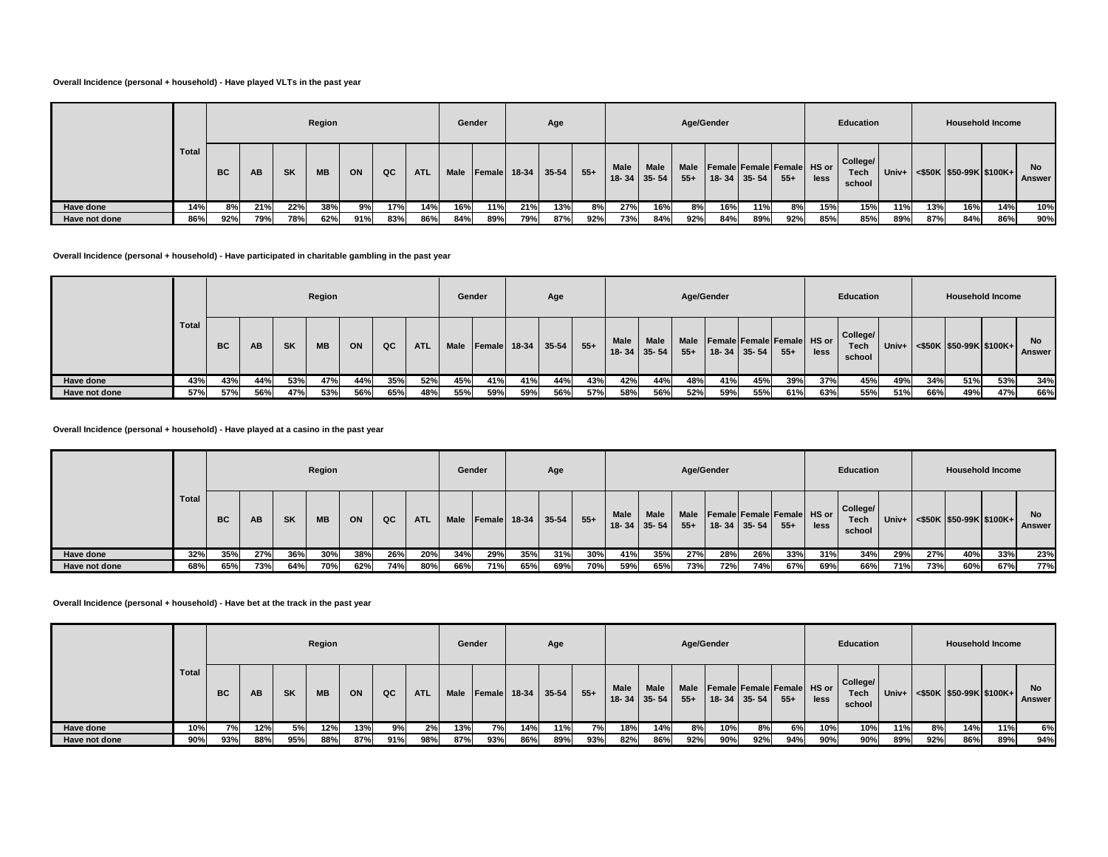### **Overall Incidence (personal + household) - Have played VLTs in the past year**

|               |       |           |     |     | Region    |     |     |            |             | Gender         |     | Age   |       |             |                           |       | Age/Gender |                                                              |       |      | Education                  |       |     | <b>Household Income</b>       |     |              |
|---------------|-------|-----------|-----|-----|-----------|-----|-----|------------|-------------|----------------|-----|-------|-------|-------------|---------------------------|-------|------------|--------------------------------------------------------------|-------|------|----------------------------|-------|-----|-------------------------------|-----|--------------|
|               | Total | <b>BC</b> | AB  | SK  | <b>MB</b> | ON  | QC  | <b>ATL</b> | <b>Male</b> | $Female$ 18-34 |     | 35-54 | $55+$ | <b>Male</b> | Male<br>$18 - 34$ 35 - 54 | $55+$ |            | Male   Female   Female   Female   HS or<br>$18 - 34$ 35 - 54 | $55+$ | less | College/<br>Tech<br>school | Univ+ |     | $\leq$ \$50K \$50-99K \$100K+ |     | No<br>Answer |
| Have done     | 14%   | 8%        | 21% | 22% | 38%       | 9%  | 17% | 14%        | 16%         | 11%            | 21% | 13%   | 8%    | 27%         | 16%                       | 8%    | 16%        | 11%                                                          | 8%    | 15%  | 15%                        | 11%   | 13% | 16%                           | 14% | 10%          |
| Have not done | 86%   | 92%       | 79% | 78% | 62%       | 91% | 83% | 86%        | 84%         | 89%            | 79% | 87%   | 92%   | 73%         | 84%                       | 92%   | 84%        | 89%                                                          | 92%   | 85%  | 85%                        | 89%   | 87% | 84%                           | 86% | 90%          |

### **Overall Incidence (personal + household) - Have participated in charitable gambling in the past year**

|               |       |           |     |           | Region    |     |     |            |             | Gender         |     | Age     |        |             |                           |       | Age/Gender |                                                |       |      | Education                         |     |     | <b>Household Income</b>              |     |                     |
|---------------|-------|-----------|-----|-----------|-----------|-----|-----|------------|-------------|----------------|-----|---------|--------|-------------|---------------------------|-------|------------|------------------------------------------------|-------|------|-----------------------------------|-----|-----|--------------------------------------|-----|---------------------|
|               | Total | <b>BC</b> | AB  | <b>SK</b> | <b>MB</b> | ON  | QC  | <b>ATL</b> | <b>Male</b> | Female $18-34$ |     | $35-54$ | $55 +$ | <b>Male</b> | Male<br>$18 - 34$ 35 - 54 | $55+$ |            | Male Female Female Female HS or<br>18-34 35-54 | $55+$ | less | College/<br><b>Tech</b><br>school |     |     | Univ+ $ $ <\$50K  \$50-99K   \$100K+ |     | <b>No</b><br>Answer |
| Have done     | 43%   | 43%       | 44% | 53%       | 47%       | 44% | 35% | 52%        | 45%         | 41%            | 41% | 44%     | 43%    | 42%         | 44%                       | 48%   | 41%        | 45%                                            | 39%   | 37%  | 45%                               | 49% | 34% | 51%                                  | 53% | 34%                 |
| Have not done | 57%   | 57%       | 56% | 47%       | 53%       | 56% | 65% | 48%        | 55%         | 59%            | 59% | 56%     | 57%    | 58%         | 56%                       | 52%   | 59%        | 55%                                            | 61%   | 63%  | 55%                               | 51% | 66% | 49%                                  | 47% | 66%                 |

### **Overall Incidence (personal + household) - Have played at a casino in the past year**

|               |       |           |     |           | Region    |     |     |            | Gender |     |              | Age       |       |                          |                          | Age/Gender    |                   |     |                                      |      | <b>Education</b>                  |         |     |     | <b>Household Income</b>       |                     |
|---------------|-------|-----------|-----|-----------|-----------|-----|-----|------------|--------|-----|--------------|-----------|-------|--------------------------|--------------------------|---------------|-------------------|-----|--------------------------------------|------|-----------------------------------|---------|-----|-----|-------------------------------|---------------------|
|               | Total | <b>BC</b> | AB  | <b>SK</b> | <b>MB</b> | ON  | QC  | <b>ATL</b> | Male   |     | Female 18-34 | $35 - 54$ | $55+$ | <b>Male</b><br>$18 - 34$ | <b>Male</b><br>$35 - 54$ | Male<br>$55+$ | $18 - 34$ 35 - 54 |     | Female Female Female HS or<br>$55 +$ | less | College/<br><b>Tech</b><br>school | $Univ+$ |     |     | $\leq$ \$50K \$50-99K \$100K+ | <b>No</b><br>Answer |
| Have done     | 32%   | 35%       | 27% | 36%       | 30%       | 38% | 26% | 20%        | 34%    | 29% | 35%          | 31%       | 30%   | 41%                      | 35%                      | 27%           | 28%               | 26% | 33%                                  | 31%  | 34%                               | 29%     | 27% | 40% | 33%                           | 23%                 |
| Have not done | 68%   | 65%       | 73% | 64%       | 70%       | 62% | 74% | 80%        | 66%    | 71% | 65%          | 69%       | 70%   | 59%                      | 65%                      | 73%           | 72%               | 74% | 67%                                  | 69%  | 66%                               | 71%     | 73% | 60% | 67%                           | 77%                 |

### **Overall Incidence (personal + household) - Have bet at the track in the past year**

|               |       |           |     |           | Region    |     |     |            | Gender      |     |     | Age                |       |             |                            | Age/Gender    |     |                   |                                     |      | Education                         |       |     | <b>Household Income</b>       |     |                     |
|---------------|-------|-----------|-----|-----------|-----------|-----|-----|------------|-------------|-----|-----|--------------------|-------|-------------|----------------------------|---------------|-----|-------------------|-------------------------------------|------|-----------------------------------|-------|-----|-------------------------------|-----|---------------------|
|               | Total | <b>BC</b> | AB  | <b>SK</b> | <b>MB</b> | ON  | QC  | <b>ATL</b> | <b>Male</b> |     |     | Female 18-34 35-54 | $55+$ | <b>Male</b> | <b>Male</b><br>18-34 35-54 | Male<br>$55+$ |     | $18 - 34$ 35 - 54 | Female Female Female HS or<br>$55+$ | less | College/<br><b>Tech</b><br>school | Univ+ |     | $\leq$ \$50K \$50-99K \$100K+ |     | No<br><b>Answer</b> |
| Have done     | 10%   | 7%        | 12% | 5%        | 12%       | 13% | 9%  | 2%         | 13%         | 7%  | 14% | 11%                | 7%    | 18%         | 14%                        | 8%            | 10% | 8%                | 6%                                  | 10%  | 10%                               | 11%   | 8%  | 14%                           | 11% | 6%                  |
| Have not done | 90%   | 93%       | 88% | 95%       | 88%       | 87% | 91% | 98%        | 87%         | 93% | 86% | 89%                | 93%   | 82%         | 86%                        | 92%           | 90% | 92%               | 94%                                 | 90%  | 90%                               | 89%   | 92% | 86%                           | 89% | 94%                 |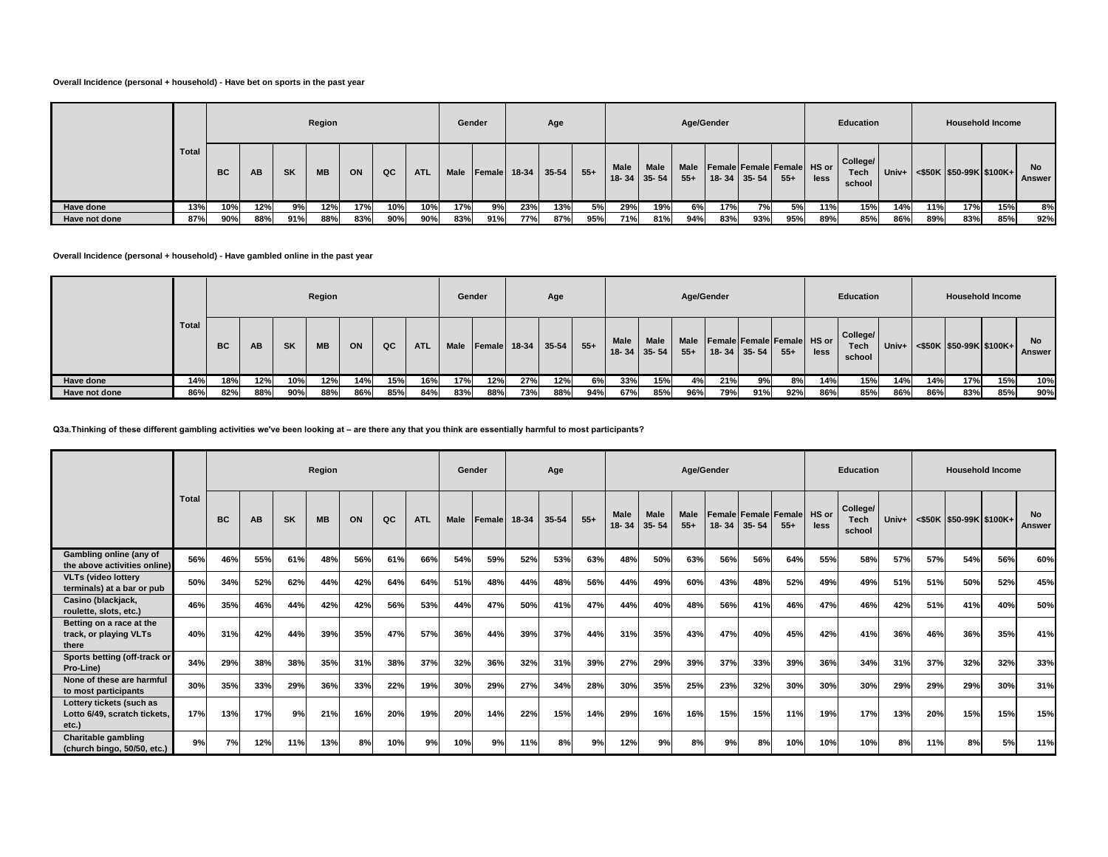### **Overall Incidence (personal + household) - Have bet on sports in the past year**

|               |              |                                       |     |           | Region    |     |     |            |             | Gender |             | Age |       |             |                                    |               | Age/Gender |                                                 |       |      | Education                  |       |     | <b>Household Income</b>                     |     |                     |
|---------------|--------------|---------------------------------------|-----|-----------|-----------|-----|-----|------------|-------------|--------|-------------|-----|-------|-------------|------------------------------------|---------------|------------|-------------------------------------------------|-------|------|----------------------------|-------|-----|---------------------------------------------|-----|---------------------|
|               | <b>Total</b> | <b>BC</b>                             | AB  | <b>SK</b> | <b>MB</b> | ON  | QC  | <b>ATL</b> | <b>Male</b> | Female | 18-34 35-54 |     | $55+$ | <b>Male</b> | <b>Male</b><br>$18 - 34$   35 - 54 | Male<br>$55+$ |            | Female Female Female HS or<br>$18 - 34$ 35 - 54 | $55+$ | less | College/<br>Tech<br>school | Univ+ |     | $\leq$ \$50K $\mid$ \$50-99K $\mid$ \$100K+ |     | No<br><b>Answer</b> |
| Have done     | 13%          | 10%<br>17%<br>12%<br>12%<br>10%<br>9% |     |           |           |     |     | 10%        | 17%         | 9%     | 23%         | 13% | 5%    | 29%         | 19%                                | 6%            | 17%        | <b>7%</b>                                       | 5%    | 11%  | 15%                        | 14%   | 11% | 17%                                         | 15% | 8%                  |
| Have not done | 87%          | 90%                                   | 88% | 91%       | 88%       | 83% | 90% | 90%        | 83%         | 91%    | 77%         | 87% | 95%   | 71%         | 81%                                | 94%           | 83%        | 93%                                             | 95%   | 89%  | 85%                        | 86%   | 89% | 83%                                         | 85% | 92%                 |

**Overall Incidence (personal + household) - Have gambled online in the past year**

|               |       |     |           |           | Region    |     |     |            |      | Gender              |     | Age     |       |                           |      |       | Age/Gender |                                                      |        |      | Education                         |     |     | <b>Household Income</b>                       |     |                     |
|---------------|-------|-----|-----------|-----------|-----------|-----|-----|------------|------|---------------------|-----|---------|-------|---------------------------|------|-------|------------|------------------------------------------------------|--------|------|-----------------------------------|-----|-----|-----------------------------------------------|-----|---------------------|
|               | Total | BC. | <b>AB</b> | <b>SK</b> | <b>MB</b> | ON  | QC  | <b>ATL</b> | Male | <b>Female</b> 18-34 |     | $35-54$ | $55+$ | Male<br>$18 - 34$   35-54 | Male | $55+$ |            | Male Female Female Female HS or<br>$18 - 34$ 35 - 54 | $55 +$ | less | College/<br><b>Tech</b><br>school |     |     | Univ+ $\leq$ \$50K $\leq$ 50-99K $\leq$ 100K+ |     | <b>No</b><br>Answer |
| Have done     | 14%   | 18% | 12%       | 10%       | 12%       | 14% | 15% | 16%        | 17%  | 12%                 | 27% | 12%     | 6%    | 33%                       | 15%  | 4%    | 21%        | 9%                                                   | 8%     | 14%  | 15%                               | 14% | 14% | 17%                                           | 15% | 10%                 |
| Have not done | 86%   | 82% | 88%       | 90%       | 88%       | 86% | 85% | 84%        | 83%  | 88%                 | 73% | 88%     | 94%   | 67%                       | 85%  | 96%   | 79%        | 91%                                                  | 92%    | 86%  | 85%                               | 86% | 86% | 83%                                           | 85% | 90%                 |

**Q3a.Thinking of these different gambling activities we've been looking at – are there any that you think are essentially harmful to most participants?**

|                                                                   |              |           |     |           | Region    |     |     |            | Gender      |        |       | Age   |       |                   |                          | Age/Gender           |           |           |                                            |      | <b>Education</b>           |         |     | <b>Household Income</b>    |     |                            |
|-------------------------------------------------------------------|--------------|-----------|-----|-----------|-----------|-----|-----|------------|-------------|--------|-------|-------|-------|-------------------|--------------------------|----------------------|-----------|-----------|--------------------------------------------|------|----------------------------|---------|-----|----------------------------|-----|----------------------------|
|                                                                   | <b>Total</b> | <b>BC</b> | AB  | <b>SK</b> | <b>MB</b> | ON  | QC  | <b>ATL</b> | <b>Male</b> | Female | 18-34 | 35-54 | $55+$ | Male<br>$18 - 34$ | <b>Male</b><br>$35 - 54$ | <b>Male</b><br>$55+$ | $18 - 34$ | $35 - 54$ | <b>Female Female Female HS or</b><br>$55+$ | less | College/<br>Tech<br>school | $Univ+$ |     | $<$ \$50K \$50-99K \$100K+ |     | <b>No</b><br><b>Answer</b> |
| Gambling online (any of<br>the above activities online)           | 56%          | 46%       | 55% | 61%       | 48%       | 56% | 61% | 66%        | 54%         | 59%    | 52%   | 53%   | 63%   | 48%               | 50%                      | 63%                  | 56%       | 56%       | 64%                                        | 55%  | 58%                        | 57%     | 57% | 54%                        | 56% | 60%                        |
| <b>VLTs (video lottery</b><br>terminals) at a bar or pub          | 50%          | 34%       | 52% | 62%       | 44%       | 42% | 64% | 64%        | 51%         | 48%    | 44%   | 48%   | 56%   | 44%               | 49%                      | 60%                  | 43%       | 48%       | 52%                                        | 49%  | 49%                        | 51%     | 51% | 50%                        | 52% | 45%                        |
| Casino (blackjack,<br>roulette, slots, etc.)                      | 46%          | 35%       | 46% | 44%       | 42%       | 42% | 56% | 53%        | 44%         | 47%    | 50%   | 41%   | 47%   | 44%               | 40%                      | 48%                  | 56%       | 41%       | 46%                                        | 47%  | 46%                        | 42%     | 51% | 41%                        | 40% | 50%                        |
| Betting on a race at the<br>track, or playing VLTs<br>there       | 40%          | 31%       | 42% | 44%       | 39%       | 35% | 47% | 57%        | 36%         | 44%    | 39%   | 37%   | 44%   | 31%               | 35%                      | 43%                  | 47%       | 40%       | 45%                                        | 42%  | 41%                        | 36%     | 46% | 36%                        | 35% | 41%                        |
| Sports betting (off-track or<br>Pro-Line)                         | 34%          | 29%       | 38% | 38%       | 35%       | 31% | 38% | 37%        | 32%         | 36%    | 32%   | 31%   | 39%   | 27%               | 29%                      | 39%                  | 37%       | 33%       | 39%                                        | 36%  | 34%                        | 31%     | 37% | 32%                        | 32% | 33%                        |
| None of these are harmful<br>to most participants                 | 30%          | 35%       | 33% | 29%       | 36%       | 33% | 22% | 19%        | 30%         | 29%    | 27%   | 34%   | 28%   | 30%               | 35%                      | 25%                  | 23%       | 32%       | 30%                                        | 30%  | 30%                        | 29%     | 29% | 29%                        | 30% | 31%                        |
| Lottery tickets (such as<br>Lotto 6/49, scratch tickets,<br>etc.) | 17%          | 13%       | 17% | 9%        | 21%       | 16% | 20% | 19%        | 20%         | 14%    | 22%   | 15%   | 14%   | 29%               | 16%                      | 16%                  | 15%       | 15%       | 11%                                        | 19%  | 17%                        | 13%     | 20% | 15%                        | 15% | 15%                        |
| <b>Charitable gambling</b><br>(church bingo, 50/50, etc.)         | 9%           | 7%        | 12% | 11%       | 13%       | 8%  | 10% | 9%         | 10%         | 9%     | 11%   | 8%    | 9%    | 12%               | 9%                       | 8%                   | 9%        | 8%        | 10%                                        | 10%  | 10%                        | 8%      | 11% | 8%                         | 5%  | 11%                        |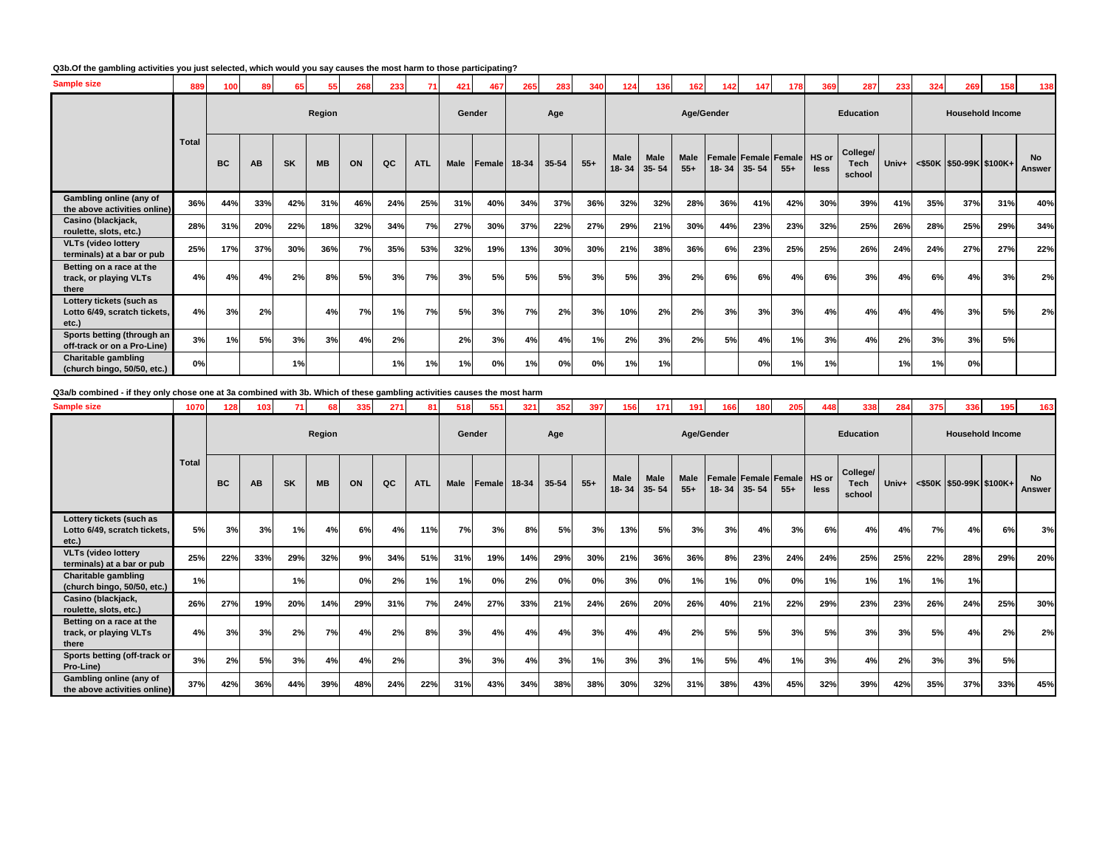### **Q3b.Of the gambling activities you just selected, which would you say causes the most harm to those participating?**

| <b>Sample size</b>                                                | 889          | 100 |           | 65        | 55        | 268 | 233 |            | 421  | 467          | 265 | 283   | 340   | 124               | 136               | 162           | 142 | 147         | 178                           | 369           | 287                        | 233 | 324 | 269                           | 158 | 138                 |
|-------------------------------------------------------------------|--------------|-----|-----------|-----------|-----------|-----|-----|------------|------|--------------|-----|-------|-------|-------------------|-------------------|---------------|-----|-------------|-------------------------------|---------------|----------------------------|-----|-----|-------------------------------|-----|---------------------|
|                                                                   |              |     |           |           | Region    |     |     |            |      | Gender       |     | Age   |       |                   |                   | Age/Gender    |     |             |                               |               | <b>Education</b>           |     |     | <b>Household Income</b>       |     |                     |
|                                                                   | <b>Total</b> | BC  | <b>AB</b> | <b>SK</b> | <b>MB</b> | ON  | QC  | <b>ATL</b> | Male | Female 18-34 |     | 35-54 | $55+$ | Male<br>$18 - 34$ | Male<br>$35 - 54$ | Male<br>$55+$ |     | 18-34 35-54 | Female Female Female<br>$55+$ | HS or<br>less | College/<br>Tech<br>school |     |     | Univ+ <\$50K \$50-99K \$100K+ |     | <b>No</b><br>Answer |
| Gambling online (any of<br>the above activities online)           | 36%          | 44% | 33%       | 42%       | 31%       | 46% | 24% | 25%        | 31%  | 40%          | 34% | 37%   | 36%   | 32%               | 32%               | 28%           | 36% | 41%         | 42%                           | 30%           | 39%                        | 41% | 35% | 37%                           | 31% | 40%                 |
| Casino (blackjack,<br>roulette, slots, etc.)                      | 28%          | 31% | 20%       | 22%       | 18%       | 32% | 34% | 7%         | 27%  | 30%          | 37% | 22%   | 27%   | 29%               | 21%               | 30%           | 44% | 23%         | 23%                           | 32%           | 25%                        | 26% | 28% | 25%                           | 29% | 34%                 |
| <b>VLTs (video lottery</b><br>terminals) at a bar or pub          | 25%          | 17% | 37%       | 30%       | 36%       | 7%  | 35% | 53%        | 32%  | 19%          | 13% | 30%   | 30%   | 21%               | 38%               | 36%           | 6%  | 23%         | 25%                           | 25%           | 26%                        | 24% | 24% | 27%                           | 27% | 22%                 |
| Betting on a race at the<br>track, or playing VLTs<br>there       | 4%           | 4%  | 4%        | 2%        | 8%        | 5%  | 3%  | 7%         | 3%   | 5%           | 5%  | 5%    | 3%    | 5%                | 3%                | 2%            | 6%  | 6%          | 4%                            | 6%            | 3%                         | 4%  | 6%  | 4%                            | 3%  | 2%                  |
| Lottery tickets (such as<br>Lotto 6/49, scratch tickets,<br>etc.) | 4%           | 3%  | 2%        |           | 4%        | 7%  | 1%  | 7%         | 5%   | 3%           | 7%  | 2%    | 3%    | 10%               | 2%                | 2%            | 3%  | 3%          | 3%                            | 4%            | 4%                         | 4%  | 4%  | 3%                            | 5%  | 2%                  |
| Sports betting (through an<br>off-track or on a Pro-Line)         | 3%           | 1%  | 5%        | 3%        | 3%        | 4%  | 2%  |            | 2%   | 3%           | 4%  | 4%    | 1%    | 2%                | 3%                | 2%            | 5%  | 4%          | 1%                            | 3%            | 4%                         | 2%  | 3%  | 3%                            | 5%  |                     |
| <b>Charitable gambling</b><br>(church bingo, 50/50, etc.)         | 0%           |     |           | 1%        |           |     | 1%  | 1%         | 1%   | 0%           | 1%  | 0%    | 0%    | 1%                | 1%                |               |     | 0%          | 1%                            | 1%            |                            | 1%  | 1%  | 0%                            |     |                     |

# **Q3a/b combined - if they only chose one at 3a combined with 3b. Which of these gambling activities causes the most harm**

| Sample size                                                       | 1070         | 128       | 103       | 71        | 68        | 335 | 271 | 81         | 518  | 551          | 321 | 352       | 397   | 156         | $171$                      | 191                  | 166        | 180         | 205                                  | 448           | 338                        | 284 | 375 | 336                              | 195 | 163                 |
|-------------------------------------------------------------------|--------------|-----------|-----------|-----------|-----------|-----|-----|------------|------|--------------|-----|-----------|-------|-------------|----------------------------|----------------------|------------|-------------|--------------------------------------|---------------|----------------------------|-----|-----|----------------------------------|-----|---------------------|
|                                                                   |              |           |           |           | Region    |     |     |            |      | Gender       |     | Age       |       |             |                            |                      | Age/Gender |             |                                      |               | <b>Education</b>           |     |     | <b>Household Income</b>          |     |                     |
|                                                                   | <b>Total</b> | <b>BC</b> | <b>AB</b> | <b>SK</b> | <b>MB</b> | ON  | QC  | <b>ATL</b> | Male | Female 18-34 |     | $35 - 54$ | $55+$ | <b>Male</b> | <b>Male</b><br>18-34 35-54 | <b>Male</b><br>$55+$ |            | 18-34 35-54 | <b>Female Female Female</b><br>$55+$ | HS or<br>less | College/<br>Tech<br>school |     |     | Univ+ <\$50K  \$50-99K   \$100K+ |     | <b>No</b><br>Answer |
| Lottery tickets (such as<br>Lotto 6/49, scratch tickets,<br>etc.) | 5%           | 3%        | 3%        | 1%        | 4%        | 6%  | 4%  | 11%        | 7%   | 3%           | 8%  | 5%        | 3%    | 13%         | 5%                         | 3%                   | 3%         | 4%          | 3%                                   | 6%            | 4%                         | 4%  | 7%  | 4%                               | 6%  | 3%                  |
| <b>VLTs (video lottery</b><br>terminals) at a bar or pub          | 25%          | 22%       | 33%       | 29%       | 32%       | 9%  | 34% | 51%        | 31%  | 19%          | 14% | 29%       | 30%   | 21%         | 36%                        | 36%                  | 8%         | 23%         | 24%                                  | 24%           | 25%                        | 25% | 22% | 28%                              | 29% | 20%                 |
| <b>Charitable gambling</b><br>(church bingo, 50/50, etc.)         | 1%           |           |           | 1%        |           | 0%  | 2%  | 1%         | 1%   | 0%           | 2%  | 0%        | 0%    | 3%          | 0%                         | 1%                   | 1%         | 0%          | 0%                                   | 1%            | 1%                         | 1%  | 1%  | 1%                               |     |                     |
| Casino (blackjack,<br>roulette, slots, etc.)                      | 26%          | 27%       | 19%       | 20%       | 14%       | 29% | 31% | 7%         | 24%  | 27%          | 33% | 21%       | 24%   | 26%         | 20%                        | 26%                  | 40%        | 21%         | 22%                                  | 29%           | 23%                        | 23% | 26% | 24%                              | 25% | 30%                 |
| Betting on a race at the<br>track, or playing VLTs<br>there       | 4%           | 3%        | 3%        | 2%        | 7%        | 4%  | 2%  | 8%         | 3%   | 4%           | 4%  | 4%        | 3%    | 4%          | 4%                         | 2%                   | 5%         | 5%          | 3%                                   | 5%            | 3%                         | 3%  | 5%  | 4%                               | 2%  | 2%                  |
| Sports betting (off-track or<br>Pro-Line)                         | 3%           | 2%        | 5%        | 3%        | 4%        | 4%  | 2%  |            | 3%   | 3%           | 4%  | 3%        | 1%    | 3%          | 3%                         | 1%                   | 5%         | 4%          | 1%                                   | 3%            | 4%                         | 2%  | 3%  | 3%                               | 5%  |                     |
| Gambling online (any of<br>the above activities online)           | 37%          | 42%       | 36%       | 44%       | 39%       | 48% | 24% | 22%        | 31%  | 43%          | 34% | 38%       | 38%   | 30%         | 32%                        | 31%                  | 38%        | 43%         | 45%                                  | 32%           | 39%                        | 42% | 35% | 37%                              | 33% | 45%                 |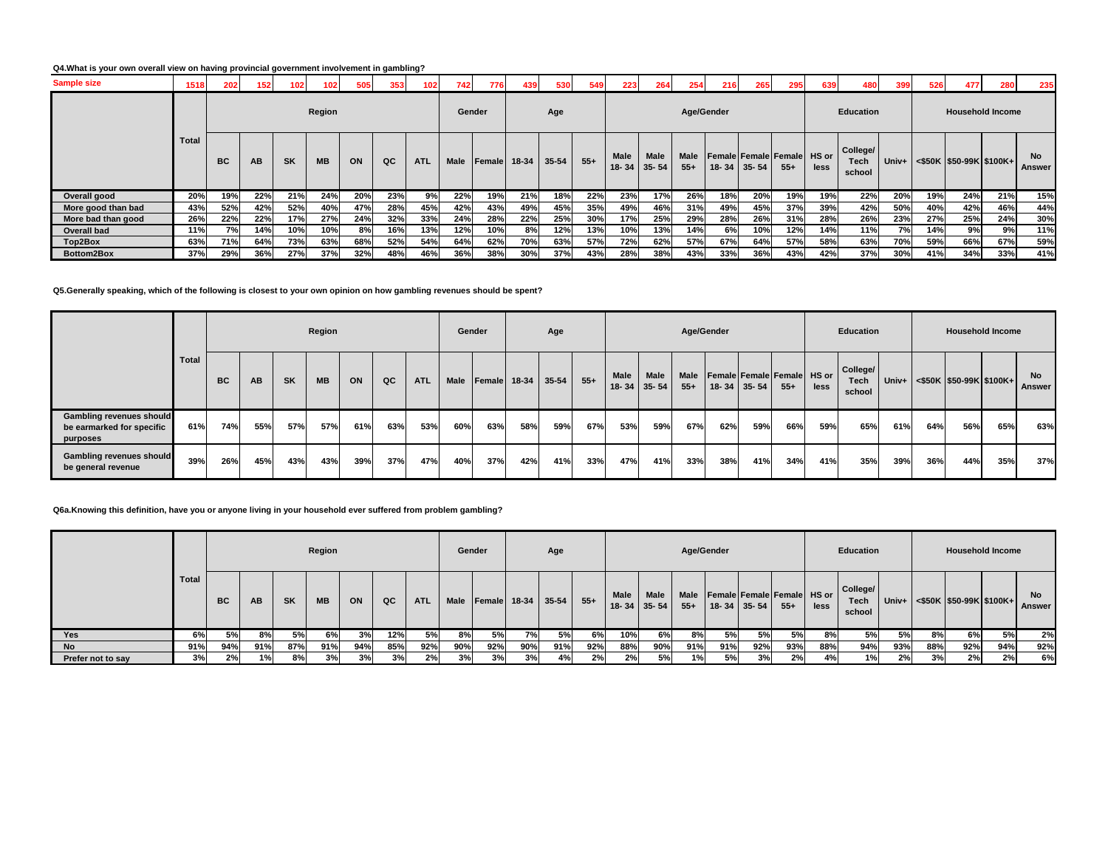### **Q4.What is your own overall view on having provincial government involvement in gambling?**

| <b>Sample size</b> | 1518         | 202       | 152       | 102       |           | 505 | 353 | 102        | 742    | 776           | 439   | 530   | 549   | 223         | 264                              | 254                  | 216                                                    | 265 | 295    | 639  | 480                               | 399   | 526 | 477                     | 280                     | 235                 |
|--------------------|--------------|-----------|-----------|-----------|-----------|-----|-----|------------|--------|---------------|-------|-------|-------|-------------|----------------------------------|----------------------|--------------------------------------------------------|-----|--------|------|-----------------------------------|-------|-----|-------------------------|-------------------------|---------------------|
|                    |              |           |           |           | Region    |     |     |            | Gender |               |       | Age   |       |             |                                  |                      | Age/Gender                                             |     |        |      | Education                         |       |     |                         | <b>Household Income</b> |                     |
|                    | <b>Total</b> | <b>BC</b> | <b>AB</b> | <b>SK</b> | <b>MB</b> | ON  | QC  | <b>ATL</b> | Male   | <b>Female</b> | 18-34 | 35-54 | $55+$ | <b>Male</b> | <b>Male</b><br>$18 - 34$   35-54 | <b>Male</b><br>$55+$ | <b>Female Female Female HS or</b><br>$18 - 34$ 35 - 54 |     | $55 +$ | less | College/<br><b>Tech</b><br>school | Univ+ |     | <\$50K \$50-99K \$100K+ |                         | <b>No</b><br>Answer |
| Overall good       | 20%          | 19%       | 22%       | 21%       | 24%       | 20% | 23% | 9%         | 22%    | 19%           | 21%   | 18%   | 22%   | 23%         | 17%                              | 26%                  | 18%                                                    | 20% | 19%    | 19%  | 22%                               | 20%   | 19% | 24%                     | 21%                     | 15%                 |
| More good than bad | 43%          | 52%       | 42%       | 52%       | 40%       | 47% | 28% | 45%        | 42%    | 43%           | 49%   | 45%   | 35%   | 49%         | 46%                              | 31%                  | 49%                                                    | 45% | 37%    | 39%  | 42%                               | 50%   | 40% | 42%                     | 46%                     | 44%                 |
| More bad than good | 26%          | 22%       | 22%       | 17%       | 27%       | 24% | 32% | 33%        | 24%    | 28%           | 22%   | 25%   | 30%   | 17%         | 25%                              | 29%                  | 28%                                                    | 26% | 31%    | 28%  | 26%                               | 23%   | 27% | 25%                     | 24%                     | 30%                 |
| Overall bad        | 11%          | 7%        | 14%       | 10%       | 10%       | 8%  | 16% | 13%        | 12%    | 10%           | 8%    | 12%   | 13%   | 10%         | 13%                              | 14%                  | 6%                                                     | 10% | 12%    | 14%  | 11%                               | 7%    | 14% | 9%                      | 9%                      | 11%                 |
| Top2Box            | 63%          | 71%       | 64%       | 73%       | 63%       | 68% | 52% | 54%        | 64%    | 62%           | 70%   | 63%   | 57%   | 72%         | 62%                              | 57%                  | 67%                                                    | 64% | 57%    | 58%  | 63%                               | 70%   | 59% | 66%                     | 67%                     | 59%                 |
| <b>Bottom2Box</b>  | 37%          | 29%       | 36%       | 27%       | 37%       | 32% | 48% | 46%        | 36%    | 38%           | 30%   | 37%   | 43%   | 28%         | 38%                              | 43%                  | 33%                                                    | 36% | 43%    | 42%  | 37%                               | 30%   | 41% | 34%                     | 33%                     | 41%                 |

### **Q5.Generally speaking, which of the following is closest to your own opinion on how gambling revenues should be spent?**

|                                                                          |       |           |     |           | Region    |     |     |            | Gender |        |       | Age   |       |                   |                          |               | Age/Gender |                   |                                             |      | Education                         |       |     | <b>Household Income</b>       |     |                     |
|--------------------------------------------------------------------------|-------|-----------|-----|-----------|-----------|-----|-----|------------|--------|--------|-------|-------|-------|-------------------|--------------------------|---------------|------------|-------------------|---------------------------------------------|------|-----------------------------------|-------|-----|-------------------------------|-----|---------------------|
|                                                                          | Total | <b>BC</b> | AB  | <b>SK</b> | <b>MB</b> | ON  | QC  | <b>ATL</b> | Male   | Female | 18-34 | 35-54 | $55+$ | Male<br>$18 - 34$ | <b>Male</b><br>$35 - 54$ | Male<br>$55+$ |            | $18 - 34$ 35 - 54 | <b>Female Female Female HS or</b><br>$55 +$ | less | College/<br><b>Tech</b><br>school | Univ+ |     | $\leq$ \$50K \$50-99K \$100K+ |     | <b>No</b><br>Answer |
| <b>Gambling revenues should</b><br>be earmarked for specific<br>purposes | 61%   | 74%       | 55% | 57%       | 57%       | 61% | 63% | 53%        | 60%    | 63%    | 58%   | 59%   | 67%   | 53%               | 59%                      | 67%           | 62%        | 59%               | 66%                                         | 59%  | 65%                               | 61%   | 64% | 56%                           | 65% | 63%                 |
| <b>Gambling revenues should</b><br>be general revenue                    | 39%   | 26%       | 45% | 43%       | 43%       | 39% | 37% | 47%        | 40%    | 37%    | 42%   | 41%   | 33%   | 47%               | 41%                      | 33%           | 38%        | 41%               | 34%                                         | 41%  | 35%                               | 39%   | 36% | 44%                           | 35% | 37%                 |

### **Q6a.Knowing this definition, have you or anyone living in your household ever suffered from problem gambling?**

|                   |       |           |      |           | Region    |     |     |            | Gender |     |              | Age     |        |      |                           | Age/Gender |                                         |                   |       |      | Education                         |     |     | <b>Household Income</b>              |     |                     |
|-------------------|-------|-----------|------|-----------|-----------|-----|-----|------------|--------|-----|--------------|---------|--------|------|---------------------------|------------|-----------------------------------------|-------------------|-------|------|-----------------------------------|-----|-----|--------------------------------------|-----|---------------------|
|                   | Total | <b>BC</b> | AB   | <b>SK</b> | <b>MB</b> | ON  | QC  | <b>ATL</b> | Male   |     | Female 18-34 | $35-54$ | $55 +$ | Male | Male<br>$18 - 34$ 35 - 54 | $55+$      | Male   Female   Female   Female   HS or | $18 - 34$ 35 - 54 | $55+$ | less | College/<br><b>Tech</b><br>school |     |     | Univ+ $ $ <\$50K  \$50-99K   \$100K+ |     | <b>No</b><br>Answer |
| Yes               | 6%    | 5%        | 8%   | 5%        | 6%        | 3%  | 12% | 5%         | 8%     | 5%  | 7%           | 5%      | 6%     | 10%  | 6%                        | 8%         | 5%                                      | 5%                | 5%    | 8%   | 5%                                | 5%  | 8%  | 6%l                                  | 5%  | 2%                  |
| $N$ o             | 91%   | 94%       | 91%  | 87%       | 91%       | 94% | 85% | 92%        | 90%    | 92% | 90%          | 91%     | 92%    | 88%  | 90%                       | 91%        | 91%                                     | 92%               | 93%   | 88%  | 94%                               | 93% | 88% | 92%                                  | 94% | 92%                 |
| Prefer not to say | 3%    | 2%        | 1% i | 8%        | 3%        | 3%  | 3%  | 2%         | 3%     | 3%  | 3%           | 4%      | 2%     | 2%   | 5%                        | 1%         | 5%                                      | 3%                | 2%    | 4%   | 1%                                | 2%  | 3%  | 2%                                   | 2%  | 6%                  |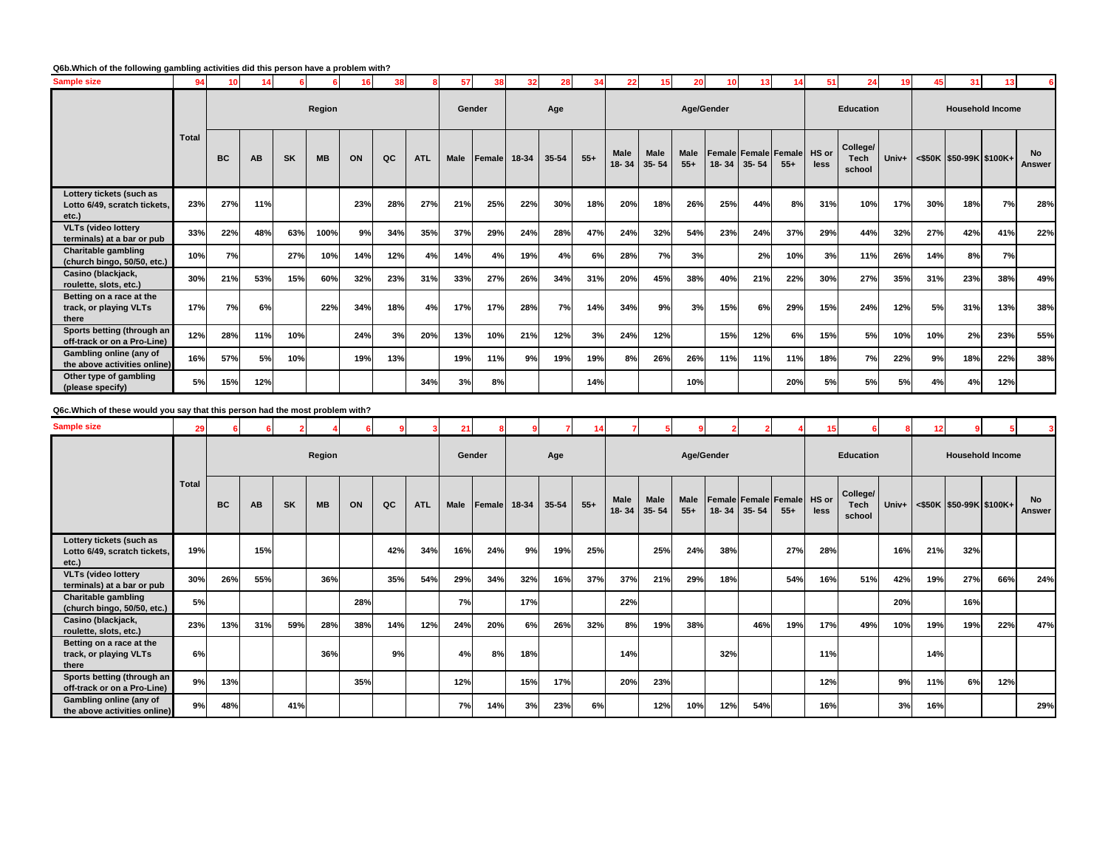### **Q6b.Which of the following gambling activities did this person have a problem with?**

| <b>Sample size</b>                                                | 94           | 10  | 14  |           |           |     |     |            | 57          | 38           | 32  | 28    |       | 22                       |                          | 20                   | 10         | 13        |                                     | 51   | 24                         |       | 45  | 31                         |     |                            |
|-------------------------------------------------------------------|--------------|-----|-----|-----------|-----------|-----|-----|------------|-------------|--------------|-----|-------|-------|--------------------------|--------------------------|----------------------|------------|-----------|-------------------------------------|------|----------------------------|-------|-----|----------------------------|-----|----------------------------|
|                                                                   |              |     |     |           | Region    |     |     |            | Gender      |              |     | Age   |       |                          |                          |                      | Age/Gender |           |                                     |      | <b>Education</b>           |       |     | <b>Household Income</b>    |     |                            |
|                                                                   | <b>Total</b> | BC  | AB  | <b>SK</b> | <b>MB</b> | ON  | QC  | <b>ATL</b> | <b>Male</b> | Female 18-34 |     | 35-54 | $55+$ | <b>Male</b><br>$18 - 34$ | <b>Male</b><br>$35 - 54$ | <b>Male</b><br>$55+$ | $18 - 34$  | $35 - 54$ | Female Female Female HS or<br>$55+$ | less | College/<br>Tech<br>school | Univ+ |     | $<$ \$50K \$50-99K \$100K+ |     | <b>No</b><br><b>Answer</b> |
| Lottery tickets (such as<br>Lotto 6/49, scratch tickets,<br>etc.) | 23%          | 27% | 11% |           |           | 23% | 28% | 27%        | 21%         | 25%          | 22% | 30%   | 18%   | 20%                      | 18%                      | 26%                  | 25%        | 44%       | 8%                                  | 31%  | 10%                        | 17%   | 30% | 18%                        | 7%  | 28%                        |
| <b>VLTs (video lottery</b><br>terminals) at a bar or pub          | 33%          | 22% | 48% | 63%       | 100%      | 9%  | 34% | 35%        | 37%         | 29%          | 24% | 28%   | 47%   | 24%                      | 32%                      | 54%                  | 23%        | 24%       | 37%                                 | 29%  | 44%                        | 32%   | 27% | 42%                        | 41% | 22%                        |
| <b>Charitable gambling</b><br>(church bingo, 50/50, etc.)         | 10%          | 7%  |     | 27%       | 10%       | 14% | 12% | 4%         | 14%         | 4%           | 19% | 4%    | 6%    | 28%                      | 7%                       | 3%                   |            | 2%        | 10%                                 | 3%   | 11%                        | 26%   | 14% | 8%                         | 7%  |                            |
| Casino (blackjack,<br>roulette, slots, etc.)                      | 30%          | 21% | 53% | 15%       | 60%       | 32% | 23% | 31%        | 33%         | 27%          | 26% | 34%   | 31%   | 20%                      | 45%                      | 38%                  | 40%        | 21%       | 22%                                 | 30%  | 27%                        | 35%   | 31% | 23%                        | 38% | 49%                        |
| Betting on a race at the<br>track, or playing VLTs<br>there       | 17%          | 7%  | 6%  |           | 22%       | 34% | 18% | 4%         | 17%         | 17%          | 28% | 7%    | 14%   | 34%                      | 9%                       | 3%                   | 15%        | 6%        | 29%                                 | 15%  | 24%                        | 12%   | 5%  | 31%                        | 13% | 38%                        |
| Sports betting (through an<br>off-track or on a Pro-Line)         | 12%          | 28% | 11% | 10%       |           | 24% | 3%  | 20%        | 13%         | 10%          | 21% | 12%   | 3%    | 24%                      | 12%                      |                      | 15%        | 12%       | 6%                                  | 15%  | 5%                         | 10%   | 10% | 2%                         | 23% | 55%                        |
| Gambling online (any of<br>the above activities online)           | 16%          | 57% | 5%  | 10%       |           | 19% | 13% |            | 19%         | 11%          | 9%  | 19%   | 19%   | 8%                       | 26%                      | 26%                  | 11%        | 11%       | 11%                                 | 18%  | 7%                         | 22%   | 9%  | 18%                        | 22% | 38%                        |
| Other type of gambling<br>(please specify)                        | 5%           | 15% | 12% |           |           |     |     | 34%        | 3%          | 8%           |     |       | 14%   |                          |                          | 10%                  |            |           | 20%                                 | 5%   | 5%                         | 5%    | 4%  | 4%                         | 12% |                            |

### **Q6c.Which of these would you say that this person had the most problem with?**

| Sample size                                                       | 29           |           |           |     |           |     |     |            | 21          |        |       |           |       |                   |               |                      |            |             |                                             |      |                            |       | 12  |     |                               |                     |
|-------------------------------------------------------------------|--------------|-----------|-----------|-----|-----------|-----|-----|------------|-------------|--------|-------|-----------|-------|-------------------|---------------|----------------------|------------|-------------|---------------------------------------------|------|----------------------------|-------|-----|-----|-------------------------------|---------------------|
|                                                                   |              |           |           |     | Region    |     |     |            | Gender      |        |       | Age       |       |                   |               |                      | Age/Gender |             |                                             |      | <b>Education</b>           |       |     |     | <b>Household Income</b>       |                     |
|                                                                   | <b>Total</b> | <b>BC</b> | <b>AB</b> | SK  | <b>MB</b> | ON  | QC  | <b>ATL</b> | <b>Male</b> | Female | 18-34 | $35 - 54$ | $55+$ | Male<br>$18 - 34$ | Male<br>35-54 | <b>Male</b><br>$55+$ |            | 18-34 35-54 | <b>Female Female Female HS or</b><br>$55 +$ | less | College/<br>Tech<br>school | Univ+ |     |     | $\leq$ \$50K \$50-99K \$100K+ | <b>No</b><br>Answer |
| Lottery tickets (such as<br>Lotto 6/49, scratch tickets,<br>etc.) | 19%          |           | 15%       |     |           |     | 42% | 34%        | 16%         | 24%    | 9%    | 19%       | 25%   |                   | 25%           | 24%                  | 38%        |             | 27%                                         | 28%  |                            | 16%   | 21% | 32% |                               |                     |
| <b>VLTs (video lottery</b><br>terminals) at a bar or pub          | 30%          | 26%       | 55%       |     | 36%       |     | 35% | 54%        | 29%         | 34%    | 32%   | 16%       | 37%   | 37%               | 21%           | 29%                  | 18%        |             | 54%                                         | 16%  | 51%                        | 42%   | 19% | 27% | 66%                           | 24%                 |
| <b>Charitable gambling</b><br>(church bingo, 50/50, etc.)         | 5%           |           |           |     |           | 28% |     |            | 7%          |        | 17%   |           |       | 22%               |               |                      |            |             |                                             |      |                            | 20%   |     | 16% |                               |                     |
| Casino (blackjack,<br>roulette, slots, etc.)                      | 23%          | 13%       | 31%       | 59% | 28%       | 38% | 14% | 12%        | 24%         | 20%    | 6%    | 26%       | 32%   | 8%                | 19%           | 38%                  |            | 46%         | 19%                                         | 17%  | 49%                        | 10%   | 19% | 19% | 22%                           | 47%                 |
| Betting on a race at the<br>track, or playing VLTs<br>there       | 6%           |           |           |     | 36%       |     | 9%  |            | 4%          | 8%     | 18%   |           |       | 14%               |               |                      | 32%        |             |                                             | 11%  |                            |       | 14% |     |                               |                     |
| Sports betting (through an<br>off-track or on a Pro-Line)         | 9%           | 13%       |           |     |           | 35% |     |            | 12%         |        | 15%   | 17%       |       | 20%               | 23%           |                      |            |             |                                             | 12%  |                            | 9%    | 11% | 6%  | 12%                           |                     |
| Gambling online (any of<br>the above activities online)           | 9%           | 48%       |           | 41% |           |     |     |            | 7%          | 14%    | 3%    | 23%       | 6%    |                   | 12%           | 10%                  | 12%        | 54%         |                                             | 16%  |                            | 3%    | 16% |     |                               | 29%                 |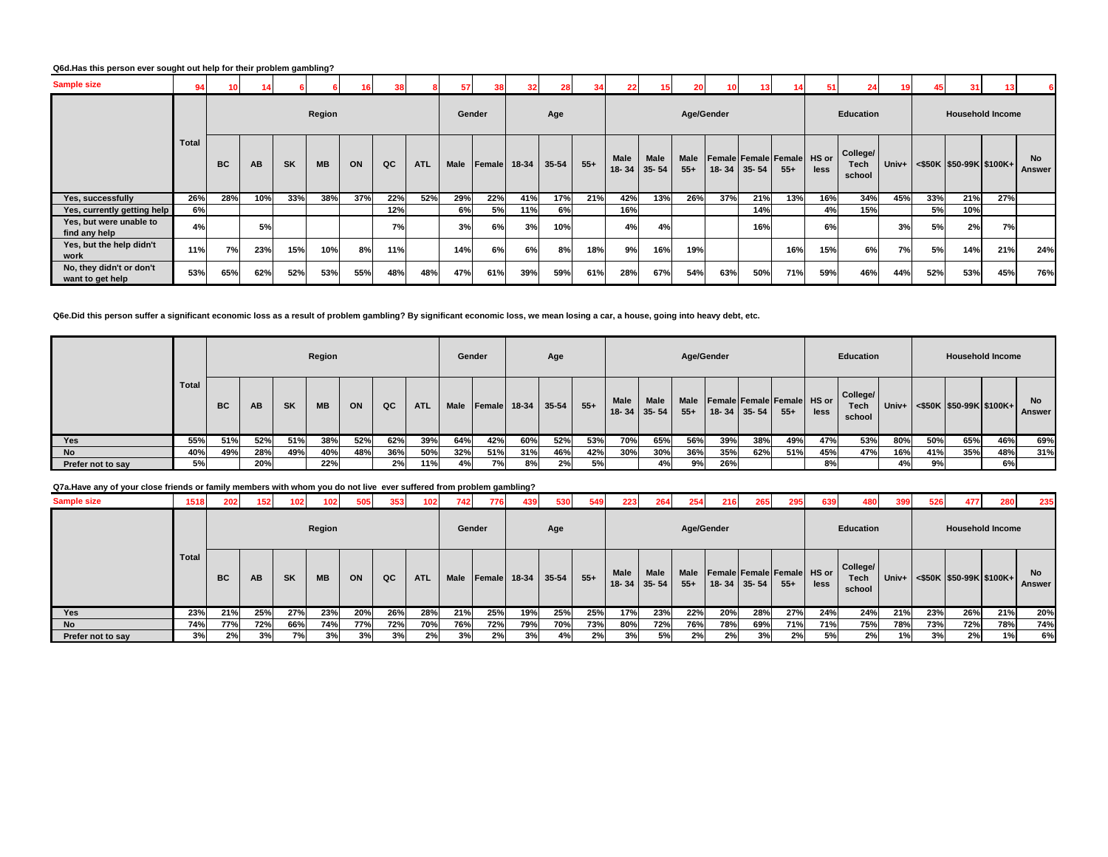# **Q6d.Has this person ever sought out help for their problem gambling?**

| <b>Sample size</b>                           | 94           |           |           |           |           |     | 38  |            | 57     |        | 32    | 28    | 34    | 22          | 15 <sub>1</sub>                  | 20            |                                           |     |       |      | 24                         | 19    |     | 31                         |     |                     |
|----------------------------------------------|--------------|-----------|-----------|-----------|-----------|-----|-----|------------|--------|--------|-------|-------|-------|-------------|----------------------------------|---------------|-------------------------------------------|-----|-------|------|----------------------------|-------|-----|----------------------------|-----|---------------------|
|                                              |              |           |           |           | Region    |     |     |            | Gender |        |       | Age   |       |             |                                  |               | Age/Gender                                |     |       |      | <b>Education</b>           |       |     | <b>Household Income</b>    |     |                     |
|                                              | <b>Total</b> | <b>BC</b> | <b>AB</b> | <b>SK</b> | <b>MB</b> | ON  | QC  | <b>ATL</b> | Male   | Female | 18-34 | 35-54 | $55+$ | <b>Male</b> | <b>Male</b><br>$18 - 34$ 35 - 54 | Male<br>$55+$ | Female Female Female HS or<br>18-34 35-54 |     | $55+$ | less | College/<br>Tech<br>school | Univ+ |     | $<$ \$50K \$50-99K \$100K+ |     | <b>No</b><br>Answer |
| Yes, successfully                            | 26%          | 28%       | 10%       | 33%       | 38%       | 37% | 22% | 52%        | 29%    | 22%    | 41%   | 17%   | 21%   | 42%         | 13%                              | 26%           | 37%                                       | 21% | 13%   | 16%  | 34%                        | 45%   | 33% | 21%                        | 27% |                     |
| Yes, currently getting help                  | 6%           |           |           |           |           |     | 12% |            | 6%     | 5%     | 11%   | 6%    |       | 16%         |                                  |               |                                           | 14% |       | 4%   | 15%                        |       | 5%  | 10%                        |     |                     |
| Yes, but were unable to<br>find any help     | 4%           |           | 5%        |           |           |     | 7%  |            | 3%     | 6%     | 3%    | 10%   |       | 4%          | 4%                               |               |                                           | 16% |       | 6%   |                            | 3%    | 5%  | 2%                         | 7%  |                     |
| Yes, but the help didn't<br>work             | 11%          | 7%        | 23%       | 15%       | 10%       | 8%  | 11% |            | 14%    | 6%     | 6%    | 8%    | 18%   | 9%          | 16%                              | 19%           |                                           |     | 16%   | 15%  | 6%                         | 7%    | 5%  | 14%                        | 21% | 24%                 |
| No, they didn't or don't<br>want to get help | 53%          | 65%       | 62%       | 52%       | 53%       | 55% | 48% | 48%        | 47%    | 61%    | 39%   | 59%   | 61%   | 28%         | 67%                              | 54%           | 63%                                       | 50% | 71%   | 59%  | 46%                        | 44%   | 52% | 53%                        | 45% | 76%                 |

### **Q6e.Did this person suffer a significant economic loss as a result of problem gambling? By significant economic loss, we mean losing a car, a house, going into heavy debt, etc.**

|                   |              |     |     |           | Region    |     |     |            | Gender      |                 |              | Age       |       |                    |                      |               | Age/Gender |                                                 |     |      | Education                  |       |     | <b>Household Income</b>    |     |                     |
|-------------------|--------------|-----|-----|-----------|-----------|-----|-----|------------|-------------|-----------------|--------------|-----------|-------|--------------------|----------------------|---------------|------------|-------------------------------------------------|-----|------|----------------------------|-------|-----|----------------------------|-----|---------------------|
|                   | <b>Total</b> | BC. | AB  | <b>SK</b> | <b>MB</b> | ON  | QC  | <b>ATL</b> | <b>Male</b> |                 | Female 18-34 | $35 - 54$ | $55+$ | Male<br>$18 - 341$ | <b>Male</b><br>35-54 | Male<br>$55+$ |            | Female Female Female HS or<br>$18-34$ 35-54 55+ |     | less | College/<br>Tech<br>school | Univ+ |     | $<$ \$50K \$50-99K \$100K+ |     | <b>No</b><br>Answer |
| Yes               | 55%          | 51% | 52% | 51%       | 38%       | 52% | 62% | 39%        | 64%         | 42%             | 60%          | 52%       | 53%   | 70%                | 65%                  | 56%           | 39%        | 38%                                             | 49% | 47%  | 53%                        | 80%   | 50% | 65%                        | 46% | 69%                 |
| <b>No</b>         | 40%          | 49% | 28% | 49%       | 40%       | 48% | 36% | 50%        | 32%         | 51%             | 31%          | 46%       | 42%   | 30%                | 30%                  | 36%           | 35%        | 62%                                             | 51% | 45%  | 47%                        | 16%   | 41% | 35%                        | 48% | 31%                 |
| Prefer not to say | 5%           |     | 20% |           | 22%       |     | 2%  | 11%        | 4%          | 7% <sub>1</sub> | 8%           | 2%        | 5%    |                    | 4%                   | 9%            | 26%        |                                                 |     | 8%   |                            | 4%    | 9%  |                            | 6%  |                     |

### **Q7a.Have any of your close friends or family members with whom you do not live ever suffered from problem gambling?**

| <b>Sample size</b> | 1518         | 202       | 152 <sub>1</sub> | 102 <sub>1</sub> | 102       | 505 | 353 | 102        | 742         | 776            | 439     | 530     | 549   | 2231                      | 264         | 254                  | 216 | 265                                                    | 295   | 639  | 480                               | 399   | 526 | 477                        | 280 | 235                        |
|--------------------|--------------|-----------|------------------|------------------|-----------|-----|-----|------------|-------------|----------------|---------|---------|-------|---------------------------|-------------|----------------------|-----|--------------------------------------------------------|-------|------|-----------------------------------|-------|-----|----------------------------|-----|----------------------------|
|                    |              |           |                  |                  | Region    |     |     |            | Gender      |                |         | Age     |       |                           |             | Age/Gender           |     |                                                        |       |      | Education                         |       |     | <b>Household Income</b>    |     |                            |
|                    | <b>Total</b> | <b>BC</b> | AB               | <b>SK</b>        | <b>MB</b> | ON  | QC  | <b>ATL</b> | <b>Male</b> | <b>IFemale</b> | $18-34$ | $35-54$ | $55+$ | Male<br>$18 - 34$   35-54 | <b>Male</b> | <b>Male</b><br>$55+$ |     | <b>Female Female Female HS or</b><br>$18 - 34$ 35 - 54 | $55+$ | less | College/<br><b>Tech</b><br>school | Univ+ |     | $<$ \$50K \$50-99K \$100K+ |     | <b>No</b><br><b>Answer</b> |
| Yes                | 23%          | 21%       | 25%              | 27%              | 23%       | 20% | 26% | 28%        | 21%         | 25%            | 19%     | 25%     | 25%   | 17%                       | 23%         | 22%                  | 20% | 28%                                                    | 27%   | 24%  | 24%                               | 21%   | 23% | 26%                        | 21% | 20%                        |
| <b>No</b>          | 74%          | 77%       | 72%              | 66%              | 74%       | 77% | 72% | 70%        | 76%         | 72%            | 79%     | 70%     | 73%   | 80%                       | 72%         | 76%                  | 78% | 69%                                                    | 71%   | 71%  | 75%                               | 78%   | 73% | 72%                        | 78% | 74%                        |
| Prefer not to say  | 3%           | 2%        | 3%               | 7%               | 3%        | 3%  | 3%  | 2%         | 3%          | 2%             | 3%      | 4%      | 2%    | 3%                        | <b>5%</b>   | 2%                   | 2%  | 3%                                                     | 2%    | 5%   | 2%                                | 1%    | 3%  | 2%                         | 1%  | 6%                         |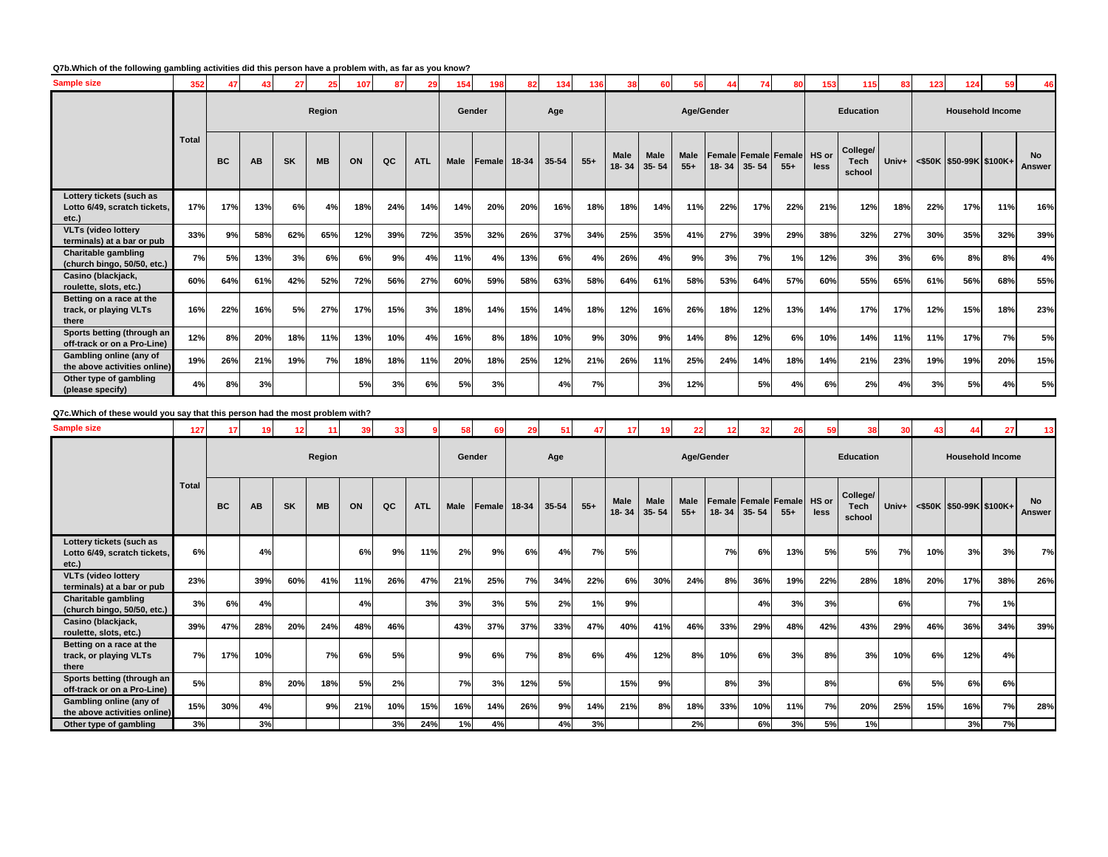# **Q7b.Which of the following gambling activities did this person have a problem with, as far as you know?**

| <b>Sample size</b>                                                | 352          | 47        | 43        | 27        | 25        | 107 | 87  | 29         | 154         | 198    | 82    | 134       | 136   | 38                  | 60   | 56                   | 44        | 74                                       | 80    | 153           | 115                        | 83    | 123 | 124 | 59                         |                     |
|-------------------------------------------------------------------|--------------|-----------|-----------|-----------|-----------|-----|-----|------------|-------------|--------|-------|-----------|-------|---------------------|------|----------------------|-----------|------------------------------------------|-------|---------------|----------------------------|-------|-----|-----|----------------------------|---------------------|
|                                                                   |              |           |           |           | Region    |     |     |            | Gender      |        |       | Age       |       |                     |      | Age/Gender           |           |                                          |       |               | <b>Education</b>           |       |     |     | <b>Household Income</b>    |                     |
|                                                                   | <b>Total</b> | <b>BC</b> | <b>AB</b> | <b>SK</b> | <b>MB</b> | ON  | QC  | <b>ATL</b> | <b>Male</b> | Female | 18-34 | $35 - 54$ | $55+$ | Male<br>18-34 35-54 | Male | <b>Male</b><br>$55+$ | $18 - 34$ | <b>Female Female Female</b><br>$35 - 54$ | $55+$ | HS or<br>less | College/<br>Tech<br>school | Univ+ |     |     | $<$ \$50K \$50-99K \$100K+ | <b>No</b><br>Answer |
| Lottery tickets (such as<br>Lotto 6/49, scratch tickets,<br>etc.) | 17%          | 17%       | 13%       | 6%        | 4%        | 18% | 24% | 14%        | 14%         | 20%    | 20%   | 16%       | 18%   | 18%                 | 14%  | 11%                  | 22%       | 17%                                      | 22%   | 21%           | 12%                        | 18%   | 22% | 17% | 11%                        | 16%                 |
| <b>VLTs (video lottery</b><br>terminals) at a bar or pub          | 33%          | 9%        | 58%       | 62%       | 65%       | 12% | 39% | 72%        | 35%         | 32%    | 26%   | 37%       | 34%   | 25%                 | 35%  | 41%                  | 27%       | 39%                                      | 29%   | 38%           | 32%                        | 27%   | 30% | 35% | 32%                        | 39%                 |
| <b>Charitable gambling</b><br>(church bingo, 50/50, etc.)         | 7%           | 5%        | 13%       | 3%        | 6%        | 6%  | 9%  | 4%         | 11%         | 4%     | 13%   | 6%        | 4%    | 26%                 | 4%   | 9%                   | 3%        | 7%                                       | 1%    | 12%           | 3%                         | 3%    | 6%  | 8%  | 8%                         | 4%                  |
| Casino (blackjack,<br>roulette, slots, etc.)                      | 60%          | 64%       | 61%       | 42%       | 52%       | 72% | 56% | 27%        | 60%         | 59%    | 58%   | 63%       | 58%   | 64%                 | 61%  | 58%                  | 53%       | 64%                                      | 57%   | 60%           | 55%                        | 65%   | 61% | 56% | 68%                        | 55%                 |
| Betting on a race at the<br>track, or playing VLTs<br>there       | 16%          | 22%       | 16%       | 5%        | 27%       | 17% | 15% | 3%         | 18%         | 14%    | 15%   | 14%       | 18%   | 12%                 | 16%  | 26%                  | 18%       | 12%                                      | 13%   | 14%           | 17%                        | 17%   | 12% | 15% | 18%                        | 23%                 |
| Sports betting (through an<br>off-track or on a Pro-Line)         | 12%          | 8%        | 20%       | 18%       | 11%       | 13% | 10% | 4%         | 16%         | 8%     | 18%   | 10%       | 9%    | 30%                 | 9%   | 14%                  | 8%        | 12%                                      | 6%    | 10%           | 14%                        | 11%   | 11% | 17% | 7%                         | 5%                  |
| Gambling online (any of<br>the above activities online)           | 19%          | 26%       | 21%       | 19%       | 7%        | 18% | 18% | 11%        | 20%         | 18%    | 25%   | 12%       | 21%   | 26%                 | 11%  | 25%                  | 24%       | 14%                                      | 18%   | 14%           | 21%                        | 23%   | 19% | 19% | 20%                        | 15%                 |
| Other type of gambling<br>(please specify)                        | 4%           | 8%        | 3%        |           |           | 5%  | 3%  | 6%         | 5%          | 3%     |       | 4%        | 7%    |                     | 3%   | 12%                  |           | 5%                                       | 4%    | 6%            | 2%                         | 4%    | 3%  | 5%  | 4%                         | 5%                  |

**Q7c.Which of these would you say that this person had the most problem with?**

| <b>Sample size</b>                                                | 127          | 17        | 19        | 12        | 11     | 39 <sup>1</sup> | 33 <sub>1</sub> |            | 58     | 69     | 29    | 51    | 47    | -17  | 19                  | 22                   | 12        | 32                                | 26    | 59            | 38                         | 30    | 43  |                         | 27  | 13                  |
|-------------------------------------------------------------------|--------------|-----------|-----------|-----------|--------|-----------------|-----------------|------------|--------|--------|-------|-------|-------|------|---------------------|----------------------|-----------|-----------------------------------|-------|---------------|----------------------------|-------|-----|-------------------------|-----|---------------------|
|                                                                   |              |           |           |           | Region |                 |                 |            | Gender |        |       | Age   |       |      |                     | Age/Gender           |           |                                   |       |               | <b>Education</b>           |       |     | <b>Household Income</b> |     |                     |
|                                                                   | <b>Total</b> | <b>BC</b> | <b>AB</b> | <b>SK</b> | MB     | ON              | QC              | <b>ATL</b> | Male   | Female | 18-34 | 35-54 | $55+$ | Male | Male<br>18-34 35-54 | <b>Male</b><br>$55+$ | $18 - 34$ | Female Female Female<br>$35 - 54$ | $55+$ | HS or<br>less | College/<br>Tech<br>school | Univ+ |     | <\$50K \$50-99K \$100K+ |     | <b>No</b><br>Answer |
| Lottery tickets (such as<br>Lotto 6/49, scratch tickets,<br>etc.) | 6%           |           | 4%        |           |        | 6%              | 9%              | 11%        | 2%     | 9%     | 6%    | 4%    | 7%    | 5%   |                     |                      | 7%        | 6%                                | 13%   | 5%            | 5%                         | 7%    | 10% | 3%                      | 3%  | 7%                  |
| <b>VLTs (video lottery</b><br>terminals) at a bar or pub          | 23%          |           | 39%       | 60%       | 41%    | 11%             | 26%             | 47%        | 21%    | 25%    | 7%    | 34%   | 22%   | 6%   | 30%                 | 24%                  | 8%        | 36%                               | 19%   | 22%           | 28%                        | 18%   | 20% | 17%                     | 38% | 26%                 |
| <b>Charitable gambling</b><br>(church bingo, 50/50, etc.)         | 3%           | 6%        | 4%        |           |        | 4%              |                 | 3%         | 3%     | 3%     | 5%    | 2%    | 1%    | 9%   |                     |                      |           | 4%                                | 3%    | 3%            |                            | 6%    |     | 7%                      | 1%  |                     |
| Casino (blackjack,<br>roulette, slots, etc.)                      | 39%          | 47%       | 28%       | 20%       | 24%    | 48%             | 46%             |            | 43%    | 37%    | 37%   | 33%   | 47%   | 40%  | 41%                 | 46%                  | 33%       | 29%                               | 48%   | 42%           | 43%                        | 29%   | 46% | 36%                     | 34% | 39%                 |
| Betting on a race at the<br>track, or playing VLTs<br>there       | 7%           | 17%       | 10%       |           | 7%     | 6%              | 5%              |            | 9%     | 6%     | 7%    | 8%    | 6%    | 4%   | 12%                 | 8%                   | 10%       | 6%                                | 3%    | 8%            | 3%                         | 10%   | 6%  | 12%                     | 4%  |                     |
| Sports betting (through an<br>off-track or on a Pro-Line)         | 5%           |           | 8%        | 20%       | 18%    | 5%              | 2%              |            | 7%     | 3%     | 12%   | 5%    |       | 15%  | 9%                  |                      | 8%        | 3%                                |       | 8%            |                            | 6%    | 5%  | 6%                      | 6%  |                     |
| Gambling online (any of<br>the above activities online)           | 15%          | 30%       | 4%        |           | 9%     | 21%             | 10%             | 15%        | 16%    | 14%    | 26%   | 9%    | 14%   | 21%  | 8%                  | 18%                  | 33%       | 10%                               | 11%   | 7%            | 20%                        | 25%   | 15% | 16%                     | 7%  | 28%                 |
| Other type of gambling                                            | 3%           |           | 3%        |           |        |                 | 3%              | 24%        | 1%     | 4%     |       | 4%    | 3%    |      |                     | 2%                   |           | 6%                                | 3%    | 5%            | 1%                         |       |     | 3%                      | 7%  |                     |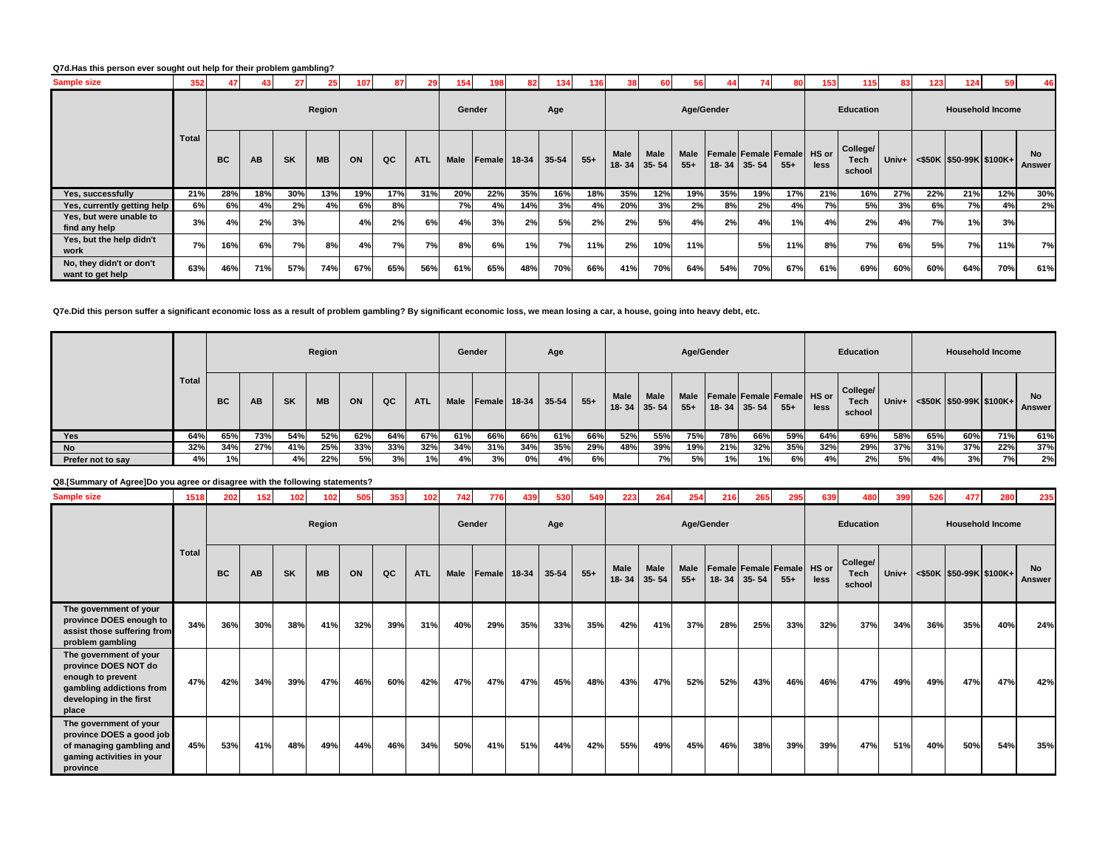### **Q7d.Has this person ever sought out help for their problem gambling?**

| <b>Sample size</b>                           | 352   |     |           |           |           |     |     |            | 154         |              |     | 34    | 136   |                      | 60                       | 56                   |           |           |                                            | 153  | 115                        | 83  |     | 124                                               |     |                     |
|----------------------------------------------|-------|-----|-----------|-----------|-----------|-----|-----|------------|-------------|--------------|-----|-------|-------|----------------------|--------------------------|----------------------|-----------|-----------|--------------------------------------------|------|----------------------------|-----|-----|---------------------------------------------------|-----|---------------------|
|                                              |       |     |           |           | Region    |     |     |            | Gender      |              |     | Age   |       |                      |                          | Age/Gender           |           |           |                                            |      | <b>Education</b>           |     |     | <b>Household Income</b>                           |     |                     |
|                                              | Total | BC  | <b>AB</b> | <b>SK</b> | <b>MB</b> | ON  | QC  | <b>ATL</b> | <b>Male</b> | Female 18-34 |     | 35-54 | $55+$ | <b>Male</b><br>18-34 | <b>Male</b><br>$35 - 54$ | <b>Male</b><br>$55+$ | $18 - 34$ | $35 - 54$ | <b>Female Female Female HS or</b><br>$55+$ | less | College/<br>Tech<br>school |     |     | Univ+ $\leq$ \$50K $\mid$ \$50-99K $\mid$ \$100K+ |     | <b>No</b><br>Answer |
| Yes, successfully                            | 21%   | 28% | 18%       | 30%       | 13%       | 19% | 17% | 31%        | 20%         | 22%          | 35% | 16%   | 18%   | 35%                  | 12%                      | 19%                  | 35%       | 19%       | 17%                                        | 21%  | 16%                        | 27% | 22% | 21%                                               | 12% | 30%                 |
| Yes, currently getting help                  | 6%    | 6%  | 4%        | 2%        | 4%        | 6%  | 8%  |            | 7%          | 4%           | 14% | 3%    | 4%    | 20%                  | 3%                       | 2%                   | 8%        | 2%        | 4%                                         | 7%   | 5%                         | 3%  | 6%  | 7%                                                | 4%  | 2%                  |
| Yes, but were unable to<br>find any help     | 3%    | 4%  | 2%        | 3%        |           | 4%  | 2%  | 6%         | 4%          | 3%           | 2%  | 5%    | 2%    | 2%                   | 5%                       | 4%                   | 2%        | 4%        | 1%                                         | 4%   | 2%                         | 4%  | 7%  | 1%                                                | 3%  |                     |
| Yes, but the help didn't<br>work             | 7%    | 16% | 6%        | 7%        | 8%        | 4%  | 7%  | 7%         | 8%          | 6%           | 1%  | 7%    | 11%   | 2%                   | 10%                      | 11%                  |           | 5%        | 11%                                        | 8%   | 7%                         | 6%  | 5%  | 7%                                                | 11% | 7%                  |
| No, they didn't or don't<br>want to get help | 63%   | 46% | 71%       | 57%       | 74%       | 67% | 65% | 56%        | 61%         | 65%          | 48% | 70%   | 66%   | 41%                  | 70%                      | 64%                  | 54%       | 70%       | 67%                                        | 61%  | 69%                        | 60% | 60% | 64%                                               | 70% | 61%                 |

**Q7e.Did this person suffer a significant economic loss as a result of problem gambling? By significant economic loss, we mean losing a car, a house, going into heavy debt, etc.**

|                   |       |                                                 |     |     | Region |     |     |            | Gender      |              |     | Age       |       |      |                                  |               | Age/Gender |                                                 |       |      | Education                         |     |     |     | <b>Household Income</b>               |                     |
|-------------------|-------|-------------------------------------------------|-----|-----|--------|-----|-----|------------|-------------|--------------|-----|-----------|-------|------|----------------------------------|---------------|------------|-------------------------------------------------|-------|------|-----------------------------------|-----|-----|-----|---------------------------------------|---------------------|
|                   | Total | AB<br><b>MB</b><br>ON<br>QC<br><b>SK</b><br>BC. |     |     |        |     |     | <b>ATL</b> | <b>Male</b> | Female 18-34 |     | $35 - 54$ | $55+$ | Male | <b>Male</b><br>$18 - 34$ 35 - 54 | Male<br>$55+$ |            | Female Female Female HS or<br>$18 - 34$ 35 - 54 | $55+$ | less | College/<br><b>Tech</b><br>school |     |     |     | Univ+ $ $ <\$50K   \$50-99K   \$100K+ | <b>No</b><br>Answer |
| Yes               | 64%   | 65%                                             | 73% | 54% | 52%    | 62% | 64% | 67%        | 61%         | 66%          | 66% | 61%       | 66%   | 52%  | 55%                              | 75%           | 78%        | 66%                                             | 59%   | 64%  | 69%                               | 58% | 65% | 60% | 71%                                   | 61%                 |
| No                | 32%   | 34%                                             | 27% | 41% | 25%    | 33% | 33% | 32%        | 34%         | 31%          | 34% | 35%       | 29%   | 48%  | 39%                              | 19%           | 21%        | 32%                                             | 35%   | 32%  | 29%                               | 37% | 31% | 37% | 22%                                   | 37%                 |
| Prefer not to say | 4%    | 1%                                              |     | 4%  | 22%    | 5%  | 3%  | 1%         | 4%          | 3%           | 0%  | 4%        | 6%    |      | 7%                               | 5%            | 1%         | 1%                                              | 6%    | 4%   | 2%                                | 5%  | 4%  | 3%  | 7%l                                   | 2%                  |

# **Q8.[Summary of Agree]Do you agree or disagree with the following statements?**

| <b>Sample size</b>                                                                                                                  | 1518         | 202       | 152 | 102       | 102       | 505 | 353 | 102        | 742    | 776    | 439   | 530   | 549   | 223               | 264               | 254           | 216                        | 265               | 295   | 639  | 480                        | 399   | 526 | 477                     | 280 | 235                 |
|-------------------------------------------------------------------------------------------------------------------------------------|--------------|-----------|-----|-----------|-----------|-----|-----|------------|--------|--------|-------|-------|-------|-------------------|-------------------|---------------|----------------------------|-------------------|-------|------|----------------------------|-------|-----|-------------------------|-----|---------------------|
|                                                                                                                                     |              |           |     |           | Region    |     |     |            | Gender |        |       | Age   |       |                   |                   |               | Age/Gender                 |                   |       |      | Education                  |       |     | <b>Household Income</b> |     |                     |
|                                                                                                                                     | <b>Total</b> | <b>BC</b> | AB  | <b>SK</b> | <b>MB</b> | ON  | QC  | <b>ATL</b> | Male   | Female | 18-34 | 35-54 | $55+$ | Male<br>$18 - 34$ | Male<br>$35 - 54$ | Male<br>$55+$ | Female Female Female HS or | $18 - 34$ 35 - 54 | $55+$ | less | College/<br>Tech<br>school | Univ+ |     | <\$50K \$50-99K \$100K+ |     | <b>No</b><br>Answer |
| The government of your<br>province DOES enough to<br>assist those suffering from<br>problem gambling                                | 34%          | 36%       | 30% | 38%       | 41%       | 32% | 39% | 31%        | 40%    | 29%    | 35%   | 33%   | 35%   | 42%               | 41%               | 37%           | 28%                        | 25%               | 33%   | 32%  | 37%                        | 34%   | 36% | 35%                     | 40% | 24%                 |
| The government of your<br>province DOES NOT do<br>enough to prevent<br>gambling addictions from<br>developing in the first<br>place | 47%          | 42%       | 34% | 39%       | 47%       | 46% | 60% | 42%        | 47%    | 47%    | 47%   | 45%   | 48%   | 43%               | 47%               | 52%           | 52%                        | 43%               | 46%   | 46%  | 47%                        | 49%   | 49% | 47%                     | 47% | 42%                 |
| The government of your<br>province DOES a good job<br>of managing gambling and<br>gaming activities in your<br>province             | 45%          | 53%       | 41% | 48%       | 49%       | 44% | 46% | 34%        | 50%    | 41%    | 51%   | 44%   | 42%   | 55%               | 49%               | 45%           | 46%                        | 38%               | 39%   | 39%  | 47%                        | 51%   | 40% | 50%                     | 54% | 35%                 |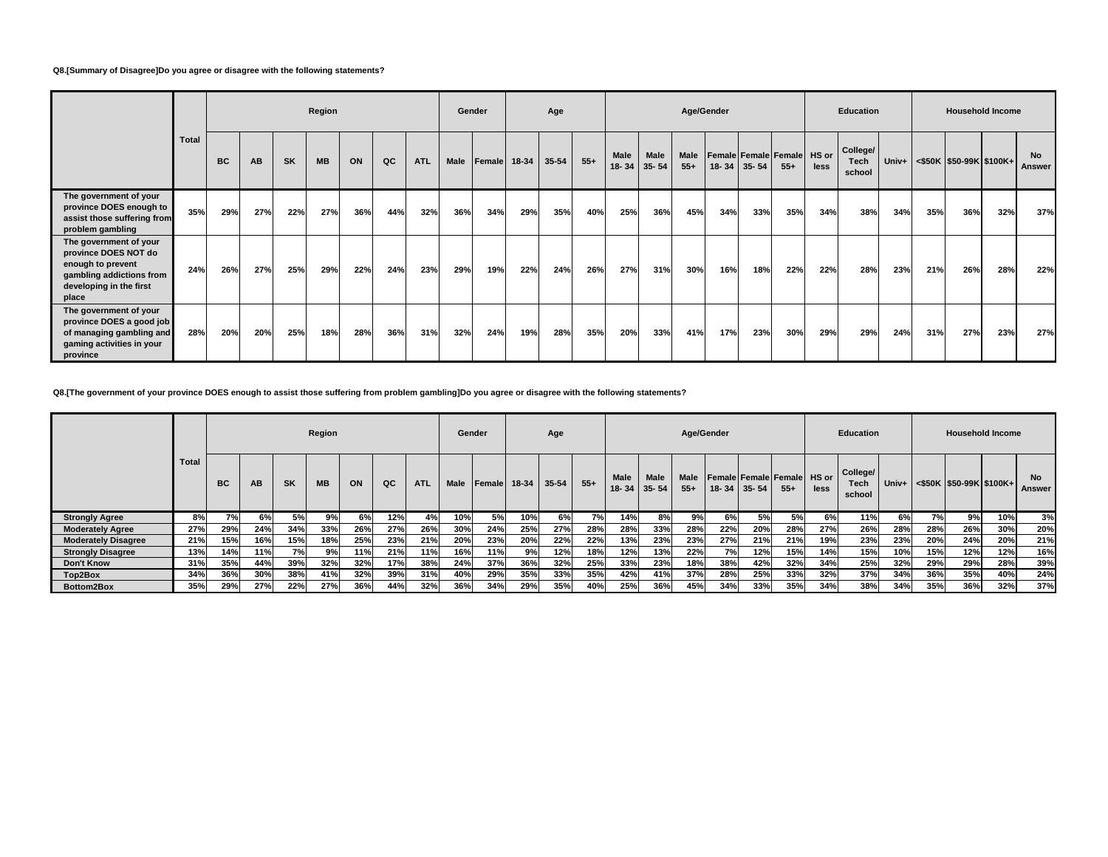### **Q8.[Summary of Disagree]Do you agree or disagree with the following statements?**

|                                                                                                                                     |              |     |     |           | Region    |     |     |            | Gender |              |     | Age   |       |                   |                   |                      | Age/Gender                 |             |       |      | Education                  |       |     | <b>Household Income</b> |     |                     |
|-------------------------------------------------------------------------------------------------------------------------------------|--------------|-----|-----|-----------|-----------|-----|-----|------------|--------|--------------|-----|-------|-------|-------------------|-------------------|----------------------|----------------------------|-------------|-------|------|----------------------------|-------|-----|-------------------------|-----|---------------------|
|                                                                                                                                     | <b>Total</b> | BC  | AB  | <b>SK</b> | <b>MB</b> | ON  | QC  | <b>ATL</b> | Male   | Female 18-34 |     | 35-54 | $55+$ | Male<br>$18 - 34$ | Male<br>$35 - 54$ | <b>Male</b><br>$55+$ | Female Female Female HS or | 18-34 35-54 | $55+$ | less | College/<br>Tech<br>school | Univ+ |     | <\$50K \$50-99K \$100K+ |     | <b>No</b><br>Answer |
| The government of your<br>province DOES enough to<br>assist those suffering from<br>problem gambling                                | 35%          | 29% | 27% | 22%       | 27%       | 36% | 44% | 32%        | 36%    | 34%          | 29% | 35%   | 40%   | 25%               | 36%               | 45%                  | 34%                        | 33%         | 35%   | 34%  | 38%                        | 34%   | 35% | 36%                     | 32% | 37%                 |
| The government of your<br>province DOES NOT do<br>enough to prevent<br>gambling addictions from<br>developing in the first<br>place | 24%          | 26% | 27% | 25%       | 29%       | 22% | 24% | 23%        | 29%    | 19%          | 22% | 24%   | 26%   | 27%               | 31%               | 30%                  | 16%                        | 18%         | 22%   | 22%  | 28%                        | 23%   | 21% | 26%                     | 28% | 22%                 |
| The government of your<br>province DOES a good job<br>of managing gambling and<br>gaming activities in your<br>province             | 28%          | 20% | 20% | 25%       | 18%       | 28% | 36% | 31%        | 32%    | 24%          | 19% | 28%   | 35%   | 20%               | 33%               | 41%                  | 17%                        | 23%         | 30%   | 29%  | 29%                        | 24%   | 31% | 27%                     | 23% | 27%                 |

**Q8.[The government of your province DOES enough to assist those suffering from problem gambling]Do you agree or disagree with the following statements?**

|                            |       |           |     |           | Region    |     |     |            | Gender      |                |         | Age       |       |                      |                          | Age/Gender           |     |             |                                            |      | <b>Education</b>           |       |     |     | <b>Household Income</b>   |                     |
|----------------------------|-------|-----------|-----|-----------|-----------|-----|-----|------------|-------------|----------------|---------|-----------|-------|----------------------|--------------------------|----------------------|-----|-------------|--------------------------------------------|------|----------------------------|-------|-----|-----|---------------------------|---------------------|
|                            | Total | <b>BC</b> | AB  | <b>SK</b> | <b>MB</b> | ON  | QC  | <b>ATL</b> | <b>Male</b> | <b>IFemale</b> | $18-34$ | $35 - 54$ | $55+$ | <b>Male</b><br>18-34 | <b>Male</b><br>$35 - 54$ | <b>Male</b><br>$55+$ |     | 18-34 35-54 | <b>Female Female Female HS or</b><br>$55+$ | less | College/<br>Tech<br>school | Univ+ |     |     | $<$ \$50K S50-99K \$100K+ | <b>No</b><br>Answer |
| <b>Strongly Agree</b>      | 8%    | 7%        | 6%  | 5%        | 9%        | 6%  | 12% | 4%         | 10%         | 5%             | 10%     | 6%        | 7%    | 14%                  | 8%                       | 9%                   | 6%  | 5%          | 5%                                         | 6%   | 11%                        | 6%    | 7%  | 9%  | 10%                       | 3%                  |
| <b>Moderately Agree</b>    | 27%   | 29%       | 24% | 34%       | 33%       | 26% | 27% | 26%        | 30%         | 24%            | 25%     | 27%       | 28%   | 28%                  | 33%                      | 28%                  | 22% | 20%         | 28%                                        | 27%  | 26%                        | 28%   | 28% | 26% | 30%                       | 20%                 |
| <b>Moderately Disagree</b> | 21%   | 15%       | 16% | 15%       | 18%       | 25% | 23% | 21%        | 20%         | 23%            | 20%     | 22%       | 22%   | 13%                  | 23%                      | 23%                  | 27% | 21%         | 21%                                        | 19%  | 23%                        | 23%   | 20% | 24% | 20%                       | 21%                 |
| <b>Strongly Disagree</b>   | 13%   | 14%       | 11% | 7%        | 9%        | 11% | 21% | 11%        | 16%         | 11%            | 9%      | 12%       | 18%   | 12%                  | 13%                      | 22%                  | 7%  | 12%         | 15%                                        | 14%  | 15%                        | 10%   | 15% | 12% | 12%                       | 16%                 |
| Don't Know                 | 31%   | 35%       | 44% | 39%       | 32%       | 32% | 17% | 38%        | 24%         | 37%            | 36%     | 32%       | 25%   | 33%                  | 23%                      | 18%                  | 38% | 42%         | 32%                                        | 34%  | 25%                        | 32%   | 29% | 29% | 28%                       | 39%                 |
| Top2Box                    | 34%   | 36%       | 30% | 38%       | 41%       | 32% | 39% | 31%        | 40%         | 29%            | 35%     | 33%       | 35%   | 42%                  | 41%                      | 37%                  | 28% | 25%         | 33%                                        | 32%  | 37%                        | 34%   | 36% | 35% | 40%                       | 24%                 |
| Bottom2Box                 | 35%   | 29%       | 27% | 22%       | 27%       | 36% | 44% | 32%        | 36%         | 34%            | 29%     | 35%       | 40%   | 25%                  | 36%                      | 45%                  | 34% | 33%         | 35%                                        | 34%  | 38%                        | 34%   | 35% | 36% | 32%                       | 37%                 |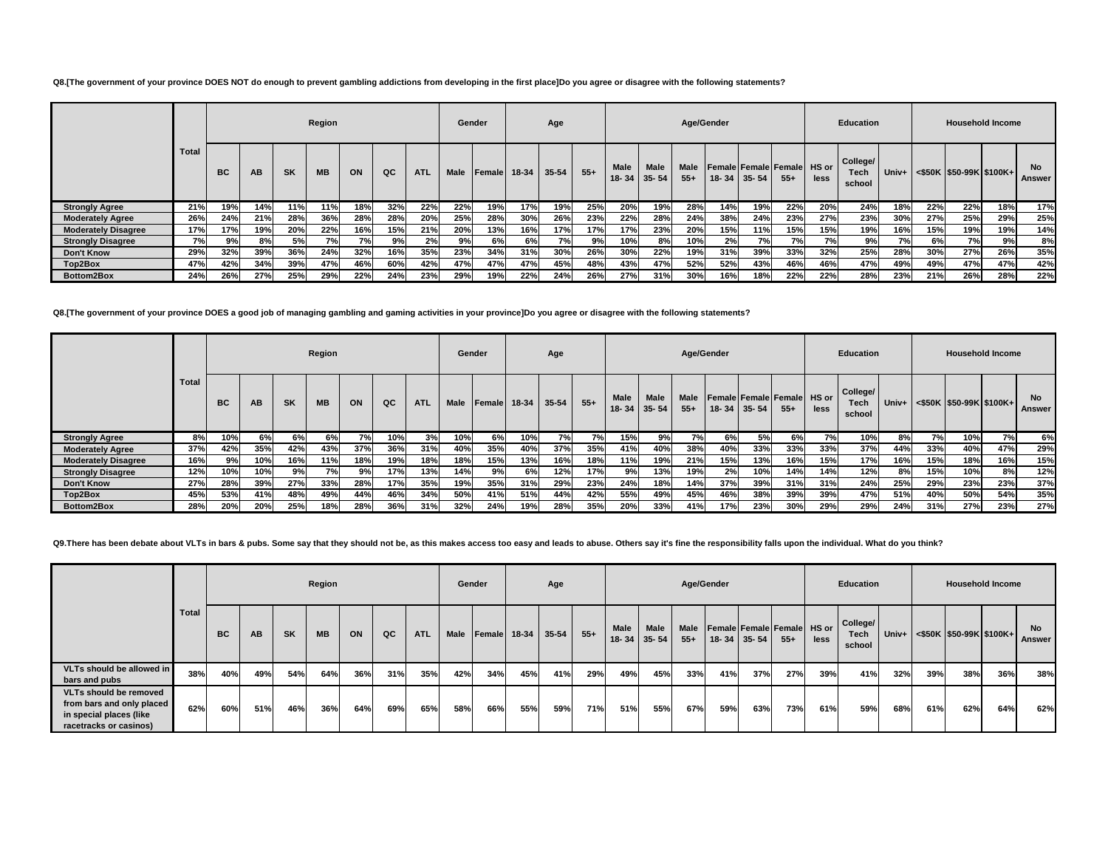#### **Q8.[The government of your province DOES NOT do enough to prevent gambling addictions from developing in the first place]Do you agree or disagree with the following statements?**

|                            |              |     |     |           | Region    |     |     |            | Gender      |                |       | Age       |       |                                  |             | Age/Gender           |     |             |                                             |      | <b>Education</b>                  |       |     |     | <b>Household Income</b>      |                     |
|----------------------------|--------------|-----|-----|-----------|-----------|-----|-----|------------|-------------|----------------|-------|-----------|-------|----------------------------------|-------------|----------------------|-----|-------------|---------------------------------------------|------|-----------------------------------|-------|-----|-----|------------------------------|---------------------|
|                            | <b>Total</b> | BC  | AB  | <b>SK</b> | <b>MB</b> | ON  | QC  | <b>ATL</b> | <b>Male</b> | <b>IFemale</b> | 18-34 | $35 - 54$ | $55+$ | <b>Male</b><br>$18 - 34$ 35 - 54 | <b>Male</b> | <b>Male</b><br>$55+$ |     | 18-34 35-54 | <b>Female Female Female HS or</b><br>$55 +$ | less | College/<br><b>Tech</b><br>school | Univ+ |     |     | $\leq$ \$50K S50-99K \$100K+ | <b>No</b><br>Answer |
| <b>Strongly Agree</b>      | 21%          | 19% | 14% | 11%       | 11%       | 18% | 32% | 22%        | 22%         | 19%            | 17%   | 19%       | 25%   | 20%                              | 19%         | 28%                  | 14% | 19%         | 22%                                         | 20%  | 24%                               | 18%   | 22% | 22% | 18%                          | 17%                 |
| <b>Moderately Agree</b>    | 26%          | 24% | 21% | 28%       | 36%       | 28% | 28% | 20%        | 25%         | 28%            | 30%   | 26%       | 23%   | 22%                              | 28%         | 24%                  | 38% | 24%         | 23%                                         | 27%  | 23%                               | 30%   | 27% | 25% | 29%                          | 25%                 |
| <b>Moderately Disagree</b> | 17%          | 17% | 19% | 20%       | 22%       | 16% | 15% | 21%        | 20%         | 13%            | 16%   | 17%       | 17%   | 17%                              | 23%         | 20%                  | 15% | 11%         | 15%                                         | 15%  | 19%                               | 16%   | 15% | 19% | 19%                          | 14%                 |
| <b>Strongly Disagree</b>   | 7%           | 9%  | 8%l | 5%        | 7%        | 7%  | 9%  | 2%         | 9%          | 6%             | 6%    | 7%        | 9%    | 10%                              | 8%          | 10%                  | 2%  | 7%l         | 7%                                          | 7%   | 9%                                | 7%    | 6%l | 7%  | 9%                           | 8%                  |
| Don't Know                 | 29%          | 32% | 39% | 36%       | 24%       | 32% | 16% | 35%        | 23%         | 34%            | 31%   | 30%       | 26%   | 30%                              | 22%         | 19%                  | 31% | 39%         | 33%                                         | 32%  | 25%                               | 28%   | 30% | 27% | 26%                          | 35%                 |
| Top2Box                    | 47%          | 42% | 34% | 39%       | 47%       | 46% | 60% | 42%        | 47%         | 47%            | 47%   | 45%       | 48%   | 43%                              | 47%         | 52%                  | 52% | 43%         | 46%                                         | 46%  | 47%                               | 49%   | 49% | 47% | 47%                          | 42%                 |
| <b>Bottom2Box</b>          | 24%          | 26% | 27% | 25%       | 29%       | 22% | 24% | 23%        | 29%         | 19%            | 22%   | 24%       | 26%   | 27%                              | 31%         | 30%                  | 16% | 18%         | 22%                                         | 22%  | 28%                               | 23%   | 21% | 26% | 28%                          | 22%                 |

**Q8.[The government of your province DOES a good job of managing gambling and gaming activities in your province]Do you agree or disagree with the following statements?**

|                            |       |     |     |           | Region    |     |     |            |             | Gender       |     | Age       |       |                          |                          | Age/Gender           |             |     |                                            |      | <b>Education</b>           |     |     |                                       | <b>Household Income</b> |                     |
|----------------------------|-------|-----|-----|-----------|-----------|-----|-----|------------|-------------|--------------|-----|-----------|-------|--------------------------|--------------------------|----------------------|-------------|-----|--------------------------------------------|------|----------------------------|-----|-----|---------------------------------------|-------------------------|---------------------|
|                            | Total | BC  | AB  | <b>SK</b> | <b>MB</b> | ON  | QC  | <b>ATL</b> | <b>Male</b> | Female 18-34 |     | $35 - 54$ | $55+$ | <b>Male</b><br>$18 - 34$ | <b>Male</b><br>$35 - 54$ | <b>Male</b><br>$55+$ | 18-34 35-54 |     | <b>Female Female Female HS or</b><br>$55+$ | less | College/<br>Tech<br>school |     |     | Univ+ $\leq$ \$50K \\$50-99K \\$100K+ |                         | <b>No</b><br>Answer |
| <b>Strongly Agree</b>      | 8%    | 10% | 6%  | 6%        | 6%        | 7%  | 10% | 3%         | 10%         | 6%           | 10% | 7%        | 7%    | 15%                      | 9%                       | 7%                   | 6%l         | 5%  | 6%                                         | 7%   | 10%                        | 8%  | 7%  | 10%                                   | 7%                      | 6%                  |
| <b>Moderately Agree</b>    | 37%   | 42% | 35% | 42%       | 43%       | 37% | 36% | 31%        | 40%         | 35%          | 40% | 37%       | 35%   | 41%                      | 40%                      | 38%                  | 40%         | 33% | 33%                                        | 33%  | 37%                        | 44% | 33% | 40%                                   | 47%                     | 29%                 |
| <b>Moderately Disagree</b> | 16%   | 9%  | 10% | 16%       | 11%       | 18% | 19% | 18%        | 18%         | 15%          | 13% | 16%       | 18%   | 11%                      | 19%                      | 21%                  | 15%         | 13% | 16%                                        | 15%  | 17%                        | 16% | 15% | 18%                                   | 16%                     | 15%                 |
| <b>Strongly Disagree</b>   | 12%   | 10% | 10% | 9%        | 7%        | 9%  | 17% | 13%        | 14%         | 9%           | 6%  | 12%       | 17%   | 9%                       | 13%                      | 19%                  | 2%          | 10% | 14%                                        | 14%  | 12%                        | 8%  | 15% | 10%                                   | 8%                      | 12%                 |
| <b>Don't Know</b>          | 27%   | 28% | 39% | 27%       | 33%       | 28% | 17% | 35%        | 19%         | 35%          | 31% | 29%       | 23%   | 24%                      | 18%                      | 14%                  | 37%         | 39% | 31%                                        | 31%  | 24%                        | 25% | 29% | 23%                                   | 23%                     | 37%                 |
| Top2Box                    | 45%   | 53% | 41% | 48%       | 49%       | 44% | 46% | 34%        | 50%         | 41%          | 51% | 44%       | 42%   | 55%                      | 49%                      | 45%                  | 46%         | 38% | 39%                                        | 39%  | 47%                        | 51% | 40% | 50%                                   | 54%                     | 35%                 |
| Bottom2Box                 | 28%   | 20% | 20% | 25%       | 18%       | 28% | 36% | 31%        | 32%         | 24%          | 19% | 28%       | 35%   | 20%                      | 33%                      | 41%                  | 17%         | 23% | 30%                                        | 29%  | 29%                        | 24% | 31% | 27%                                   | 23%                     | 27%                 |

Q9. There has been debate about VLTs in bars & pubs. Some say that they should not be, as this makes access too easy and leads to abuse. Others say it's fine the responsibility falls upon the individual. What do you think?

|                                                                                                                 |       |           |     |           | Region    |     |     |            | Gender      |              |     | Age   |       |             |                           |               | Age/Gender                                             |     |       |      | Education                         |       |     | <b>Household Income</b>    |     |                     |
|-----------------------------------------------------------------------------------------------------------------|-------|-----------|-----|-----------|-----------|-----|-----|------------|-------------|--------------|-----|-------|-------|-------------|---------------------------|---------------|--------------------------------------------------------|-----|-------|------|-----------------------------------|-------|-----|----------------------------|-----|---------------------|
|                                                                                                                 | Total | <b>BC</b> | AB  | <b>SK</b> | <b>MB</b> | ON  | QC  | <b>ATL</b> | <b>Male</b> | Female 18-34 |     | 35-54 | $55+$ | <b>Male</b> | Male<br>$18 - 34$ 35 - 54 | Male<br>$55+$ | <b>Female Female Female HS or</b><br>$18 - 34$ 35 - 54 |     | $55+$ | less | College/<br><b>Tech</b><br>school | Univ+ |     | $<$ \$50K \$50-99K \$100K+ |     | <b>No</b><br>Answer |
| VLTs should be allowed in<br>bars and pubs                                                                      | 38%   | 40%       | 49% | 54%       | 64%       | 36% | 31% | 35%        | 42%         | 34%          | 45% | 41%   | 29%   | 49%         | 45%                       | 33%           | 41%                                                    | 37% | 27%   | 39%  | 41%                               | 32%   | 39% | 38%                        | 36% | 38%                 |
| <b>VLTs should be removed</b><br>from bars and only placed<br>in special places (like<br>racetracks or casinos) | 62%   | 60%       | 51% | 46%       | 36%       | 64% | 69% | 65%        | 58%         | 66%          | 55% | 59%   | 71%   | 51%         | 55%                       | 67%           | 59%                                                    | 63% | 73%   | 61%  | 59%                               | 68%   | 61% | 62%                        | 64% | 62%                 |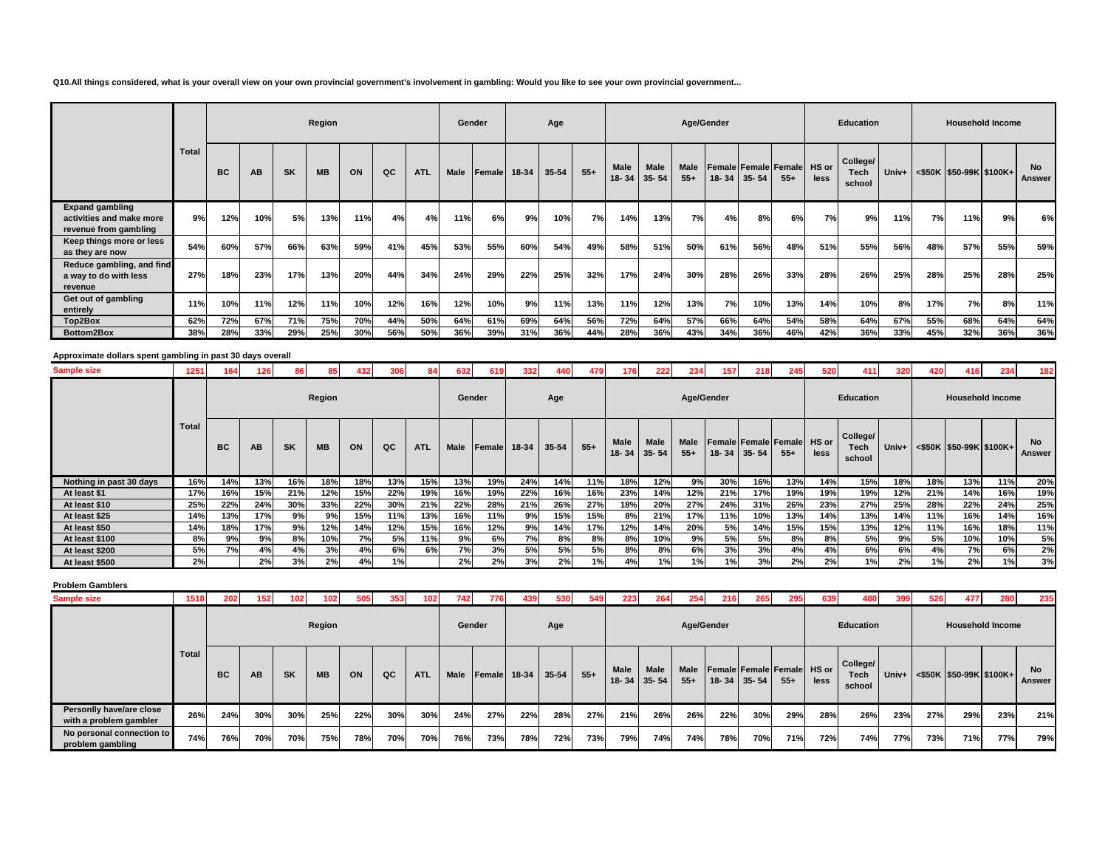**Q10.All things considered, what is your overall view on your own provincial government's involvement in gambling: Would you like to see your own provincial government...**

|                                                                             |       |           |     |           | Region    |     |     |            | Gender |                |       | Age   |       |               |                          |                      | Age/Gender |           |                                      |      | <b>Education</b>           |       |     | <b>Household Income</b> |     |                     |
|-----------------------------------------------------------------------------|-------|-----------|-----|-----------|-----------|-----|-----|------------|--------|----------------|-------|-------|-------|---------------|--------------------------|----------------------|------------|-----------|--------------------------------------|------|----------------------------|-------|-----|-------------------------|-----|---------------------|
|                                                                             | Total | <b>BC</b> | AB  | <b>SK</b> | <b>MB</b> | ON  | QC  | <b>ATL</b> | Male   | <b>IFemale</b> | 18-34 | 35-54 | $55+$ | Male<br>18-34 | <b>Male</b><br>$35 - 54$ | <b>Male</b><br>$55+$ | $18 - 34$  | $35 - 54$ | Female Female Female HS or<br>$55 +$ | less | College/<br>Tech<br>school | Univ+ |     | <\$50K \$50-99K \$100K+ |     | <b>No</b><br>Answer |
| <b>Expand gambling</b><br>activities and make more<br>revenue from gambling | 9%    | 12%       | 10% | 5%        | 13%       | 11% | 4%  | 4%         | 11%    | 6%             | 9%    | 10%   | 7%    | 14%           | 13%                      | 7%                   | 4%         | 8%        | 6%                                   | 7%   | 9%                         | 11%   | 7%  | 11%                     | 9%  | 6%                  |
| Keep things more or less<br>as they are now                                 | 54%   | 60%       | 57% | 66%       | 63%       | 59% | 41% | 45%        | 53%    | 55%            | 60%   | 54%   | 49%   | 58%           | 51%                      | 50%                  | 61%        | 56%       | 48%                                  | 51%  | 55%                        | 56%   | 48% | 57%                     | 55% | 59%                 |
| Reduce gambling, and find<br>a way to do with less<br>revenue               | 27%   | 18%       | 23% | 17%       | 13%       | 20% | 44% | 34%        | 24%    | 29%            | 22%   | 25%   | 32%   | 17%           | 24%                      | 30%                  | 28%        | 26%       | 33%                                  | 28%  | 26%                        | 25%   | 28% | 25%                     | 28% | 25%                 |
| Get out of gambling<br>entirely                                             | 11%   | 10%       | 11% | 12%       | 11%       | 10% | 12% | 16%        | 12%    | 10%            | 9%    | 11%   | 13%   | 11%           | 12%                      | 13%                  | 7%         | 10%       | 13%                                  | 14%  | 10%                        | 8%    | 17% | 7%                      | 8%  | 11%                 |
| Top2Box                                                                     | 62%   | 72%       | 67% | 71%       | 75%       | 70% | 44% | 50%        | 64%    | 61%            | 69%   | 64%   | 56%   | 72%           | 64%                      | 57%                  | 66%        | 64%       | 54%                                  | 58%  | 64%                        | 67%   | 55% | 68%                     | 64% | 64%                 |
| Bottom2Box                                                                  | 38%   | 28%       | 33% | 29%       | 25%       | 30% | 56% | 50%        | 36%    | 39%            | 31%   | 36%   | 44%   | 28%           | 36%                      | 43%                  | 34%        | 36%       | 46%                                  | 42%  | 36%                        | 33%   | 45% | 32%                     | 36% | 36%                 |

# **Approximate dollars spent gambling in past 30 days overall**

| <b>Sample size</b>      | 1251         |           | 126 | 861       | 85        | 432 |     |            | 632         | 619    | 332   | 440   | 479   | 176                  | 222               | 234                  | 157 <sub>1</sub> | 218         | 245                                  | 520  | 411                        | 320   | 420 | 416                     | 234 | 182                 |
|-------------------------|--------------|-----------|-----|-----------|-----------|-----|-----|------------|-------------|--------|-------|-------|-------|----------------------|-------------------|----------------------|------------------|-------------|--------------------------------------|------|----------------------------|-------|-----|-------------------------|-----|---------------------|
|                         |              |           |     |           | Region    |     |     |            |             | Gender |       | Age   |       |                      |                   |                      | Age/Gender       |             |                                      |      | <b>Education</b>           |       |     | <b>Household Income</b> |     |                     |
|                         | <b>Total</b> | <b>BC</b> | AB  | <b>SK</b> | <b>MB</b> | ON  | QC  | <b>ATL</b> | <b>Male</b> | Female | 18-34 | 35-54 | $55+$ | <b>Male</b><br>18-34 | Male<br>$35 - 54$ | <b>Male</b><br>$55+$ |                  | 18-34 35-54 | Female Female Female HS or<br>$55 +$ | less | College/<br>Tech<br>school | Univ+ |     | <\$50K \$50-99K \$100K+ |     | <b>No</b><br>Answer |
| Nothing in past 30 days | 16%          | 14%       | 13% | 16%       | 18%       | 18% | 13% | 15%        | 13%         | 19%    | 24%   | 14%   | 11%   | 18%                  | 12%               | 9%                   | 30%              | 16%         | 13%                                  | 14%  | 15%                        | 18%   | 18% | 13%                     | 11% | 20%                 |
| At least \$1            | 17%          | 16%       | 15% | 21%       | 12%       | 15% | 22% | 19%        | 16%         | 19%    | 22%   | 16%   | 16%   | 23%                  | 14%               | 12%                  | 21%              | 17%         | 19%                                  | 19%  | 19%                        | 12%   | 21% | 14%                     | 16% | 19%                 |
| At least \$10           | 25%          | 22%       | 24% | 30%       | 33%       | 22% | 30% | 21%        | 22%         | 28%    | 21%   | 26%   | 27%   | 18%                  | 20%               | 27%                  | 24%              | 31%         | 26%                                  | 23%  | 27%                        | 25%   | 28% | 22%                     | 24% | 25%                 |
| At least \$25           | 14%          | 13%       | 17% | 9%        | 9%        | 15% | 11% | 13%        | 16%         | 11%    | 9%    | 15%   | 15%   | 8%                   | 21%               | 17%                  | 11%              | 10%         | 13%                                  | 14%  | 13%                        | 14%   | 11% | 16%                     | 14% | 16%                 |
| At least \$50           | 14%          | 18%       | 17% | 9%        | 12%       | 14% | 12% | 15%        | 16%         | 12%    | 9%    | 14%   | 17%   | 12%                  | 14%               | 20%                  | 5%               | 14%         | 15%                                  | 15%  | 13%                        | 12%   | 11% | 16%                     | 18% | 11%                 |
| At least \$100          | 8%           | 9%        | 9%  | 8%        | 10%       | 7%  | 5%  | 11%        | 9%          | 6%     | 7%    | 8%    | 8%    | 8%                   | 10%               | 9%                   | 5%               | 5%          | 8%                                   | 8%   | 5%                         | 9%    | 5%  | 10%                     | 10% | 5%                  |
| At least \$200          | 5%           | 7%        | 4%  | 4%        | 3%        | 4%  | 6%  | 6%         | 7%          | 3%     | 5%    | 5%    | 5%    | 8%                   | 8%                | 6%                   | 3%               | 3%          | 4%                                   | 4%   | 6%                         | 6%    | 4%  | 7%                      | 6%  | 2%                  |
| At least \$500          | 2%           |           | 2%  | 3%        | 2%        | 4%  | 1%  |            | 2%          | 2%     | 3%    | 2%    | 1%    | 4%                   | 1%                | 1%                   | 1%               | 3%          | 2%                                   | 2%   | 1%                         | 2%    | 1%  | 2%                      | 1%  | 3%                  |

#### **Problem Gamblers**

| <b>Sample size</b>                                 | 1518  | 202       | 152 | 102       | 102       | 505 | 353 | 102 <sub>1</sub> | 742         | 776    | 439   | 530     | 549   | 223                      | 264               | 254           | 216        | 265       | 295                                 | 639  | 480                               | 399   | 526 | 477 | 280                           | 235          |
|----------------------------------------------------|-------|-----------|-----|-----------|-----------|-----|-----|------------------|-------------|--------|-------|---------|-------|--------------------------|-------------------|---------------|------------|-----------|-------------------------------------|------|-----------------------------------|-------|-----|-----|-------------------------------|--------------|
|                                                    |       |           |     |           | Region    |     |     |                  | Gender      |        |       | Age     |       |                          |                   |               | Age/Gender |           |                                     |      | <b>Education</b>                  |       |     |     | <b>Household Income</b>       |              |
|                                                    | Total | <b>BC</b> | AВ  | <b>SK</b> | <b>MB</b> | ON  | QC  | <b>ATL</b>       | <b>Male</b> | Female | 18-34 | $35-54$ | $55+$ | <b>Male</b><br>$18 - 34$ | Male<br>$35 - 54$ | Male<br>$55+$ | $18 - 34$  | $35 - 54$ | Female Female Female HS or<br>$55+$ | less | College/<br><b>Tech</b><br>school | Univ+ |     |     | $\leq$ \$50K \$50-99K \$100K+ | No<br>Answer |
| Personlly have/are close<br>with a problem gambler | 26%   | 24%       | 30% | 30%       | 25%       | 22% | 30% | 30%              | 24%         | 27%    | 22%   | 28%     | 27%   | 21%                      | 26%               | 26%           | 22%        | 30%       | 29%                                 | 28%  | 26%                               | 23%   | 27% | 29% | 23%                           | 21%          |
| No personal connection to<br>problem gambling      | 74%   | 76%       | 70% | 70%       | 75%       | 78% | 70% | 70%              | 76%         | 73%    | 78%   | 72%     | 73%   | 79%                      | 74%               | 74%           | 78%        | 70%       | 71%                                 | 72%  | 74%                               | 77%   | 73% | 71% | 77%                           | 79%          |